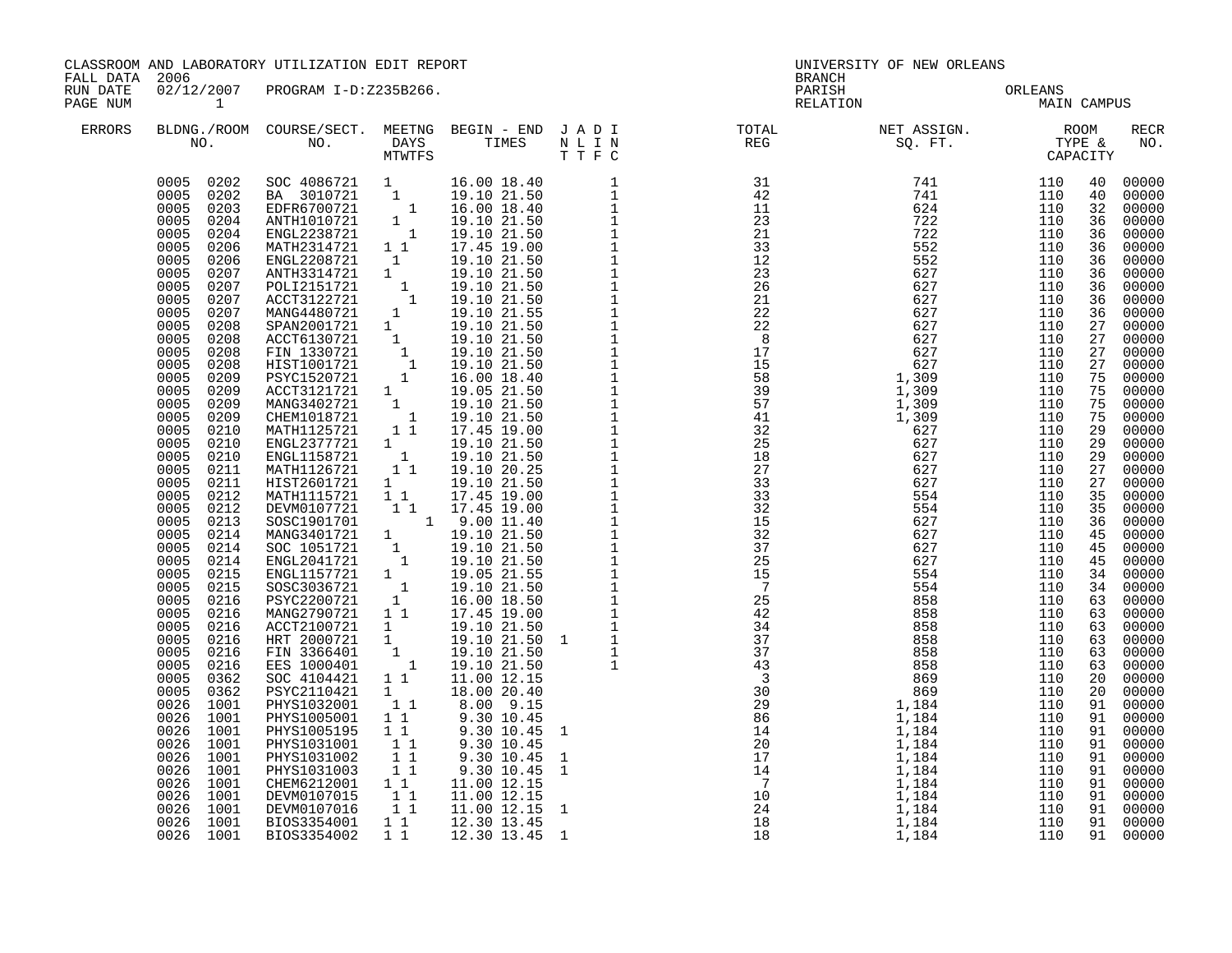CLASSROOM AND LABORATORY UTILIZATION EDIT REPORT **EXAMPLE ASSESSES** UNIVERSITY OF NEW ORLEANS

FALL DATA 2006 BRANCH

| RUN DATE<br>PAGE NUM | 02/12/2007                                                                                                                                                                                                                                                                                                                                                                                                                                                                                                                                                                                                                                                                | PROGRAM I-D:Z235B266.                                                                                                                                                                                                                                                                                                                                                                                                                                                                                                                                                                                                       |                                                                                                                                                                                                                                                                                                                                                                                                                                                                              |                                                                                                                                                                                                                                                                                                         |                                                              | PARISH<br>RELATION                                                                                                                                                                                                                                                                                                                                    |                                                                                                                                                                                                                                                                                                                                                                         | ORLEANS<br>MAIN CAMPUS                                                                                                                                                                                                                                                                      |                                                                                                                                                                                                                                                    |                                                                                                                                                                                                                                                                                                                                                                               |
|----------------------|---------------------------------------------------------------------------------------------------------------------------------------------------------------------------------------------------------------------------------------------------------------------------------------------------------------------------------------------------------------------------------------------------------------------------------------------------------------------------------------------------------------------------------------------------------------------------------------------------------------------------------------------------------------------------|-----------------------------------------------------------------------------------------------------------------------------------------------------------------------------------------------------------------------------------------------------------------------------------------------------------------------------------------------------------------------------------------------------------------------------------------------------------------------------------------------------------------------------------------------------------------------------------------------------------------------------|------------------------------------------------------------------------------------------------------------------------------------------------------------------------------------------------------------------------------------------------------------------------------------------------------------------------------------------------------------------------------------------------------------------------------------------------------------------------------|---------------------------------------------------------------------------------------------------------------------------------------------------------------------------------------------------------------------------------------------------------------------------------------------------------|--------------------------------------------------------------|-------------------------------------------------------------------------------------------------------------------------------------------------------------------------------------------------------------------------------------------------------------------------------------------------------------------------------------------------------|-------------------------------------------------------------------------------------------------------------------------------------------------------------------------------------------------------------------------------------------------------------------------------------------------------------------------------------------------------------------------|---------------------------------------------------------------------------------------------------------------------------------------------------------------------------------------------------------------------------------------------------------------------------------------------|----------------------------------------------------------------------------------------------------------------------------------------------------------------------------------------------------------------------------------------------------|-------------------------------------------------------------------------------------------------------------------------------------------------------------------------------------------------------------------------------------------------------------------------------------------------------------------------------------------------------------------------------|
| <b>ERRORS</b>        |                                                                                                                                                                                                                                                                                                                                                                                                                                                                                                                                                                                                                                                                           |                                                                                                                                                                                                                                                                                                                                                                                                                                                                                                                                                                                                                             |                                                                                                                                                                                                                                                                                                                                                                                                                                                                              |                                                                                                                                                                                                                                                                                                         |                                                              | BLDNG./ROOM COURSE/SECT. MEETNG BEGIN – END JADI TOTAL TOTAL NET ASSIGN. ROOM ROOM NO. DAYS TIMES NLIN REG SQ.FT. TYPE &                                                                                                                                                                                                                              |                                                                                                                                                                                                                                                                                                                                                                         |                                                                                                                                                                                                                                                                                             |                                                                                                                                                                                                                                                    | <b>RECR</b><br>NO.                                                                                                                                                                                                                                                                                                                                                            |
|                      | 0005 0202<br>0005<br>0202<br>0005<br>0203<br>0005<br>0204<br>0005<br>0204<br>0005<br>0206<br>0005<br>0206<br>0005<br>0207<br>0005<br>0207<br>0005<br>0207<br>0005<br>0207<br>0005<br>0208<br>0005<br>0208<br>0005<br>0208<br>0005<br>0208<br>0005<br>0209<br>0005<br>0209<br>0005<br>0209<br>0005<br>0209<br>0005<br>0210<br>0005<br>0210<br>0005<br>0210<br>0005<br>0211<br>0005<br>0211<br>0005<br>0212<br>0005<br>0212<br>0005<br>0213<br>0005<br>0214<br>0005<br>0214<br>0005<br>0214<br>0005<br>0215<br>0005<br>0215<br>0216<br>0005<br>0005<br>0216<br>0005<br>0216<br>0005<br>0216<br>0005<br>0216<br>0005<br>0216<br>0005<br>0362<br>0005<br>0362<br>0026<br>1001 | ANTH1010721<br>ENGL2238721<br>MATH2314721<br>ENGL2208721<br>ANTH3314721 1<br>POLI2151721<br>ACCT3122721<br>MANG4480721<br>SPAN2001721 1<br>ACCT6130721<br>FIN 1330721<br>HIST1001721<br>PSYC1520721<br>ACCT3121721 1<br>MANG3402721<br>CHEM1018721<br>MATH1125721<br>ENGL2377721<br>ENGL1158721<br>MATH1126721<br>HIST2601721<br>MATH1115721<br>DEVM0107721<br>SOSC1901701 1 9.00 11.40<br>MANG3401721 1 19.10 21.50<br>SOC 1051721<br>ENGL2041721<br>ENGL1157721 1<br>SOSC3036721 1<br>PSYC2200721<br>MANG2790721<br>ACCT2100721<br>HRT 2000721<br>FIN 3366401<br>EES 1000401<br>SOC 4104421<br>PSYC2110421<br>PHYS1032001 | 1<br>$\overline{\phantom{a}}$<br>$1\quad1$<br>$\mathbf{1}$<br>$\begin{array}{c} 1 \\ 1 \end{array}$<br>1<br>$\begin{smallmatrix}1\\1\\1\\1\end{smallmatrix}$<br>$\begin{smallmatrix} 1\\1\\1 \end{smallmatrix}$<br>11<br>$1 \quad \blacksquare$<br>$\overline{1}$<br>$1\quad1$<br>$1 \quad$<br>11<br>11<br>$\begin{smallmatrix}1\1\end{smallmatrix}$<br>1<br>$1\quad1$<br>$1 \quad$<br>$1 \quad$<br>$\mathbf{1}$<br>$\overline{\phantom{a}}$<br>11<br>$1 \quad$<br>$1\quad1$ | T T F C<br>16.00 18.40 1<br>19.10 21.50 1<br>16.00 18.40 1<br>11 0 21.50 1<br>19.10 21.50 1<br>19.10 21.50 1<br>19.10 21.50 1<br>19.10 21.50 1<br>19.10 21.50 1<br>19.10 21.50 1<br>19.10 21.50 1<br>19.10 21.50 1<br>19.10 21.50 1<br>19.10 21.50 1<br>19.1<br>11.00 12.15<br>18.00 20.40<br>8.00 9.15 |                                                              | $\begin{array}{c} 31 \\ 42 \\ 11 \\ 23 \\ 21 \\ 33 \\ 12 \\ 23 \\ \end{array}$<br>23<br>26<br>$\begin{array}{r} 26 \\ 21 \\ 22 \\ 23 \\ 15 \\ 58 \\ 39 \\ 7 \\ 41 \\ 22 \\ 39 \\ \end{array}$<br>25<br>18<br>27<br>33<br>33<br>32<br>15<br>32<br>37<br>25<br>15<br>$\overline{7}$<br>25<br>42<br>$\frac{42}{34}$<br>$\frac{34}{37}$<br>$\frac{43}{3}$ | $\begin{array}{cccc} 31 & 7 & 7\\ 11 & 6\\ 13 & 77 & 7\\ 11 & 77 & 72\\ 3 & 555 & 55\\ 2 & 62 & 62\\ 5 & 62 & 62\\ 6 & 27 & 627\\ 6 & 27 & 627\\ 1,309 & 1,309 \end{array}$<br>741<br>741<br>1,309<br>1,309<br>1,309<br>627<br>627<br>627<br>627<br>627<br>554<br>554<br>627<br>627<br>627<br>627<br>554<br>554<br>858<br>858<br>858<br>858<br>858<br>858<br>869<br>869 | 110<br>110<br>110<br>110<br>110<br>110<br>110<br>110<br>110<br>110<br>110<br>110<br>110<br>110<br>110<br>110<br>110<br>110<br>110<br>110<br>110<br>110<br>110<br>110<br>110<br>110<br>110<br>110<br>110<br>110<br>110<br>110<br>110<br>110<br>110<br>110<br>110<br>110<br>110<br>110<br>110 | 40<br>40<br>32<br>36<br>36<br>36<br>36<br>36<br>36<br>36<br>36<br>27<br>27<br>27<br>27<br>75<br>75<br>75<br>75<br>29<br>29<br>29<br>27<br>27<br>35<br>35<br>36<br>45<br>45<br>45<br>34<br>34<br>63<br>63<br>63<br>63<br>63<br>63<br>20<br>20<br>91 | 00000<br>00000<br>00000<br>00000<br>00000<br>00000<br>00000<br>00000<br>00000<br>00000<br>00000<br>00000<br>00000<br>00000<br>00000<br>00000<br>00000<br>00000<br>00000<br>00000<br>00000<br>00000<br>00000<br>00000<br>00000<br>00000<br>00000<br>00000<br>00000<br>00000<br>00000<br>00000<br>00000<br>00000<br>00000<br>00000<br>00000<br>00000<br>00000<br>00000<br>00000 |
|                      | 1001<br>0026<br>0026<br>1001<br>0026<br>1001<br>0026<br>1001<br>0026<br>1001<br>0026<br>1001<br>0026<br>1001<br>0026<br>1001                                                                                                                                                                                                                                                                                                                                                                                                                                                                                                                                              | PHYS1005001<br>PHYS1005195<br>PHYS1031001<br>PHYS1031002<br>PHYS1031003<br>CHEM6212001<br>DEVM0107015<br>DEVM0107016                                                                                                                                                                                                                                                                                                                                                                                                                                                                                                        | $1\quad1$<br>$1\quad1$<br>11<br>11<br>1 1<br>$1\quad1$<br>$1\quad1$<br>11                                                                                                                                                                                                                                                                                                                                                                                                    | 9.30 10.45<br>9.30 10.45<br>9.30 10.45<br>9.30 10.45<br>9.30 10.45<br>11.00 12.15<br>11.00 12.15<br>11.00 12.15                                                                                                                                                                                         | $\mathbf{1}$<br>$\mathbf{1}$<br>$\mathbf{1}$<br>$\mathbf{1}$ | $\begin{array}{cccc} 1 & & & 43 \\ & & 3 \\ & 20 & & \\ 20 & & 86 \\ & 14 & & \\ 20 & & 17 \\ & 14 & & \\ 7 & & 10 \\ & 24 & & \\ 18 & & 18 \\ \end{array}$                                                                                                                                                                                           | 1,184<br>1,184<br>1,184<br>1,184<br>1,184<br>1,184<br>1,184<br>1,184<br>1,184                                                                                                                                                                                                                                                                                           | 110<br>110<br>110<br>110<br>110<br>110<br>110<br>110                                                                                                                                                                                                                                        | 91<br>91<br>91<br>91<br>91<br>91<br>91<br>91                                                                                                                                                                                                       | 00000<br>00000<br>00000<br>00000<br>00000<br>00000<br>00000<br>00000                                                                                                                                                                                                                                                                                                          |
|                      | 0026<br>1001<br>0026 1001                                                                                                                                                                                                                                                                                                                                                                                                                                                                                                                                                                                                                                                 | BIOS3354001<br>BIOS3354002                                                                                                                                                                                                                                                                                                                                                                                                                                                                                                                                                                                                  | $1\quad1$<br>$1\quad1$                                                                                                                                                                                                                                                                                                                                                                                                                                                       | 12.30 13.45<br>12.30 13.45 1                                                                                                                                                                                                                                                                            |                                                              |                                                                                                                                                                                                                                                                                                                                                       | 1,184<br>1,184                                                                                                                                                                                                                                                                                                                                                          | 110<br>110                                                                                                                                                                                                                                                                                  | 91<br>91                                                                                                                                                                                                                                           | 00000<br>00000                                                                                                                                                                                                                                                                                                                                                                |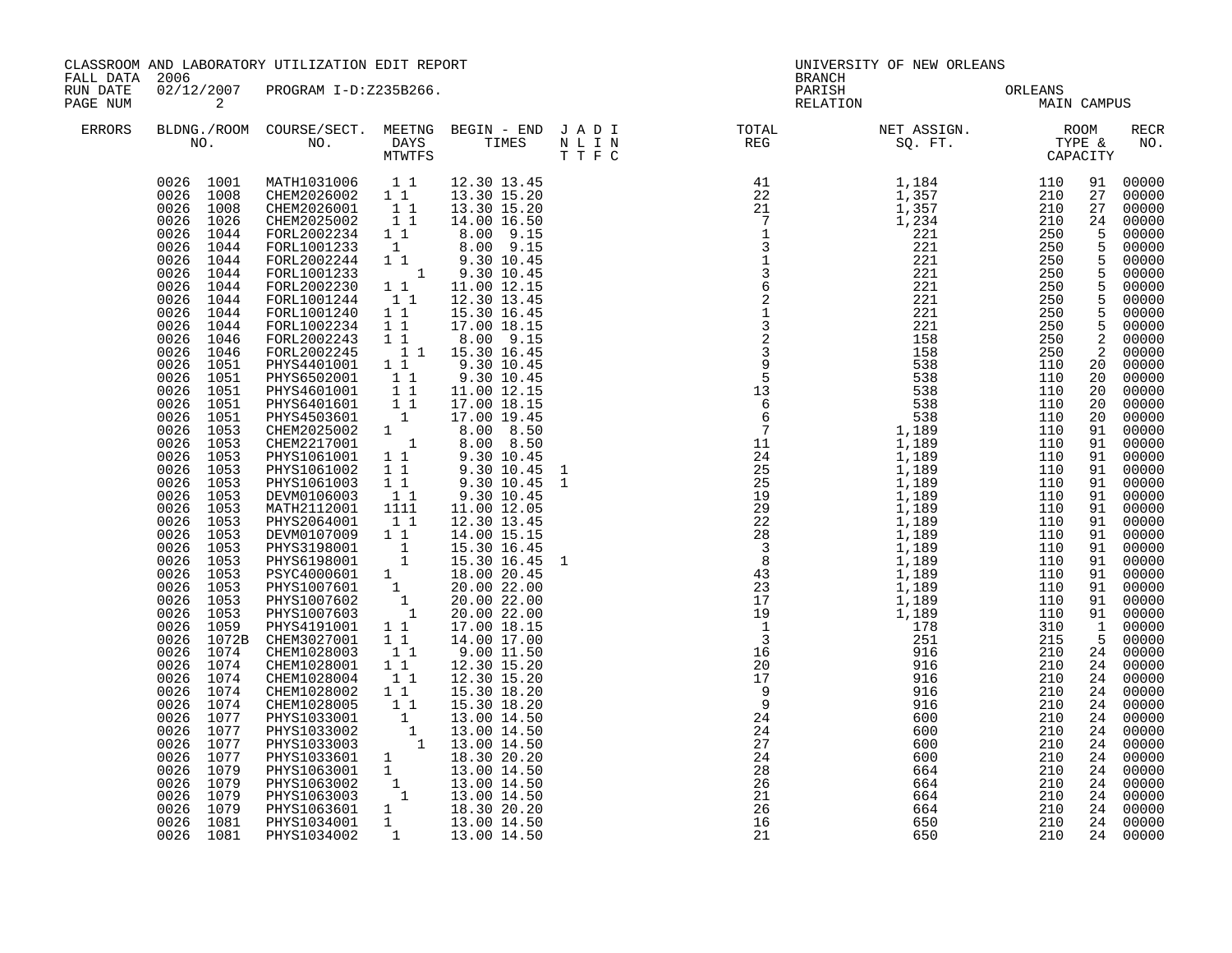| FALL DATA 2006       |                                                                                                                                                                                                                                                                                                                                                                                                                                                                                                                                                                                                                                                                                   | CLASSROOM AND LABORATORY UTILIZATION EDIT REPORT                                                                                                                                                                                                                                                                                                                                                                                                                                                                                                                                                                                                                                                                                                                                                                                                                                                                                                                                                                                                                                                                                                                                                                                                                                                                                                                                                                                                                                     |                                                           |                                                                                                                                                                                                                               | UNIVERSITY OF NEW ORLEANS<br><b>BRANCH</b>                                                                                                                                                                                                                                                                                                                                                                                                  |                                     |  |                                                                                                                                                                                                                                        |                                                                                                                                                                                                                                                                                                                                                                                                                                                                                                                                                                             |
|----------------------|-----------------------------------------------------------------------------------------------------------------------------------------------------------------------------------------------------------------------------------------------------------------------------------------------------------------------------------------------------------------------------------------------------------------------------------------------------------------------------------------------------------------------------------------------------------------------------------------------------------------------------------------------------------------------------------|--------------------------------------------------------------------------------------------------------------------------------------------------------------------------------------------------------------------------------------------------------------------------------------------------------------------------------------------------------------------------------------------------------------------------------------------------------------------------------------------------------------------------------------------------------------------------------------------------------------------------------------------------------------------------------------------------------------------------------------------------------------------------------------------------------------------------------------------------------------------------------------------------------------------------------------------------------------------------------------------------------------------------------------------------------------------------------------------------------------------------------------------------------------------------------------------------------------------------------------------------------------------------------------------------------------------------------------------------------------------------------------------------------------------------------------------------------------------------------------|-----------------------------------------------------------|-------------------------------------------------------------------------------------------------------------------------------------------------------------------------------------------------------------------------------|---------------------------------------------------------------------------------------------------------------------------------------------------------------------------------------------------------------------------------------------------------------------------------------------------------------------------------------------------------------------------------------------------------------------------------------------|-------------------------------------|--|----------------------------------------------------------------------------------------------------------------------------------------------------------------------------------------------------------------------------------------|-----------------------------------------------------------------------------------------------------------------------------------------------------------------------------------------------------------------------------------------------------------------------------------------------------------------------------------------------------------------------------------------------------------------------------------------------------------------------------------------------------------------------------------------------------------------------------|
| RUN DATE<br>PAGE NUM | $\overline{\phantom{a}}$ 2                                                                                                                                                                                                                                                                                                                                                                                                                                                                                                                                                                                                                                                        | 02/12/2007 PROGRAM I-D:Z235B266.                                                                                                                                                                                                                                                                                                                                                                                                                                                                                                                                                                                                                                                                                                                                                                                                                                                                                                                                                                                                                                                                                                                                                                                                                                                                                                                                                                                                                                                     |                                                           |                                                                                                                                                                                                                               |                                                                                                                                                                                                                                                                                                                                                                                                                                             | PARISH ORLEANS NELATION MAIN CAMPUS |  |                                                                                                                                                                                                                                        |                                                                                                                                                                                                                                                                                                                                                                                                                                                                                                                                                                             |
| ERRORS               |                                                                                                                                                                                                                                                                                                                                                                                                                                                                                                                                                                                                                                                                                   |                                                                                                                                                                                                                                                                                                                                                                                                                                                                                                                                                                                                                                                                                                                                                                                                                                                                                                                                                                                                                                                                                                                                                                                                                                                                                                                                                                                                                                                                                      |                                                           |                                                                                                                                                                                                                               | $\begin{tabular}{lllllllllllllllllllll} \textsc{BLDNG.} \textsc{ROOM} & \textsc{CUIRSE/SECT.} & \textsc{MEETNG} & \textsc{BEGIN} & - & \textsc{END} & \textsc{J} & \textsc{A} & \textsc{D} & \textsc{I} & & & \textsc{TCTAL} & & & \textsc{NET} & \textsc{ASSGN.} & & & \textsc{ROOM} \\ \textsc{NO.} & \textsc{NO.} & \textsc{DAYS} & \textsc{TIMES} & \textsc{N} & \textsc{L} & \textsc{I} & \textsc{N} & & \textsc{TEG} & & & \textsc{S$ |                                     |  |                                                                                                                                                                                                                                        | <b>RECR</b><br>NO.                                                                                                                                                                                                                                                                                                                                                                                                                                                                                                                                                          |
|                      | 1044<br>0026<br>0026 1044<br>0026<br>1044<br>0026 1044<br>0026 1044<br>0026 1044<br>$0026$ 1044<br>0026<br>1044<br>0026 1046<br>0026 1046<br>0026 1051<br>0026 1051<br>0026 1051<br>0026 1051<br>0026 1051<br>0026<br>1053<br>0026 1053<br>0026 1053<br>0026 1053<br>0026<br>1053<br>0026 1053<br>0026 1053<br>0026 1053<br>0026 1053<br>0026<br>1053<br>0026 1053<br>0026<br>1053<br>0026 1053<br>1053<br>0026<br>$0026$ 1053<br>1059<br>0026<br>0026<br>1072B<br>0026<br>1074<br>0026<br>1074<br>0026<br>1074<br>0026 1074<br>0026<br>1074<br>0026 1077<br>0026 1077<br>0026 1077<br>0026 1077<br>0026<br>1079<br>0026 1079<br>0026 1079<br>0026 1079<br>0026 1081<br>0026 1081 | 0026 1001 MATH1031006 11<br>0026 1008 CHEM2026002 11<br>0026 1008 CHEM2026001 11<br>0026 1026 CHEM2025002 11<br>$FORM2002234$ $1$ <sup>1</sup><br>FORL1001233 1 8.00 9.15<br>FORL1001233 1 9.30 10.45<br>FORL1001233 1 9.30 10.45<br>FORL1001233 1 9.30 10.45<br>FORL1001244 1 1 12.30 13.45<br>FORL1001244 1 1 12.30 13.45<br>FORL1001240<br>FORL1002234<br>FORL2002243 1 1 8.00 9.15<br>FORL2002245 1 1 15.30 16.45<br>FORL2002245 11 15.30 16.45<br>PHYS4401001 11 9.30 10.45<br>PHYS6502001 11 9.30 10.45<br>PHYS4601001 11 11.00 12.15<br>PHYS4601001 11 17.00 18.15<br>PHYS4503601 1 17.00 19.45<br>CHEM2025002 1 8.00 8.50<br>CHEM2217001 1 9.30 10.45<br>PHYS10<br>DEVM0106003   1   1<br>MATH2112001   1111<br>PHYS2064001 1 1<br>PHYS2064001 1 1 12.30 13.45<br>DEW0107009 1 1 14.00 15.15<br>PHYS3198001 1 15.30 16.45<br>PHYS6198001 1 15.30 16.45 1<br>PSYC4000601 1 18.00 20.45<br>PHYS1007601 1 20.00 22.00<br>PHYS1007602 1 20.00 22.00<br>PHYS1007603 1 20.00 22.00<br>P<br>CHEM3027001 1 1<br>CHEM1028003<br>CHEM1028001<br>CHEM1028004<br>CHEMI028002 1 1 15.30 18.20<br>CHEMI028005 1 1 15.30 18.20<br>PHYS1033001 1 13.00 14.50<br>PHYS1033002 1 13.00 14.50<br>PHYS1033002 1 13.00 14.50<br>PHYS1033003 1 13.00 14.50<br>PHYSI033003<br>PHYSI063001 1 18.30 20.20<br>PHYSI063002 1 13.00 14.50<br>PHYSI063002 1 13.00 14.50<br>PHYSI063002 1 13.00 14.50<br>PHYSI063601 1 18.30 20.20<br>PHYSI034001 1 13.00 14.50<br>PHYSI034002 1 13.00 14.50<br>PHYS1034002 | $\begin{bmatrix} 1 \\ 1 \end{bmatrix}$<br>$1\quad1$<br>11 | 12.30 13.45<br>13.30 15.20<br>13.30 15.20<br>14.00 16.50<br>8.00 9.15<br>$1 1$ $15.30 16.45$<br>$1 1$ $17.00 18.15$<br>11.00 12.05<br>12.30 13.45<br>17.00 18.15<br>14.00 17.00<br>$9.00$ 11.50<br>12.30 15.20<br>12.30 15.20 | $\begin{smallmatrix} 0.11 & 0.11 & 0.11 & 0.11 & 0.11 & 0.11 & 0.11 & 0.11 & 0.11 & 0.11 & 0.11 & 0.11 & 0.11 & 0.11 & 0.11 & 0.11 & 0.11 & 0.11 & 0.11 & 0.11 & 0.11 & 0.11 & 0.11 & 0.11 & 0.11 & 0.11 & 0.11 & 0.11 & 0.11 & 0.11 & 0.11 & 0.11 & 0.11 & 0.11 & 0.11 & 0.1$                                                                                                                                                              |                                     |  | 27<br>$\frac{5}{5}$<br>$\begin{array}{c}\n5 \\ 5 \\ 5\n\end{array}$<br>$\frac{5}{5}$<br>2<br>20<br>20<br>20<br>20<br>20<br>91<br>91<br>91<br>91<br>91<br>91<br>91<br>91<br>91<br>91<br>91<br>91<br>$\mathbf{1}$<br>5<br>24<br>24<br>24 | 91 00000<br>27 00000<br>00000<br>24 00000<br>00000<br>00000<br>00000<br>00000<br>00000<br>00000<br>00000<br>00000<br>2 00000<br>00000<br>00000<br>00000<br>00000<br>00000<br>00000<br>00000<br>$00000$<br>00000<br>00000<br>00000<br>00000<br>91 00000<br>00000<br>00000<br>$00000$<br>$00000$<br>$00000$<br>00000<br>91 00000<br>91 00000<br>00000<br>00000<br>24 00000<br>24 00000<br>24 00000<br>00000<br>24 00000<br>$\begin{bmatrix} 24 & 00000 \\ 24 & 00000 \end{bmatrix}$<br>00000<br>24 00000<br>24 00000<br>24 00000<br>00000<br>24 00000<br>24 00000<br>24 00000 |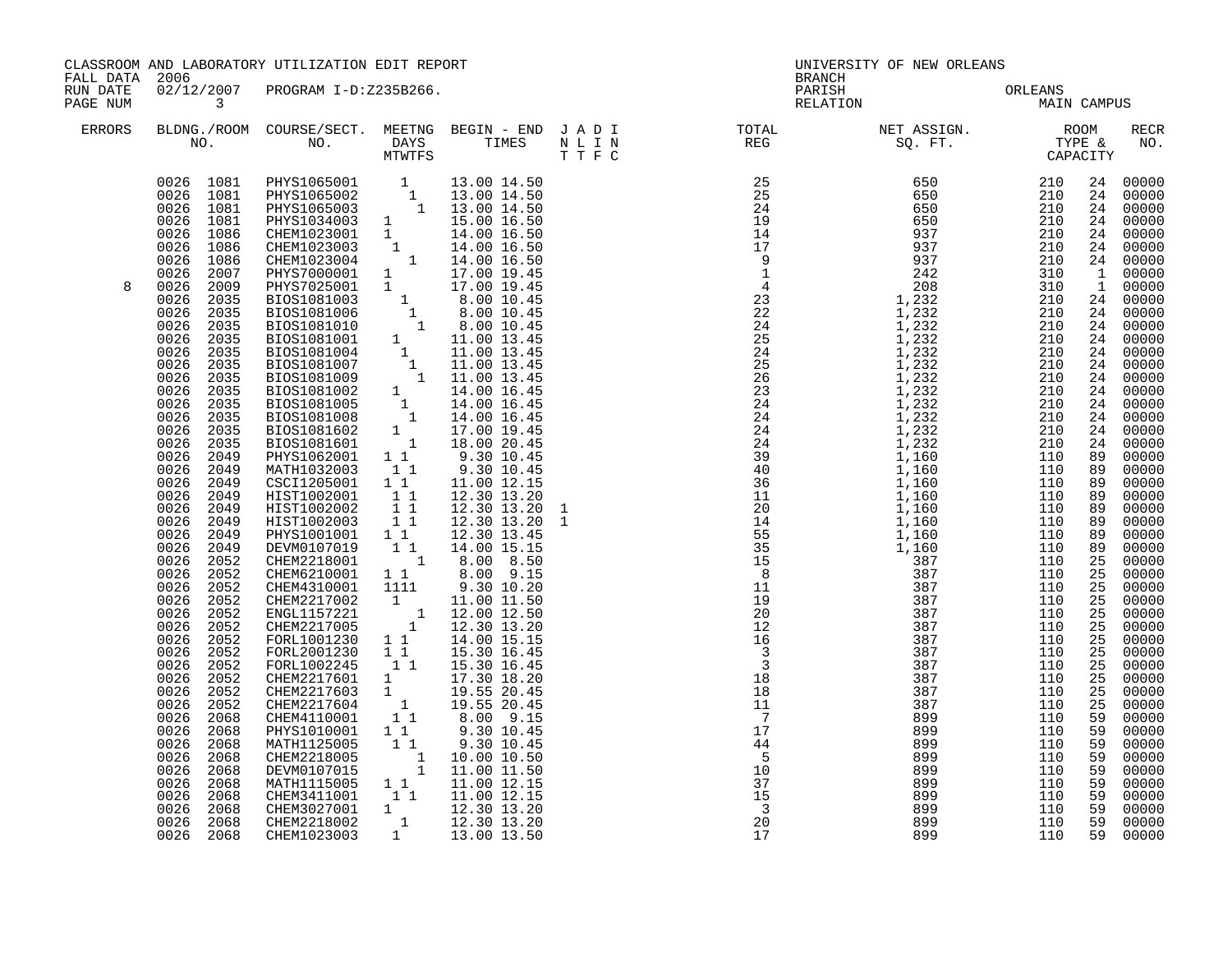| CLASSROOM AND LABORATORY UTILIZATION EDIT REPORT<br>FALL DATA 2006<br>RUN DATE |                                                                                                                                                                                                                                                                                                                                                                                        |                                                                                                                                                                                                                                                                                                                                                                                                                                                                                                                                                                                                                           |                                                                                                                                                                                                                                      |    | UNIVERSITY OF NEW ORLEANS<br>BRANCH                                                                                                                                                                                                                                                                                                                                                                                                                   |                                                                                                                                                                                         |                                                                                                                                                                                                                                                                                                                                                                                                                                                                             |
|--------------------------------------------------------------------------------|----------------------------------------------------------------------------------------------------------------------------------------------------------------------------------------------------------------------------------------------------------------------------------------------------------------------------------------------------------------------------------------|---------------------------------------------------------------------------------------------------------------------------------------------------------------------------------------------------------------------------------------------------------------------------------------------------------------------------------------------------------------------------------------------------------------------------------------------------------------------------------------------------------------------------------------------------------------------------------------------------------------------------|--------------------------------------------------------------------------------------------------------------------------------------------------------------------------------------------------------------------------------------|----|-------------------------------------------------------------------------------------------------------------------------------------------------------------------------------------------------------------------------------------------------------------------------------------------------------------------------------------------------------------------------------------------------------------------------------------------------------|-----------------------------------------------------------------------------------------------------------------------------------------------------------------------------------------|-----------------------------------------------------------------------------------------------------------------------------------------------------------------------------------------------------------------------------------------------------------------------------------------------------------------------------------------------------------------------------------------------------------------------------------------------------------------------------|
| PAGE NUM                                                                       | $\overline{\mathbf{3}}$                                                                                                                                                                                                                                                                                                                                                                | 02/12/2007 PROGRAM I-D:Z235B266.                                                                                                                                                                                                                                                                                                                                                                                                                                                                                                                                                                                          |                                                                                                                                                                                                                                      |    | PARISH ORLEANS NELATION MAIN CAMPUS                                                                                                                                                                                                                                                                                                                                                                                                                   |                                                                                                                                                                                         |                                                                                                                                                                                                                                                                                                                                                                                                                                                                             |
| ERRORS                                                                         |                                                                                                                                                                                                                                                                                                                                                                                        |                                                                                                                                                                                                                                                                                                                                                                                                                                                                                                                                                                                                                           |                                                                                                                                                                                                                                      |    | $\begin{tabular}{lllllllllllllllllllll} \textsc{BLONG.} \textsc{F0OM} & \textsc{COURSE/SECT.} & \textsc{METING} & \textsc{BEGIN} & - & \textsc{END} & \textsc{J} & \textsc{A} & \textsc{D} & \textsc{I} & & & \textsc{TOTAL} & & \textsc{NET} & \textsc{ASIGN.} & & \textsc{ROOM} \\ \textsc{NO.} & \textsc{NO.} & \textsc{DAYS} & \textsc{TIMES} & \textsc{N} & \textsc{L} & \textsc{I} & \textsc{N} & & \textsc{TEG} & & \textsc{SEG} & & \textsc{$ |                                                                                                                                                                                         | RECR<br>NO.                                                                                                                                                                                                                                                                                                                                                                                                                                                                 |
| 8                                                                              | 0026<br>2049<br>0026<br>2049<br>0026<br>2049<br>0026<br>2049<br>0026<br>2049<br>0026<br>2049<br>0026<br>2049<br>0026<br>2052<br>0026 2052<br>0026 2052<br>2052<br>0026<br>0026<br>2052<br>0026<br>2052<br>0026<br>2052<br>0026<br>2052<br>0026<br>2052<br>2052<br>0026<br>0026<br>2052<br>0026<br>2052<br>0026<br>2068<br>0026<br>2068<br>0026<br>2068<br>0026<br>2068<br>0026<br>2068 | MATH1032003 1 1<br>CSCI1205001 1 1<br>HIST1002001 1<br>HIST1002002 1<br>HIST1002003 11<br>HIST1002003 11<br>PHYS1001001 1 1<br>DEVM0107019 1 1<br>CHEM2218001 1 8.00 8.50<br>CHEM6210001 1 8.00 9.15<br>CHEM4310001 1111<br>CHEM2217002<br>ENGL1157221<br>CHEM2217005<br>FORL1001230 11<br>FORL2001230 11<br>FORL2001230<br>FORL1002245 11 15.30 18.20<br>CHEM2217601 1 17.30 18.20<br>CHEM2217603 1 19.55 20.45<br>CHEM2217604 1 19.55 20.45<br>CHEM2217604 1 8.00 9.15<br>TURM4110001 1 9.30 10.45<br>MATH1125005 1 9.30 10.45<br>CHEM2218005 1 10.00 10.50<br>DEVM0107015 1 11.00 11.50<br>MATH1115005 1 1 11.00 12.15 | 9.30 10.45<br>$11.00$ $12.15$<br>12.30 13.20<br>12.30 13.20<br>12.30 13.20<br>12.30 13.45<br>14.00 15.15<br>9.30 10.20<br>$\begin{array}{rrrr} 1 & 11.00 & 11.50 \ 1 & 12.00 & 12.50 \ 1 & 12.30 & 13.20 \end{array}$<br>14.00 15.15 |    |                                                                                                                                                                                                                                                                                                                                                                                                                                                       | 24<br>24<br>24<br>24<br>89<br>89<br>89<br>89<br>89<br>89<br>89<br>89<br>25<br>25<br>25<br>25<br>25<br>25<br>25<br>25<br>25<br>$\overline{25}$<br>25<br>25<br>59<br>59<br>59<br>59<br>59 | 24 00000<br>00000<br>24 00000<br>24 00000<br>24 00000<br>24 00000<br>24 00000<br>1 00000<br>1 00000<br>24 00000<br>24 00000<br>24 00000<br>24 00000<br>24 00000<br>24 00000<br>24 00000<br>24 00000<br>00000<br>00000<br>24 00000<br>00000<br>00000<br>00000<br>00000<br>00000<br>00000<br>00000<br>00000<br>00000<br>00000<br>00000<br>00000<br>00000<br>00000<br>00000<br>00000<br>00000<br>00000<br>00000<br>00000<br>00000<br>00000<br>00000<br>00000<br>00000<br>00000 |
|                                                                                | 0026<br>2068<br>0026<br>2068<br>0026<br>2068<br>0026<br>2068<br>0026 2068                                                                                                                                                                                                                                                                                                              | CHEM3411001 1 11.00 12.15<br>CHEM3027001 1 12.30 13.20<br>CHEM2218002<br>CHEM1023003                                                                                                                                                                                                                                                                                                                                                                                                                                                                                                                                      | 1 12.30 13.20<br>1 13.00 13.50                                                                                                                                                                                                       | 17 |                                                                                                                                                                                                                                                                                                                                                                                                                                                       | 59<br>59<br>59<br>59<br>59                                                                                                                                                              | 00000<br>00000<br>00000<br>00000<br>00000                                                                                                                                                                                                                                                                                                                                                                                                                                   |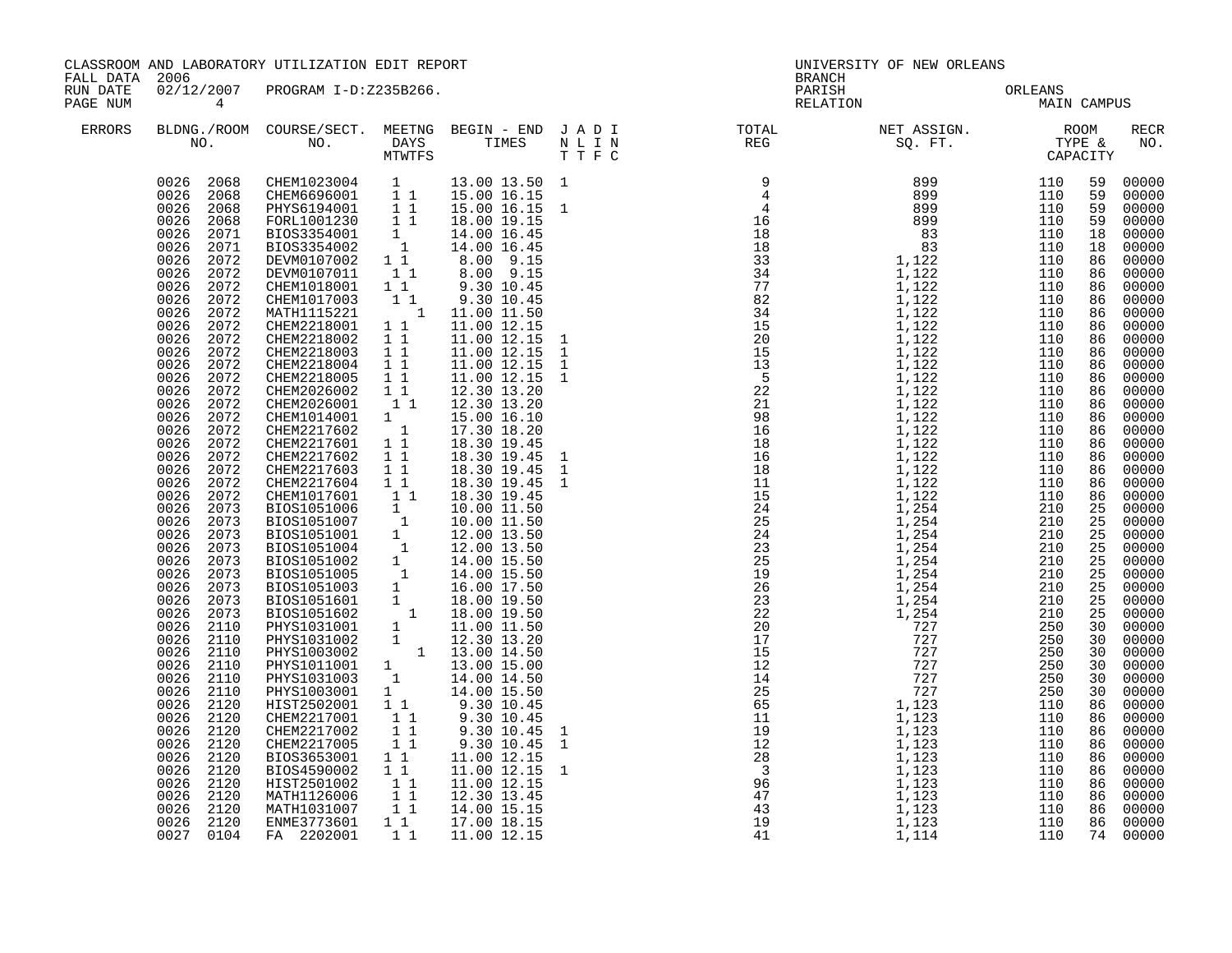| FALL DATA 2006       |                                                                                                                                                                                                                                                                                                                                                                                                                                                                                                                                                                                                                                                                                                                      | CLASSROOM AND LABORATORY UTILIZATION EDIT REPORT                                                                                                                                                                                                                                                                                                                                                                                                                                                                                                                                                                                                                                                                                                                                                                                                                                                                                                                     |                                                                                                                                                                                                       |                                                                                                                                                                                                                                                                                                                                                                                                                                                                          |                                | UNIVERSITY OF NEW ORLEANS<br><b>BRANCH</b> |                 |             |                                                                                                                                                                                                                                                                                                    |                                                                                                                                                                                                                                                                                                                                                                                                                                                       |
|----------------------|----------------------------------------------------------------------------------------------------------------------------------------------------------------------------------------------------------------------------------------------------------------------------------------------------------------------------------------------------------------------------------------------------------------------------------------------------------------------------------------------------------------------------------------------------------------------------------------------------------------------------------------------------------------------------------------------------------------------|----------------------------------------------------------------------------------------------------------------------------------------------------------------------------------------------------------------------------------------------------------------------------------------------------------------------------------------------------------------------------------------------------------------------------------------------------------------------------------------------------------------------------------------------------------------------------------------------------------------------------------------------------------------------------------------------------------------------------------------------------------------------------------------------------------------------------------------------------------------------------------------------------------------------------------------------------------------------|-------------------------------------------------------------------------------------------------------------------------------------------------------------------------------------------------------|--------------------------------------------------------------------------------------------------------------------------------------------------------------------------------------------------------------------------------------------------------------------------------------------------------------------------------------------------------------------------------------------------------------------------------------------------------------------------|--------------------------------|--------------------------------------------|-----------------|-------------|----------------------------------------------------------------------------------------------------------------------------------------------------------------------------------------------------------------------------------------------------------------------------------------------------|-------------------------------------------------------------------------------------------------------------------------------------------------------------------------------------------------------------------------------------------------------------------------------------------------------------------------------------------------------------------------------------------------------------------------------------------------------|
| RUN DATE<br>PAGE NUM | $4\overline{4}$                                                                                                                                                                                                                                                                                                                                                                                                                                                                                                                                                                                                                                                                                                      | 02/12/2007 PROGRAM I-D:Z235B266.                                                                                                                                                                                                                                                                                                                                                                                                                                                                                                                                                                                                                                                                                                                                                                                                                                                                                                                                     |                                                                                                                                                                                                       |                                                                                                                                                                                                                                                                                                                                                                                                                                                                          |                                | PARISH<br>RELATION                         | ORLEANS<br>MAIN | MAIN CAMPUS |                                                                                                                                                                                                                                                                                                    |                                                                                                                                                                                                                                                                                                                                                                                                                                                       |
| <b>ERRORS</b>        |                                                                                                                                                                                                                                                                                                                                                                                                                                                                                                                                                                                                                                                                                                                      |                                                                                                                                                                                                                                                                                                                                                                                                                                                                                                                                                                                                                                                                                                                                                                                                                                                                                                                                                                      |                                                                                                                                                                                                       |                                                                                                                                                                                                                                                                                                                                                                                                                                                                          |                                |                                            |                 |             |                                                                                                                                                                                                                                                                                                    | RECR<br>NO.                                                                                                                                                                                                                                                                                                                                                                                                                                           |
|                      | 0026<br>2071<br>0026<br>2071<br>0026<br>2072<br>0026<br>2072<br>0026<br>2072<br>0026<br>2072<br>0026<br>2072<br>0026<br>2072<br>0026<br>2072<br>0026 2072<br>0026 2072<br>0026<br>2072<br>0026<br>2072<br>0026<br>2072<br>0026<br>2072<br>0026<br>2072<br>0026<br>2072<br>0026<br>2072<br>0026<br>2072<br>0026<br>2072<br>0026<br>2072<br>0026<br>2073<br>0026<br>2073<br>0026 2073<br>0026 2073<br>0026<br>2073<br>0026 2073<br>0026<br>2073<br>0026 2073<br>2073<br>0026<br>0026<br>2110<br>2110<br>0026<br>0026<br>2110<br>0026<br>2110<br>0026<br>2110<br>0026<br>2110<br>0026<br>2120<br>0026 2120<br>0026<br>2120<br>0026 2120<br>0026<br>2120<br>0026<br>2120<br>2120<br>0026<br>0026<br>2120<br>2120<br>0026 | $\begin{array}{cccc} 0026 & 2068 & \text{CHEM1023004} & 1 \\ 0026 & 2068 & \text{CHEM6696001} & 1 & 1 \\ 0026 & 2068 & \text{PHYS6194001} & 1 & 1 \\ 0026 & 2068 & \text{FORL1001230} & 1 & 1 \end{array}$<br>FORL1001230 1<br>BIOS3354001 1 14.00 16.45<br>BIOS3354002 1 14.00 16.45<br>DEVM0107002 1 1 8.00 9.15<br>DEVM0107011 1 8.00 9.15<br>CHEM1018001 1 9.30 10.45<br>MATH1115221<br>CHEM2218001<br>CHEM2218002<br>CHEM2218003<br>CHEM2218004<br>CHEM2218005<br>CHEM2026002<br>CHEM2026001 11<br>CHEM1014001 1<br>CHEM2217602 1<br>CHEM2217601 11<br>CHEM2217602<br>CHEM2217603<br>CHEM2217604 1 1<br>CHEM1017601<br>CHEM1017601 1 18.30 19.45<br>BIOS1051006 1 10.00 11.50<br>BIOS1051007 1 10.00 11.50<br>BIOS1051007 1 10.00 11.50<br>BIOS1051001 1 12.00 13.50<br>BIOS1051002 1 14.00 15.50<br>BIOS1051002 1 14.00 15.50<br>BIOS1051005 1 14.00 15.50<br>BIOS10<br>CHEM2217005<br>BIOS3653001<br>BIOS4590002<br>HIST2501002<br>MATH1126006<br>MATH1031007 | 11<br>11<br>11<br>11<br>11<br>11<br>$1\quad1$<br>$1\quad1$<br>11<br>$1\quad1$<br>$\begin{array}{c} \mathbf{1} \\ \mathbf{1} \\ \mathbf{1} \\ \mathbf{1} \end{array}$<br>$\overline{1}$ $\overline{1}$ | 13.00 13.50 1<br>15.00 16.15<br>15.00 16.15 1<br>$\begin{bmatrix} 1 & 1 & 9.30 & 10.45 \\ 1 & 11.00 & 11.50 \end{bmatrix}$<br>11.00 12.15<br>11.00 12.15 1<br>1 1 1 11.00 12.15<br>1 1 11.00 12.15<br>11.00 12.15 1<br>11.00 12.15 1<br>12.30 13.20<br>12.30 13.20<br>15.00 16.10<br>17.30 18.20<br>18.30 19.45<br>18.30 19.45 1<br>18.30 19.45<br>18.30 19.45<br>18.30 19.45<br>9.30 10.45 1<br>11.00 12.15<br>11.00 12.15<br>11.00 12.15<br>12.30 13.45<br>14.00 15.15 | $\overline{1}$<br>$\mathbf{1}$ |                                            |                 |             | 59<br>59<br>59<br>59<br>18<br>18<br>86<br>86<br>86<br>86<br>86<br>86<br>86<br>86<br>86<br>86<br>86<br>86<br>86<br>86<br>86<br>86<br>86<br>86<br>86<br>25<br>25<br>25<br>25<br>25<br>25<br>25<br>25<br>25<br>30<br>30<br>30<br>30<br>30<br>30<br>86<br>86<br>86<br>86<br>86<br>86<br>86<br>86<br>86 | 00000<br>00000<br>00000<br>00000<br>00000<br>00000<br>00000<br>00000<br>00000<br>00000<br>00000<br>00000<br>00000<br>00000<br>00000<br>00000<br>00000<br>00000<br>00000<br>00000<br>00000<br>00000<br>00000<br>00000<br>00000<br>00000<br>00000<br>00000<br>00000<br>00000<br>00000<br>00000<br>00000<br>00000<br>00000<br>00000<br>00000<br>00000<br>00000<br>00000<br>00000<br>00000<br>00000<br>00000<br>00000<br>00000<br>00000<br>00000<br>00000 |
|                      | 0026 2120<br>0027 0104                                                                                                                                                                                                                                                                                                                                                                                                                                                                                                                                                                                                                                                                                               | ENME3773601<br>FA 2202001                                                                                                                                                                                                                                                                                                                                                                                                                                                                                                                                                                                                                                                                                                                                                                                                                                                                                                                                            | 11<br>$1\quad1$                                                                                                                                                                                       | 17.00 18.15<br>11.00 12.15                                                                                                                                                                                                                                                                                                                                                                                                                                               |                                |                                            |                 |             |                                                                                                                                                                                                                                                                                                    | 86 00000<br>74 00000                                                                                                                                                                                                                                                                                                                                                                                                                                  |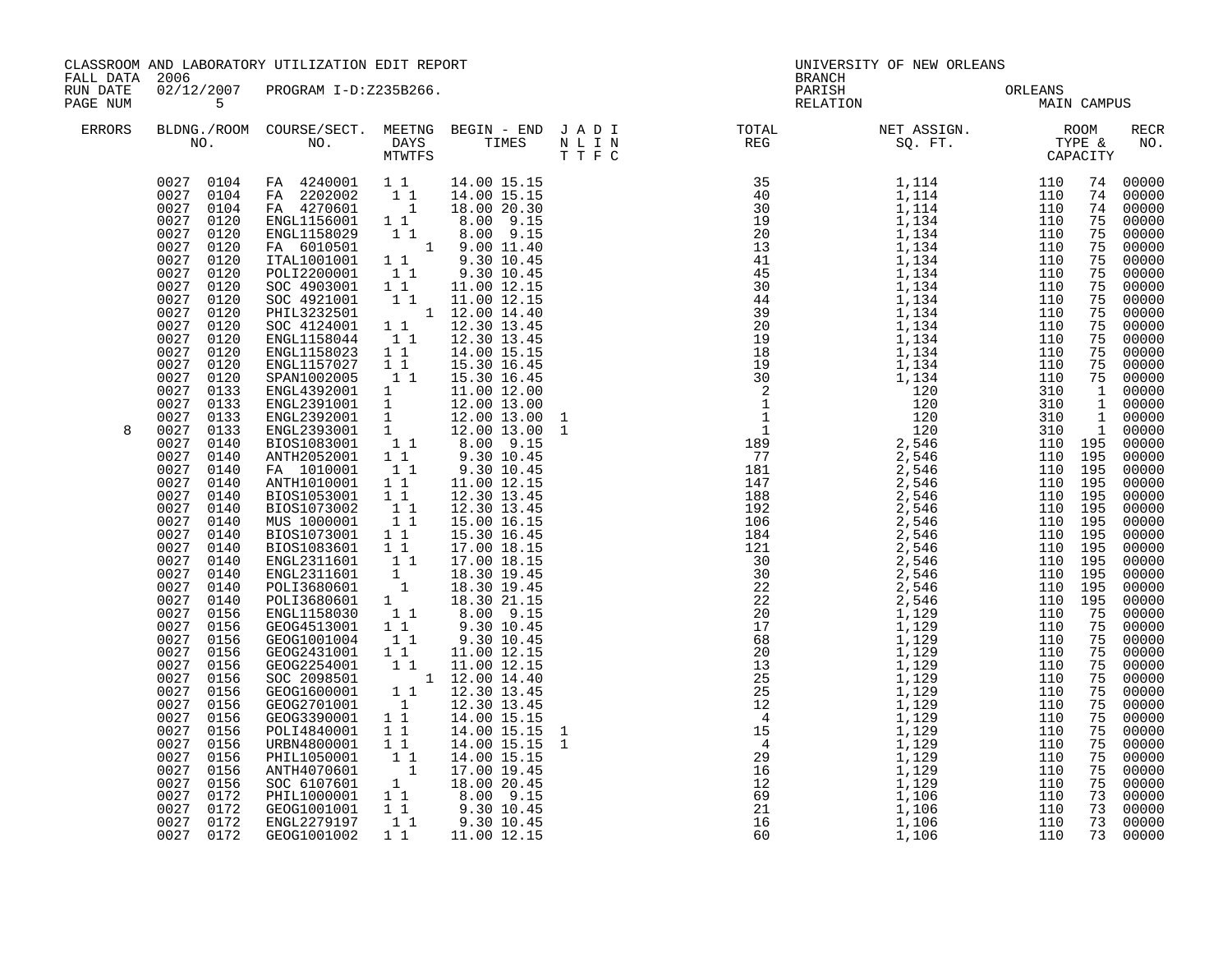| FALL DATA 2006<br>RUN DATE |                                                                                                                                                                                                                                                                                                                                                                                                                                                                                                                                                                                                                                                                                                                                                                                 | CLASSROOM AND LABORATORY UTILIZATION EDIT REPORT                                                                                                                                                                                                                                                                                                                                                                                                                                                                                                                                                                                                                                                                                                                                                                                                                                                                                                                                                                                                                                                                                                                                                                                                                                                                                                                                                                                                             |                                                          |                                                                                                                                                                                                                                                                                                 |  | <b>BRANCH</b> | UNIVERSITY OF NEW ORLEANS                                                                                                                                                                                                                                                                                                                                                                                                                      |                                                                                                                                             |                                                                                                                                                                                              |                                                                                                                                                                                                                                                                                                                                                                                                                                                                                                |
|----------------------------|---------------------------------------------------------------------------------------------------------------------------------------------------------------------------------------------------------------------------------------------------------------------------------------------------------------------------------------------------------------------------------------------------------------------------------------------------------------------------------------------------------------------------------------------------------------------------------------------------------------------------------------------------------------------------------------------------------------------------------------------------------------------------------|--------------------------------------------------------------------------------------------------------------------------------------------------------------------------------------------------------------------------------------------------------------------------------------------------------------------------------------------------------------------------------------------------------------------------------------------------------------------------------------------------------------------------------------------------------------------------------------------------------------------------------------------------------------------------------------------------------------------------------------------------------------------------------------------------------------------------------------------------------------------------------------------------------------------------------------------------------------------------------------------------------------------------------------------------------------------------------------------------------------------------------------------------------------------------------------------------------------------------------------------------------------------------------------------------------------------------------------------------------------------------------------------------------------------------------------------------------------|----------------------------------------------------------|-------------------------------------------------------------------------------------------------------------------------------------------------------------------------------------------------------------------------------------------------------------------------------------------------|--|---------------|------------------------------------------------------------------------------------------------------------------------------------------------------------------------------------------------------------------------------------------------------------------------------------------------------------------------------------------------------------------------------------------------------------------------------------------------|---------------------------------------------------------------------------------------------------------------------------------------------|----------------------------------------------------------------------------------------------------------------------------------------------------------------------------------------------|------------------------------------------------------------------------------------------------------------------------------------------------------------------------------------------------------------------------------------------------------------------------------------------------------------------------------------------------------------------------------------------------------------------------------------------------------------------------------------------------|
| PAGE NUM                   | 5 <sup>1</sup>                                                                                                                                                                                                                                                                                                                                                                                                                                                                                                                                                                                                                                                                                                                                                                  | 02/12/2007 PROGRAM I-D:Z235B266.                                                                                                                                                                                                                                                                                                                                                                                                                                                                                                                                                                                                                                                                                                                                                                                                                                                                                                                                                                                                                                                                                                                                                                                                                                                                                                                                                                                                                             |                                                          |                                                                                                                                                                                                                                                                                                 |  |               | PARISH ORLEANS RELATION MAIN                                                                                                                                                                                                                                                                                                                                                                                                                   | MAIN CAMPUS                                                                                                                                 |                                                                                                                                                                                              |                                                                                                                                                                                                                                                                                                                                                                                                                                                                                                |
| ERRORS                     |                                                                                                                                                                                                                                                                                                                                                                                                                                                                                                                                                                                                                                                                                                                                                                                 |                                                                                                                                                                                                                                                                                                                                                                                                                                                                                                                                                                                                                                                                                                                                                                                                                                                                                                                                                                                                                                                                                                                                                                                                                                                                                                                                                                                                                                                              |                                                          |                                                                                                                                                                                                                                                                                                 |  |               | $\begin{tabular}{lllllllllllllllllllll} \textsc{BLONG.} \textsc{F100M.} & \textsc{COURSE/SECT.} & \textsc{METNG.} & \textsc{BEGIN - END} & \textsc{J A D I} & \textsc{DTAT} & \textsc{NTGTL} & \textsc{NET ASSIGN.} & \textsc{ROOM} \\ \textsc{NO.} & \textsc{NO.} & \textsc{DAYS} & \textsc{TIMES} & \textsc{N L I N} & \textsc{REG} & \textsc{SEG.} & \textsc{ST.} & \textsc{CTPE & \& \\ \textsc{MO.} & \textsc{NO.} & \textsc{MTWTFS} & \$ |                                                                                                                                             |                                                                                                                                                                                              | RECR<br>NO.                                                                                                                                                                                                                                                                                                                                                                                                                                                                                    |
| 8                          | 0027 0104<br>0027 0104<br>0027<br>0120<br>0027 0120<br>0027<br>0120<br>0027 0120<br>0027<br>0120<br>0027 0120<br>0027<br>0120<br>0027<br>0120<br>0027<br>0120<br>0027 0120<br>0027<br>0120<br>0027<br>0120<br>0027<br>0120<br>0027 0133<br>0027<br>0133<br>0027 0133<br>0027<br>0133<br>0027<br>0140<br>0027<br>0140<br>0027<br>0140<br>0027<br>0140<br>0027<br>0140<br>0027<br>0140<br>0027<br>0140<br>0027<br>0140<br>0027<br>0140<br>0027 0140<br>0027<br>0140<br>0027 0140<br>0027<br>0140<br>0027 0156<br>0027<br>0156<br>0027<br>0156<br>0027<br>0156<br>0027<br>0156<br>0027<br>0156<br>0027<br>0156<br>0027<br>0156<br>0027<br>0156<br>0027<br>0156<br>0027<br>0156<br>0027<br>0156<br>0027<br>0156<br>0027 0156<br>0027<br>0172<br>0027 0172<br>0027 0172<br>0027 0172 | 0027 0104 FA 4240001 11<br>FA 2202002 1<br>FA 4270601 1<br>ENGL1158001 1 1 1.0.00 20.15<br>ENGL1158029 1 1 8.00 9.15<br>FA 6010501 1 9.00 11.40<br>ITAL1001001 1 9.30 10.45<br>POLI2200001 1 1 9.30 10.45<br>SOC 4903001 11 11.00 12.15<br>SOC 4921001 11 11.00 12.15<br>PHIL3232501 1 12.00 14.40<br>SOC 4124001 11 12.30 13.45<br>ENGL1158044   1   1   12.30   13.45<br>ENGL1158023   1   14.00   15.15<br>ENGL1157027 1 1<br>SPAN1002005 1 1<br>SPAN1002005<br>ENGL2392001 1 13.30 10.45<br>ENGL2392001 1 11.00 12.00<br>ENGL2392001 1 12.00 13.00<br>ENGL2392001 1 12.00 13.00 1<br>ENGL2393001 1 12.00 13.00 1<br>BIOS1083001 1 8.00 9.15<br>ANTH2052001 1 9.30 10.45<br>FA 1010001 11<br>ANTH1010001 1 <sup>1</sup><br>BIOS1053001<br>BIOS1073002<br>MUS 1000001<br>BIOS1073001 11<br>BIOS1083601 11<br>ENGL2311601 1 1<br>ENGL2311601 1 18.30 19.45<br>POLI3680601 1 18.30 19.45<br>POLI3680601 1 18.30 19.45<br>POLI3680601 1 18.30 21.15<br>ENGL1158030 1 1 8.00 9.15<br>GEOG4513001 1 9.30 10.45<br>GEOG1001004 11<br>GEOG2431001 11<br>CHOG2254001 1 11.00 12.15<br>SOC 2098501 1 12.00 14.40<br>GEOG1600001 1 12.30 13.45<br>GEOG2701001 1 12.30 13.45<br>GEOG3390001 1 1<br>POLI4840001 1 1<br>URBN4800001 1 1<br>0KBN4800001 1 1 14.00 15.15<br>PHIL1050001 1 1 14.00 15.15<br>ANTH4070601 1 17.00 19.45<br>SOC 6107601 1 1 8.00 20.45<br>PHIL1000001 1 1 9.30 10.45<br>GEOG1001001 1 9.30 10.45<br>ENGL2279197 1 1 9.30 10.45<br>GEOG1001002 | $1\quad1$<br>$\begin{bmatrix} 1 \\ 1 \\ 1 \end{bmatrix}$ | 14.00 15.15<br>14.00 15.15<br>18.00 20.30<br>15.30 16.45<br>15.30 16.45<br>9.30 10.45<br>11.00 12.15<br>12.30 13.45<br>12.30 13.45<br>15.00 16.15<br>15.30 16.45<br>17.00 18.15<br>17.00 18.15<br>$9.30$ 10.45<br>11.00 12.15<br>14.00 15.15<br>14.00 15.15<br>14.00 15.15<br>1 1 1 11.00 12.15 |  |               | $\begin{array}{cccccccc} \text{N} & \text{T} & \text{R2G} & \text{R2G} & \text{ST} & \text{TT} & \text{C} & \text{CAPA} \\ \text{R3G} & 1 & 114 & 1100 & 1110 & 1100 & 1110 \\ \text{R4G} & 1 & 114 & 1110 & 1100 & 1110 \\ \text{R5G} & 1 & 114 & 1110 & 1110 & 1110 \\ \text{R6G} & 1 & 114 & 1110 & 1110 & 1110 \\ \text{R6G} & 1 & 114 & $                                                                                                 | 110 195<br>110 195<br>110 195<br>110 195<br>110 195<br>110 195<br>110 195<br>110 195<br>110 195<br>110 195<br>110 195<br>110 195<br>110 195 | 75<br>75<br>75<br>75<br>75<br>75<br>75<br>75<br>75<br>75<br>75<br>$\overline{1}$<br>75<br>75<br>75<br>75<br>75<br>75<br>75<br>75<br>75<br>75<br>75<br>75<br>75<br>75<br>73<br>73<br>73<br>73 | 74 00000<br>74 00000<br>74 00000<br>00000<br>00000<br>00000<br>00000<br>00000<br>00000<br>00000<br>00000<br>00000<br>00000<br>00000<br>75 00000<br>75 00000<br>1 00000<br>1 00000<br>1 00000<br>00000<br>$00000$<br>00000<br>00000<br>00000<br>00000<br>00000<br>00000<br>00000<br>00000<br>00000<br>00000<br>00000<br>00000<br>00000<br>00000<br>00000<br>00000<br>00000<br>00000<br>00000<br>00000<br>00000<br>00000<br>00000<br>00000<br>00000<br>00000<br>00000<br>00000<br>00000<br>00000 |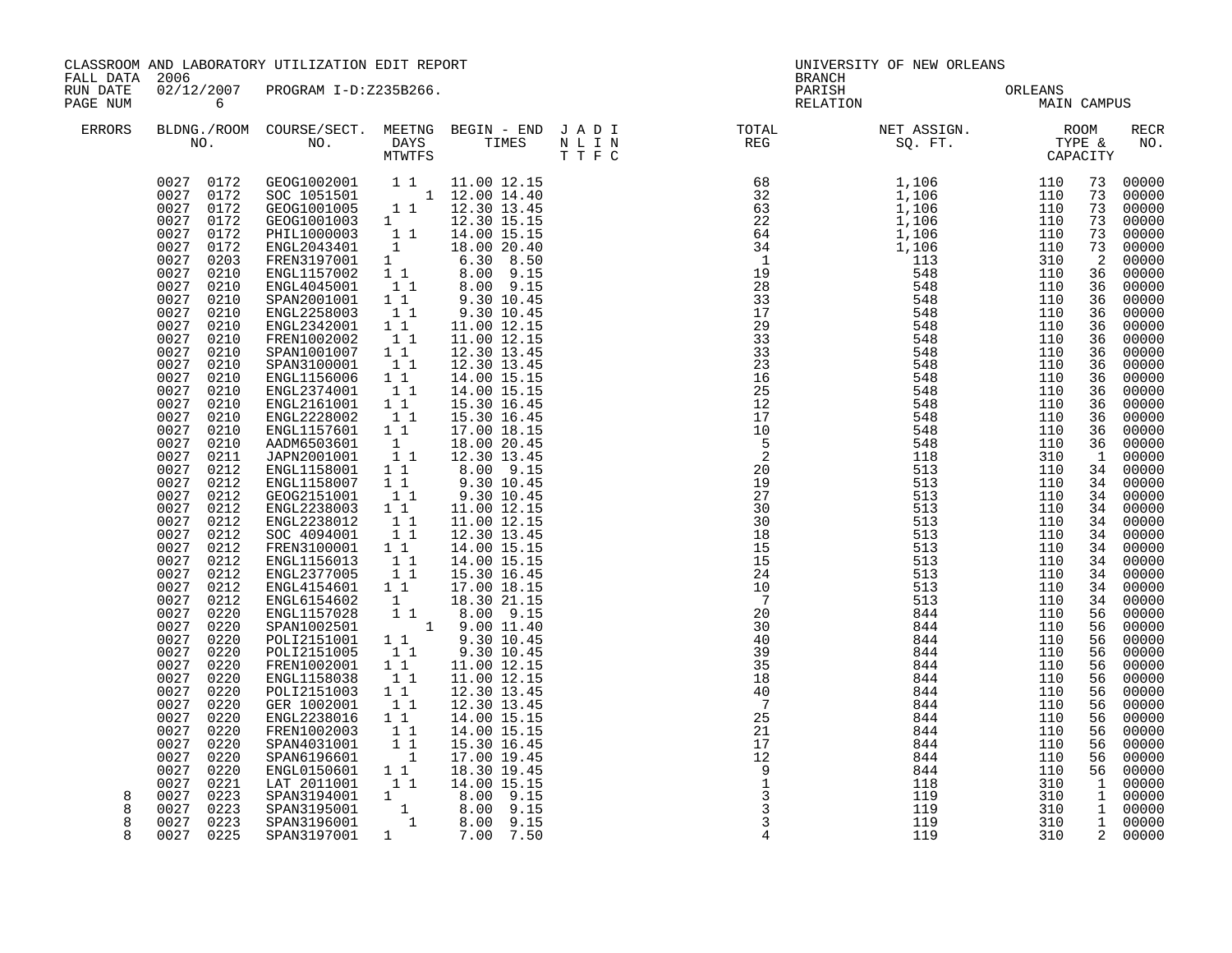| FALL DATA 2006       |                                                                                                                                                                                                                                                                                                                                                                                                                                                                                                                                                                                                                                                                         | CLASSROOM AND LABORATORY UTILIZATION EDIT REPORT                                                                                                                                                                                                                                                                                                                                                                                                                                                                                                                                                                                                                                                                                                                                                                                                                                                                                                                                                                                                                                             |                                                                                                                                                                                                                                                                                                |                                                                                                                                                                                                                                                                                                                                                                                                                                                                                                                                                                                                 |  | UNIVERSITY OF NEW ORLEANS<br>BRANCH                                                                                                                                                                                                                                                                                                                                                                                                  |                 |                    |                                                                                                                                                                                                                                                        |                                                                                                                                                                                                                                                                                                                                                                                                                                                               |
|----------------------|-------------------------------------------------------------------------------------------------------------------------------------------------------------------------------------------------------------------------------------------------------------------------------------------------------------------------------------------------------------------------------------------------------------------------------------------------------------------------------------------------------------------------------------------------------------------------------------------------------------------------------------------------------------------------|----------------------------------------------------------------------------------------------------------------------------------------------------------------------------------------------------------------------------------------------------------------------------------------------------------------------------------------------------------------------------------------------------------------------------------------------------------------------------------------------------------------------------------------------------------------------------------------------------------------------------------------------------------------------------------------------------------------------------------------------------------------------------------------------------------------------------------------------------------------------------------------------------------------------------------------------------------------------------------------------------------------------------------------------------------------------------------------------|------------------------------------------------------------------------------------------------------------------------------------------------------------------------------------------------------------------------------------------------------------------------------------------------|-------------------------------------------------------------------------------------------------------------------------------------------------------------------------------------------------------------------------------------------------------------------------------------------------------------------------------------------------------------------------------------------------------------------------------------------------------------------------------------------------------------------------------------------------------------------------------------------------|--|--------------------------------------------------------------------------------------------------------------------------------------------------------------------------------------------------------------------------------------------------------------------------------------------------------------------------------------------------------------------------------------------------------------------------------------|-----------------|--------------------|--------------------------------------------------------------------------------------------------------------------------------------------------------------------------------------------------------------------------------------------------------|---------------------------------------------------------------------------------------------------------------------------------------------------------------------------------------------------------------------------------------------------------------------------------------------------------------------------------------------------------------------------------------------------------------------------------------------------------------|
| RUN DATE<br>PAGE NUM | $\overline{6}$                                                                                                                                                                                                                                                                                                                                                                                                                                                                                                                                                                                                                                                          | 02/12/2007 PROGRAM I-D:Z235B266.                                                                                                                                                                                                                                                                                                                                                                                                                                                                                                                                                                                                                                                                                                                                                                                                                                                                                                                                                                                                                                                             |                                                                                                                                                                                                                                                                                                |                                                                                                                                                                                                                                                                                                                                                                                                                                                                                                                                                                                                 |  | PARISH<br>RELATION                                                                                                                                                                                                                                                                                                                                                                                                                   | ORLEANS<br>MAIN | <b>MAIN CAMPUS</b> |                                                                                                                                                                                                                                                        |                                                                                                                                                                                                                                                                                                                                                                                                                                                               |
| <b>ERRORS</b>        |                                                                                                                                                                                                                                                                                                                                                                                                                                                                                                                                                                                                                                                                         |                                                                                                                                                                                                                                                                                                                                                                                                                                                                                                                                                                                                                                                                                                                                                                                                                                                                                                                                                                                                                                                                                              |                                                                                                                                                                                                                                                                                                |                                                                                                                                                                                                                                                                                                                                                                                                                                                                                                                                                                                                 |  |                                                                                                                                                                                                                                                                                                                                                                                                                                      |                 |                    |                                                                                                                                                                                                                                                        | RECR<br>NO.                                                                                                                                                                                                                                                                                                                                                                                                                                                   |
|                      | 0027<br>0172<br>0027 0203<br>0027<br>0210<br>0027 0210<br>0027<br>0210<br>0027<br>0210<br>0027<br>0210<br>0027<br>0210<br>0027<br>0210<br>0027<br>0210<br>0027<br>0210<br>0027<br>0210<br>0027<br>0210<br>0027<br>0210<br>0027<br>0210<br>0027<br>0210<br>0027 0211<br>0027<br>0212<br>0027<br>0212<br>0027<br>0212<br>0027 0212<br>0027<br>0212<br>0027 0212<br>0027<br>0212<br>0027 0212<br>0027<br>0212<br>0027<br>0212<br>0027<br>0212<br>0027<br>0220<br>0027<br>0220<br>0027<br>0220<br>0027<br>0220<br>0027<br>0220<br>0027<br>0220<br>0027<br>0220<br>0027<br>0220<br>0027<br>0220<br>0027<br>0220<br>0027<br>0220<br>0027<br>0220<br>0027<br>0220<br>0027 0221 | $\begin{array}{cccc} 0027 & 0172 & 01002001 & 11 & 11.00 & 12.15 \\ 0027 & 0172 & 0100101 & 1 & 12.00 & 14.40 \\ 0027 & 0172 & 010010005 & 1 & 12.30 & 13.45 \\ 0027 & 0172 & 01001003 & 1 & 12.30 & 15.15 \\ 0027 & 0172 & 011110000003 & 1 & 14.00 & 15.15 \\ 0027 & 0172 & $<br>ENGL2043401 1 14.00 20.40<br>FREN3197001 1 6.30 8.50<br>ENGL1157002 1 1 8.00 9.15<br>ENGL4045001 1 8.00 9.15<br>SPAN2001001 1 9.30 10.45<br>ENGL2258003<br>ENGL2342001<br>FREN1002002<br>SPAN1001007 1 1<br>SPAN3100001<br>ENGL1156006<br>ENGL2374001<br>ENGL2161001 1 1<br>ENGL2228002<br>ENGL1157601 1 1<br>AADM6503601<br>JAPN2001001<br>ENGL1158001 1 1<br>ENGL1158007 1 1<br>GEOG2151001<br>ENGL2238003 1 1<br>ENGL2238012 1 1<br>SOC 4094001<br>FREN3100001 1 1<br>ENGL1156013<br>ENGL2377005<br>ENGL4154601 1 1<br>ENGL6154602<br>ENGL1157028<br>SPAN1002501<br>POLI2151001 1 1 9.30 10.45<br>POLI2151005 1 1 9.30 10.45<br>FREN1002001<br>ENGL1158038<br>POLI2151003 1 1<br>GER 1002001<br>ENGL2238016<br>FREN1002003 1 1<br>SPAN4031001 1 1<br>SPAN6196601<br>ENGL0150601 1 1<br>LAT 2011001 1 1 | $\begin{bmatrix} 1 \\ 1 \end{bmatrix}$<br>11<br>11<br>$1^{\degree}1^{\degree}$<br>11<br>11<br>$\begin{smallmatrix}1\1\1\end{smallmatrix}$<br>11<br>11<br>$\begin{array}{ccc} & 1 & 1 \\ & 1 & 1 \end{array}$<br>$\begin{bmatrix} 1 \\ 1 \end{bmatrix}$<br>11<br>11<br>$\overline{\phantom{a}}$ | 9.30 10.45<br>11.00 12.15<br>11.00 12.15<br>12.30 13.45<br>12.30 13.45<br>14.00 15.15<br>14.00 15.15<br>15.30 16.45<br>15.30 16.45<br>17.00 18.15<br>18.00 20.45<br>12.30 13.45<br>8.00 9.15<br>9.30 10.45<br>9.30 10.45<br>11.00 12.15<br>11.00 12.15<br>12.30 13.45<br>14.00 15.15<br>14.00 15.15<br>15.30 16.45<br>17.00 18.15<br>$\begin{bmatrix} 1 & 18.30 & 21.15 \\ 1 & 1 & 8.00 & 9.15 \end{bmatrix}$<br>$1 \t 9.00 \t 11.40$<br>1 1 11.00 12.15<br>11.00 12.15<br>12.30 13.45<br>12.30 13.45<br>14.00 15.15<br>14.00 15.15<br>15.30 16.45<br>17.00 19.45<br>18.30 19.45<br>14.00 15.15 |  | $\begin{array}{cccccccc} \text{N} & \text{P} & \text{CPT} & \text{CPT} & \text{CPT} & \text{CPT} & \text{CPT} \\ \text{R} & \text{L} & \text{L} & \text{L} & \text{L} & \text{CPT} & \text{CPT} \\ \text{R} & \text{L} & \text{L} & \text{L} & \text{L} & \text{L} \\ \text{R} & \text{L} & \text{L} & \text{L} & \text{L} & \text{L} \\ \text{R} & \text{L} & \text{L} & \text{L} & \text{L} & \text{L} \\ \text{R} & \text{L} & \$ |                 |                    | 73<br>73<br>73<br>73<br>73<br>$\overline{a}$<br>36<br>36<br>36<br>36<br>36<br>36<br>36<br>36<br>36<br>36<br>36<br>36<br>$\mathbf{1}$<br>34<br>34<br>34<br>34<br>34<br>34<br>34<br>56<br>56<br>56<br>56<br>56<br>56<br>56<br>56<br>56<br>56<br>56<br>56 | 73 00000<br>00000<br>00000<br>00000<br>00000<br>00000<br>00000<br>00000<br>00000<br>00000<br>00000<br>00000<br>00000<br>00000<br>00000<br>00000<br>00000<br>00000<br>00000<br>36 00000<br>36 00000<br>00000<br>00000<br>00000<br>00000<br>34 00000<br>00000<br>34 00000<br>34 00000<br>34 00000<br>00000<br>00000<br>00000<br>00000<br>00000<br>00000<br>00000<br>00000<br>00000<br>00000<br>00000<br>00000<br>00000<br>00000<br>00000<br>56 00000<br>1 00000 |
| 8<br>8<br>8<br>8     | 0027<br>0223<br>0027 0223<br>0027 0223<br>0027 0225                                                                                                                                                                                                                                                                                                                                                                                                                                                                                                                                                                                                                     | 8 9 9 15<br>SPAN3195001 1 8.00 9.15<br>SPAN3195001 1 8.00 9.15<br>SPAN3195001<br>SPAN3197001                                                                                                                                                                                                                                                                                                                                                                                                                                                                                                                                                                                                                                                                                                                                                                                                                                                                                                                                                                                                 | 1                                                                                                                                                                                                                                                                                              | 7.00 7.50                                                                                                                                                                                                                                                                                                                                                                                                                                                                                                                                                                                       |  | $\frac{2}{9}$<br>$\frac{1}{3}$<br>$\frac{3}{3}$<br>$\frac{3}{3}$<br>$\overline{4}$                                                                                                                                                                                                                                                                                                                                                   | 119<br>119      | 310<br>310         |                                                                                                                                                                                                                                                        | 1 00000<br>1 00000<br>1 00000<br>2 00000                                                                                                                                                                                                                                                                                                                                                                                                                      |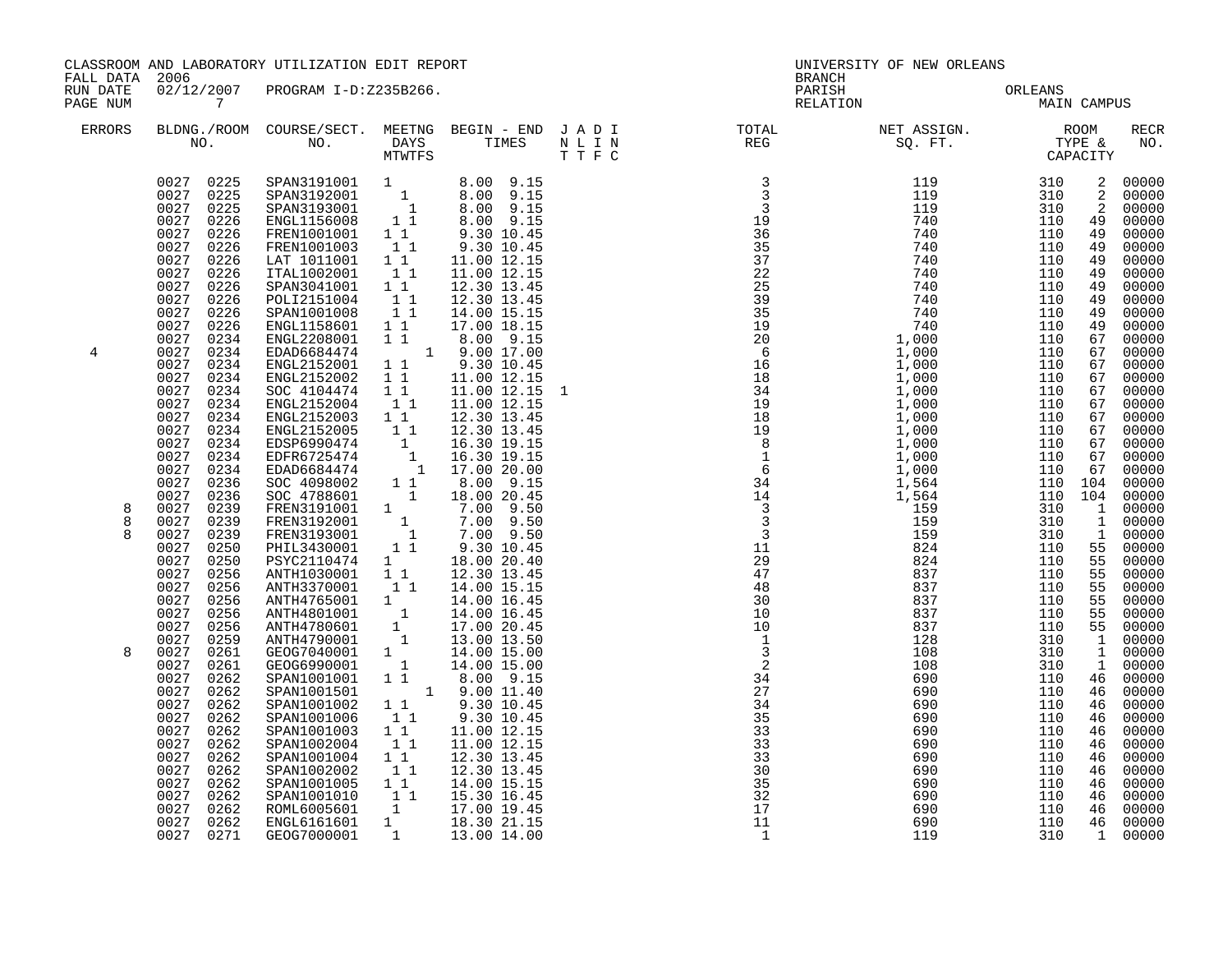| FALL DATA 2006<br>RUN DATE |                                                                                                                                                                                                                                                                                                                                                                                                                                                                                                                                                                                                                                                                  | CLASSROOM AND LABORATORY UTILIZATION EDIT REPORT                                                                                                                                                                                                                                                                                                                                                                                                                                                                                                                                                                                                                                                                                                                                                                                                                                              |                                                                             |                                                                                                                                                                                                                                                                                                                                                                                                                                                                                                                                                                                                          | BRANCH | UNIVERSITY OF NEW ORLEANS       |             |                                                                                                                                                                                                                                                                                                                      |                                                                                                                                                                                                                                                                                                                                                                                                 |
|----------------------------|------------------------------------------------------------------------------------------------------------------------------------------------------------------------------------------------------------------------------------------------------------------------------------------------------------------------------------------------------------------------------------------------------------------------------------------------------------------------------------------------------------------------------------------------------------------------------------------------------------------------------------------------------------------|-----------------------------------------------------------------------------------------------------------------------------------------------------------------------------------------------------------------------------------------------------------------------------------------------------------------------------------------------------------------------------------------------------------------------------------------------------------------------------------------------------------------------------------------------------------------------------------------------------------------------------------------------------------------------------------------------------------------------------------------------------------------------------------------------------------------------------------------------------------------------------------------------|-----------------------------------------------------------------------------|----------------------------------------------------------------------------------------------------------------------------------------------------------------------------------------------------------------------------------------------------------------------------------------------------------------------------------------------------------------------------------------------------------------------------------------------------------------------------------------------------------------------------------------------------------------------------------------------------------|--------|---------------------------------|-------------|----------------------------------------------------------------------------------------------------------------------------------------------------------------------------------------------------------------------------------------------------------------------------------------------------------------------|-------------------------------------------------------------------------------------------------------------------------------------------------------------------------------------------------------------------------------------------------------------------------------------------------------------------------------------------------------------------------------------------------|
| PAGE NUM                   | $\overline{7}$                                                                                                                                                                                                                                                                                                                                                                                                                                                                                                                                                                                                                                                   | 02/12/2007 PROGRAM I-D:Z235B266.                                                                                                                                                                                                                                                                                                                                                                                                                                                                                                                                                                                                                                                                                                                                                                                                                                                              |                                                                             |                                                                                                                                                                                                                                                                                                                                                                                                                                                                                                                                                                                                          |        | PARISH ORLEANS<br>RELATION MAIN | MAIN CAMPUS |                                                                                                                                                                                                                                                                                                                      |                                                                                                                                                                                                                                                                                                                                                                                                 |
| ERRORS                     |                                                                                                                                                                                                                                                                                                                                                                                                                                                                                                                                                                                                                                                                  |                                                                                                                                                                                                                                                                                                                                                                                                                                                                                                                                                                                                                                                                                                                                                                                                                                                                                               |                                                                             |                                                                                                                                                                                                                                                                                                                                                                                                                                                                                                                                                                                                          |        |                                 |             |                                                                                                                                                                                                                                                                                                                      | RECR<br>NO.                                                                                                                                                                                                                                                                                                                                                                                     |
| 4<br>8<br>8<br>8<br>8      | 0027 0225<br>0027<br>0226<br>0027 0226<br>0027<br>0226<br>0027 0226<br>0027<br>0226<br>0027 0226<br>0027<br>0226<br>0027<br>0226<br>0027<br>0226<br>0027<br>0234<br>0027<br>0234<br>0027<br>0234<br>0027<br>0234<br>0027<br>0234<br>0027<br>0234<br>0027<br>0234<br>0027<br>0234<br>0027<br>0234<br>0027<br>0234<br>0027<br>0234<br>0027<br>0236<br>0027<br>0236<br>0027<br>0239<br>0239<br>0027<br>0027<br>0239<br>0027<br>0250<br>0027<br>0250<br>0027<br>0256<br>0027<br>0256<br>0027<br>0256<br>0027<br>0256<br>0027<br>0256<br>0027<br>0259<br>0027<br>0261<br>0027<br>0261<br>0027<br>0262<br>0027<br>0262<br>0027<br>0262<br>0027<br>0262<br>0027<br>0262 | 0027 0225 SPAN3191001 1 8.00 9.15<br>0027 0225 SPAN3192001 1 8.00 9.15<br>SPAN3192001 1<br>SPAN3193001 1<br>ENGL1156008 1 1<br>FREN1001001 1 1<br>FREN1001003<br>LAT 1011001 1 1<br>ITAL1002001<br>SPAN3041001 1 1<br>POLI2151004 1 1<br>SPAN1001008<br>ENGL1158601<br>ENGL2208001<br>EDAD6684474<br>ENGL2152001<br>ENGL2152002<br>SOC 4104474<br>ENGL2152004<br>ENGL2152003 1 1<br>ENGL2152003 1 1 12.30 13.45<br>ENGL2152005 1 1 12.30 13.45<br>EDSP6990474 1 16.30 19.15<br>EDRD6684474 1 17.00 20.00<br>SOC 4098002 1 1 8.00 9.15<br>SOC 4788601 1 18.00 20.45<br>FREN3191001 1 7.00 9.50<br>FREN3193001 1 7.00 9.50<br>FREN31<br>PSYC2110474 1<br>ANTH1030001 1 1<br>ANTH3370001 1<br>ANTH3370001 1<br>ANTH4765001 1<br>ANTH4765001 1<br>ANTH4780601 1<br>ANTH4790001 1<br>GEOG7040001 1<br>GEOG6990001 1<br>SPAN1001001 1 1<br>SPAN1001501<br>SPAN1001002<br>SPAN1001006<br>SPAN1001003 | 11<br>11<br>$1\quad1$<br>11<br>$1\quad1$<br>11<br>11<br>$1\quad1$           | 8.00 9.15<br>8.00 9.15<br>9.30 10.45<br>9.30 10.45<br>11.00 12.15<br>11.00 12.15<br>12.30 13.45<br>12.30 13.45<br>14.00 15.15<br>17.00 18.15<br>8.00 9.15<br>1 1 8.00 9.15<br>1 9.00 17.00<br>$\begin{array}{cccc} 1 & 1 & 9 & 30 & 10 & 45 \\ 1 & 1 & 11 & 00 & 12 & 15 \\ 1 & 1 & 11 & 00 & 12 & 15 \\ 1 & 1 & 11 & 00 & 12 & 15 \end{array}$<br>11.00 12.15<br>12.30 13.45<br>18.00 20.40<br>12.30 13.45<br>14.00 15.15<br>14.00 16.45<br>14.00 16.45<br>17.00 20.45<br>13.00 13.50<br>14.00 15.00<br>14.00 15.00<br>8.00 9.15<br>$1 \t 9.00 \t 11.40$<br>1 1 9.30 10.45<br>9.30 10.45<br>11.00 12.15 |        |                                 | 110 104     | $\overline{2}$<br>2<br>2<br>49<br>49<br>49<br>49<br>49<br>49<br>49<br>49<br>49<br>67<br>67<br>67<br>67<br>67<br>67<br>67<br>67<br>67<br>67<br>67<br>104<br>$\mathbf{1}$<br>1<br>$\mathbf{1}$<br>55<br>55<br>55<br>55<br>55<br>55<br>55<br>$\mathbf{1}$<br>$\mathbf{1}$<br>$\mathbf{1}$<br>46<br>46<br>46<br>46<br>46 | 00000<br>00000<br>00000<br>00000<br>00000<br>00000<br>00000<br>00000<br>00000<br>00000<br>00000<br>00000<br>00000<br>00000<br>00000<br>00000<br>00000<br>00000<br>00000<br>00000<br>00000<br>00000<br>00000<br>00000<br>00000<br>00000<br>00000<br>00000<br>00000<br>00000<br>00000<br>00000<br>00000<br>00000<br>00000<br>00000<br>00000<br>00000<br>00000<br>00000<br>00000<br>00000<br>00000 |
|                            | 0027<br>0262<br>0027<br>0262<br>0027<br>0262<br>0027<br>0262<br>0027<br>0262<br>0027<br>0262<br>0262<br>0027                                                                                                                                                                                                                                                                                                                                                                                                                                                                                                                                                     | SPAN1002004<br>SPAN1001004<br>SPAN1002002<br>SPAN1001005 1 1<br>SPAN1001010<br>ROML6005601<br>ENGL6161601                                                                                                                                                                                                                                                                                                                                                                                                                                                                                                                                                                                                                                                                                                                                                                                     | 11<br>$1\,1$<br>11<br>$1 1$<br>$\mathbf{1} \Big _{\mathbf{a}}^{\mathbf{a}}$ | 11.00 12.15<br>12.30 13.45<br>12.30 13.45<br>14.00 15.15<br>15.30 16.45<br>1 17.00 19.45<br>18.30 21.15                                                                                                                                                                                                                                                                                                                                                                                                                                                                                                  |        |                                 |             | 46<br>46<br>46<br>46<br>46<br>46<br>46                                                                                                                                                                                                                                                                               | 00000<br>00000<br>00000<br>00000<br>00000<br>00000<br>00000                                                                                                                                                                                                                                                                                                                                     |
|                            | 0027 0271                                                                                                                                                                                                                                                                                                                                                                                                                                                                                                                                                                                                                                                        | GEOG7000001                                                                                                                                                                                                                                                                                                                                                                                                                                                                                                                                                                                                                                                                                                                                                                                                                                                                                   |                                                                             | 1 13.00 14.00                                                                                                                                                                                                                                                                                                                                                                                                                                                                                                                                                                                            |        |                                 |             | $\overline{1}$                                                                                                                                                                                                                                                                                                       | 00000                                                                                                                                                                                                                                                                                                                                                                                           |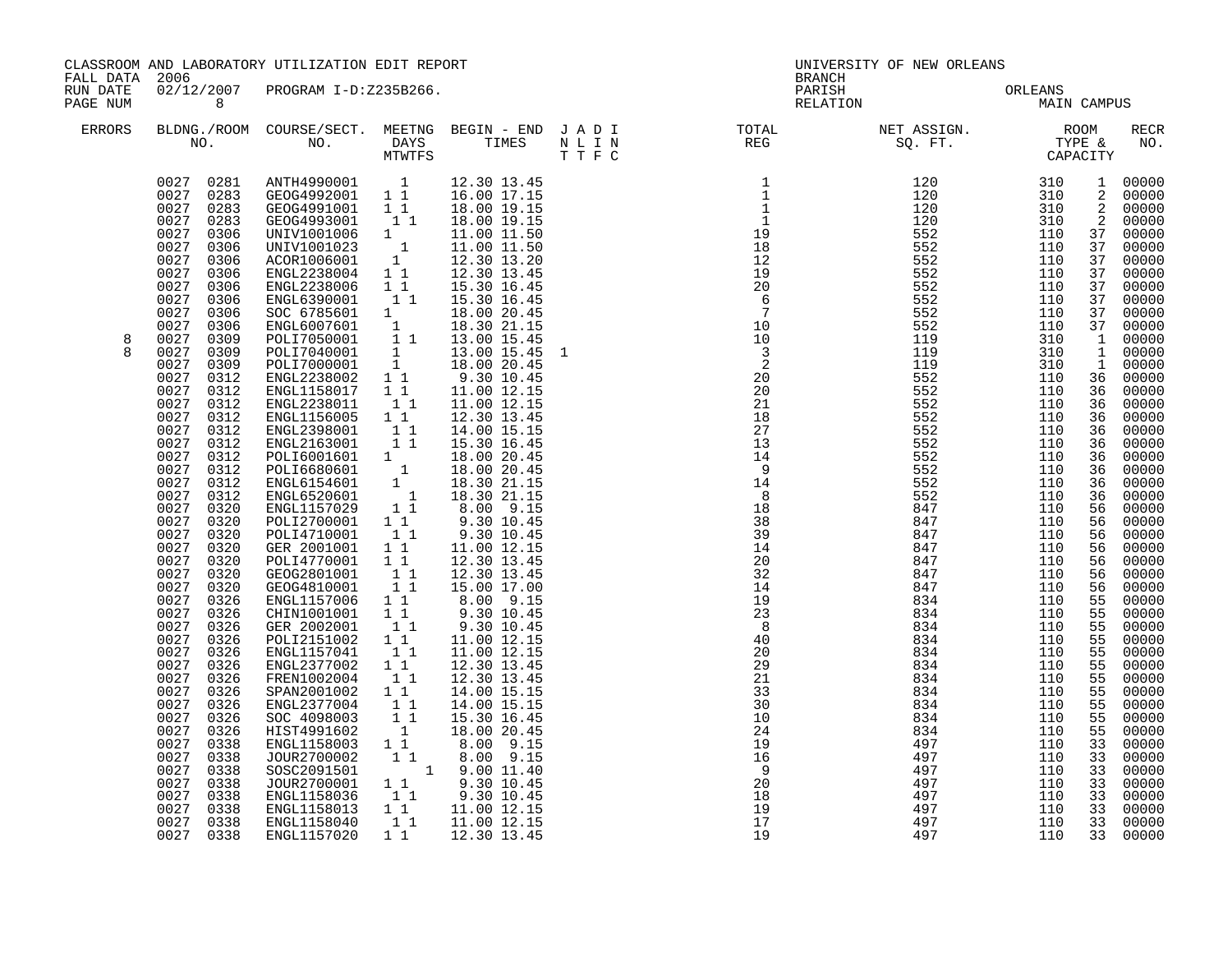| FALL DATA 2006       |                                                                                                                                                                                                                                                                                                                                                        | CLASSROOM AND LABORATORY UTILIZATION EDIT REPORT                                                                                                                                                                                                                                                                                                                                                                                                                                                                                                     |                                                                                                                                                                                                                                                                                               |                                                                                                                                                                                                                                                                                                                             | BRANCH                                                                                                                                                                                                                                                                                                                                                                                                                    | UNIVERSITY OF NEW ORLEANS       |             |                                                                                                                     |                                                                                                                                                                                                        |
|----------------------|--------------------------------------------------------------------------------------------------------------------------------------------------------------------------------------------------------------------------------------------------------------------------------------------------------------------------------------------------------|------------------------------------------------------------------------------------------------------------------------------------------------------------------------------------------------------------------------------------------------------------------------------------------------------------------------------------------------------------------------------------------------------------------------------------------------------------------------------------------------------------------------------------------------------|-----------------------------------------------------------------------------------------------------------------------------------------------------------------------------------------------------------------------------------------------------------------------------------------------|-----------------------------------------------------------------------------------------------------------------------------------------------------------------------------------------------------------------------------------------------------------------------------------------------------------------------------|---------------------------------------------------------------------------------------------------------------------------------------------------------------------------------------------------------------------------------------------------------------------------------------------------------------------------------------------------------------------------------------------------------------------------|---------------------------------|-------------|---------------------------------------------------------------------------------------------------------------------|--------------------------------------------------------------------------------------------------------------------------------------------------------------------------------------------------------|
| RUN DATE<br>PAGE NUM | 8 <sup>8</sup>                                                                                                                                                                                                                                                                                                                                         | 02/12/2007 PROGRAM I-D:Z235B266.                                                                                                                                                                                                                                                                                                                                                                                                                                                                                                                     |                                                                                                                                                                                                                                                                                               |                                                                                                                                                                                                                                                                                                                             |                                                                                                                                                                                                                                                                                                                                                                                                                           | PARISH ORLEANS<br>RELATION MAIN | MAIN CAMPUS |                                                                                                                     |                                                                                                                                                                                                        |
| ERRORS               |                                                                                                                                                                                                                                                                                                                                                        |                                                                                                                                                                                                                                                                                                                                                                                                                                                                                                                                                      |                                                                                                                                                                                                                                                                                               |                                                                                                                                                                                                                                                                                                                             |                                                                                                                                                                                                                                                                                                                                                                                                                           |                                 |             |                                                                                                                     | RECR<br>NO.                                                                                                                                                                                            |
|                      | 0027<br>0283<br>0027<br>0306<br>0027<br>0306<br>0027<br>0306<br>0027<br>0306<br>0027 0306<br>0027<br>0306<br>0027<br>0306<br>0027<br>0306                                                                                                                                                                                                              | $\begin{array}{cccc} 0027 & 0281 & \text{ANTH4990001} & 1 & 12.30 \ 13.45 & 0027 & 0283 & \text{GEOG4992001} & 1 & 1 & 16.00 \ 17.15 & 0027 & 0283 & \text{GEOG4991001} & 1 & 1 & 18.00 \ 19.15 & \end{array}$<br>GEOG4993001 1 1<br>UNIV1001006 1<br>UNIV1001023 1<br>ACOR1006001 1<br>ENGL2238004 1 1<br>ENGL2238006<br>ENGL6390001                                                                                                                                                                                                                | 11<br>11                                                                                                                                                                                                                                                                                      | 18.00 19.15<br>11.00 11.50<br>11.00 11.50<br>12.30 13.20<br>12.30 13.45<br>15.30 16.45<br>15.30 16.45                                                                                                                                                                                                                       |                                                                                                                                                                                                                                                                                                                                                                                                                           |                                 |             | $\overline{a}$<br>$\overline{a}$<br>37<br>37<br>37<br>37<br>37<br>37                                                | 1 00000<br>2 00000<br>00000<br>00000<br>37 00000<br>00000<br>00000<br>00000<br>00000<br>00000<br>00000<br>37 00000                                                                                     |
| 8                    | 0027<br>0309<br>0027<br>0309<br>0027<br>0309<br>0027<br>0312<br>0027<br>0312<br>0027<br>0312<br>0027<br>0312<br>0027<br>0312<br>0027<br>0312<br>0027<br>0312<br>0027<br>0312<br>0027<br>0312<br>0027<br>0312<br>0027<br>0320<br>0027<br>0320<br>0027<br>0320<br>0027<br>0320<br>0027 0320<br>0027<br>0320<br>0027<br>0320<br>0027<br>0326<br>0027 0326 | SOC 6785601 1 18.00 20.45<br>ENGL6007601 1 18.30 21.15<br>POLI7050001 1 13.00 15.45<br>POLI7040001 1 13.00 15.45<br>POLI7000001 1 18.00 20.45<br>ENGL2238002 11 9.30 10.45<br>ENGL1158017 11 11.00 12.15<br>ENGL2238011<br>ENGL1156005 1 1<br>ENGL2398001 1 1<br>ENGL2163901 1 1<br>POLI6001601 1 1<br>POLI6600601 1<br>ENGL6154601 1<br>ENGL6154601 1<br>ENGL6520601 1<br>ENGL1157029 1 1<br>ANGL1157029 1 1<br>POLI2700001 1 1<br>POLI4710001<br>GER 2001001<br>POLI4770001 1 1<br>GEOG2801001 1 1<br>GEOG4810001 11<br>ENGL1157006<br>CHIN1001001 | 11<br>11<br>11<br>$1\quad1$                                                                                                                                                                                                                                                                   | 11.00 12.15<br>12.30 13.45<br>14.00 15.15<br>15.30 16.45<br>18.00 20.45<br>18.00 20.45<br>18.30 21.15<br>18.30 21.15<br>$8.00$ 9.15<br>9.30 10.45<br>9.30 10.45<br>11.00 12.15<br>12.30 13.45<br>12.30 13.45<br>15.00 17.00<br>8.00 9.15<br>9.30 10.45<br>9.30 10.45                                                        | $\begin{array}{l} \texttt{N} = \texttt{I} \texttt{R} \texttt{E0} \texttt{S0} \texttt{.} \texttt{FT} \texttt{.} \texttt{C} \texttt{CPR} \texttt{0} \texttt{0} \texttt{0} \texttt{0} \texttt{0} \texttt{1} \texttt{1} \texttt{1} \texttt{2} \texttt{0} \texttt{1} \texttt{2} \texttt{0} \texttt{3} \texttt{1} \texttt{1} \texttt{2} \texttt{0} \texttt{3} \texttt{1} \texttt{1} \texttt{3} \texttt{1} \texttt{2} \texttt{0$ |                                 |             | 1<br>36<br>36<br>36<br>36<br>36<br>36<br>36<br>36<br>36<br>36<br>56<br>56<br>56<br>56<br>56<br>56<br>56<br>55<br>55 | 1 00000<br>00000<br>1 00000<br>00000<br>00000<br>00000<br>00000<br>00000<br>00000<br>00000<br>00000<br>00000<br>00000<br>00000<br>00000<br>00000<br>00000<br>00000<br>00000<br>00000<br>00000<br>00000 |
|                      | 0027<br>0326<br>0027<br>0326<br>0027<br>0326<br>0027<br>0326<br>0027<br>0326<br>0027<br>0326<br>0027<br>0326<br>0027<br>0326<br>0027<br>0326<br>0027<br>0338<br>0027<br>0338<br>0027<br>0338<br>0027<br>0338<br>0027<br>0338<br>0027<br>0338<br>0027 0338<br>0027 0338                                                                                 | GER 2002001<br>POLI2151002<br>ENGL1157041<br>ENGL2377002<br>FREN1002004<br>SPAN2001002<br>ENGL2377004<br>SOC 4098003<br>HIST4991602<br>ENGL1158003 1 1<br>JOUR2700002<br>SOSC2091501<br>JOUR2700001<br>ENGL1158036<br>ENGL1158013<br>ENGL1158040<br>ENGL1157020                                                                                                                                                                                                                                                                                      | $\begin{array}{c} \overline{1} & \overline{1} \\ 1 & 1 \end{array}$<br>$\begin{smallmatrix}1&1\\1&1\end{smallmatrix}$<br>$1\quad1$<br>$\begin{bmatrix} 1 \\ 1 \end{bmatrix}$<br>1 1<br>$\begin{bmatrix} 1 \\ 1 \end{bmatrix}$<br>$\begin{smallmatrix}1&1\\1\\1\end{smallmatrix}$<br>$1\quad1$ | 11.00 12.15<br>11.00 12.15<br>12.30 13.45<br>12.30 13.45<br>14.00 15.15<br>14.00 15.15<br>15.30 16.45<br>18.00 20.45<br>8.00 9.15<br>$\begin{array}{rrrr} 1 & 1 & 8.00 & 9.15 \ 1 & 1 & 9.00 & 11.40 \ 1 & 1 & 9.30 & 10.45 \ 1 & 1 & 9.30 & 10.45 \ 1 & 1 & 11.00 & 12.15 \end{array}$<br>11.00 12.15<br>1 1 1 12.30 13.45 | $\begin{array}{r} 29 \\ 21 \\ 33 \\ 10 \\ 10 \\ 24 \\ 19 \\ 9 \\ 20 \\ 18 \\ 9 \\ 19 \\ \end{array}$                                                                                                                                                                                                                                                                                                                      | 497                             | 110         | 55<br>55<br>55<br>55<br>55<br>55<br>55<br>55<br>55<br>33<br>33<br>33<br>33<br>33<br>33<br>33<br>33                  | 00000<br>00000<br>00000<br>00000<br>00000<br>00000<br>00000<br>00000<br>00000<br>00000<br>00000<br>00000<br>00000<br>00000<br>00000<br>00000<br>00000                                                  |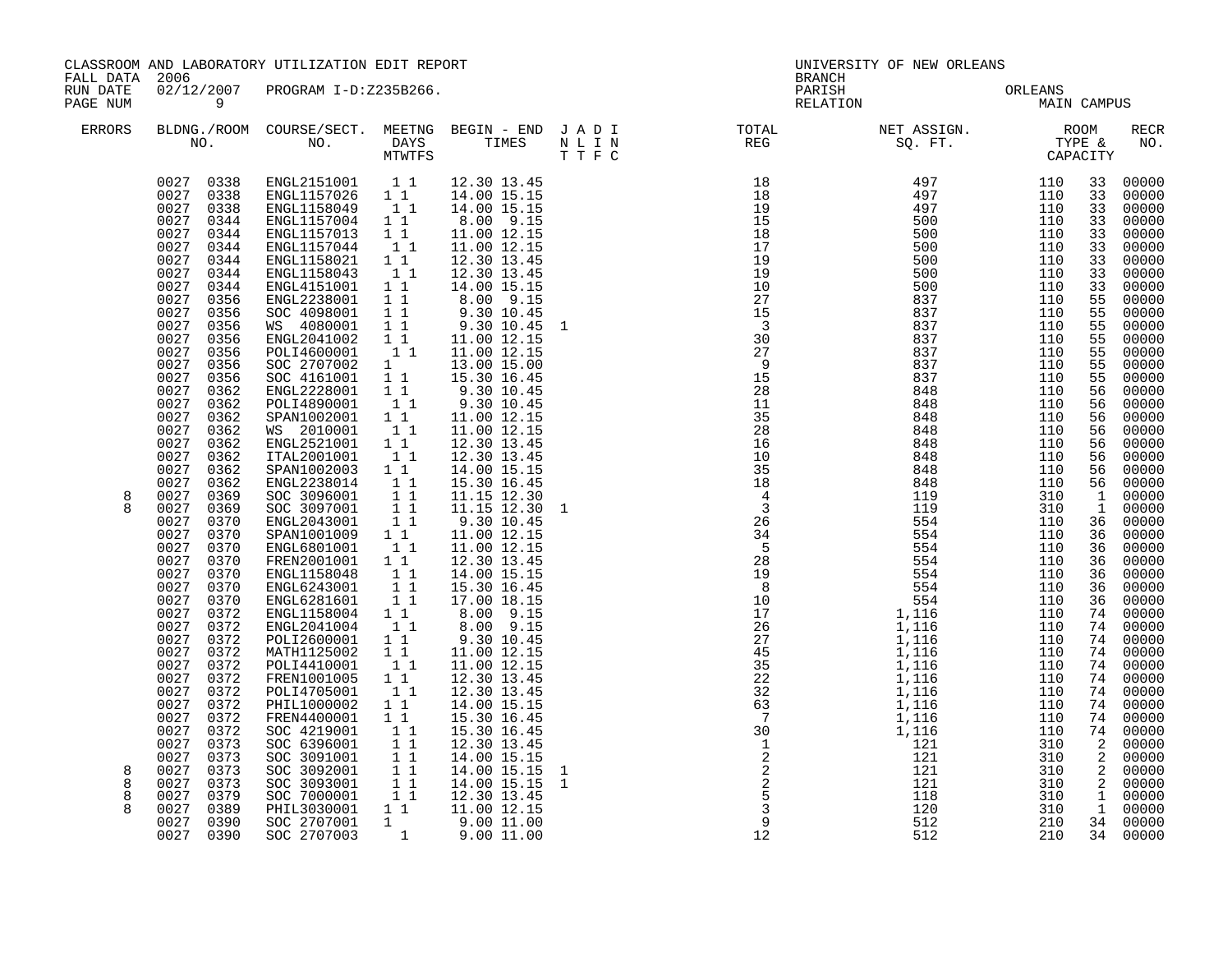| FALL DATA<br>RUN DATE | 2006                                                                                                                                                                                                                                                                                                                                                                                                                                                                                                                                        | CLASSROOM AND LABORATORY UTILIZATION EDIT REPORT<br>02/12/2007 PROGRAM I-D:Z235B266.                                                                                                                                                                                                                                                                                                                                                                                                                                                                                                                                                                                                                                                                               |                                                                                                                                                                                                                                                                                                                                                                                                                                                                                                                                                                                                                                                                                                                                                                                                                                                                                                                                                                                                                               |  | UNIVERSITY OF NEW ORLEANS<br>BRANCH<br>PARISH                                                                                                              |  | ORLEANS     |                                                                                                                                                                                                                                                                                                                                                                                                                                                                                                                                                                           |
|-----------------------|---------------------------------------------------------------------------------------------------------------------------------------------------------------------------------------------------------------------------------------------------------------------------------------------------------------------------------------------------------------------------------------------------------------------------------------------------------------------------------------------------------------------------------------------|--------------------------------------------------------------------------------------------------------------------------------------------------------------------------------------------------------------------------------------------------------------------------------------------------------------------------------------------------------------------------------------------------------------------------------------------------------------------------------------------------------------------------------------------------------------------------------------------------------------------------------------------------------------------------------------------------------------------------------------------------------------------|-------------------------------------------------------------------------------------------------------------------------------------------------------------------------------------------------------------------------------------------------------------------------------------------------------------------------------------------------------------------------------------------------------------------------------------------------------------------------------------------------------------------------------------------------------------------------------------------------------------------------------------------------------------------------------------------------------------------------------------------------------------------------------------------------------------------------------------------------------------------------------------------------------------------------------------------------------------------------------------------------------------------------------|--|------------------------------------------------------------------------------------------------------------------------------------------------------------|--|-------------|---------------------------------------------------------------------------------------------------------------------------------------------------------------------------------------------------------------------------------------------------------------------------------------------------------------------------------------------------------------------------------------------------------------------------------------------------------------------------------------------------------------------------------------------------------------------------|
| PAGE NUM              | $\overline{9}$                                                                                                                                                                                                                                                                                                                                                                                                                                                                                                                              |                                                                                                                                                                                                                                                                                                                                                                                                                                                                                                                                                                                                                                                                                                                                                                    |                                                                                                                                                                                                                                                                                                                                                                                                                                                                                                                                                                                                                                                                                                                                                                                                                                                                                                                                                                                                                               |  | RELATION                                                                                                                                                   |  | MAIN CAMPUS |                                                                                                                                                                                                                                                                                                                                                                                                                                                                                                                                                                           |
| ERRORS                |                                                                                                                                                                                                                                                                                                                                                                                                                                                                                                                                             |                                                                                                                                                                                                                                                                                                                                                                                                                                                                                                                                                                                                                                                                                                                                                                    | T T F C                                                                                                                                                                                                                                                                                                                                                                                                                                                                                                                                                                                                                                                                                                                                                                                                                                                                                                                                                                                                                       |  | BLDNG./ROOM COURSE/SECT. MEETNG BEGIN – END JADI TOTAL NET ASSIGN. NET ASSIGN. ROOM ROOM COURSE WE BEGIN – END JADI TURE TOTAL NEG SQ. FT. TYPE & CAPACITY |  |             | <b>RECR</b><br>NO.                                                                                                                                                                                                                                                                                                                                                                                                                                                                                                                                                        |
| 8                     | 0027<br>0344<br>0027<br>0344<br>0027<br>0344<br>0027<br>0344<br>0027 0344<br>0027<br>0356<br>0027<br>0356<br>0027<br>0356<br>0027 0356<br>0027<br>0356<br>0027<br>0356<br>0027<br>0356<br>0027<br>0362<br>0027<br>0362<br>0027<br>0362<br>0027<br>0362<br>0027<br>0362<br>0027<br>0362<br>0027<br>0362<br>0027 0362<br>0027<br>0369<br>0027 0369<br>0027<br>0370<br>0027 0370<br>0027<br>0370<br>0027 0370<br>0027<br>0370<br>0027 0370<br>0027<br>0370<br>0027<br>0372<br>0027 0372<br>0027 0372<br>0027 0372<br>0027<br>0372<br>0027 0372 | $\begin{array}{cccc} 0027 & 0338 & \text{ENGL}2151001 & 11 \\ 0027 & 0338 & \text{ENGL}1157026 & 11 \\ 0027 & 0338 & \text{ENGL}1158049 & 11 \\ 0027 & 0344 & \text{ENGL}1157004 & 11 \\ \end{array}$<br>ENGL1157013 1 1<br>ENGL1157044 1 1<br>ENGL1158021 1 1<br>ENGL1158043<br>SOC 2707002<br>SOC 4161001 11<br>ENGL2228001 11<br>POLI4890001<br>SPAN1002001 1 1<br>WS 2010001 1 1<br>ENGL2521001 1 1<br>ITAL2001001<br>SPAN1002003 1 1<br>ENGL2238014 1 1<br>SOC 3096001 1 1<br>SOC 3097001 1 1<br>ENGL2043001 1 1<br>SPAN1001009 1 1<br>ENGL6801001 1 1<br>FREN2001001 11<br>ENGL1158048 11<br>ENGL6243001 11<br>ENGL6281601 11<br>ENGL1158004 1 1<br>ENGL2041004<br>POLI2600001 1 1<br>MATH1125002 1 1<br>POLI4410001 1<br>FREN1001005 1 1<br>POLI4705001 1 1 | 12.30 13.45<br>14.00 15.15<br>14.00 15.15<br>8.00 9.15<br>11.00 12.15<br>11.00 12.15<br>12.30 13.45<br>11<br>12.30 13.45<br>$\begin{tabular}{lcccc} $\dots$ & $\dots$ & $\dots$ & $\dots$ & $\dots$ & $\dots$ & $\dots$ & $\dots$ & $\dots$ & $\dots$ \\[1.0ex] \text{SOC} & $\{0.98001$} & $\,1$ & $\,1$ & $\,9\,.30$ & $\,10\,.45$ \\[1.0ex] \text{WS} & $\{0.80001$} & $\,1$ & $\,1$ & $\,9\,.30$ & $\,10\,.45$ & $\,1$ \\[1.0ex] \text{ENGL2041002} & $\,1$ & $\,11\,.00$ & $\,12\,.15$ \\[1.0ex] \text{POL14600$<br>15.30 16.45<br>9.30 10.45<br>9.30 10.45<br>$\begin{bmatrix} 1 \\ 1 \end{bmatrix}$<br>11.00 12.15<br>11.00 12.15<br>12.30 13.45<br>$\begin{bmatrix} 1 \\ 1 \end{bmatrix}$<br>12.30 13.45<br>14.00 15.15<br>15.30 16.45<br>11.15 12.30<br>11.15 12.30 1<br>9.30 10.45<br>11.00 12.15<br>11.00 12.15<br>12.30 13.45<br>14.00 15.15<br>15.30 16.45<br>17.00 18.15<br>$8.00$ $9.15$<br>$8.00$ $9.15$<br>$\begin{bmatrix} 1 \\ 1 \end{bmatrix}$<br>9.30 10.45<br>11.00 12.15<br>11.00 12.15<br>12.30 13.45 |  |                                                                                                                                                            |  |             | 33 00000<br>33 00000<br>33<br>00000<br>33<br>00000<br>00000<br>33<br>00000<br>33<br>00000<br>33<br>33<br>00000<br>00000<br>33<br>55<br>00000<br>55<br>00000<br>$00000$<br>00000<br>55<br>55<br>55<br>00000<br>$00000$<br>$00000$<br>55<br>55<br>00000<br>56<br>00000<br>56<br>00000<br>56<br>00000<br>56<br>00000<br>56<br>56 00000<br>00000<br>56<br>56 00000<br>00000<br>$\overline{1}$<br>1 00000<br>36 00000<br>36 00000<br>00000<br>36<br>36 00000<br>00000<br>36<br>00000<br>36<br>36 00000<br>74 00000<br>74 00000<br>74 00000<br>74 00000<br>74 00000<br>74 00000 |
| 8<br>8<br>8           | 0027<br>0372<br>0027 0372<br>0027<br>0372<br>0027 0372<br>0027<br>0373<br>0027<br>0373<br>0027<br>0373<br>0027<br>0373<br>0379<br>0027<br>0389<br>0027<br>0027 0390<br>0027 0390                                                                                                                                                                                                                                                                                                                                                            | PHIL1000002<br>FREN4400001<br>SOC 4219001<br>SOC 6396001                                                                                                                                                                                                                                                                                                                                                                                                                                                                                                                                                                                                                                                                                                           | 12.30 13.45<br>$1\quad1$<br>14.00 15.15<br>11<br>15.30 16.45<br>$\begin{bmatrix} 1 \\ 1 \end{bmatrix}$<br>15.30 16.45<br>12.30 13.45<br>SOC 3091001<br>SOC 3091001<br>1 1 14.00 15.15<br>SOC 3092001<br>1 1 14.00 15.15<br>SOC 3093001<br>1 1 14.00 15.15<br>SOC 7000001<br>1 1 12.30 13.45<br>PHIL3030001<br>1 1 11.00 12.15<br>SOC 2707001<br>1 9.00 11.00<br>SOC 2707003<br>1 9.00 11.00<br>14.00 15.15                                                                                                                                                                                                                                                                                                                                                                                                                                                                                                                                                                                                                    |  |                                                                                                                                                            |  |             | 74 00000<br>74 00000<br>74 00000<br>74 00000<br>2 00000<br>$\begin{array}{ccc} 2 & 00000 \ 2 & 00000 \ 2 & 00000 \end{array}$<br>$\overline{1}$ 00000<br>1 00000<br>34 00000<br>34 00000                                                                                                                                                                                                                                                                                                                                                                                  |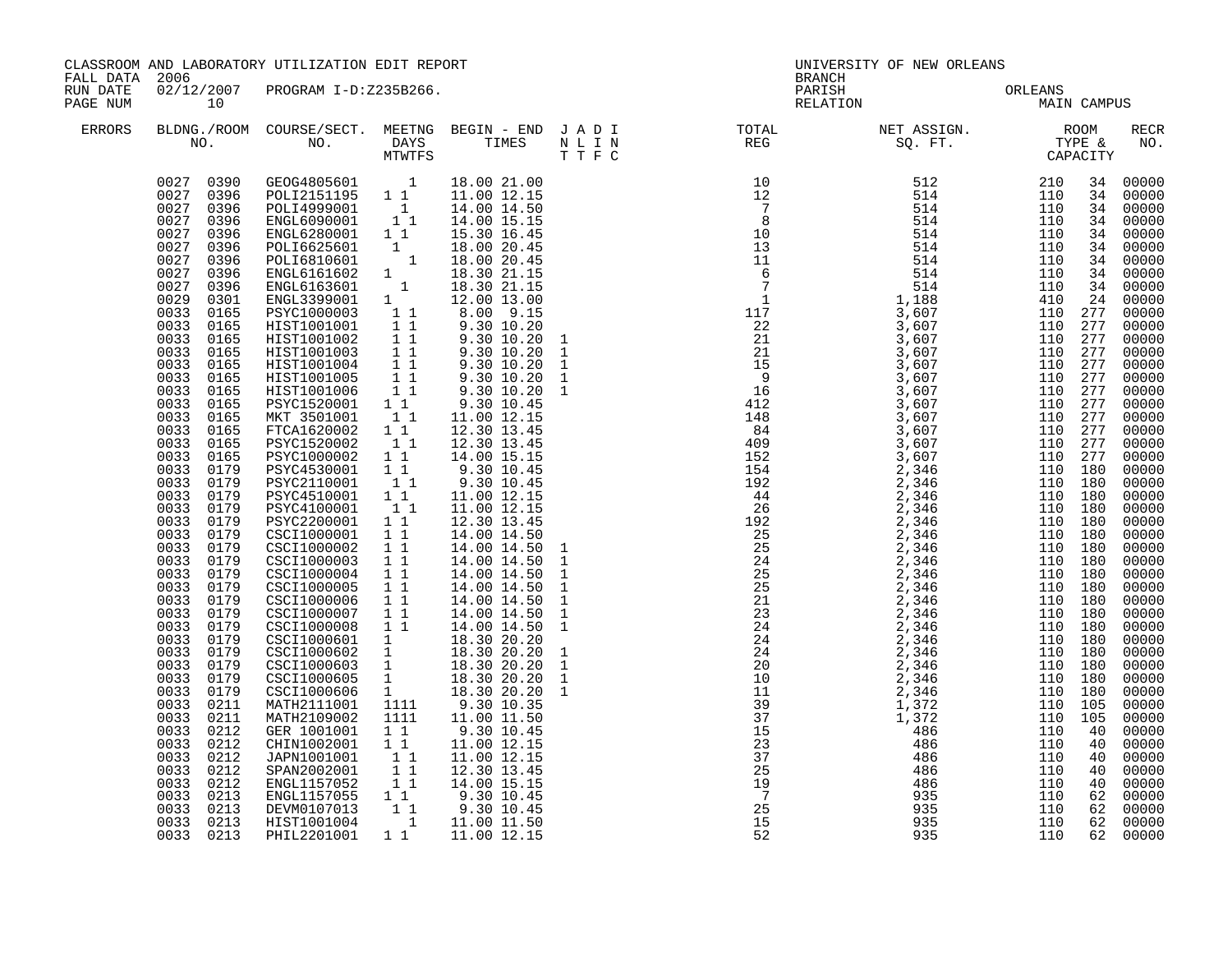| FALL DATA 2006       |                                                                                                                                                                                                                                                                                                                                                                                                                                                                                                                                                                                                                                                                                                                                        | CLASSROOM AND LABORATORY UTILIZATION EDIT REPORT                                                                                                                                                                                                                                                                                                                                                                                                                                                                                                                                                                                                                                                                                                                                                                                                                                                                                                                                                                                                                                                                                                                                                                                                                                 |                                                                                                                              |                                                                                                                                                                                                                                                                                                                                                                                                                                                                                                                                                                                                 | BRANCH                                                   | UNIVERSITY OF NEW ORLEANS                                                                                                                                                                                                                                                                                                                                                                                    |     |                                                                                                                                                                                                                                                                                                                                                                                                                                                                                  |
|----------------------|----------------------------------------------------------------------------------------------------------------------------------------------------------------------------------------------------------------------------------------------------------------------------------------------------------------------------------------------------------------------------------------------------------------------------------------------------------------------------------------------------------------------------------------------------------------------------------------------------------------------------------------------------------------------------------------------------------------------------------------|----------------------------------------------------------------------------------------------------------------------------------------------------------------------------------------------------------------------------------------------------------------------------------------------------------------------------------------------------------------------------------------------------------------------------------------------------------------------------------------------------------------------------------------------------------------------------------------------------------------------------------------------------------------------------------------------------------------------------------------------------------------------------------------------------------------------------------------------------------------------------------------------------------------------------------------------------------------------------------------------------------------------------------------------------------------------------------------------------------------------------------------------------------------------------------------------------------------------------------------------------------------------------------|------------------------------------------------------------------------------------------------------------------------------|-------------------------------------------------------------------------------------------------------------------------------------------------------------------------------------------------------------------------------------------------------------------------------------------------------------------------------------------------------------------------------------------------------------------------------------------------------------------------------------------------------------------------------------------------------------------------------------------------|----------------------------------------------------------|--------------------------------------------------------------------------------------------------------------------------------------------------------------------------------------------------------------------------------------------------------------------------------------------------------------------------------------------------------------------------------------------------------------|-----|----------------------------------------------------------------------------------------------------------------------------------------------------------------------------------------------------------------------------------------------------------------------------------------------------------------------------------------------------------------------------------------------------------------------------------------------------------------------------------|
| RUN DATE<br>PAGE NUM | 10                                                                                                                                                                                                                                                                                                                                                                                                                                                                                                                                                                                                                                                                                                                                     | 02/12/2007 PROGRAM I-D:Z235B266.                                                                                                                                                                                                                                                                                                                                                                                                                                                                                                                                                                                                                                                                                                                                                                                                                                                                                                                                                                                                                                                                                                                                                                                                                                                 |                                                                                                                              |                                                                                                                                                                                                                                                                                                                                                                                                                                                                                                                                                                                                 |                                                          | PARISH ORLEANS MAIN CAMPUS                                                                                                                                                                                                                                                                                                                                                                                   |     |                                                                                                                                                                                                                                                                                                                                                                                                                                                                                  |
| <b>ERRORS</b>        |                                                                                                                                                                                                                                                                                                                                                                                                                                                                                                                                                                                                                                                                                                                                        |                                                                                                                                                                                                                                                                                                                                                                                                                                                                                                                                                                                                                                                                                                                                                                                                                                                                                                                                                                                                                                                                                                                                                                                                                                                                                  |                                                                                                                              |                                                                                                                                                                                                                                                                                                                                                                                                                                                                                                                                                                                                 |                                                          |                                                                                                                                                                                                                                                                                                                                                                                                              |     | <b>RECR</b><br>NO.                                                                                                                                                                                                                                                                                                                                                                                                                                                               |
|                      | 0027 0396<br>0027<br>0396<br>0027<br>0396<br>0027<br>0396<br>0027<br>0396<br>0029<br>0301<br>0033<br>0165<br>0033<br>0165<br>0033<br>0165<br>0033<br>0165<br>0033<br>0165<br>0033<br>0165<br>0033<br>0165<br>0033<br>0165<br>0033<br>0165<br>0033<br>0165<br>0033<br>0165<br>0033<br>0165<br>0033<br>0179<br>0033<br>0179<br>0033<br>0179<br>0033<br>0179<br>0033<br>0179<br>0033<br>0179<br>0033<br>0179<br>0033<br>0179<br>0033<br>0179<br>0033<br>0179<br>0033<br>0179<br>0033<br>0179<br>0033<br>0179<br>0033<br>0179<br>0033<br>0179<br>0033<br>0179<br>0033 0179<br>0033<br>0179<br>0033<br>0211<br>0033<br>0211<br>0033<br>0212<br>0033<br>0212<br>0033<br>0212<br>0033<br>0212<br>0033<br>0212<br>0033<br>0213<br>0033<br>0213 | $\begin{array}{cccc} 0027 & 0390 & \texttt{GEOG4805601} & 1 & 18.00 & 21.00 \\ 0027 & 0396 & \texttt{POLI2151195} & 1 & 11.00 & 12.15 \\ 0027 & 0396 & \texttt{POLI4999001} & 1 & 14.00 & 14.50 \\ 0027 & 0396 & \texttt{ENGL6090001} & 1 & 14.00 & 15.15 \end{array}$<br>ENGL6280001 1 1<br>ENGL6280001 1<br>POLI66210601 1<br>ENGL610601 1<br>ENGL6161602 1<br>ENGL6163601 1<br>ENGL3399001 1<br>ENGL3399001 1<br>PSYC1000003 11<br>HIST1001001 11<br>HIST1001001 11<br>HIST1001002 11<br>HIST1001003 11<br>HIST1001004<br>HIST1001005<br>HIST1001006<br>PSYC1520001 1 1<br>MKT 3501001<br>FTCA1620002 11<br>PSYC1520002 11<br>PSYC1000002 1 <sup>1</sup><br>PSYC4530001 11<br>PSYC2110001 11<br>PSYC4510001 1 1<br>PSYC4100001 1 1<br>PSYC2200001 1 1<br>CSCI1000001 1 1<br>CSCI1000002 1 1<br>CSCI1000003 1 1<br>CSCI1000004 1 1<br>CSCI1000005 1 1<br>CSCI1000006 1 1<br>CSCI1000007 1 1<br>CSCI1000008 1 1<br>CSCI1000601 1 14.30 20.20<br>CSCI1000602 1 18.30 20.20<br>CSCI1000602 1 18.30 20.20<br>CSCI1000605 1 18.30 20.20<br>CSCI1000606 1 18.30 20.20<br>CSCI1000606 1 18.30 20.20<br>CSCI1000606 1 18.30 20.20<br>MATH2111001 1111 9.30 10.35<br>MATH2109002<br>GER 1001001<br>CHIN1002001 1 1<br>JAPN1001001<br>SPAN2002001 11<br>ENGL1157052 11<br>ENGL1157055 11 | $\begin{array}{c} 1 \\ 1 \\ 1 \\ 1 \\ 1 \end{array}$<br>$\begin{bmatrix} 1 \\ 1 \end{bmatrix}$<br>1111<br>$1\quad1$<br>$1 1$ | 15.30 16.45<br>18.00 20.45<br>18.00 20.45<br>18.30 21.15<br>18.30 21.15<br>12.00 13.00<br>8.00 9.15<br>9.30 10.20<br>9.30 10.20<br>$9.30$ 10.20<br>9.30 10.20<br>$9.30$ 10.20<br>9.30 10.20<br>9.30 10.45<br>11.00 12.15<br>12.30 13.45<br>12.30 13.45<br>14.00 15.15<br>$9.30$ 10.45<br>$9.30$ 10.45<br>11.00 12.15<br>11.00 12.15<br>12.30 13.45<br>14.00 14.50<br>14.00 14.50<br>14.00 14.50<br>14.00 14.50<br>14.00 14.50<br>14.00 14.50<br>14.00 14.50<br>14.00 14.50<br>11.00 11.50<br>9.30 10.45<br>11.00 12.15<br>11.00 12.15<br>12.30 13.45<br>14.00 15.15<br>9.30 10.45<br>9.30 10.45 |                                                          | $\begin{smallmatrix} \textbf{11} & \textbf{12} & \textbf{13} & \textbf{14} & \textbf{15} & \textbf{16} & \textbf{17} & \textbf{18} & \textbf{18} & \textbf{18} & \textbf{18} & \textbf{18} & \textbf{19} & \textbf{18} & \textbf{19} & \textbf{18} & \textbf{19} & \textbf{18} & \textbf{19} & \textbf{19} & \textbf{18} & \textbf{19} & \textbf{19} & \textbf{19} & \textbf{19} & \textbf{19} & \textbf{19$ |     | 34 00000<br>00000<br>34 00000<br>34 00000<br>34 00000<br>00000<br>34 00000<br>34 00000<br>34 00000<br>00000<br>00000<br>00000<br>00000<br>00000<br>00000<br>00000<br>00000<br>00000<br>00000<br>00000<br>$00000$<br>00000<br>00000<br>00000<br>$00000$<br>00000<br>00000<br>00000<br>00000<br>00000<br>00000<br>00000<br>00000<br>00000<br>00000<br>00000<br>00000<br>00000<br>00000<br>00000<br>00000<br>$00000$<br>00000<br>00000<br>00000<br>00000<br>00000<br>00000<br>00000 |
|                      | 0033<br>0213<br>0033 0213                                                                                                                                                                                                                                                                                                                                                                                                                                                                                                                                                                                                                                                                                                              | DEVM0107013 1<br>HIST1001004 1<br>PHIL2201001                                                                                                                                                                                                                                                                                                                                                                                                                                                                                                                                                                                                                                                                                                                                                                                                                                                                                                                                                                                                                                                                                                                                                                                                                                    |                                                                                                                              | 11.00 11.50<br>1 1 1 11.00 12.15                                                                                                                                                                                                                                                                                                                                                                                                                                                                                                                                                                | $\begin{array}{c} 7 \\ 25 \\ 15 \\ 52 \end{array}$<br>52 | 935                                                                                                                                                                                                                                                                                                                                                                                                          | 110 | 00000<br>62 00000                                                                                                                                                                                                                                                                                                                                                                                                                                                                |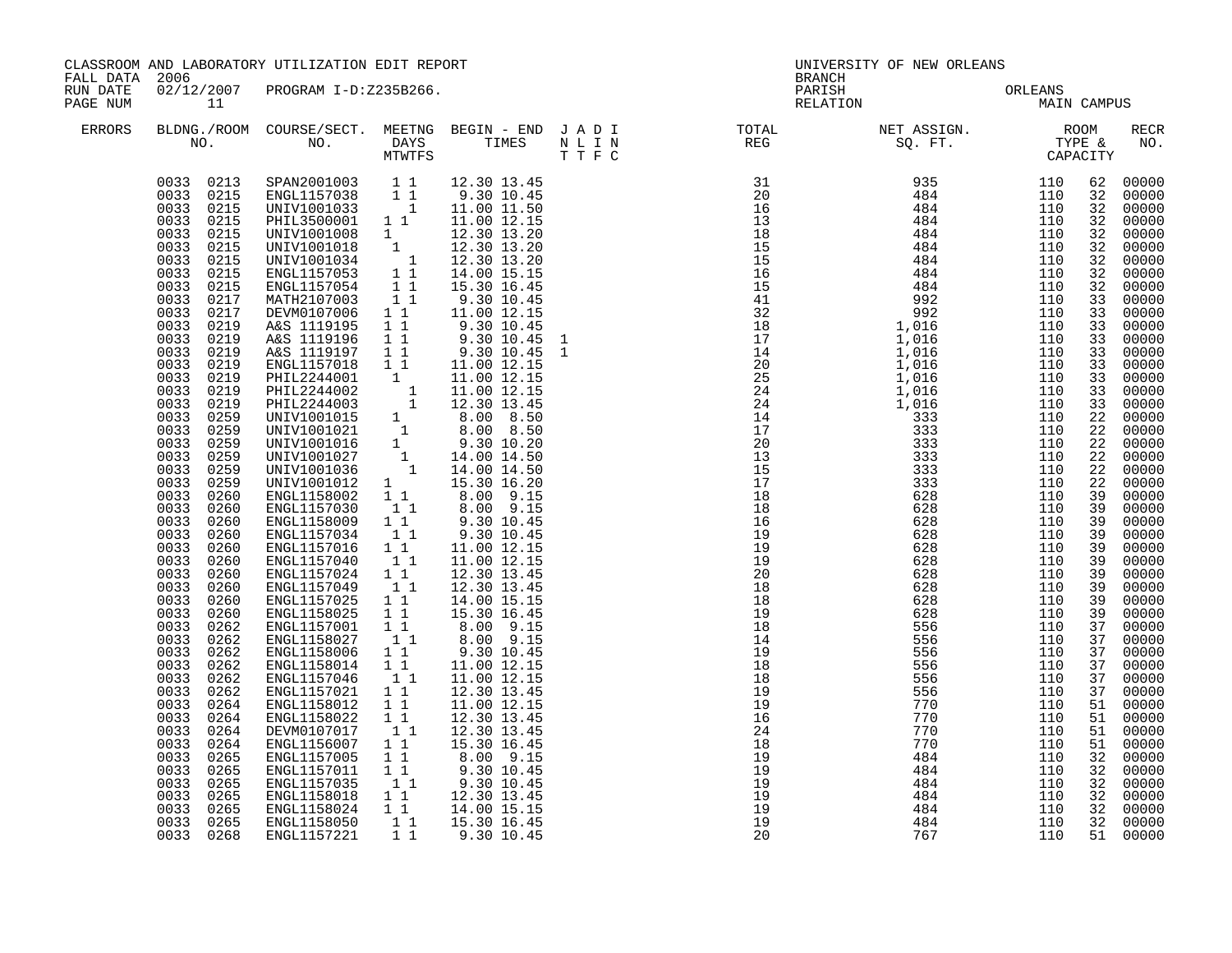| CLASSROOM AND LABORATORY UTILIZATION EDIT REPORT<br>FALL DATA 2006<br>RUN DATE |                                                                                                                                                                                                                                                                                                                                                                                                                                                                                                                                                                                                                                           |                                                                                                                                                                                                                                                                                                                                                                                                                                                                                                                                                                                                                                                                                                                                                                                                                                                                                   |                                                                                                                                                                             |                                                                                                                                                                                                                                                                                                                                                                                                                  | BRANCH | UNIVERSITY OF NEW ORLEANS       |             |                                                                                                                                                                                                                                        |                                                                                                                                                                                                                                                                                                                                                                                                             |
|--------------------------------------------------------------------------------|-------------------------------------------------------------------------------------------------------------------------------------------------------------------------------------------------------------------------------------------------------------------------------------------------------------------------------------------------------------------------------------------------------------------------------------------------------------------------------------------------------------------------------------------------------------------------------------------------------------------------------------------|-----------------------------------------------------------------------------------------------------------------------------------------------------------------------------------------------------------------------------------------------------------------------------------------------------------------------------------------------------------------------------------------------------------------------------------------------------------------------------------------------------------------------------------------------------------------------------------------------------------------------------------------------------------------------------------------------------------------------------------------------------------------------------------------------------------------------------------------------------------------------------------|-----------------------------------------------------------------------------------------------------------------------------------------------------------------------------|------------------------------------------------------------------------------------------------------------------------------------------------------------------------------------------------------------------------------------------------------------------------------------------------------------------------------------------------------------------------------------------------------------------|--------|---------------------------------|-------------|----------------------------------------------------------------------------------------------------------------------------------------------------------------------------------------------------------------------------------------|-------------------------------------------------------------------------------------------------------------------------------------------------------------------------------------------------------------------------------------------------------------------------------------------------------------------------------------------------------------------------------------------------------------|
| PAGE NUM                                                                       | 11                                                                                                                                                                                                                                                                                                                                                                                                                                                                                                                                                                                                                                        | 02/12/2007 PROGRAM I-D:Z235B266.                                                                                                                                                                                                                                                                                                                                                                                                                                                                                                                                                                                                                                                                                                                                                                                                                                                  |                                                                                                                                                                             |                                                                                                                                                                                                                                                                                                                                                                                                                  |        | PARISH ORLEANS<br>RELATION MAIN | MAIN CAMPUS |                                                                                                                                                                                                                                        |                                                                                                                                                                                                                                                                                                                                                                                                             |
| ERRORS                                                                         |                                                                                                                                                                                                                                                                                                                                                                                                                                                                                                                                                                                                                                           |                                                                                                                                                                                                                                                                                                                                                                                                                                                                                                                                                                                                                                                                                                                                                                                                                                                                                   |                                                                                                                                                                             |                                                                                                                                                                                                                                                                                                                                                                                                                  |        |                                 |             |                                                                                                                                                                                                                                        | RECR<br>NO.                                                                                                                                                                                                                                                                                                                                                                                                 |
|                                                                                | 0033<br>0215<br>0033<br>0215<br>0033<br>0215<br>0033<br>0215<br>0033<br>0215<br>0033<br>0217<br>0033<br>0217<br>0033<br>0219<br>0033<br>0219<br>0033<br>0219<br>0033<br>0219<br>0033<br>0219<br>0033<br>0219<br>0033<br>0219<br>0033<br>0259<br>0033<br>0259<br>0033<br>0259<br>0033<br>0259<br>0033<br>0259<br>0033<br>0259<br>0033<br>0260<br>0033<br>0260<br>0033<br>0260<br>0033<br>0260<br>0033<br>0260<br>0033<br>0260<br>0033<br>0260<br>0033<br>0260<br>0033<br>0260<br>0033<br>0260<br>0033 0262<br>0033<br>0262<br>0033<br>0262<br>0033<br>0262<br>0033<br>0262<br>0033<br>0262<br>0033<br>0264<br>0033<br>0264<br>0033<br>0264 | $\begin{array}{cccc} 0033 & 0213 & \text{SPAN} 2001003 & 1\ 1 \\ 0033 & 0215 & \text{ENGL} 1157038 & 1\ 1 \\ 0033 & 0215 & \text{UNIV} 1001033 & 1 \\ 0033 & 0215 & \text{PHL} 3500001 & 1\ 1 \end{array}$<br>MATH2107003 1 1<br>DEVM0107006 1 1<br>A&S 1119195<br>A&S 1119196<br>A&S 1119197<br>ENGL1157018 1 1<br>ENGLI157018 1 1 11.00 12.15<br>PHIL2244001 1 11.00 12.15<br>PHIL2244002 1 11.00 12.15<br>PHIL2244002 1 12.30 13.45<br>UNIV1001015 1 8.00 8.50<br>UNIV1001021 1 8.00 8.50<br>UNIV1001016 1 9.30 10.20<br>UNIV1001027 1 14.00 14.50<br>UNIV10010<br>ENGL1158002<br>ENGL1157030<br>ENGL1158009 1 1<br>ENGL1157034<br>ENGL1157016<br>ENGL1157040<br>ENGL1157024<br>ENGL1157049<br>ENGL1157025<br>ENGL1158025<br>ENGL1157001<br>ENGL1158027<br>ENGL1158006<br>ENGL1158014 1 1<br>ENGL1157046 1 1<br>ENGL1157021 11<br>ENGL1158012 11<br>ENGL1158022<br>DEVM0107017 | $1\quad1$<br>$1\quad1$<br>$1\quad1$<br>$1\quad1$<br>11<br>11<br>$1\quad1$<br>11<br>11<br>11<br>$1\quad1$<br>11<br>$\begin{bmatrix} 1 \\ 1 \end{bmatrix}$<br>$1\quad1$<br>11 | 12.30 13.45<br>9.30 10.45<br>11.00 11.50<br>11.00 12.15<br>9.30 10.45<br>11.00 12.15<br>9.30 10.45<br>9.30 10.45<br>9.30 10.45<br>11.00 12.15<br>1 1 8.00 9.15<br>1 1 8.00 9.15<br>1 1 9.30 10.45<br>9.30 10.45<br>11.00 12.15<br>11.00 12.15<br>12.30 13.45<br>12.30 13.45<br>14.00 15.15<br>15.30 16.45<br>8.00 9.15<br>11.00 12.15<br>11.00 12.15<br>12.30 13.45<br>11.00 12.15<br>12.30 13.45<br>12.30 13.45 |        |                                 |             | 62<br>32<br>32<br>32<br>32<br>32<br>33<br>33<br>33<br>33<br>33<br>33<br>33<br>33<br>22<br>22<br>22<br>22<br>22<br>22<br>39<br>39<br>39<br>39<br>39<br>39<br>39<br>39<br>39<br>39<br>37<br>37<br>37<br>37<br>37<br>37<br>51<br>51<br>51 | 00000<br>00000<br>32 00000<br>00000<br>32 00000<br>00000<br>00000<br>00000<br>32 00000<br>00000<br>00000<br>00000<br>33 00000<br>00000<br>00000<br>00000<br>00000<br>00000<br>00000<br>00000<br>00000<br>00000<br>00000<br>00000<br>00000<br>00000<br>00000<br>00000<br>00000<br>00000<br>00000<br>00000<br>00000<br>00000<br>00000<br>00000<br>00000<br>00000<br>00000<br>00000<br>00000<br>00000<br>00000 |
|                                                                                | 0033<br>0264<br>0033<br>0265<br>0033<br>0265<br>0033<br>0265<br>0033<br>0265                                                                                                                                                                                                                                                                                                                                                                                                                                                                                                                                                              | ENGL1156007<br>ENGL1157005<br>ENGL1157011<br>ENGL1157035                                                                                                                                                                                                                                                                                                                                                                                                                                                                                                                                                                                                                                                                                                                                                                                                                          | $1\quad1$<br>$1\quad1$<br>11<br>11                                                                                                                                          | 15.30 16.45<br>8.00 9.15<br>9.30 10.45<br>$9.30$ $10.45$                                                                                                                                                                                                                                                                                                                                                         |        |                                 |             | 51<br>32<br>32                                                                                                                                                                                                                         | 00000<br>00000<br>32 00000<br>32 00000<br>00000                                                                                                                                                                                                                                                                                                                                                             |
|                                                                                | 0033<br>0265<br>0033 0265<br>0033 0268                                                                                                                                                                                                                                                                                                                                                                                                                                                                                                                                                                                                    | ENGL1158018   1   12.30   13.45<br>ENGL1158024   1   14.00   15.15<br>ENGL1158050<br>ENGL1157221                                                                                                                                                                                                                                                                                                                                                                                                                                                                                                                                                                                                                                                                                                                                                                                  | $1\quad1$<br>11                                                                                                                                                             | 15.30 16.45<br>9.30 10.45                                                                                                                                                                                                                                                                                                                                                                                        |        |                                 |             | 32<br>32<br>51                                                                                                                                                                                                                         | 00000<br>00000<br>00000                                                                                                                                                                                                                                                                                                                                                                                     |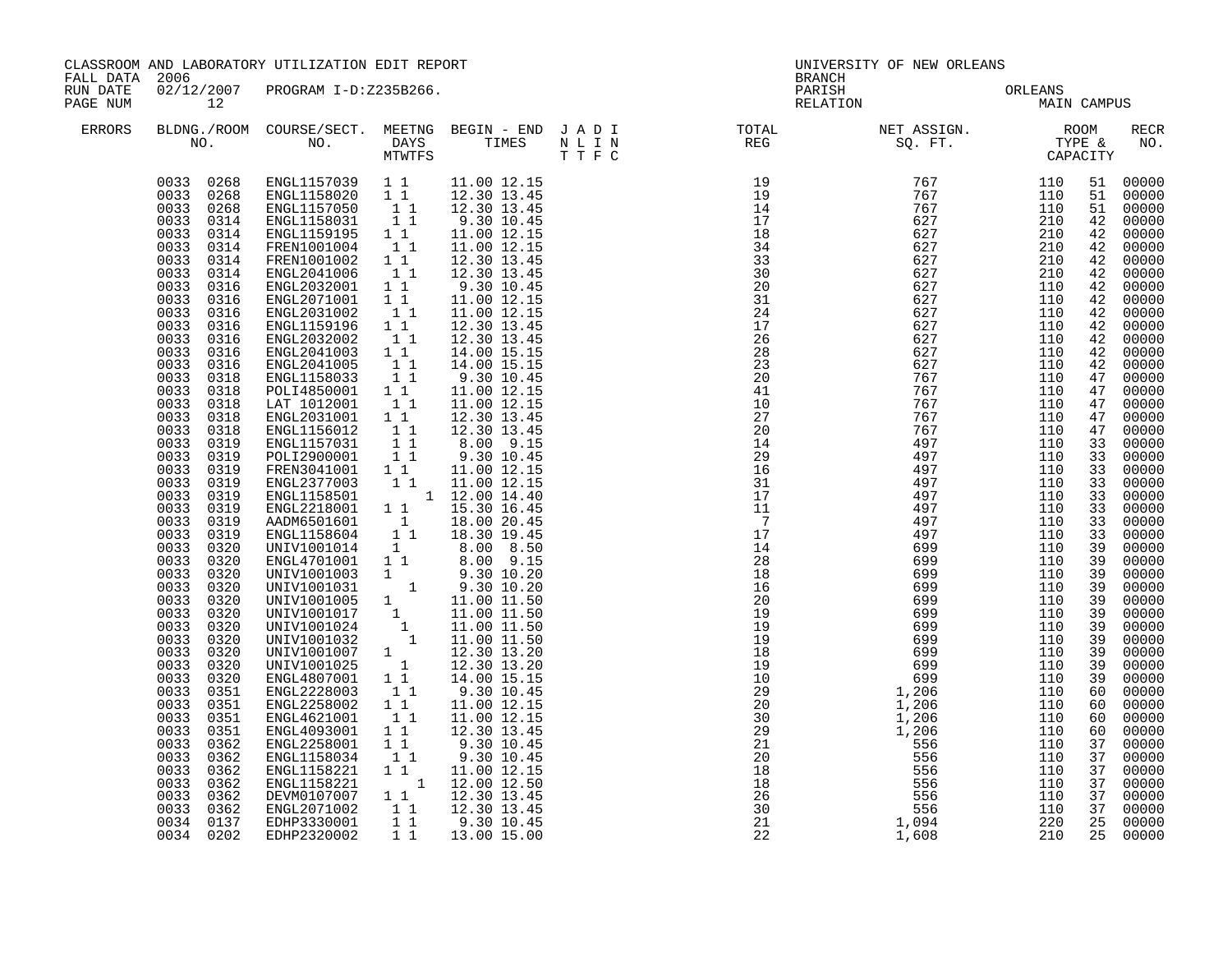| CLASSROOM AND LABORATORY UTILIZATION EDIT REPORT<br>FALL DATA 2006 |                                                                                                                                                                                                                                                                                                                                                                                                                                                                                                                                                                                                                                                              |                                                                                                                                                                                                                                                                                                                                                                                                                                                                                                                                                                                                                                                                                                                                                                                                                                                                                                                                                                                                                                                                                                                                                             |                                                                                                                                                                                                                     |                                                                                                                                                                                                                                                                                                                                                 |                                   | UNIVERSITY OF NEW ORLEANS<br>BRANCH |     |                                                                                                                                                                                                                                                    |                                                                                                                                                                                                                                                                                                                                                                                                                   |
|--------------------------------------------------------------------|--------------------------------------------------------------------------------------------------------------------------------------------------------------------------------------------------------------------------------------------------------------------------------------------------------------------------------------------------------------------------------------------------------------------------------------------------------------------------------------------------------------------------------------------------------------------------------------------------------------------------------------------------------------|-------------------------------------------------------------------------------------------------------------------------------------------------------------------------------------------------------------------------------------------------------------------------------------------------------------------------------------------------------------------------------------------------------------------------------------------------------------------------------------------------------------------------------------------------------------------------------------------------------------------------------------------------------------------------------------------------------------------------------------------------------------------------------------------------------------------------------------------------------------------------------------------------------------------------------------------------------------------------------------------------------------------------------------------------------------------------------------------------------------------------------------------------------------|---------------------------------------------------------------------------------------------------------------------------------------------------------------------------------------------------------------------|-------------------------------------------------------------------------------------------------------------------------------------------------------------------------------------------------------------------------------------------------------------------------------------------------------------------------------------------------|-----------------------------------|-------------------------------------|-----|----------------------------------------------------------------------------------------------------------------------------------------------------------------------------------------------------------------------------------------------------|-------------------------------------------------------------------------------------------------------------------------------------------------------------------------------------------------------------------------------------------------------------------------------------------------------------------------------------------------------------------------------------------------------------------|
| RUN DATE<br>PAGE NUM                                               | 12                                                                                                                                                                                                                                                                                                                                                                                                                                                                                                                                                                                                                                                           | 02/12/2007 PROGRAM I-D:Z235B266.                                                                                                                                                                                                                                                                                                                                                                                                                                                                                                                                                                                                                                                                                                                                                                                                                                                                                                                                                                                                                                                                                                                            |                                                                                                                                                                                                                     |                                                                                                                                                                                                                                                                                                                                                 |                                   | PARISH ORLEANS NELATION MAIN CAMPUS |     |                                                                                                                                                                                                                                                    |                                                                                                                                                                                                                                                                                                                                                                                                                   |
| ERRORS                                                             |                                                                                                                                                                                                                                                                                                                                                                                                                                                                                                                                                                                                                                                              |                                                                                                                                                                                                                                                                                                                                                                                                                                                                                                                                                                                                                                                                                                                                                                                                                                                                                                                                                                                                                                                                                                                                                             |                                                                                                                                                                                                                     |                                                                                                                                                                                                                                                                                                                                                 |                                   |                                     |     |                                                                                                                                                                                                                                                    | <b>RECR</b><br>NO.                                                                                                                                                                                                                                                                                                                                                                                                |
|                                                                    | 0033<br>0314<br>0033<br>0314<br>0033<br>0314<br>0033<br>0314<br>0033<br>0316<br>0033<br>0316<br>0033<br>0316<br>0033<br>0316<br>0033<br>0316<br>0033<br>0316<br>0033<br>0316<br>0033<br>0318<br>0033<br>0318<br>0033<br>0318<br>0033<br>0318<br>0033<br>0318<br>0033<br>0319<br>0033<br>0319<br>0033<br>0319<br>0033<br>0319<br>0033<br>0319<br>0033<br>0319<br>0033<br>0319<br>0033<br>0319<br>0033<br>0320<br>0033<br>0320<br>0033<br>0320<br>0033<br>0320<br>0033<br>0320<br>0033<br>0320<br>0033<br>0320<br>0033<br>0320<br>0033<br>0320<br>0033<br>0320<br>0033<br>0320<br>0033<br>0351<br>0033<br>0351<br>0033<br>0351<br>0033<br>0351<br>0033<br>0362 | $\begin{array}{cccc} 0033 & 0268 & \texttt{ENGL1157039} & 1 & 1 & 11.00 & 12.15 \\ 0033 & 0268 & \texttt{ENGL1158020} & 1 & 1 & 12.30 & 13.45 \\ 0033 & 0268 & \texttt{ENGL1157050} & 1 & 1 & 12.30 & 13.45 \\ 0033 & 0314 & \texttt{ENGL1158031} & 1 & 9.30 & 10.45 \end{array}$<br>ENGL1159195   1   1<br>FREN1001004   1   1<br>FREN1001002<br>ENGL2041006<br>ENGL2032001<br>ENGL2071001 1 1<br>ENGL2031002<br>ENGL1159196<br>ENGL2032002<br>ENGL2041003 1 1<br>ENGL2041005 1<br>ENGL1158033 11<br>POLI4850001 11<br>LAT 1012001<br>ENGL2031001 1 1<br>ENGL1156012 1<br>ENGL1157031 1<br>POLI2900001 11<br>FREN3041001 11<br>TREN3041001 11<br>ENGL2377003 11 11.00 12.15<br>ENGL1158501 1 12.00 14.40<br>ENGL1158501<br>ENGL2218001 1 1 15.30 16.45<br>ENGL2218001 1 18.00 20.45<br>ENGL158604 1 1 18.30 19.45<br>UNIV1001014 1 8.00 8.50<br>UNIV1001014 1 8.00 8.50<br>ENGL4701001 1 8.00 9.15<br>UNIV1001031 9.30 10.20<br>UNIV1001031 9.30 10.20<br>UNIV1001005 1 11.00 11.50<br>UNIV1001017 1 11.00 11.50<br>UNIV1001024 1 11.00 11.50<br>UNIV1001024 1 11.00 11.50<br>UNIV1001032 1 11<br>ENGL2258002<br>ENGL4621001<br>ENGL4093001<br>ENGL2258001 | $\begin{array}{c} 1 \\ 1 \\ 1 \end{array}$<br>$1\quad1$<br>$\begin{bmatrix} 1 \\ 1 \end{bmatrix}$<br>11<br>11<br>$\begin{smallmatrix}1&&1\\&1\\1&&1\end{smallmatrix}$<br>$1\quad1$<br>$\overline{1}$ $\overline{1}$ | 11.00 12.15<br>11.00 12.15<br>12.30 13.45<br>12.30 13.45<br>9.30 10.45<br>11.00 12.15<br>11.00 12.15<br>12.30 13.45<br>12.30 13.45<br>14.00 15.15<br>14.00 15.15<br>9.30 10.45<br>11.00 12.15<br>11.00 12.15<br>12.30 13.45<br>12.30 13.45<br>8.00 9.15<br>9.30 10.45<br>11.00 12.15<br>11.00 12.15<br>11.00 12.15<br>12.30 13.45<br>9.30 10.45 |                                   |                                     |     | 51<br>51<br>42<br>42<br>42<br>42<br>42<br>42<br>42<br>42<br>42<br>42<br>47<br>47<br>47<br>47<br>47<br>33<br>33<br>33<br>33<br>33<br>33<br>33<br>33<br>39<br>39<br>39<br>39<br>39<br>39<br>39<br>39<br>39<br>39<br>39<br>60<br>60<br>60<br>60<br>37 | 51 00000<br>00000<br>00000<br>00000<br>42 00000<br>00000<br>00000<br>00000<br>00000<br>00000<br>00000<br>00000<br>42 00000<br>00000<br>00000<br>00000<br>00000<br>00000<br>00000<br>00000<br>00000<br>00000<br>00000<br>00000<br>00000<br>00000<br>00000<br>00000<br>00000<br>00000<br>00000<br>00000<br>00000<br>00000<br>00000<br>00000<br>00000<br>00000<br>00000<br>00000<br>00000<br>00000<br>00000<br>00000 |
|                                                                    | 0033<br>0362<br>0033<br>0362<br>0033<br>0362<br>0033<br>0362<br>0033<br>0362<br>0034 0137<br>0034 0202                                                                                                                                                                                                                                                                                                                                                                                                                                                                                                                                                       | ENGL1158034<br>ENGL1158221 1 1 1.00 12.15<br>ENGL1158221 1 12.00 12.50<br>DEVM0107007 1 1 12.30 13.45<br>ENGL2071002 1 1<br>EDHP3330001 1 1<br>EDHP2320002                                                                                                                                                                                                                                                                                                                                                                                                                                                                                                                                                                                                                                                                                                                                                                                                                                                                                                                                                                                                  | 11<br>$1\quad1$                                                                                                                                                                                                     | 9.30 10.45<br>12.30 13.45<br>9.30 10.45<br>13.00 15.00                                                                                                                                                                                                                                                                                          | $\frac{18}{26}$<br>30<br>21<br>22 | 1,608                               | 210 | 37<br>37<br>37<br>37<br>37<br>25<br>25                                                                                                                                                                                                             | 00000<br>00000<br>00000<br>00000<br>00000<br>00000<br>00000                                                                                                                                                                                                                                                                                                                                                       |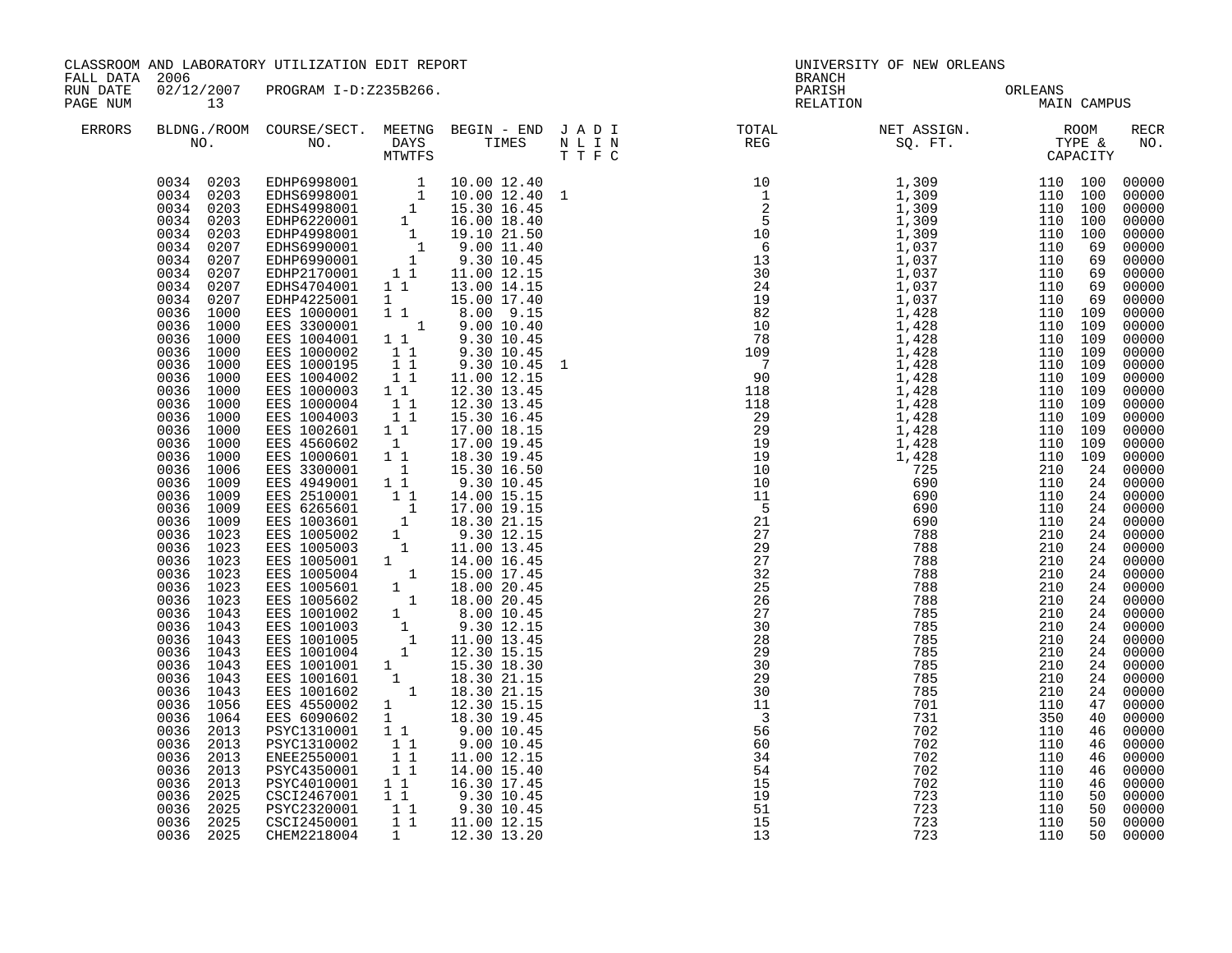| FALL DATA 2006       |                                                                                                                                                                                                                                                                                                                                                                                                                                                                                                                                                                                                                                                                                                                                    | CLASSROOM AND LABORATORY UTILIZATION EDIT REPORT                                                                                                                                                                                                                                                                                                                                                                                                                                                                                                                                                                                                                                                                                                                                                   |                                                                                                                                                             |                                                                                                                                                                                                                                                                                                                   |  |                    | UNIVERSITY OF NEW ORLEANS<br><b>BRANCH</b> |  |             |                                                                                                                                                                                                                                                                                                                                                                                                                                                                                                                                                                                                                    |  |
|----------------------|------------------------------------------------------------------------------------------------------------------------------------------------------------------------------------------------------------------------------------------------------------------------------------------------------------------------------------------------------------------------------------------------------------------------------------------------------------------------------------------------------------------------------------------------------------------------------------------------------------------------------------------------------------------------------------------------------------------------------------|----------------------------------------------------------------------------------------------------------------------------------------------------------------------------------------------------------------------------------------------------------------------------------------------------------------------------------------------------------------------------------------------------------------------------------------------------------------------------------------------------------------------------------------------------------------------------------------------------------------------------------------------------------------------------------------------------------------------------------------------------------------------------------------------------|-------------------------------------------------------------------------------------------------------------------------------------------------------------|-------------------------------------------------------------------------------------------------------------------------------------------------------------------------------------------------------------------------------------------------------------------------------------------------------------------|--|--------------------|--------------------------------------------|--|-------------|--------------------------------------------------------------------------------------------------------------------------------------------------------------------------------------------------------------------------------------------------------------------------------------------------------------------------------------------------------------------------------------------------------------------------------------------------------------------------------------------------------------------------------------------------------------------------------------------------------------------|--|
| RUN DATE<br>PAGE NUM | 13                                                                                                                                                                                                                                                                                                                                                                                                                                                                                                                                                                                                                                                                                                                                 | 02/12/2007 PROGRAM I-D:Z235B266.                                                                                                                                                                                                                                                                                                                                                                                                                                                                                                                                                                                                                                                                                                                                                                   |                                                                                                                                                             |                                                                                                                                                                                                                                                                                                                   |  | PARISH<br>RELATION | ORLEANS<br>MAIN                            |  | MAIN CAMPUS |                                                                                                                                                                                                                                                                                                                                                                                                                                                                                                                                                                                                                    |  |
| <b>ERRORS</b>        |                                                                                                                                                                                                                                                                                                                                                                                                                                                                                                                                                                                                                                                                                                                                    |                                                                                                                                                                                                                                                                                                                                                                                                                                                                                                                                                                                                                                                                                                                                                                                                    |                                                                                                                                                             |                                                                                                                                                                                                                                                                                                                   |  |                    |                                            |  |             | RECR<br>NO.                                                                                                                                                                                                                                                                                                                                                                                                                                                                                                                                                                                                        |  |
|                      | 0034 0203<br>0034 0203<br>0034 0203<br>0034 0203<br>0034 0203<br>0034 0207<br>0034 0207<br>0034 0207<br>0034 0207<br>0034 0207<br>0036<br>1000<br>1000<br>0036<br>0036 1000<br>1000<br>0036<br>0036 1000<br>0036 1000<br>0036<br>0036 1000<br>1000<br>0036<br>0036 1000<br>1000<br>0036<br>0036 1000<br>0036 1000<br>0036 1006<br>0036 1009<br>0036 1009<br>0036 1009<br>0036 1009<br>0036 1023<br>0036 1023<br>0036 1023<br>0036 1023<br>0036 1023<br>0036 1023<br>0036 1023<br>1043<br>0036<br>0036 1043<br>1043<br>0036<br>0036<br>1043<br>0036<br>1043<br>0036 1043<br>1056<br>0036<br>0036<br>1064<br>0036 2013<br>0036 2013<br>0036 2013<br>0036<br>2013<br>0036 2013<br>0036<br>2025<br>0036 2025<br>0036 2025<br>0036 2025 | EDHP6998001 1 10.00 12.40<br>EDHS6998001 1 10.00 12.40 1<br>EDHS4998001 1 15.30 16.45<br>EDHP6220001 1 16.00 18.40<br>EDHP4998001 1 19.10 21.50<br>EDHS6990001 1 9.00 11.40<br>EDHP6990001 1 9.30 10.45<br>EDHP6990001 1 9.30 10.45<br>EDHP217<br>EDHS4704001 1 1<br>EDHP4225001 1 1 15.00 17.40<br>EES 1000001 1 1 8.00 9.15<br>EES 3300001 1 9.00 10.40<br>EES 1004001<br>EES 1000002<br>EES 1000195<br>EES 1004002<br>EES 1000003<br>EES 1000004<br>EES 1004003<br>EES 1002601 11<br>EES 4560602 1<br>EES 1000601 11<br>EES 1001001<br>EES 1001601<br>EES 1001602<br>EES 4550002<br>EES 4550002 1 12.30 15.15<br>EES 6090602 1 18.30 19.45<br>PSYC1310001 1<br>PSYC1310002 11<br>ENEE2550001<br>PSYC4350001<br>PSYC4010001 1 1<br>CSCI2467001 1<br>PSYC2320001 11<br>CSCI2450001<br>CHEM2218004 | $\begin{bmatrix} 1 & 1 \\ 1 & 1 \\ 1 & 1 \\ 1 & 1 \end{bmatrix}$<br>$1\quad1$<br>$\begin{bmatrix} 1 \\ 1 \\ 1 \end{bmatrix}$<br>$\frac{1}{1}$ $\frac{1}{1}$ | 13.00 14.15<br>9.30 10.45<br>9.30 10.45<br>9.30 10.45 1<br>11.00 12.15<br>12.30 13.45<br>12.30 13.45<br>15.30 16.45<br>17.00 18.15<br>17.00 19.45<br>18.30 19.45<br>9.00 10.45<br>9.00 10.45<br>11.00 12.15<br>14.00 15.40<br>16.30 17.45<br>1 1 9.30 10.45<br>1 1 9.30 10.45<br>1 1 11.00 12.15<br>1 12.30 13.20 |  |                    |                                            |  |             | 00000<br>00000<br>00000<br>00000<br>00000<br>00000<br>00000<br>$00000$<br>$00000$<br>00000<br>$00000$<br>00000<br>$00000$<br>$00000$<br>00000<br>00000<br>00000<br>00000<br>00000<br>00000<br>00000<br>00000<br>00000<br>00000<br>$\begin{bmatrix} 24 & 00000 \\ 24 & 00000 \end{bmatrix}$<br>00000<br>24 00000<br>24 00000<br>$\begin{array}{c} 24 & 00000 \\ 24 & 00000 \\ 24 & 00000 \end{array}$<br>24 00000<br>24 00000<br>24 00000<br>24 00000<br>00000<br>24 00000<br>24 00000<br>24 00000<br>00000<br>00000<br>00000<br>00000<br>00000<br>00000<br>$00000$<br>00000<br>00000<br>00000<br>00000<br>50 00000 |  |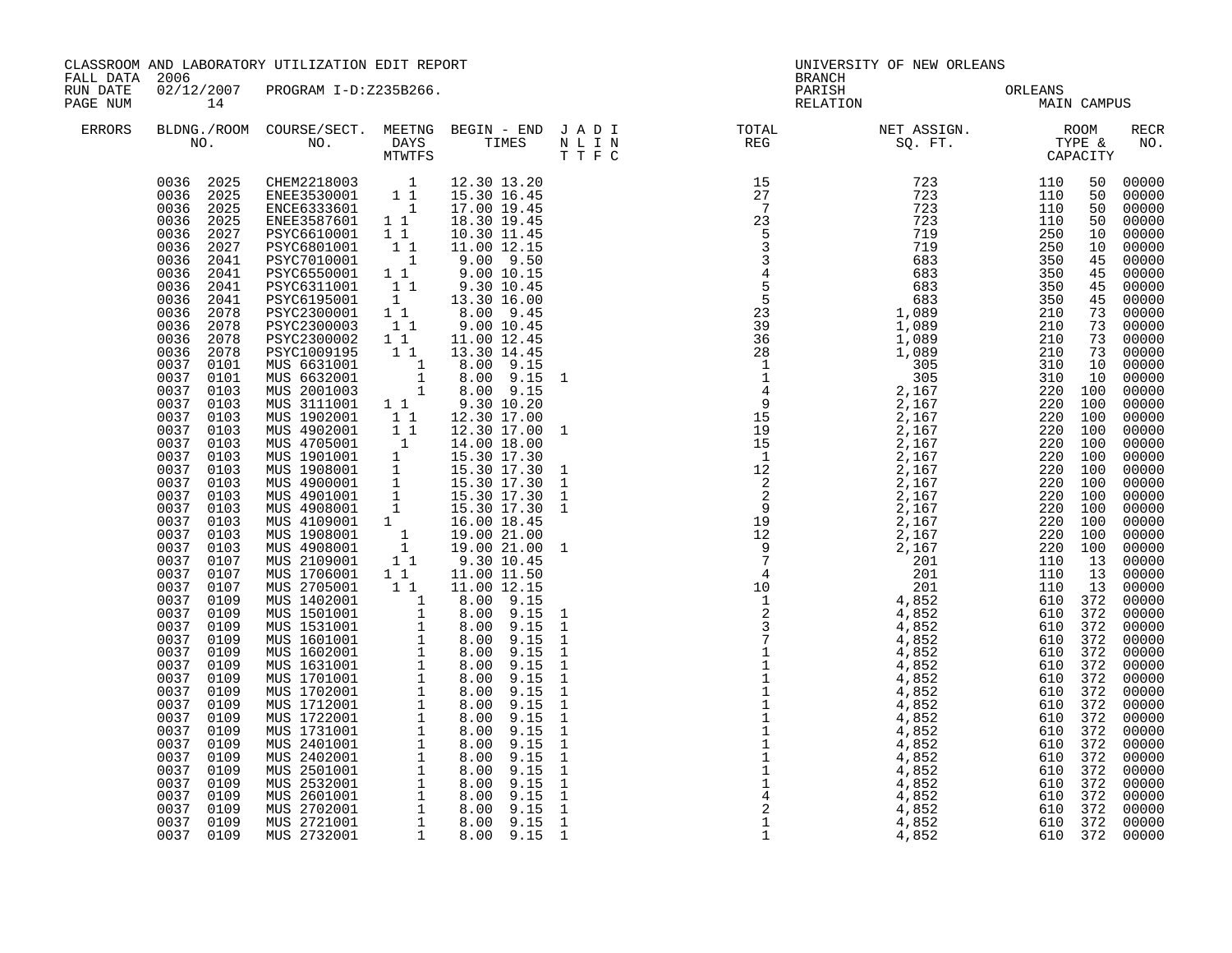|                      | CLASSROOM AND LABORATORY UTILIZATION EDIT REPORT<br>FALL DATA 2006                                                                                                                                                                                                                                                                                                                                                                                                                                                                                                                                                                                                                                         |                                                                                                                                                                                                                                                                                                                                                                                                                                                                                                                                                                                                                                                                                                                                                                                                                                                                                                                                       |                                        |                                                                                                                                                                                                                       | UNIVERSITY OF NEW ORLEANS<br><b>BRANCH</b>                                                                                                                                                                                                                                                                                                                                                                                |                 |             |  |                                                                                                                                                                                                                                                                                                                                                                                                                                                                                                 |  |
|----------------------|------------------------------------------------------------------------------------------------------------------------------------------------------------------------------------------------------------------------------------------------------------------------------------------------------------------------------------------------------------------------------------------------------------------------------------------------------------------------------------------------------------------------------------------------------------------------------------------------------------------------------------------------------------------------------------------------------------|---------------------------------------------------------------------------------------------------------------------------------------------------------------------------------------------------------------------------------------------------------------------------------------------------------------------------------------------------------------------------------------------------------------------------------------------------------------------------------------------------------------------------------------------------------------------------------------------------------------------------------------------------------------------------------------------------------------------------------------------------------------------------------------------------------------------------------------------------------------------------------------------------------------------------------------|----------------------------------------|-----------------------------------------------------------------------------------------------------------------------------------------------------------------------------------------------------------------------|---------------------------------------------------------------------------------------------------------------------------------------------------------------------------------------------------------------------------------------------------------------------------------------------------------------------------------------------------------------------------------------------------------------------------|-----------------|-------------|--|-------------------------------------------------------------------------------------------------------------------------------------------------------------------------------------------------------------------------------------------------------------------------------------------------------------------------------------------------------------------------------------------------------------------------------------------------------------------------------------------------|--|
| RUN DATE<br>PAGE NUM | 14                                                                                                                                                                                                                                                                                                                                                                                                                                                                                                                                                                                                                                                                                                         | 02/12/2007 PROGRAM I-D:Z235B266.                                                                                                                                                                                                                                                                                                                                                                                                                                                                                                                                                                                                                                                                                                                                                                                                                                                                                                      |                                        |                                                                                                                                                                                                                       | PARISH<br>RELATION                                                                                                                                                                                                                                                                                                                                                                                                        | ORLEANS<br>MAIN | MAIN CAMPUS |  |                                                                                                                                                                                                                                                                                                                                                                                                                                                                                                 |  |
| <b>ERRORS</b>        |                                                                                                                                                                                                                                                                                                                                                                                                                                                                                                                                                                                                                                                                                                            |                                                                                                                                                                                                                                                                                                                                                                                                                                                                                                                                                                                                                                                                                                                                                                                                                                                                                                                                       |                                        |                                                                                                                                                                                                                       |                                                                                                                                                                                                                                                                                                                                                                                                                           |                 |             |  | RECR<br>NO.                                                                                                                                                                                                                                                                                                                                                                                                                                                                                     |  |
|                      | 0036 2027<br>0036 2027<br>0036 2041<br>0036 2041<br>0036 2041<br>0036 2041<br>0036 2078<br>0036<br>2078<br>0036 2078<br>0036 2078<br>0037 0101<br>0037<br>0101<br>0037<br>0103<br>0037<br>0103<br>0037<br>0103<br>0037<br>0103<br>0037<br>0103<br>0037 0103<br>0037<br>0103<br>0037 0103<br>0037<br>0103<br>0037 0103<br>0037<br>0103<br>0037 0103<br>0037<br>0103<br>0037 0107<br>0037<br>0107<br>0037 0107<br>0037<br>0109<br>0037 0109<br>0037<br>0109<br>0037<br>0109<br>0037<br>0109<br>0037<br>0109<br>0037<br>0109<br>0037<br>0109<br>0037<br>0109<br>0037<br>0109<br>0037 0109<br>0037<br>0109<br>0037 0109<br>0037<br>0109<br>0037 0109<br>0037<br>0109<br>0037 0109<br>0037<br>0109<br>0037 0109 | 0036 2025 CHEM2218003 1<br>0036 2025 ENEE3530001 11<br>0036 2025 ENCE6333601 1<br>0036 2025 ENEE3587601 11<br>PSYC6610001 1 1<br>PSYC6801001 1 1<br>PSYC6801001 1<br>PSYC6550001 1 1<br>PSYC6550001 1 1<br>PSYC6311001 1 1<br>PSYC6195001 1<br>PSYC2300001 1 1<br>PSYC2300003 1 1<br>PSYC2300002 1 1<br>PSYC1009195<br>MUS 6631001 1 8.00 9.15<br>MUS 6632001 1 8.00 9.15<br>MUS 2001003 1 8.00 9.15<br>MUS 3111001 1 1 9.30 10.20<br>MUS 3111001 1 1 9.30 10.20<br>MUS 1902001 1 1 12.30 17.00<br>MUS 4902001 1 1 12.30 17.00<br>MUS 1901001 1 14.00 18.00<br>MUS 1908001 1 15.30 17.30<br>MUS 4900001 1 15.30 17.30<br>MUS 4900001 1 15.30 17.30<br>MUS 4901001 1 15.30 17.30<br>M<br>MUS 1706001 1 1 11.00 11.50<br>MUS 2705001 1 1 11.00 11.50<br>MUS 2705001 1 8.00 9.15<br>MUS 1531001 1 8.00 9.15<br>MUS 1601001 1 8.00 9.15<br>MUS 1601001 1 8.00 9.15<br>MUS 1602001 1 8.00 9.15<br>MUS 1631001 1 8.00 9.15<br>MUS 1701001 1 | $\begin{bmatrix} 1 \\ 1 \end{bmatrix}$ | 12.30 13.20<br>15.30 16.45<br>17.00 19.45<br>18.30 19.45<br>10.30 11.45<br>11.00 12.15<br>$9.00$ $9.50$<br>$9.00$ $10.15$<br>$9.30$ $10.45$<br>13.30 16.00<br>$8.00$ 9.45<br>9.00 10.45<br>11.00 12.45<br>13.30 14.45 | $\begin{smallmatrix} 31&\text{R} & \text{R} & \text{R} & \text{R} & \text{R} & \text{R} & \text{R} & \text{R} & \text{R} & \text{R} & \text{R} & \text{R} & \text{R} & \text{R} & \text{R} & \text{R} & \text{R} & \text{R} & \text{R} & \text{R} & \text{R} & \text{R} & \text{R} & \text{R} & \text{R} & \text{R} & \text{R} & \text{R} & \text{R} & \text{R} & \text{R} & \text{R} & \text{R} & \text{R} & \text{R} &$ |                 |             |  | 00000<br>00000<br>00000<br>00000<br>00000<br>00000<br>00000<br>$00000$<br>$00000$<br>00000<br>00000<br>00000<br>$\frac{73}{73}$ 00000<br>73 00000<br>$00000$<br>$00000$<br>00000<br>00000<br>00000<br>00000<br>$00000$<br>00000<br>00000<br>00000<br>00000<br>00000<br>$00000$<br>00000<br>00000<br>00000<br>00000<br>00000<br>00000<br>00000<br>00000<br>00000<br>00000<br>00000<br>00000<br>00000<br>00000<br>00000<br>00000<br>00000<br>$00000$<br>00000<br>00000<br>00000<br>00000<br>00000 |  |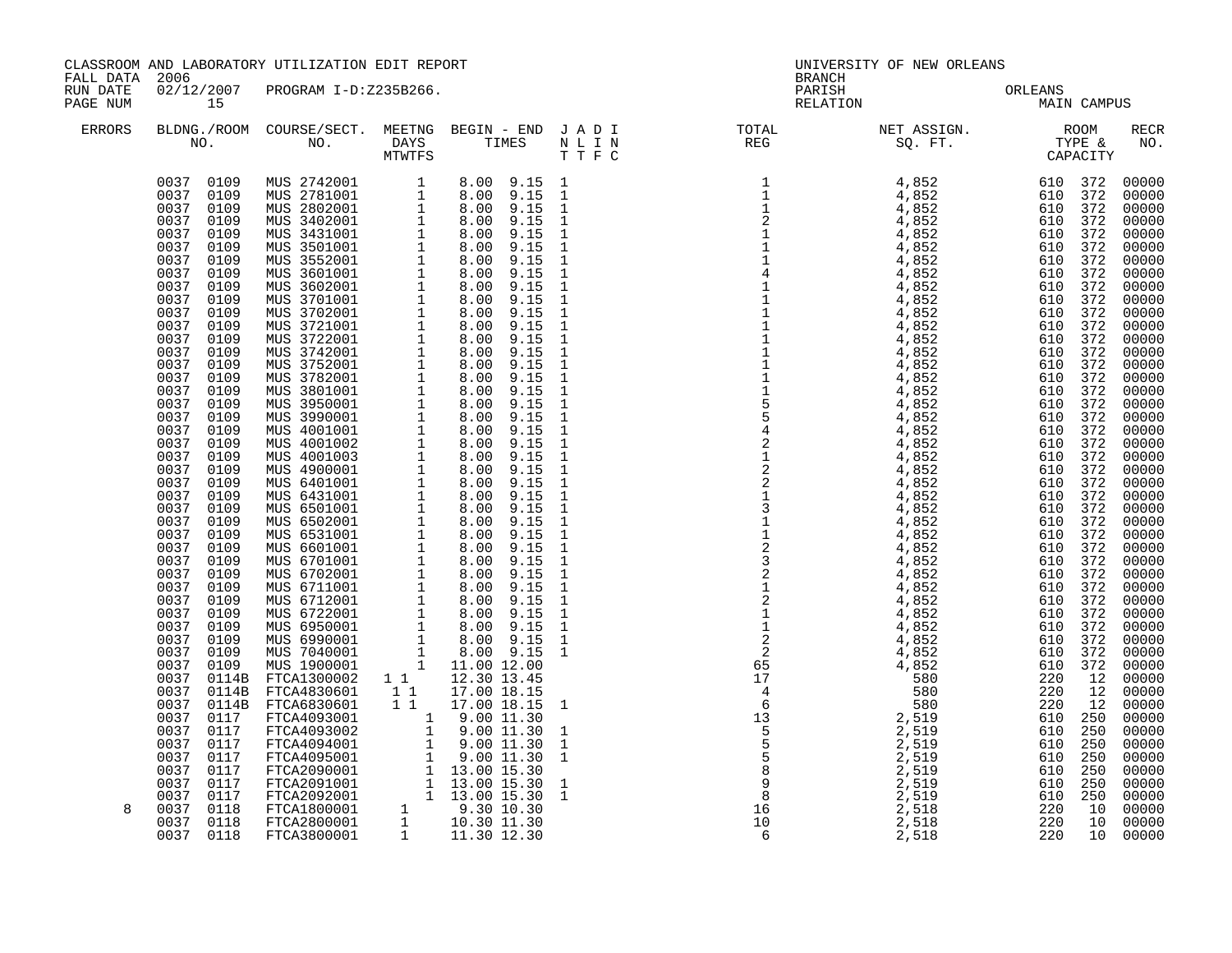| FALL DATA 2006<br>RUN DATE |                                                                                                             | CLASSROOM AND LABORATORY UTILIZATION EDIT REPORT<br>02/12/2007 PROGRAM I-D:Z235B266.                                                                                                                                                                                                                                 |  | UNIVERSITY OF NEW ORLEANS<br>BRANCH<br>PARISH ORLEANS MAIN CAMPUS                                                                                                                                                                                                                                                                                                                          |  |  |                                                                                                                                                                                                                                                                                                                                                                                                                                |  |
|----------------------------|-------------------------------------------------------------------------------------------------------------|----------------------------------------------------------------------------------------------------------------------------------------------------------------------------------------------------------------------------------------------------------------------------------------------------------------------|--|--------------------------------------------------------------------------------------------------------------------------------------------------------------------------------------------------------------------------------------------------------------------------------------------------------------------------------------------------------------------------------------------|--|--|--------------------------------------------------------------------------------------------------------------------------------------------------------------------------------------------------------------------------------------------------------------------------------------------------------------------------------------------------------------------------------------------------------------------------------|--|
| PAGE NUM                   | 15                                                                                                          |                                                                                                                                                                                                                                                                                                                      |  |                                                                                                                                                                                                                                                                                                                                                                                            |  |  |                                                                                                                                                                                                                                                                                                                                                                                                                                |  |
| ERRORS                     |                                                                                                             |                                                                                                                                                                                                                                                                                                                      |  | BLDNG./ROOM COURSE/SECT. MEETNG BEGIN – END JADI TOTAL NET ASSIGN. NET ASSIGN. ROOM ROOM NO. DAYS TIMES NLIN REG REG SQ.FT. TYPE &                                                                                                                                                                                                                                                         |  |  | <b>RECR</b><br>NO.                                                                                                                                                                                                                                                                                                                                                                                                             |  |
|                            | 0037 0114B<br>0037<br>0114B<br>0037<br>0117<br>0037<br>0117<br>0037<br>0117<br>0037<br>0117<br>0037<br>0117 | $\begin{tabular}{l c c c} \texttt{FTCA1300002} & 1 & 1 & 12.30 & 13.45 \\ \texttt{FTCA4830601} & 1 & 1 & 17.00 & 18.15 \\ \texttt{FTCA6830601} & 1 & 1 & 17.00 & 18.15 & 1 \\ \texttt{FTCA4093001} & 1 & 9.00 & 11.30 & 1 \\ \texttt{FTCA4093002} & 1 & 9.00 & 11.30 & 1 \\ \texttt{FTCA4094001} & 1 & 9.00 & 11.30$ |  | $\begin{smallmatrix} \textbf{1.1} & \textbf{1.2} & \textbf{1.3} & \textbf{1.4} & \textbf{1.5} & \textbf{1.6} & \textbf{1.7} & \textbf{1.8} & \textbf{1.8} & \textbf{1.8} & \textbf{1.8} & \textbf{1.8} & \textbf{1.8} & \textbf{1.8} & \textbf{1.8} & \textbf{1.8} & \textbf{1.8} & \textbf{1.8} & \textbf{1.8} & \textbf{1.8} & \textbf{1.8} & \textbf{1.8} & \textbf{1.8} & \textbf{1.8$ |  |  | 00000<br>00000<br>00000<br>00000<br>00000<br>00000<br>00000<br>00000<br>00000<br>00000<br>00000<br>00000<br>00000<br>00000<br>00000<br>$00000$<br>$00000$<br>00000<br>00000<br>00000<br>00000<br>00000<br>00000<br>00000<br>00000<br>00000<br>00000<br>00000<br>00000<br>00000<br>00000<br>00000<br>00000<br>00000<br>00000<br>00000<br>00000<br>00000<br>00000<br>00000<br>00000<br>00000<br>00000<br>00000<br>00000<br>00000 |  |
| 8                          | 0037 0117<br>0037 0117<br>0037 0118<br>0037 0118<br>0037 0118                                               |                                                                                                                                                                                                                                                                                                                      |  |                                                                                                                                                                                                                                                                                                                                                                                            |  |  | 00000<br>00000<br>00000<br>00000<br>00000                                                                                                                                                                                                                                                                                                                                                                                      |  |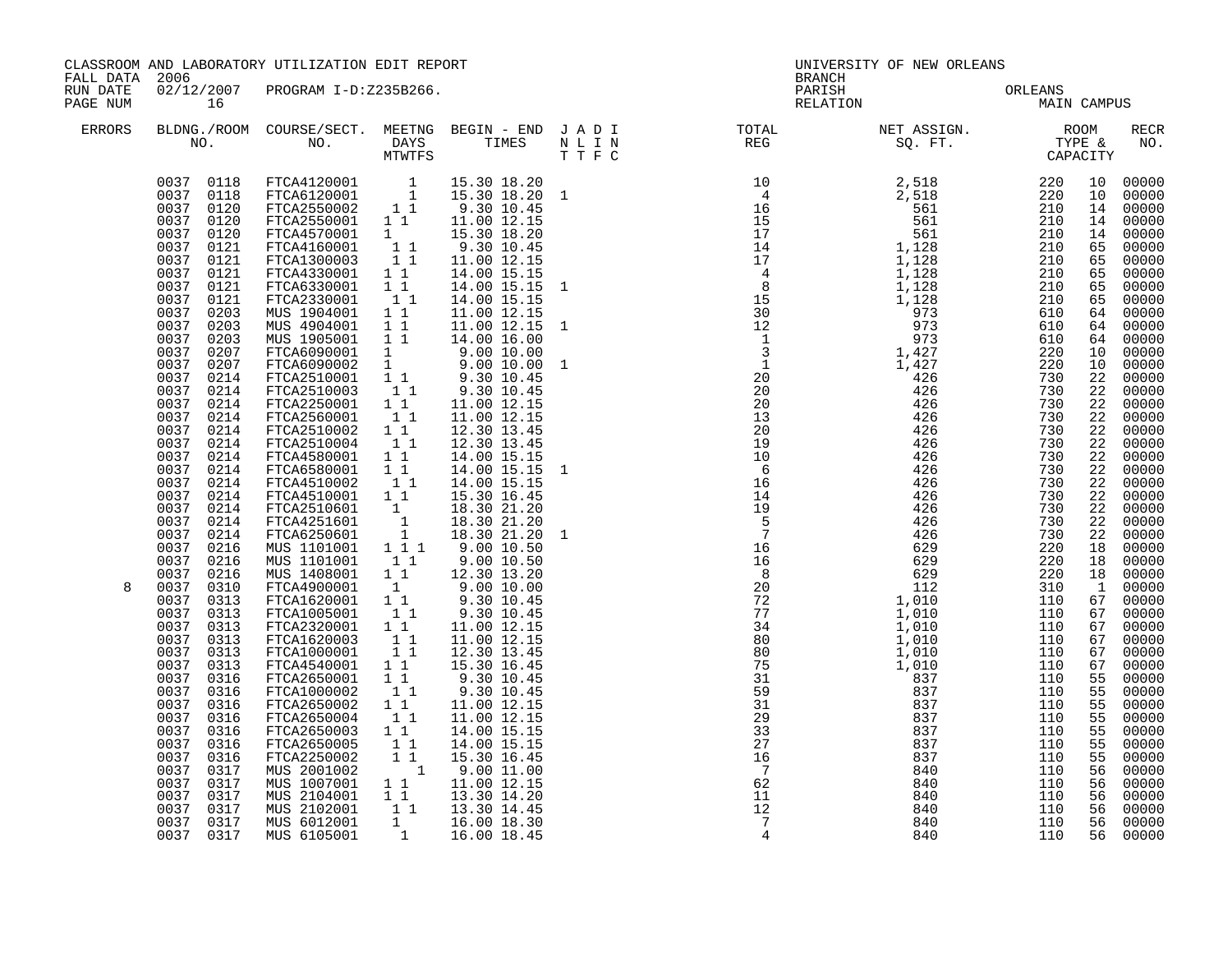| FALL DATA 2006       |                                                                                                                                                                                                                                                                                                                                                                                                                                                                                                                                                                                                                                                                                                  | CLASSROOM AND LABORATORY UTILIZATION EDIT REPORT                                                                                                                                                                                                                                                                                                                                                                                                                                                                                                                                                                                                                                                                                                                                                                                                                                                                                                                                                                                                                                                                              |                                                                                                       |                                                                                                                                                                                                                                                                                                                                                                                                                                                 |  |                                                                                                                                                                                                                                                                                                                                                                                                                                                                        | UNIVERSITY OF NEW ORLEANS<br><b>BRANCH</b> |             |          |                |  |
|----------------------|--------------------------------------------------------------------------------------------------------------------------------------------------------------------------------------------------------------------------------------------------------------------------------------------------------------------------------------------------------------------------------------------------------------------------------------------------------------------------------------------------------------------------------------------------------------------------------------------------------------------------------------------------------------------------------------------------|-------------------------------------------------------------------------------------------------------------------------------------------------------------------------------------------------------------------------------------------------------------------------------------------------------------------------------------------------------------------------------------------------------------------------------------------------------------------------------------------------------------------------------------------------------------------------------------------------------------------------------------------------------------------------------------------------------------------------------------------------------------------------------------------------------------------------------------------------------------------------------------------------------------------------------------------------------------------------------------------------------------------------------------------------------------------------------------------------------------------------------|-------------------------------------------------------------------------------------------------------|-------------------------------------------------------------------------------------------------------------------------------------------------------------------------------------------------------------------------------------------------------------------------------------------------------------------------------------------------------------------------------------------------------------------------------------------------|--|------------------------------------------------------------------------------------------------------------------------------------------------------------------------------------------------------------------------------------------------------------------------------------------------------------------------------------------------------------------------------------------------------------------------------------------------------------------------|--------------------------------------------|-------------|----------|----------------|--|
| RUN DATE<br>PAGE NUM | 16                                                                                                                                                                                                                                                                                                                                                                                                                                                                                                                                                                                                                                                                                               | 02/12/2007 PROGRAM I-D:Z235B266.                                                                                                                                                                                                                                                                                                                                                                                                                                                                                                                                                                                                                                                                                                                                                                                                                                                                                                                                                                                                                                                                                              |                                                                                                       |                                                                                                                                                                                                                                                                                                                                                                                                                                                 |  | PARISH<br>RELATION                                                                                                                                                                                                                                                                                                                                                                                                                                                     | ORLEANS<br>MAIN                            | MAIN CAMPUS |          |                |  |
| ERRORS               |                                                                                                                                                                                                                                                                                                                                                                                                                                                                                                                                                                                                                                                                                                  |                                                                                                                                                                                                                                                                                                                                                                                                                                                                                                                                                                                                                                                                                                                                                                                                                                                                                                                                                                                                                                                                                                                               |                                                                                                       |                                                                                                                                                                                                                                                                                                                                                                                                                                                 |  | $\begin{tabular}{lllllllllllllllllllll} \textsc{BLONG.} \textsc{F100M.} & \textsc{CUIRSE/SECT.} & \textsc{METNG.} & \textsc{BEGIN - END.} & \textsc{J A D I} & \textsc{DTAT} & \textsc{NTGTL} & \textsc{NET ASSIGN.} & \textsc{ROOM} \\ \textsc{NO.} & \textsc{NO.} & \textsc{DAYS} & \textsc{TIMES} & \textsc{N L I N} & \textsc{REG} & \textsc{SG. FT.} & \textsc{CTP2} & \textsc{CAPACITY} \\ & \textsc{MTVTFS} & \textsc{T T F C} & \text$                         |                                            |             |          | RECR<br>NO.    |  |
| 8                    | 0037 0120<br>0037 0121<br>0037 0121<br>0037<br>0121<br>0037 0121<br>0037<br>0121<br>0037<br>0203<br>0037<br>0203<br>0037<br>0203<br>0037<br>0207<br>0037<br>0207<br>0037<br>0214<br>0037<br>0214<br>0037 0214<br>0037<br>0214<br>0037 0214<br>0037<br>0214<br>0037 0214<br>0037 0214<br>0037 0214<br>0037<br>0214<br>0037 0214<br>0037 0214<br>0037 0214<br>0037<br>0216<br>0037 0216<br>0037 0216<br>0037 0310<br>0037<br>0313<br>0037<br>0313<br>0037<br>0313<br>0037<br>0313<br>0037 0313<br>0037<br>0313<br>0037 0316<br>0037<br>0316<br>0037 0316<br>0037<br>0316<br>0037 0316<br>0037<br>0316<br>0037<br>0316<br>0037<br>0317<br>0037<br>0317<br>0037<br>0317<br>0037<br>0317<br>0037 0317 | FTCA4570001 1<br>FTCA4570001 1 1<br>FTCA1300003 1 1<br>FTCA4330001 1 1<br>FTCA6330001 1 1<br>FTCA2330001 1 1<br>MUS 1904001 1 1<br>MUS 4904001 1 1<br>MUS 1905001 1 1 14.00 16.00<br>FTCA6090001 1 9.00 10.00<br>FTCA6090002 1 9.00 10.00<br>FTCA2510001 1 9.30 10.45<br>FTCA2510003 1 9.30 10.45<br>FTCA2250001 11<br>FTCA2560001 11<br>FTCA2510002 1 1<br>FTCA2510004 1 1<br>FTCA4580001 1 1<br>FTCA6580001 11<br>FTCA4510002 11<br>FTCA4510001 11<br>FTCA2510601 1 18.30 21.20<br>FTCA2510601 1 18.30 21.20<br>FTCA6250601 1 18.30 21.20<br>MUS 1101001 1 1 9.00 10.50<br>MUS 1101001<br>MUS 1101001    1    1    9.00    10.50<br>MUS 1408001    1    12.30    13.20<br>FTCA4900001 1 9.00 10.00<br>FTCA1620001 1 9.30 10.45<br>FTCA1005001 1 9.30 10.45<br>FTCA2320001 11<br>FTCA1620003 11<br>FTCA1000001 11<br>FTCA4540001 1 1<br>FTCA2650001 11<br>FTCA1000002 11<br>FTCA2650002<br>FTCA2650004<br>FTCA2650003 11<br>FTCA2650005 11<br>FTCA2250002<br>MUS 2001002<br>MUS 1007001 1 1.00 12.15<br>MUS 1007001 1 1 13.30 14.20<br>MUS 2102001 1 1 13.30 14.45<br>MUS 6012001 1 16.00 18.30<br>MUS 6105001 1 16.00 18.45 | $\begin{smallmatrix}1&&1\\&1\\1&&1\end{smallmatrix}$<br>$\begin{smallmatrix}1&1\\&1\end{smallmatrix}$ | 15.30 18.20<br>9.30 10.45<br>11.00 12.15<br>14.00 15.15<br>14.00 15.15 1<br>14.00 15.15<br>11.00 12.15<br>11.00 12.15<br>11.00 12.15<br>11.00 12.15<br>12.30 13.45<br>12.30 13.45<br>14.00 15.15<br>14.00 15.15 1<br>14.00 15.15<br>15.30 16.45<br>18.30 21.20<br>11.00 12.15<br>11.00 12.15<br>12.30 13.45<br>15.30 16.45<br>9.30 10.45<br>9.30 10.45<br>11.00 12.15<br>11.00 12.15<br>14.00 15.15<br>14.00 15.15<br>15.30 16.45<br>9.00 11.00 |  | $\begin{array}{cccccccccccc} \text{RT} & \text{RRE} & \text{SRR} & \text{S} & \text{S} & \text{S} & \text{S} & \text{S} & \text{S} & \text{S} & \text{S} & \text{S} & \text{S} & \text{S} & \text{S} & \text{S} & \text{S} & \text{S} & \text{S} & \text{S} & \text{S} & \text{S} & \text{S} & \text{S} & \text{S} & \text{S} & \text{S} & \text{S} & \text{S} & \text{S} & \text{S} & \text{S} & \text{S} & \text{S} & \text{S}$<br>$\frac{11}{12}$<br>$\overline{7}$ | 840<br>840                                 | 110<br>110  | 56<br>56 | 00000<br>00000 |  |
|                      | 0037 0317                                                                                                                                                                                                                                                                                                                                                                                                                                                                                                                                                                                                                                                                                        |                                                                                                                                                                                                                                                                                                                                                                                                                                                                                                                                                                                                                                                                                                                                                                                                                                                                                                                                                                                                                                                                                                                               |                                                                                                       |                                                                                                                                                                                                                                                                                                                                                                                                                                                 |  | $\overline{4}$                                                                                                                                                                                                                                                                                                                                                                                                                                                         | 840                                        | 110         |          | 56 00000       |  |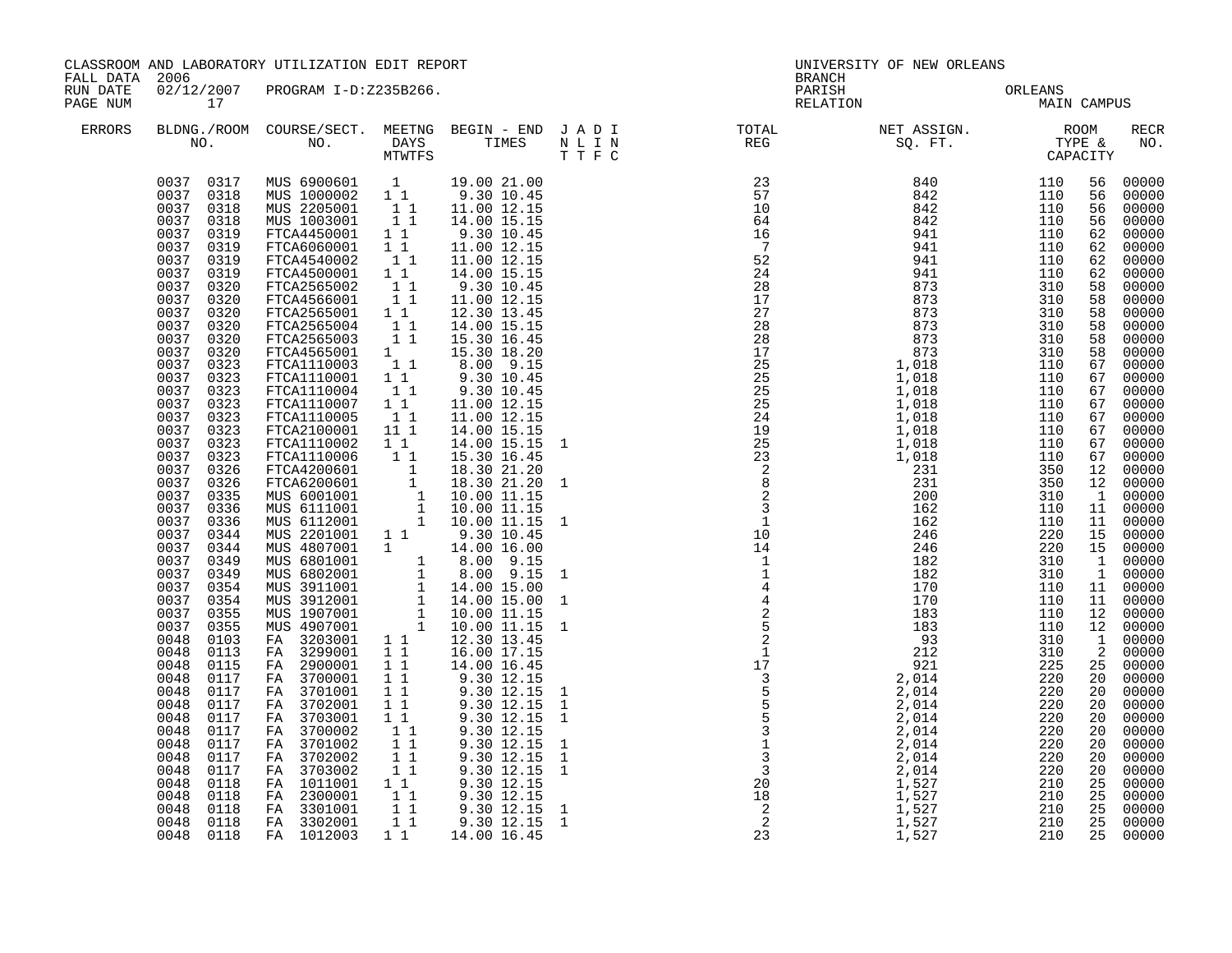| FALL DATA 2006<br><b>BRANCH</b><br>02/12/2007 PROGRAM I-D:Z235B266.<br>RUN DATE<br>PARISH<br>ORLEANS<br>MAIN<br>RELATION<br>MAIN CAMPUS<br>PAGE NUM<br>17<br><b>ERRORS</b><br>0037 0317<br>MUS 6900601 1 19.00 21.00<br>MUS 1000002 1 1 9.30 10.45<br>MUS 2205001 1 1 11.00 12.15<br>MUS 1003001 1 1 14.00 15.15<br>0037 0318<br>0037 0318<br>0037<br>0318<br>FTCA4450001 1 1<br>0037 0319<br>9.30 10.45<br>0037 0319<br>FTCA6060001 1 1<br>FTCA4540002 1 1<br>FTCA4500001 1 1<br>FTCA2565002 1 1<br>11.00 12.15<br>0037 0319<br>11.00 12.15<br>0037 0319<br>14.00 15.15<br>0037 0320<br>9.30 10.45<br>11<br>0037 0320<br>FTCA4566001<br>11.00 12.15                                                                                                                                                                                                                                                                                                                                                                                                                                                                                                                                                                                                                                                                                                                                                                                                                                                                                                                                                                                                                                                                                                                                                                                                                                                                                                                                                                                                                                                                                                                                                                                                                                                                         | RECR<br>NO.<br>00000<br>56<br>56<br>00000<br>00000<br>56<br>00000<br>56<br>00000<br>62<br>00000<br>62<br>00000<br>62                                                                                                                                                                                                                                                                                                                                                                                                                                                                                                                                        |
|------------------------------------------------------------------------------------------------------------------------------------------------------------------------------------------------------------------------------------------------------------------------------------------------------------------------------------------------------------------------------------------------------------------------------------------------------------------------------------------------------------------------------------------------------------------------------------------------------------------------------------------------------------------------------------------------------------------------------------------------------------------------------------------------------------------------------------------------------------------------------------------------------------------------------------------------------------------------------------------------------------------------------------------------------------------------------------------------------------------------------------------------------------------------------------------------------------------------------------------------------------------------------------------------------------------------------------------------------------------------------------------------------------------------------------------------------------------------------------------------------------------------------------------------------------------------------------------------------------------------------------------------------------------------------------------------------------------------------------------------------------------------------------------------------------------------------------------------------------------------------------------------------------------------------------------------------------------------------------------------------------------------------------------------------------------------------------------------------------------------------------------------------------------------------------------------------------------------------------------------------------------------------------------------------------------------------|-------------------------------------------------------------------------------------------------------------------------------------------------------------------------------------------------------------------------------------------------------------------------------------------------------------------------------------------------------------------------------------------------------------------------------------------------------------------------------------------------------------------------------------------------------------------------------------------------------------------------------------------------------------|
|                                                                                                                                                                                                                                                                                                                                                                                                                                                                                                                                                                                                                                                                                                                                                                                                                                                                                                                                                                                                                                                                                                                                                                                                                                                                                                                                                                                                                                                                                                                                                                                                                                                                                                                                                                                                                                                                                                                                                                                                                                                                                                                                                                                                                                                                                                                              |                                                                                                                                                                                                                                                                                                                                                                                                                                                                                                                                                                                                                                                             |
|                                                                                                                                                                                                                                                                                                                                                                                                                                                                                                                                                                                                                                                                                                                                                                                                                                                                                                                                                                                                                                                                                                                                                                                                                                                                                                                                                                                                                                                                                                                                                                                                                                                                                                                                                                                                                                                                                                                                                                                                                                                                                                                                                                                                                                                                                                                              |                                                                                                                                                                                                                                                                                                                                                                                                                                                                                                                                                                                                                                                             |
| $\begin{array}{cccccccc} \text{R} & \text{R} & \text{R} & \text{R} & \text{R} & \text{R} & \text{R} \\ \text{R} & \text{R} & \text{R} & \text{R} & \text{R} & \text{R} \\ \text{R} & \text{R} & \text{R} & \text{R} & \text{R} & \text{R} \\ \text{R} & \text{R} & \text{R} & \text{R} & \text{R} & \text{R} \\ \text{R} & \text{R} & \text{R} & \text{R} & \text{R} & \text{R} \\ \text{R} & \text{R} & \text{R} & \text{R} & \text$<br>0037 0320<br>FTCA2565001   1   1<br>FTCA2565004   1   1<br>12.30 13.45<br>0037<br>0320<br>14.00 15.15<br>0037 0320<br>FTCA2565003<br>$1\quad1$<br>15.30 16.45<br>0037 0320<br>FTCA4565001 1<br>FTCA4565001 1<br>FTCA1110003 1 1<br>FTCA1110004 1 1<br>15.30 18.20<br>0037 0323<br>8.00 9.15<br>9.30 10.45<br>9.30 10.45<br>0037<br>0323<br>0037<br>0323<br>0037<br>FTCA1110007 1 1<br>0323<br>11.00 12.15<br>0037<br>11<br>11.00 12.15<br>0323<br>FTCA1110005<br>FTCA2100001 11 1<br>0037<br>0323<br>14.00 15.15<br>14.00 15.15 1<br>0037<br>0323<br>FTCA1110002 1 1<br>0037 0323<br>FTCA1110002 11 14.00 15.15<br>FTCA1110006 11 15.30 16.45<br>FTCA1110006 11 18.30 21.20<br>FTCA620601 1 18.30 21.20<br>MUS 601001 1 10.00 11.15<br>MUS 611001 1 10.00 11.15<br>MUS 6112001 1 10.00 11.15<br>MUS 2201001 1 14.00 16.00<br>MUS 88<br>0037 0326<br>0037 0326<br>0037<br>0335<br>0037 0336<br>0037<br>0336<br>0037 0344<br>0037<br>0344<br>0037 0349<br>0037<br>0349<br>0037 0354<br>0037<br>0354<br>0037<br>0355<br>0037<br>0355<br>0048<br>0103<br>0048<br>0113<br>FA 2900001<br>$1\quad1$<br>14.00 16.45<br>9.30 12.15<br>9.30 12.15<br>9.30 12.15<br>9.30 12.15<br>0048<br>0115<br>0048<br>FA 3700001<br>11<br>0117<br>FA 3701001<br>$1\quad1$<br>0048<br>0117<br>FA 3702001<br>0048<br>0117<br>11<br>0048<br>FA 3703001<br>$1\quad1$<br>0117<br>$\begin{bmatrix} 1 \\ 1 \\ 1 \end{bmatrix}$<br>0048<br>0117<br>FA 3700002<br>9.30 12.15<br>0048<br>FA 3701002<br>9.30 12.15<br>0117<br>FA 3702002<br>$1\quad1$<br>$9.30$ $12.15$<br>$9.30$ $12.15$<br>0048<br>0117<br>0048<br>FA 3703002<br>11<br>0117<br>FA 1011001<br>FA 2300001<br>FA 3301001<br>0048<br>0118<br>11<br>9.30 12.15<br>9.30 12.15<br>9.30 12.15<br>9.30 12.15 1<br>9.30 12.15 1<br>11<br>0048<br>0118<br>$1\quad1$<br>0048<br>0118<br>FA 3302001<br>$1\quad1$<br>0048<br>0118<br>25 00000<br>0048 0118<br>210 | 62 00000<br>58 00000<br>00000<br>58<br>00000<br>58<br>00000<br>58<br>58 00000<br>00000<br>58<br>00000<br>67<br>00000<br>67<br>67 00000<br>67 00000<br>00000<br>67<br>67 00000<br>67 00000<br>67 00000<br>00000<br>12<br>12 00000<br>00000<br>$\overline{1}$<br>11 00000<br>00000<br>11<br>15 00000<br>15 00000<br>$\begin{bmatrix} 1 & 00000 \\ 1 & 00000 \end{bmatrix}$<br>11 00000<br>11 00000<br>12 00000<br>12 00000<br>00000<br>$\mathbf{1}$<br>2 00000<br>25 00000<br>00000<br>20<br>00000<br>20<br>00000<br>20<br>00000<br>20<br>00000<br>20<br>00000<br>20<br>00000<br>20<br>$00000$<br>00000<br>20<br>25<br>00000<br>25<br>25 00000<br>25<br>00000 |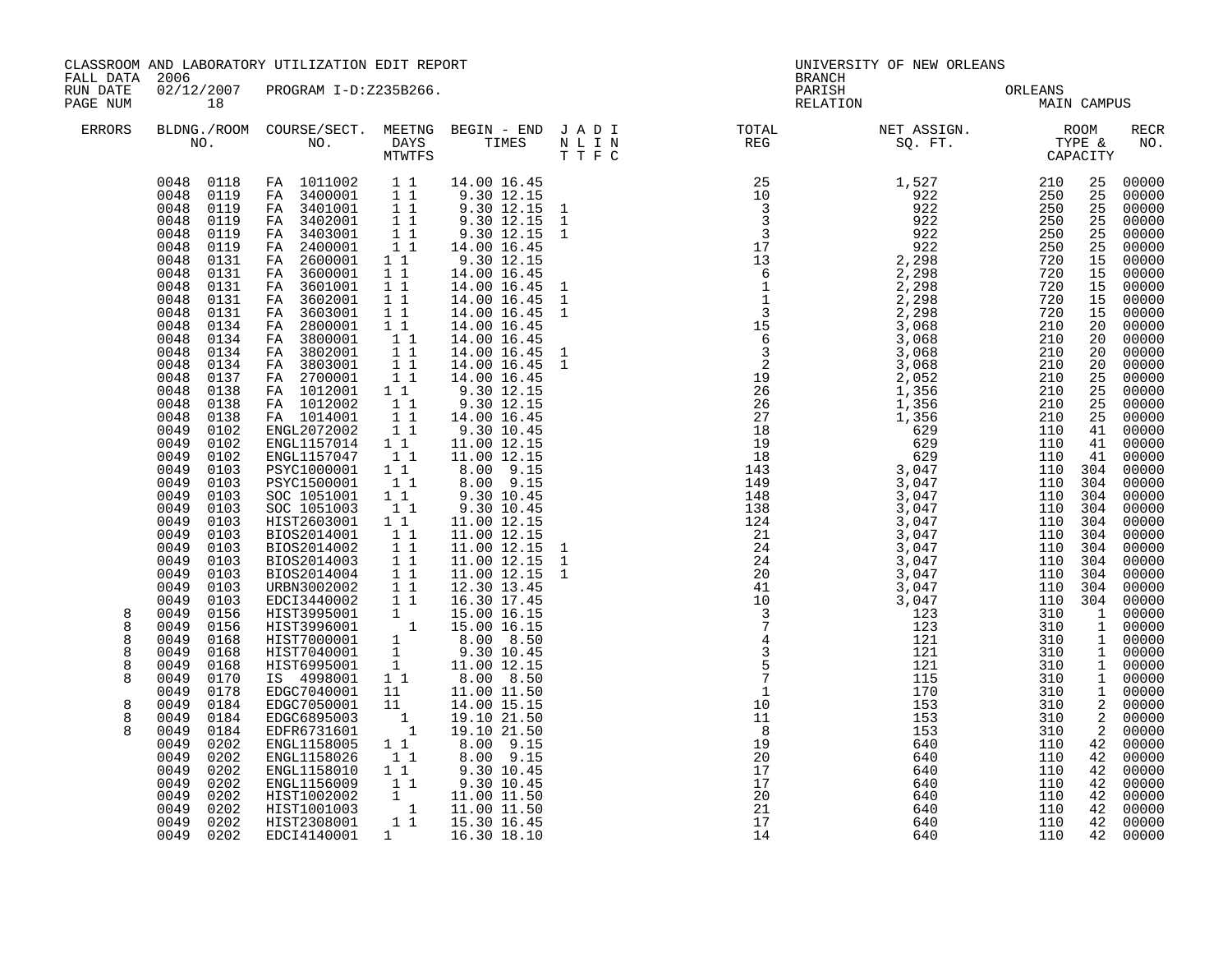| FALL DATA 2006<br>RUN DATE           |                                                                                                                                                                                                                                                                                                                                                                                                                                                                                                                                                                                                                                                                                                                                                                           | CLASSROOM AND LABORATORY UTILIZATION EDIT REPORT<br>02/12/2007 PROGRAM I-D:Z235B266.                                                                                                                                                                                                                                                                                                                                                                                                                                                                                                                                                                                                                                                                                                                                                                                                                                                                                                                                                                            |                                                                                                                                                                                                                                                                                                                                  |                                                                                                                                                                                                                                                                                                                                                                                                                                                                                                                                                                                                                                                                                        |                                                                                                                                                                                                                                                                                                                                                                                                                                                                                                                                          | UNIVERSITY OF NEW ORLEANS<br><b>BRANCH</b><br>PARISH<br>ORLEANS<br>MAIN CAMPUS |                                                                                                                                                         |                                                                                                                                                                                                                                      |                                                                                                                                                                                                                                                                                                                                                                                                                                                                                                                                     |
|--------------------------------------|---------------------------------------------------------------------------------------------------------------------------------------------------------------------------------------------------------------------------------------------------------------------------------------------------------------------------------------------------------------------------------------------------------------------------------------------------------------------------------------------------------------------------------------------------------------------------------------------------------------------------------------------------------------------------------------------------------------------------------------------------------------------------|-----------------------------------------------------------------------------------------------------------------------------------------------------------------------------------------------------------------------------------------------------------------------------------------------------------------------------------------------------------------------------------------------------------------------------------------------------------------------------------------------------------------------------------------------------------------------------------------------------------------------------------------------------------------------------------------------------------------------------------------------------------------------------------------------------------------------------------------------------------------------------------------------------------------------------------------------------------------------------------------------------------------------------------------------------------------|----------------------------------------------------------------------------------------------------------------------------------------------------------------------------------------------------------------------------------------------------------------------------------------------------------------------------------|----------------------------------------------------------------------------------------------------------------------------------------------------------------------------------------------------------------------------------------------------------------------------------------------------------------------------------------------------------------------------------------------------------------------------------------------------------------------------------------------------------------------------------------------------------------------------------------------------------------------------------------------------------------------------------------|------------------------------------------------------------------------------------------------------------------------------------------------------------------------------------------------------------------------------------------------------------------------------------------------------------------------------------------------------------------------------------------------------------------------------------------------------------------------------------------------------------------------------------------|--------------------------------------------------------------------------------|---------------------------------------------------------------------------------------------------------------------------------------------------------|--------------------------------------------------------------------------------------------------------------------------------------------------------------------------------------------------------------------------------------|-------------------------------------------------------------------------------------------------------------------------------------------------------------------------------------------------------------------------------------------------------------------------------------------------------------------------------------------------------------------------------------------------------------------------------------------------------------------------------------------------------------------------------------|
| PAGE NUM<br>ERRORS                   | 18                                                                                                                                                                                                                                                                                                                                                                                                                                                                                                                                                                                                                                                                                                                                                                        |                                                                                                                                                                                                                                                                                                                                                                                                                                                                                                                                                                                                                                                                                                                                                                                                                                                                                                                                                                                                                                                                 |                                                                                                                                                                                                                                                                                                                                  |                                                                                                                                                                                                                                                                                                                                                                                                                                                                                                                                                                                                                                                                                        | RELATION<br>BLDNG./ROOM COURSE/SECT. MEETNG BEGIN – END JADI TOTAL NET ASSIGN. NET ASSIGN. ROOM NO. DAYS TIMES NLIN REG SQ.FT. TYPE &                                                                                                                                                                                                                                                                                                                                                                                                    |                                                                                |                                                                                                                                                         |                                                                                                                                                                                                                                      | <b>RECR</b><br>NO.                                                                                                                                                                                                                                                                                                                                                                                                                                                                                                                  |
| 8<br>8<br>8<br>8<br>8<br>8<br>8<br>8 | 0048<br>0119<br>0048<br>0119<br>0048<br>0131<br>0048<br>0131<br>0048<br>0131<br>0048<br>0131<br>0048<br>0131<br>0048<br>0134<br>0048<br>0134<br>0048<br>0134<br>0048<br>0134<br>0048<br>0137<br>0048<br>0138<br>0048<br>0138<br>0048<br>0138<br>0049<br>0102<br>0049<br>0102<br>0049<br>0102<br>0049<br>0103<br>0049<br>0103<br>0049<br>0103<br>0049<br>0103<br>0049<br>0103<br>0049<br>0103<br>0049<br>0103<br>0049<br>0103<br>0049<br>0103<br>0049<br>0103<br>0049<br>0103<br>0049<br>0156<br>0049<br>0156<br>0049<br>0168<br>0049<br>0168<br>0049<br>0168<br>0049<br>0170<br>0049<br>0178<br>0049<br>0184<br>0049<br>0184<br>0049<br>0184<br>0049<br>0202<br>0049<br>0202<br>0049<br>0202<br>0049<br>0202<br>0049<br>0202<br>0049<br>0202<br>0049<br>0202<br>0049 0202 | $\begin{array}{cccc} 0048 & 0118 & \text{ FA} & 1011002 & 1 & 1 \\ 0048 & 0119 & \text{ FA} & 3400001 & 1 & 1 \\ 0048 & 0119 & \text{ FA} & 3401001 & 1 & 1 \\ 0048 & 0119 & \text{ FA} & 3402001 & 1 & 1 \end{array}$<br>FA 3403001<br>FA 2400001<br>FA 2600001<br>FA 3600001<br>FA 3601001<br>FA 3602001<br>FA 3603001<br>FA 2800001<br>FA 3800001<br>FA 3802001<br>FA 3803001<br>FA 2700001<br>FA 1012001<br>FA 1012002<br>FA 1014001<br>ENGL2072002<br>ENGL1157014 1 1<br>ENGL1157047 1 1<br>PSYC1000001<br>PSYC1500001<br>SOC 1051001<br>SOC 1051003<br>HIST2603001 1 1<br>BIOS2014001<br>BIOS2014002<br>$\begin{tabular}{@{}c@{}}\texttt{BIOS2014002} & 1 & 1 & 11.00 & 12.15 \\ \texttt{BIOS2014003} & 1 & 1 & 11.00 & 12.15 \\ \texttt{BIOS2014004} & 1 & 11.00 & 12.15 \\ \texttt{URBNS002020} & 1 & 1 & 12.30 & 13.45 \\ \texttt{EDCI3440002} & 1 & 1 & 16.30 & 17.45 \\ \texttt{HIST3995001} & 1 & 15.00 & 16.15 \\$<br>ENGL1158005<br>ENGL1158026<br>ENGL1158010 1 1<br>ENGL1156009 1 1<br>HIST1002002<br>HIST1001003<br>HIST2308001<br>EDCI4140001 | $1\quad1$<br>11<br>$1\quad1$<br>$1\quad1$<br>11<br>11<br>$1\quad1$<br>11<br>$\begin{bmatrix} 1 \\ 1 \\ 1 \end{bmatrix}$<br>$1\;1$<br>11<br>$1\quad1$<br>$\frac{1}{2}$ $\frac{1}{2}$<br>$\begin{array}{ccc} & 1 & 1 \\ & 1 & 1 \end{array}$<br>$1\quad1$<br>$\begin{bmatrix} 1 \\ 1 \end{bmatrix}$<br>11<br>11<br>$1\quad1$<br>11 | 14.00 16.45<br>9.30 12.15<br>9.30 12.15 1<br>9.30 12.15 1<br>9.30 12.15 1<br>14.00 16.45<br>9.30 12.15<br>14.00 16.45<br>14.00 16.45<br>14.00 16.45<br>14.00 16.45<br>14.00 16.45<br>14.00 16.45<br>14.00 16.45<br>14.00 16.45 1<br>14.00 16.45<br>9.30 12.15<br>9.30 12.15<br>14.00 16.45<br>9.30 10.45<br>11.00 12.15<br>11.00 12.15<br>$\begin{array}{cccc} 1 & 1 & & 8\, .00 & 9\, .15 \\ 1 & 1 & & 8\, .00 & 9\, .15 \end{array}$<br>9.30 10.45<br>9.30 10.45<br>11.00 12.15<br>11.00 12.15<br>11.00 12.15<br>8.00 9.15<br>8.00 9.15<br>9.30 10.45<br>9.30 10.45<br>$\begin{array}{rrrr} 1 & 1.00 & 11.50 \\ 1 & 11.00 & 11.50 \\ 1 & 15.30 & 16.45 \end{array}$<br>1 16.30 18.10 | $\begin{array}{cccc} \texttt{N} & \texttt{R} & \texttt{R} & \texttt{R} & \texttt{R} & \texttt{C} & \texttt{C} & \texttt{C} \\ \texttt{N} & \texttt{N} & \texttt{N} & \texttt{R} & \texttt{R} & \texttt{R} & \texttt{R} \\ \texttt{N} & \texttt{N} & \texttt{N} & \texttt{N} & \texttt{N} & \texttt{N} \\ \texttt{N} & \texttt{N} & \texttt{N} & \texttt{N} & \texttt{N} & \texttt{N} \\ \texttt{N} & \texttt{N} & \texttt{N} & \texttt$<br>$\frac{8}{19}$<br>$\begin{array}{r} 19 \\ 20 \\ 17 \\ 20 \\ 21 \\ 17 \\ 14 \end{array}$<br>14 | 640<br>640<br>640<br>640<br>640<br>640<br>640<br>640                           | 110 304<br>110 304<br>110 304<br>110 304<br>110 304<br>110 304<br>110 304<br>110 304<br>110 304<br>110<br>110<br>110<br>110<br>110<br>110<br>110<br>110 | 25<br>25<br>25<br>25<br>25<br>25<br>15<br>15<br>15<br>15<br>15<br>20<br>20<br>20<br>20<br>25<br>25<br>25<br>25<br>41<br>41<br>41<br>110 304<br>$\overline{2}$<br>$\overline{a}$<br>2<br>42<br>42<br>42<br>42<br>42<br>42<br>42<br>42 | 00000<br>00000<br>00000<br>00000<br>00000<br>00000<br>00000<br>00000<br>00000<br>00000<br>00000<br>00000<br>00000<br>00000<br>00000<br>00000<br>00000<br>00000<br>00000<br>00000<br>$00000$<br>00000<br>00000<br>00000<br>00000<br>00000<br>00000<br>00000<br>00000<br>00000<br>00000<br>00000<br>110 304 00000<br>1 00000<br>1 00000<br>1 00000<br>1 00000<br>$\begin{bmatrix} 1 & 00000 \\ 1 & 00000 \end{bmatrix}$<br>1 00000<br>00000<br>00000<br>00000<br>00000<br>00000<br>00000<br>00000<br>00000<br>00000<br>00000<br>00000 |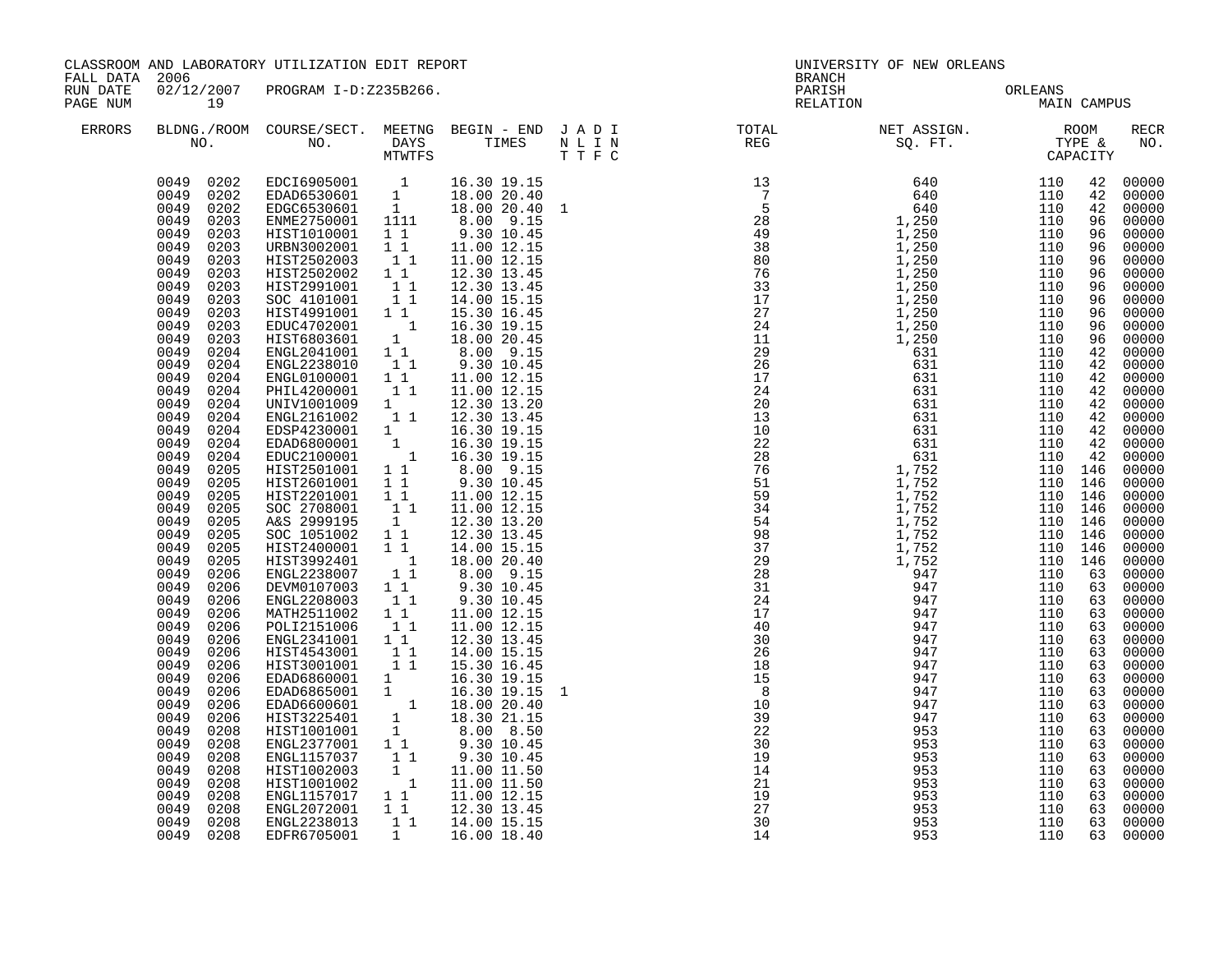|                      | CLASSROOM AND LABORATORY UTILIZATION EDIT REPORT<br>FALL DATA 2006                                                                                                                                                                                                                                                                                                                                                                                                                                                                                                                                                                                                                                                                                                                                                     |                                                                                                                                                                                                                                                                                                                                                                                                                                                                                                                                                                                                                                                                                                                                                                                                                                                                                                                                                                                                                                                                                                    |                                                                                                                                                                 |                                                                                                                                                                                                                                                                                                                                                                                                                                                                                                                                                           | UNIVERSITY OF NEW ORLEANS<br><b>BRANCH</b>                                                                                                                                                                                                                                                                                                                                                                                                     |                                 |             |          |                                                                                                                                                                                                                                                                                                                                                                                                                                                                         |  |
|----------------------|------------------------------------------------------------------------------------------------------------------------------------------------------------------------------------------------------------------------------------------------------------------------------------------------------------------------------------------------------------------------------------------------------------------------------------------------------------------------------------------------------------------------------------------------------------------------------------------------------------------------------------------------------------------------------------------------------------------------------------------------------------------------------------------------------------------------|----------------------------------------------------------------------------------------------------------------------------------------------------------------------------------------------------------------------------------------------------------------------------------------------------------------------------------------------------------------------------------------------------------------------------------------------------------------------------------------------------------------------------------------------------------------------------------------------------------------------------------------------------------------------------------------------------------------------------------------------------------------------------------------------------------------------------------------------------------------------------------------------------------------------------------------------------------------------------------------------------------------------------------------------------------------------------------------------------|-----------------------------------------------------------------------------------------------------------------------------------------------------------------|-----------------------------------------------------------------------------------------------------------------------------------------------------------------------------------------------------------------------------------------------------------------------------------------------------------------------------------------------------------------------------------------------------------------------------------------------------------------------------------------------------------------------------------------------------------|------------------------------------------------------------------------------------------------------------------------------------------------------------------------------------------------------------------------------------------------------------------------------------------------------------------------------------------------------------------------------------------------------------------------------------------------|---------------------------------|-------------|----------|-------------------------------------------------------------------------------------------------------------------------------------------------------------------------------------------------------------------------------------------------------------------------------------------------------------------------------------------------------------------------------------------------------------------------------------------------------------------------|--|
| RUN DATE<br>PAGE NUM | 19                                                                                                                                                                                                                                                                                                                                                                                                                                                                                                                                                                                                                                                                                                                                                                                                                     | 02/12/2007 PROGRAM I-D:Z235B266.                                                                                                                                                                                                                                                                                                                                                                                                                                                                                                                                                                                                                                                                                                                                                                                                                                                                                                                                                                                                                                                                   |                                                                                                                                                                 |                                                                                                                                                                                                                                                                                                                                                                                                                                                                                                                                                           |                                                                                                                                                                                                                                                                                                                                                                                                                                                | PARISH ORLEANS<br>RELATION MAIN | MAIN CAMPUS |          |                                                                                                                                                                                                                                                                                                                                                                                                                                                                         |  |
| ERRORS               |                                                                                                                                                                                                                                                                                                                                                                                                                                                                                                                                                                                                                                                                                                                                                                                                                        |                                                                                                                                                                                                                                                                                                                                                                                                                                                                                                                                                                                                                                                                                                                                                                                                                                                                                                                                                                                                                                                                                                    |                                                                                                                                                                 |                                                                                                                                                                                                                                                                                                                                                                                                                                                                                                                                                           | $\begin{tabular}{lllllllllllllllllllll} \textsc{BLONG.} \textsc{F100M.} & \textsc{COURSE/SECT.} & \textsc{METNG.} & \textsc{BEGIN - END} & \textsc{J A D I} & \textsc{DTAT} & \textsc{NTGTL} & \textsc{NET ASSIGN.} & \textsc{ROOM} \\ \textsc{NO.} & \textsc{NO.} & \textsc{DAYS} & \textsc{TIMES} & \textsc{N L I N} & \textsc{REG} & \textsc{SEG.} & \textsc{ST.} & \textsc{CTPE & \& \\ \textsc{MO.} & \textsc{NO.} & \textsc{MTWTFS} & \$ |                                 |             |          | RECR<br>NO.                                                                                                                                                                                                                                                                                                                                                                                                                                                             |  |
|                      | 0049 0202<br>0049 0202<br>0049<br>0202<br>0049<br>0203<br>0049<br>0203<br>0049<br>0203<br>0049<br>0203<br>0049<br>0203<br>0049<br>0203<br>0049<br>0203<br>0049<br>0203<br>0049<br>0203<br>0049<br>0203<br>0049<br>0204<br>0049<br>0204<br>0049<br>0204<br>0049<br>0204<br>0049<br>0204<br>0049<br>0204<br>0049<br>0204<br>0049<br>0204<br>0049<br>0204<br>0049<br>0205<br>0049<br>0205<br>0049<br>0205<br>0049<br>0205<br>0049<br>0205<br>0049<br>0205<br>0049<br>0205<br>0049<br>0205<br>0049<br>0206<br>0049<br>0206<br>0049<br>0206<br>0049<br>0206<br>0049<br>0206<br>0049<br>0206<br>0049<br>0206<br>0049<br>0206<br>0049<br>0206<br>0049<br>0206<br>0049<br>0206<br>0049<br>0206<br>0049<br>0208<br>0049<br>0208<br>0049<br>0208<br>0049<br>0208<br>0049<br>0208<br>0049<br>0208<br>0049<br>0208<br>0049<br>0208 | EDCI6905001 1 16.30 19.15<br>EDAD6530601 1 18.00 20.40<br>EDGC6530601 1 18.00 20.40 1<br>ENME2750001 1111 8.00 9.15<br>ENWE2750001 1111 8.00 9.15<br>HIST1010001 1 1 9.30 10.45<br>URBN3002001 1 1 1.00 12.15<br>HIST2502003 1 1<br>HIST2502002 1 1<br>HIST2502002 1 1<br>SOC 4101001<br>HIST4991001 1 1<br>EDUC4702001 1<br>HIST6803601 1<br>ENGL2041001 1 1<br>ENGL2238010 1 1<br>ENGL2238010 1 1<br>ENGL0100001 1 1<br>PHIL4200001<br>UNIV1001009 1<br>ENGL2161002<br>EDSP4230001 1<br>EDAD6800001 1<br>EDUC2100001 1<br>HIST2501001 1 1<br>HIST2601001 1 1<br>HIST2201001<br>SOC 2708001<br>A&S 2999195<br>SOC 1051002 1 1<br>HIST2400001 1 1<br>HIST3992401<br>ENGL2238007<br>DEVM0107003 1 1<br>ENGL2208003<br>MATH2511002<br>POLI2151006<br>ENGL2341001 1 1<br>HIST4543001 1 1<br>HIST3001001 11<br>HIST3001001 1<br>EDAD6860001 1 16.30 19.15<br>EDAD6865001 1 16.30 19.15<br>EDAD6600601 1 18.00 20.40<br>HIST3225401 1 8.00 8.50<br>HIST1001001 1 8.00 8.50<br>WELL: 9.30 10.45<br>ENGL1157037<br>HIST1002003<br>HIST1001002<br>ENGL1157017<br>ENGL2072001 11 12.30 13.45<br>ENGL2238013 | 11<br>$1\quad1$<br>$1\quad1$<br>11<br>1<br>$\begin{array}{c} 1 \\ 1 \end{array}$<br>11<br>$1\quad1$<br>11<br>$1\quad1$<br>$\begin{array}{c} 1 \\ 1 \end{array}$ | 11.00 12.15<br>12.30 13.45<br>12.30 13.45<br>14.00 15.15<br>15.30 16.45<br>16.30 19.15<br>18.00 20.45<br>8.00 9.15<br>9.30 10.45<br>11.00 12.15<br>11.00 12.15<br>12.30 13.20<br>12.30 13.45<br>16.30 19.15<br>16.30 19.15<br>16.30 19.15<br>8.00 9.15<br>9.30 10.45<br>11.00 12.15<br>11.00 12.15<br>12.30 13.20<br>12.30 13.45<br>14.00 15.15<br>18.00 20.40<br>$8.00$ $9.15$<br>9.30 10.45<br>9.30 10.45<br>11.00 12.15<br>11.00 12.15<br>12.30 13.45<br>14.00 15.15<br>9.30 10.45<br>11.00 11.50<br>11.00 11.50<br>1 1 11.00 12.15<br>1 1 14.00 15.15 | $\begin{array}{c} 21 \\ 19 \\ 27 \\ 30 \\ 14 \end{array}$                                                                                                                                                                                                                                                                                                                                                                                      | 953<br>953                      | 110<br>110  | 63<br>63 | 00000<br>00000<br>00000<br>00000<br>00000<br>00000<br>00000<br>00000<br>00000<br>00000<br>00000<br>00000<br>96 00000<br>00000<br>00000<br>00000<br>00000<br>00000<br>00000<br>00000<br>00000<br>00000<br>00000<br>00000<br>00000<br>00000<br>00000<br>00000<br>00000<br>00000<br>00000<br>00000<br>00000<br>63 00000<br>00000<br>00000<br>00000<br>00000<br>00000<br>00000<br>00000<br>00000<br>00000<br>00000<br>00000<br>00000<br>63 00000<br>00000<br>00000<br>00000 |  |
|                      | 0049 0208                                                                                                                                                                                                                                                                                                                                                                                                                                                                                                                                                                                                                                                                                                                                                                                                              | EDFR6705001                                                                                                                                                                                                                                                                                                                                                                                                                                                                                                                                                                                                                                                                                                                                                                                                                                                                                                                                                                                                                                                                                        | $\mathbf{1}$                                                                                                                                                    | 16.00 18.40                                                                                                                                                                                                                                                                                                                                                                                                                                                                                                                                               | 14                                                                                                                                                                                                                                                                                                                                                                                                                                             | 953                             | 110         |          | 63 00000                                                                                                                                                                                                                                                                                                                                                                                                                                                                |  |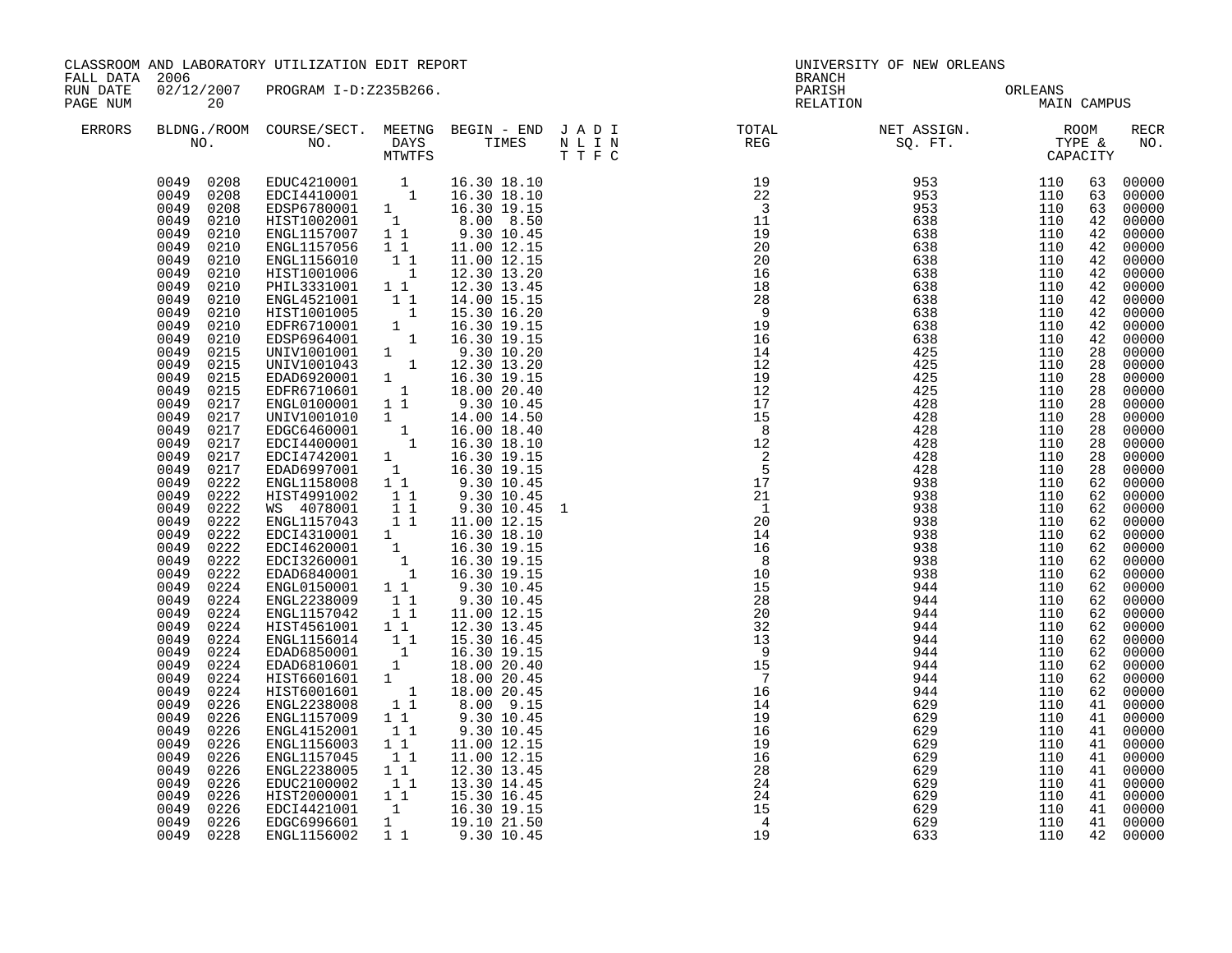| FALL DATA 2006       |                                                                                                                                                                                                                                                                                                                                                                                                                                                                                                                                                                                                                                                                                                                        | CLASSROOM AND LABORATORY UTILIZATION EDIT REPORT                                                                                                                                                                                                                                                                                                                                                                                                                                                                                                                                                                                                                                                                                                                                                                                                                                                                                                                                                                                                                                           |                                                                                                                                                                       |                                                                                                                                                                                                                                                                                                                  |  |                                                                                                                                                                                                                                                                                                                                                                                                                                                | UNIVERSITY OF NEW ORLEANS<br>BRANCH           |                                               |                                                                                                                                                                                                                            |                                                                                                                                                                                                                                                                                                                                                                                                                               |  |
|----------------------|------------------------------------------------------------------------------------------------------------------------------------------------------------------------------------------------------------------------------------------------------------------------------------------------------------------------------------------------------------------------------------------------------------------------------------------------------------------------------------------------------------------------------------------------------------------------------------------------------------------------------------------------------------------------------------------------------------------------|--------------------------------------------------------------------------------------------------------------------------------------------------------------------------------------------------------------------------------------------------------------------------------------------------------------------------------------------------------------------------------------------------------------------------------------------------------------------------------------------------------------------------------------------------------------------------------------------------------------------------------------------------------------------------------------------------------------------------------------------------------------------------------------------------------------------------------------------------------------------------------------------------------------------------------------------------------------------------------------------------------------------------------------------------------------------------------------------|-----------------------------------------------------------------------------------------------------------------------------------------------------------------------|------------------------------------------------------------------------------------------------------------------------------------------------------------------------------------------------------------------------------------------------------------------------------------------------------------------|--|------------------------------------------------------------------------------------------------------------------------------------------------------------------------------------------------------------------------------------------------------------------------------------------------------------------------------------------------------------------------------------------------------------------------------------------------|-----------------------------------------------|-----------------------------------------------|----------------------------------------------------------------------------------------------------------------------------------------------------------------------------------------------------------------------------|-------------------------------------------------------------------------------------------------------------------------------------------------------------------------------------------------------------------------------------------------------------------------------------------------------------------------------------------------------------------------------------------------------------------------------|--|
| RUN DATE<br>PAGE NUM | 20                                                                                                                                                                                                                                                                                                                                                                                                                                                                                                                                                                                                                                                                                                                     | 02/12/2007 PROGRAM I-D:Z235B266.                                                                                                                                                                                                                                                                                                                                                                                                                                                                                                                                                                                                                                                                                                                                                                                                                                                                                                                                                                                                                                                           |                                                                                                                                                                       |                                                                                                                                                                                                                                                                                                                  |  |                                                                                                                                                                                                                                                                                                                                                                                                                                                | PARISH ORLEANS MAIN CAMPUS                    |                                               |                                                                                                                                                                                                                            |                                                                                                                                                                                                                                                                                                                                                                                                                               |  |
| ERRORS               |                                                                                                                                                                                                                                                                                                                                                                                                                                                                                                                                                                                                                                                                                                                        |                                                                                                                                                                                                                                                                                                                                                                                                                                                                                                                                                                                                                                                                                                                                                                                                                                                                                                                                                                                                                                                                                            |                                                                                                                                                                       |                                                                                                                                                                                                                                                                                                                  |  | $\begin{tabular}{lllllllllllllllllllll} \textsc{BLONG.} \textsc{F100M.} & \textsc{COURSE/SECT.} & \textsc{METNG.} & \textsc{BEGIN - END.} & \textsc{J A D I} & \textsc{DTATM E} & \textsc{NET ASSIGN.} & \textsc{ROOM} \\ \textsc{NO.} & \textsc{NO.} & \textsc{DAYS} & \textsc{TIMES} & \textsc{N L I N} & \textsc{REG} & \textsc{SEG} & \textsc{ST.} & \textsc{STF.} & \textsc{CTPACITY} \\ & \textsc{MTVTFS} & \textsc{T T F C} & \textsc{$ |                                               |                                               |                                                                                                                                                                                                                            | RECR<br>NO.                                                                                                                                                                                                                                                                                                                                                                                                                   |  |
|                      | 0049 0208<br>0049 0208<br>0049<br>0208<br>0049<br>0210<br>0049<br>0210<br>0049<br>0210<br>0049<br>0210<br>0049<br>0210<br>0049<br>0210<br>0049<br>0210<br>0049<br>0210<br>0049<br>0210<br>0049<br>0210<br>0049<br>0215<br>0049<br>0215<br>0049<br>0215<br>0049<br>0215<br>0049<br>0217<br>0049<br>0217<br>0049<br>0217<br>0049<br>0217<br>0049<br>0217<br>0049<br>0217<br>0049<br>0222<br>0049<br>0222<br>0049<br>0222<br>0049<br>0222<br>0049<br>0222<br>0049<br>0222<br>0049<br>0222<br>0049<br>0222<br>0049<br>0224<br>0049<br>0224<br>0049<br>0224<br>0049<br>0224<br>0049<br>0224<br>0049<br>0224<br>0049<br>0224<br>0049<br>0224<br>0049<br>0224<br>0049<br>0226<br>0049<br>0226<br>0049<br>0226<br>0049<br>0226 | EDUC4210001 1 16.30 18.10<br>EDCI4410001 1 16.30 18.10<br>EDSP6780001 1 16.30 19.15<br>HIST1002001 1 8.00 8.50<br>ENGL1157007 1 1 9.30 10.45<br>ENGL1157056<br>ENGL1156010<br>HIST1001006<br>PHIL3331001 1 1<br>ENGL4521001 1 1 14.30 13.45<br>ENGL4521001 1 1 14.00 15.15<br>EDFR67100001 1 16.30 16.20<br>EDFR6710001 1 16.30 19.15<br>EDSP6964001 1 9.30 10.20<br>UNIV1001043 1 12.30 13.20<br>EDB05920001 1 16.30 13.20<br>EDFR672001 1 16.30 19.15<br>EDFR6710601 1 18.00 20.40<br>ENGL0100001 1 9.30 10.45<br>UNIV1001010 1 14.00 14.50<br>EDGC6460001 1 16.00 18.40<br>EDGC4400001 1 16.30 18.40<br>EDGC4400001 1 16.30 19.15<br>EDAD6997001 1 16.30 19.15<br>ENGL1158008 1 1 9.30 10.45<br>HIST4991002<br>WS 4078001<br>ENGL1157043 1 1<br>EDCI4310001 1 16.30 18.10<br>EDCI4620001 1 16.30 19.15<br>EDCI3260001 1 16.30 19.15<br>EDAD6840001 1 16.30 19.15<br>ENGL0150001 1 1<br>ENGL2238009<br>ENGL1157042<br>HIST4561001 1 1<br>ENGL1156014 11<br>EDAD6850001 1<br>EDAD6810601<br>HIST6601601 1<br>HIST6001601 1<br>ENGL2238008 11<br>ENGL1157009<br>ENGL4152001<br>ENGL1156003 | $1\quad1$<br>$\begin{bmatrix} 1 \\ 1 \end{bmatrix}$<br>11<br>$1\quad1$<br>$\begin{bmatrix} 1 \\ 1 \\ 1 \end{bmatrix}$<br>$\mathbf{1}$<br>$1\quad1$<br>11<br>$1\quad1$ | 11.00 12.15<br>11.00 12.15<br>12.30 13.20<br>12.30 13.45<br>$9.30$ 10.45<br>9.30 10.45<br>9.30 10.45<br>11.00 12.15<br>9.30 10.45<br>9.30 10.45<br>11.00 12.15<br>12.30 13.45<br>15.30 16.45<br>16.30 19.15<br>18.00 20.40<br>18.00 20.45<br>18.00 20.45<br>8.00 9.15<br>9.30 10.45<br>9.30 10.45<br>11.00 12.15 |  | $\begin{array}{cccccccc} \texttt{N} & \texttt{N} & \texttt{N} & \texttt{N} & \texttt{1100} & \texttt{0.01} & \texttt{0.02} & \texttt{1100} & \texttt{0.02} & \texttt{0.03} & \texttt{0.04} & \texttt{0.04} & \texttt{0.04} & \texttt{0.04} & \texttt{0.04} & \texttt{0.04} & \texttt{0.04} & \texttt{0.04} & \texttt{0.04} & \texttt{0.04} & \texttt{0.04} & \texttt{0.04} & \texttt{$                                                         | 944<br>629<br>629<br>629<br>629               | 110<br>110<br>110<br>110<br>110               | 63<br>63<br>63<br>42<br>42<br>42<br>42<br>42<br>42<br>42<br>42<br>42<br>28<br>28<br>28<br>28<br>28<br>28<br>28<br>28<br>28<br>28<br>62<br>62<br>62<br>62<br>62<br>62<br>62<br>62<br>62<br>62<br>62<br>62<br>41<br>41<br>41 | 00000<br>00000<br>00000<br>00000<br>42 00000<br>00000<br>00000<br>00000<br>00000<br>00000<br>00000<br>00000<br>00000<br>00000<br>00000<br>00000<br>00000<br>00000<br>00000<br>00000<br>00000<br>00000<br>00000<br>00000<br>00000<br>62 00000<br>00000<br>62 00000<br>00000<br>62 00000<br>00000<br>00000<br>00000<br>62 00000<br>00000<br>00000<br>00000<br>62 00000<br>00000<br>00000<br>41 00000<br>00000<br>00000<br>00000 |  |
|                      | 0049<br>0226<br>0049<br>0226<br>0049<br>0226<br>0049<br>0226<br>0049<br>0226<br>0049 0226<br>0049 0228                                                                                                                                                                                                                                                                                                                                                                                                                                                                                                                                                                                                                 | ENGL1157045<br>ENGL2238005<br>EDUC2100002<br>HIST2000001 1 1<br>EDCI4421001<br>EDGC6996601<br>ENGL1156002                                                                                                                                                                                                                                                                                                                                                                                                                                                                                                                                                                                                                                                                                                                                                                                                                                                                                                                                                                                  | 11<br>$1\quad1$<br>11<br>$\mathbf{1}$<br>11                                                                                                                           | 11.00 12.15<br>12.30 13.45<br>13.30 14.45<br>15.30 16.45<br>$1 \t 16.30 \t 19.15$<br>19.10 21.50<br>9.30 10.45                                                                                                                                                                                                   |  |                                                                                                                                                                                                                                                                                                                                                                                                                                                | 629<br>629<br>629<br>629<br>629<br>629<br>633 | 110<br>110<br>110<br>110<br>110<br>110<br>110 | 41<br>41<br>41<br>41<br>41<br>42                                                                                                                                                                                           | 00000<br>00000<br>00000<br>00000<br>41 00000<br>00000<br>00000                                                                                                                                                                                                                                                                                                                                                                |  |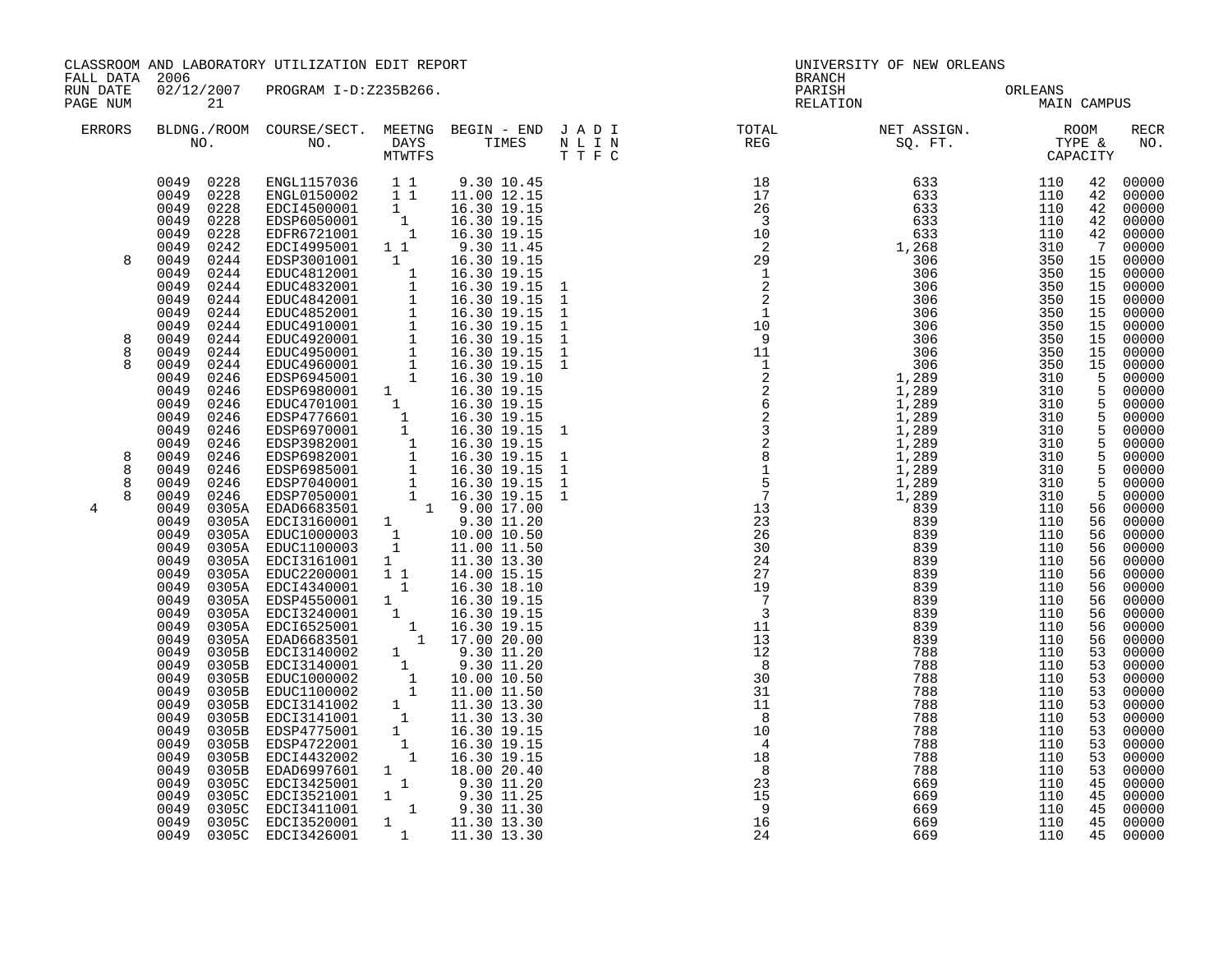|                      | CLASSROOM AND LABORATORY UTILIZATION EDIT REPORT<br>FALL DATA 2006                                                                                                   |                                              |                                                                                                                                                                                                                                                                                                                                                                                                                                                                                                                                                                                                       |                           | UNIVERSITY OF NEW ORLEANS<br>BRANCH |                             |                   |                                                                                                                                                    |                                                                                                                                                                                              |
|----------------------|----------------------------------------------------------------------------------------------------------------------------------------------------------------------|----------------------------------------------|-------------------------------------------------------------------------------------------------------------------------------------------------------------------------------------------------------------------------------------------------------------------------------------------------------------------------------------------------------------------------------------------------------------------------------------------------------------------------------------------------------------------------------------------------------------------------------------------------------|---------------------------|-------------------------------------|-----------------------------|-------------------|----------------------------------------------------------------------------------------------------------------------------------------------------|----------------------------------------------------------------------------------------------------------------------------------------------------------------------------------------------|
| RUN DATE<br>PAGE NUM |                                                                                                                                                                      | 21                                           | 02/12/2007 PROGRAM I-D:Z235B266.                                                                                                                                                                                                                                                                                                                                                                                                                                                                                                                                                                      |                           | PARISH                              | ORLEANS<br>MAIP<br>RELATION | MAIN CAMPUS       |                                                                                                                                                    |                                                                                                                                                                                              |
| ERRORS               |                                                                                                                                                                      |                                              |                                                                                                                                                                                                                                                                                                                                                                                                                                                                                                                                                                                                       |                           |                                     |                             |                   |                                                                                                                                                    | <b>RECR</b><br>NO.                                                                                                                                                                           |
| 8<br>8               | 0049 0228<br>0049<br>0049<br>0049<br>0049<br>0049<br>0049<br>0049<br>0049<br>0049<br>0049<br>0049<br>0049                                                            | 0228<br>0228<br>0228<br>0228<br>0242<br>0244 | ENGL1157036 1 1 9.30 10.45<br>ENGL0150002 1 1 11.00 12.15<br>EDCI4500001 1 16.30 19.15<br>EDSP6050001 1 16.30 19.15<br>EDFR6721001 1 16.30 19.15<br>EDCI4995001 1 1<br>EDSP3001001 1                                                                                                                                                                                                                                                                                                                                                                                                                  | 9.30 11.45<br>16.30 19.15 |                                     |                             |                   | 42<br>42<br>42<br>42<br>$\overline{7}$<br>15<br>15<br>15<br>15<br>15<br>15                                                                         | 00000<br>00000<br>00000<br>00000<br>42 00000<br>00000<br>15 00000<br>00000<br>00000<br>00000<br>00000<br>00000<br>00000                                                                      |
| 8<br>8               | 0049<br>0049<br>0049<br>0049<br>0049<br>0049<br>0049<br>0049<br>0049                                                                                                 |                                              |                                                                                                                                                                                                                                                                                                                                                                                                                                                                                                                                                                                                       |                           |                                     |                             |                   |                                                                                                                                                    | 15 00000<br>15 00000<br>$\frac{5}{5}$ 00000<br>5 00000<br>$\frac{5}{5}$ 00000<br>5 00000<br>$\begin{bmatrix} 5 & 00000 \\ 5 & 00000 \\ 5 & 00000 \end{bmatrix}$                              |
| 8<br>8<br>8<br>4     | 0049<br>0049<br>0049<br>0049<br>0049<br>0049<br>0049<br>0049<br>0049<br>0049<br>0049<br>0049<br>0049<br>0049<br>0049<br>0049<br>0049<br>0049<br>0049<br>0049<br>0049 |                                              | $\begin{tabular}{@{}c@{}}\n 244 & EDE(149989001 & 1 & 9.30 & 19.15\\ \n 0.244 & EDE(24842001 & 1 & 16.30 & 19.15\\ \n 0.244 & EDUC4842001 & 1 & 16.30 & 19.15\\ \n 0.244 & EDUC4842001 & 1 & 16.30 & 19.15\\ \n 0.244 & EDUC4942001 & 1 & 16.30 & 19.15\\ \n 0.244 & EDUC4910001 & 1 &$<br>$\begin{tabular}{@{}c@{}}0305A & \text{EDUC2200001} & 1 & 1 & 14.00 & 15.15 \\ 0305A & \text{EDC14340001} & 1 & 16.30 & 18.10 \\ 0305A & \text{EDC15240001} & 1 & 16.30 & 19.15 \\ 0305A & \text{EDC15525001} & 1 & 16.30 & 19.15 \\ 0305A & \text{EDC16525001} & 1 & 16.30 & 19.15 \\ 0305A & \text{EDAC$ |                           |                                     |                             |                   | 5 <sub>5</sub><br>$5^{\circ}$<br>$5^{\circ}$<br>56<br>56<br>56<br>56<br>56<br>56<br>56<br>56<br>56<br>56<br>53<br>53<br>53<br>53<br>53<br>53<br>53 | 00000<br>00000<br>00000<br>56 00000<br>00000<br>00000<br>00000<br>00000<br>00000<br>00000<br>00000<br>00000<br>00000<br>00000<br>00000<br>00000<br>00000<br>00000<br>00000<br>00000<br>00000 |
|                      | 0049<br>0049<br>0049<br>0049<br>0049<br>0049<br>0049                                                                                                                 | 0305C<br>0305C                               | EDCI3425001 1 9.30 11.20<br>EDCI3425001 1 9.30 11.25<br>EDCI3521001 1 9.30 11.25<br>EDCI3411001 1 9.30 11.30<br>EDCI3520001 1 11.30 13.30<br>EDCI3426001 1 11.30 13.30<br>0305C EDCI3411001<br>0305C EDCI3520001<br>0049 0305C EDCI3426001                                                                                                                                                                                                                                                                                                                                                            |                           | $\overline{9}$<br>16<br>24          | 669<br>669<br>669           | 110<br>110<br>110 | 53<br>53<br>53<br>45<br>45<br>45<br>45                                                                                                             | 00000<br>00000<br>00000<br>00000<br>00000<br>00000<br>00000<br>45 00000                                                                                                                      |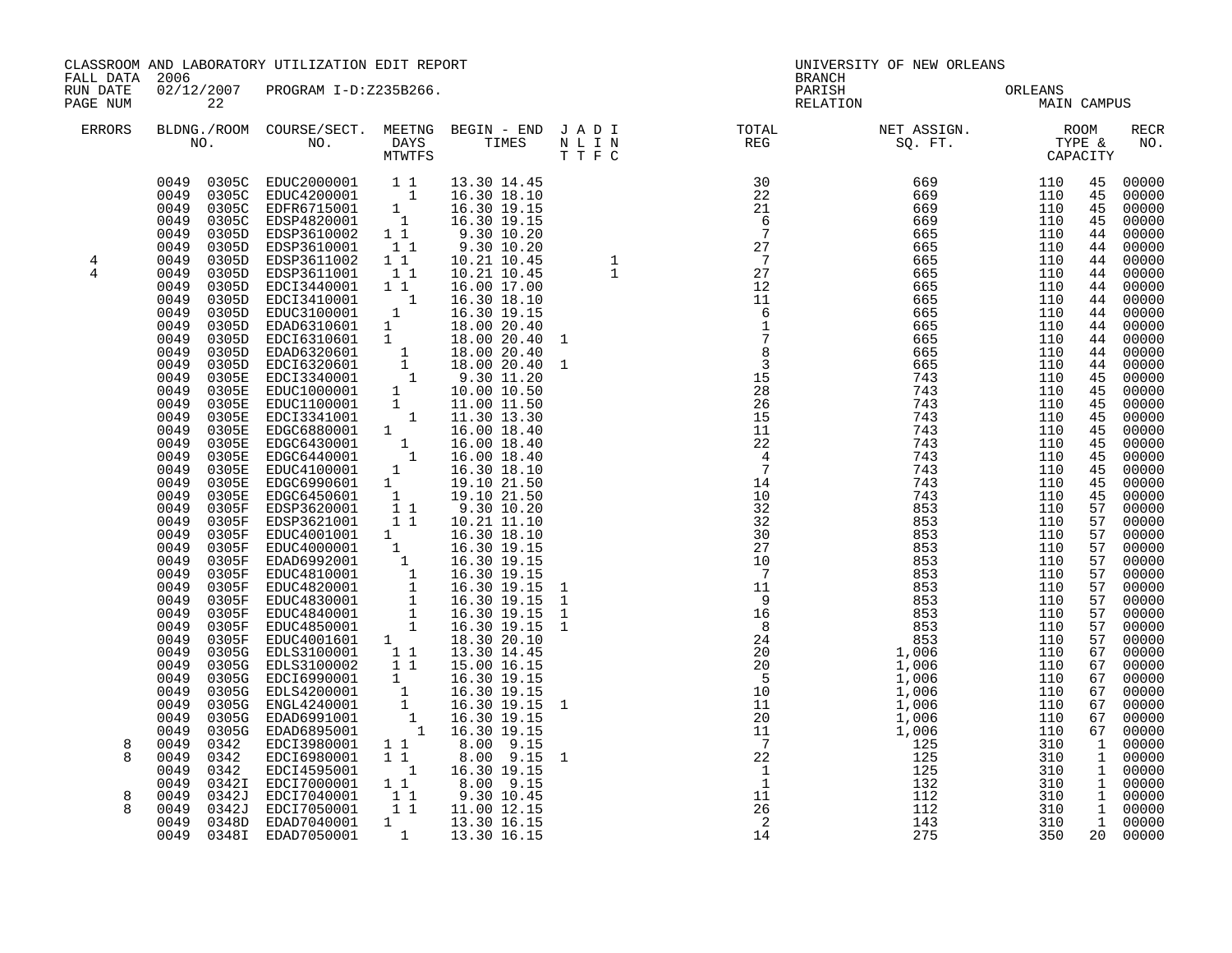| FALL DATA 2006       |                                                                                                                                                                                                                                                                                                                                                                                                                                                             | CLASSROOM AND LABORATORY UTILIZATION EDIT REPORT                                                                                                                                                                                                                                                                                                                                                                                                                                                                                                                                                                                                                                                                                     |                                  |                                                                                                               |                                  | UNIVERSITY OF NEW ORLEANS<br><b>BRANCH</b>                                                                                                                                                                                                                                    |     |                        |                                                                                                                                                                                                                                        |                                                                                                                                                                                                                                                                                                                                                                                                                                                                                          |
|----------------------|-------------------------------------------------------------------------------------------------------------------------------------------------------------------------------------------------------------------------------------------------------------------------------------------------------------------------------------------------------------------------------------------------------------------------------------------------------------|--------------------------------------------------------------------------------------------------------------------------------------------------------------------------------------------------------------------------------------------------------------------------------------------------------------------------------------------------------------------------------------------------------------------------------------------------------------------------------------------------------------------------------------------------------------------------------------------------------------------------------------------------------------------------------------------------------------------------------------|----------------------------------|---------------------------------------------------------------------------------------------------------------|----------------------------------|-------------------------------------------------------------------------------------------------------------------------------------------------------------------------------------------------------------------------------------------------------------------------------|-----|------------------------|----------------------------------------------------------------------------------------------------------------------------------------------------------------------------------------------------------------------------------------|------------------------------------------------------------------------------------------------------------------------------------------------------------------------------------------------------------------------------------------------------------------------------------------------------------------------------------------------------------------------------------------------------------------------------------------------------------------------------------------|
| RUN DATE<br>PAGE NUM | 22                                                                                                                                                                                                                                                                                                                                                                                                                                                          |                                                                                                                                                                                                                                                                                                                                                                                                                                                                                                                                                                                                                                                                                                                                      | 02/12/2007 PROGRAM I-D:Z235B266. |                                                                                                               |                                  | PARISH<br>RELATION                                                                                                                                                                                                                                                            |     | ORLEANS<br>MAIN CAMPUS |                                                                                                                                                                                                                                        |                                                                                                                                                                                                                                                                                                                                                                                                                                                                                          |
| <b>ERRORS</b>        |                                                                                                                                                                                                                                                                                                                                                                                                                                                             |                                                                                                                                                                                                                                                                                                                                                                                                                                                                                                                                                                                                                                                                                                                                      |                                  |                                                                                                               |                                  |                                                                                                                                                                                                                                                                               |     |                        |                                                                                                                                                                                                                                        | <b>RECR</b><br>NO.                                                                                                                                                                                                                                                                                                                                                                                                                                                                       |
| 4<br>4<br>8<br>8     | 0049<br>0305D<br>0049<br>0305D<br>0049<br>0305D<br>0049<br>0305D<br>0049<br>0049<br>0049<br>0049<br>0049<br>0049<br>0049<br>0049<br>0049<br>0049<br>0049<br>0049<br>0049<br>0049<br>0049<br>0049<br>0049<br>0049<br>0049<br>0049<br>0049<br>0049<br>0049<br>0049<br>0049<br>0049<br>0049<br>0049<br>0049<br>0049<br>0049<br>0049<br>0049<br>0049<br>0049<br>0342<br>0049<br>0342<br>0049<br>0342<br>0049<br>0342I<br>0049<br>0342J<br>0049<br>0342J<br>0049 | 0049 0305C EDUC2000001 1 1 13.30 14.45<br>0049 0305C EDUC4200001 1 16.30 18.10<br>0049 0305C EDFR6715001 1 16.30 19.15<br>0049 0305C EDSP4820001 1 16.30 19.15<br>0049 0305D EDSP3610002 1 1 9.30 10.20<br>EDSP3610001 11<br>EDSP3610001 11<br>EDSP3611001 1<br>EDSP3611001 11<br>EDCI3440001 11<br>$\begin{tabular}{@{}c@{}}0305D & EDE93611001 & 11 & 16.21 & 10.45 \\ 0305D & EDE13440001 & 1 & 16.30 & 17.06 \\ 0305D & EDE13410001 & 1 & 16.30 & 18.10 \\ 0305D & EDE13410001 & 1 & 16.30 & 19.15 \\ 0305D & EDE16310601 & 1 & 16.30 & 20.40 \\ 0305D & EDE16310601 & 1 & 18.00 & 20.4$<br>EDCI3980001 11<br>EDCI6980001 1<br>EDCI4595001 1<br>EDCI7000001 11<br>EDCI7040001  1  1  9.30  10.45<br>EDCI7050001  1  11.00  12.15 |                                  | 9.30 10.20<br>10.21 10.45<br>10.21 10.45<br>16.00 17.00<br>8.00 9.15<br>8.00 9.15<br>16.30 19.15<br>8.00 9.15 | $\frac{11}{26}$<br>$\frac{2}{2}$ | $\begin{array}{cccccccc} 1 & 1 & 1 & 0.006 & 0.006 & 0.007 & 0.008 & 0.007 & 0.008 & 0.007 & 0.008 & 0.009 & 0.009 & 0.009 & 0.009 & 0.009 & 0.009 & 0.009 & 0.009 & 0.009 & 0.009 & 0.009 & 0.009 & 0.009 & 0.009 & 0.009 & 0.009 & 0.009 & 0.009 & 0.009 & 0.009 & 0.009 &$ | 143 | 310                    | 45<br>45<br>45<br>45<br>44<br>44<br>44<br>44<br>44<br>44<br>44<br>44<br>44<br>44<br>44<br>45<br>45<br>45<br>45<br>45<br>45<br>45<br>45<br>45<br>45<br>57<br>57<br>57<br>57<br>57<br>57<br>57<br>57<br>57<br>57<br>57<br>67<br>67<br>67 | 00000<br>00000<br>00000<br>00000<br>00000<br>00000<br>00000<br>00000<br>00000<br>00000<br>00000<br>00000<br>00000<br>00000<br>00000<br>00000<br>00000<br>00000<br>00000<br>00000<br>00000<br>00000<br>00000<br>00000<br>00000<br>00000<br>00000<br>00000<br>00000<br>00000<br>00000<br>00000<br>00000<br>00000<br>00000<br>00000<br>00000<br>67 00000<br>00000<br>67 00000<br>00000<br>67 00000<br>67 00000<br>1 00000<br>1 00000<br>1 00000<br>1 00000<br>1 00000<br>1 00000<br>1 00000 |
|                      | 0049                                                                                                                                                                                                                                                                                                                                                                                                                                                        | $\begin{array}{cccc} 0348\text{D} & \text{EDAD7040001} & 1 & 13.30 \ 16.15 & 1348\text{I} & \text{EDAD7050001} & 1 & 13.30 \ 16.15 & 16.15 & 16.15 & 16.15 \end{array}$<br>0348I EDAD7050001                                                                                                                                                                                                                                                                                                                                                                                                                                                                                                                                         |                                  |                                                                                                               |                                  | 14                                                                                                                                                                                                                                                                            | 275 | 350                    |                                                                                                                                                                                                                                        | 20 00000                                                                                                                                                                                                                                                                                                                                                                                                                                                                                 |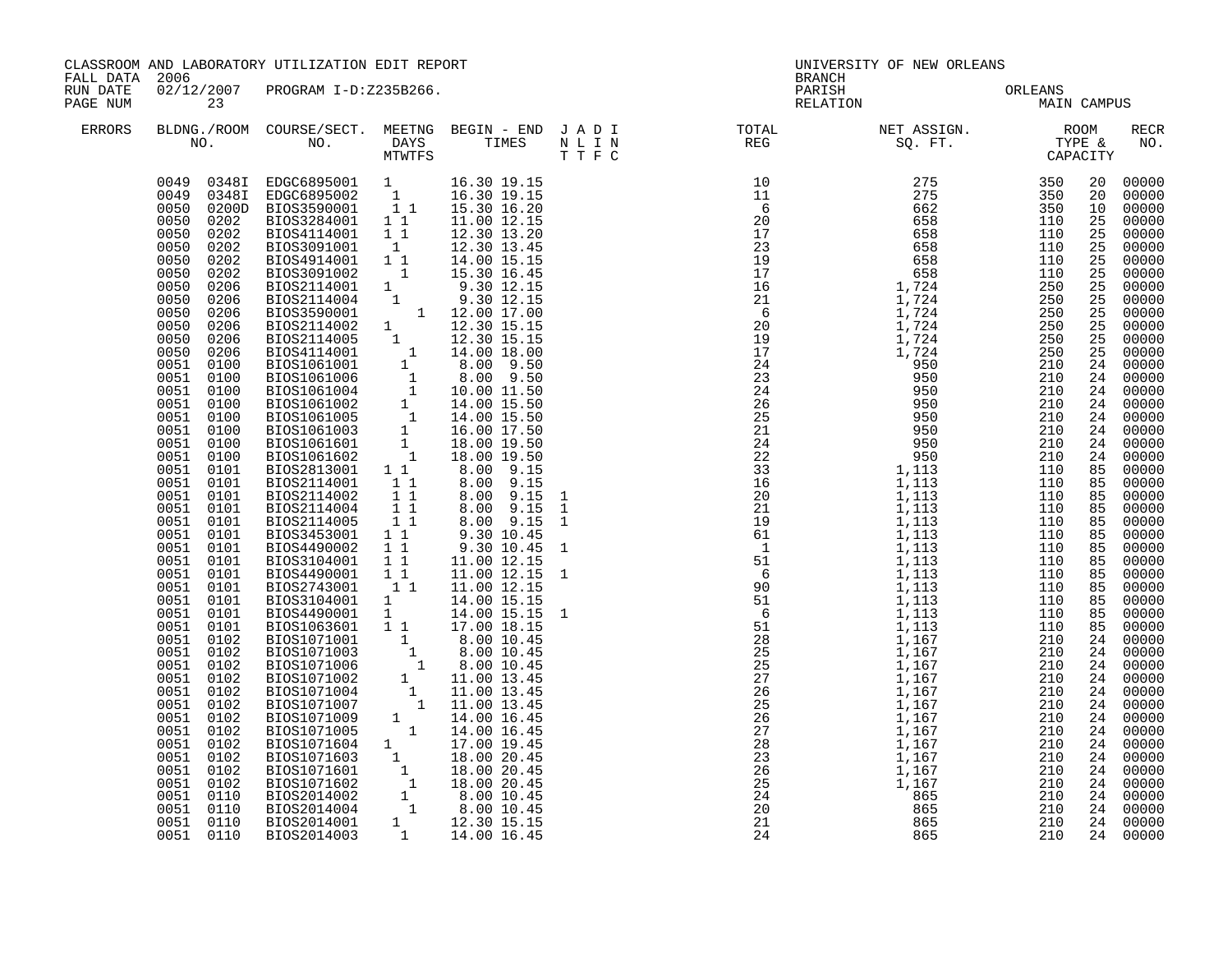| FALL DATA 2006       | CLASSROOM AND LABORATORY UTILIZATION EDIT REPORT                                                                                                                                                                                                                                                                                                                                                                                                                                                                                                                                                                                                                                                                                   |                                                                                                                                                                                                                                                                                                                                                                                                                                                                                                                                                                                                                                                                                                                                                                                                                                                                                                                                           |  |                                                                                                                                                |  | UNIVERSITY OF NEW ORLEANS<br><b>BRANCH</b> |                                                                                                                                                                                                                                                                                                                                                                                                                                                |             |                                                                                                                                                                                                    |                                                                                                                                                                                                                                                                                                                                                                                                                                                                                                                                   |  |
|----------------------|------------------------------------------------------------------------------------------------------------------------------------------------------------------------------------------------------------------------------------------------------------------------------------------------------------------------------------------------------------------------------------------------------------------------------------------------------------------------------------------------------------------------------------------------------------------------------------------------------------------------------------------------------------------------------------------------------------------------------------|-------------------------------------------------------------------------------------------------------------------------------------------------------------------------------------------------------------------------------------------------------------------------------------------------------------------------------------------------------------------------------------------------------------------------------------------------------------------------------------------------------------------------------------------------------------------------------------------------------------------------------------------------------------------------------------------------------------------------------------------------------------------------------------------------------------------------------------------------------------------------------------------------------------------------------------------|--|------------------------------------------------------------------------------------------------------------------------------------------------|--|--------------------------------------------|------------------------------------------------------------------------------------------------------------------------------------------------------------------------------------------------------------------------------------------------------------------------------------------------------------------------------------------------------------------------------------------------------------------------------------------------|-------------|----------------------------------------------------------------------------------------------------------------------------------------------------------------------------------------------------|-----------------------------------------------------------------------------------------------------------------------------------------------------------------------------------------------------------------------------------------------------------------------------------------------------------------------------------------------------------------------------------------------------------------------------------------------------------------------------------------------------------------------------------|--|
| RUN DATE<br>PAGE NUM | 23                                                                                                                                                                                                                                                                                                                                                                                                                                                                                                                                                                                                                                                                                                                                 | 02/12/2007 PROGRAM I-D:Z235B266.                                                                                                                                                                                                                                                                                                                                                                                                                                                                                                                                                                                                                                                                                                                                                                                                                                                                                                          |  |                                                                                                                                                |  | PARISH<br>RELATION                         | ORLEANS<br>MAIN                                                                                                                                                                                                                                                                                                                                                                                                                                | MAIN CAMPUS |                                                                                                                                                                                                    |                                                                                                                                                                                                                                                                                                                                                                                                                                                                                                                                   |  |
| ERRORS               |                                                                                                                                                                                                                                                                                                                                                                                                                                                                                                                                                                                                                                                                                                                                    |                                                                                                                                                                                                                                                                                                                                                                                                                                                                                                                                                                                                                                                                                                                                                                                                                                                                                                                                           |  |                                                                                                                                                |  |                                            | $\begin{tabular}{lllllllllllllllllllll} \textsc{BLONG.} \textsc{F100M.} & \textsc{COURSE/SECT.} & \textsc{METNG.} & \textsc{BEGIN - END.} & \textsc{J A D I} & \textsc{DTATM E} & \textsc{NET ASSIGN.} & \textsc{ROOM} \\ \textsc{NO.} & \textsc{NO.} & \textsc{DAYS} & \textsc{TIMES} & \textsc{N L I N} & \textsc{REG} & \textsc{SEG} & \textsc{ST.} & \textsc{STF.} & \textsc{CTPACITY} \\ & \textsc{MTVTFS} & \textsc{T T F C} & \textsc{$ |             |                                                                                                                                                                                                    | <b>RECR</b><br>NO.                                                                                                                                                                                                                                                                                                                                                                                                                                                                                                                |  |
|                      | 0050<br>0202<br>0050<br>0202<br>0050<br>0202<br>0050<br>0202<br>0050<br>0206<br>0050<br>0206<br>0050<br>0206<br>0050<br>0206<br>0050<br>0206<br>0050<br>0206<br>0051<br>0100<br>0051<br>0100<br>0051<br>0100<br>0051<br>0100<br>0051<br>0100<br>0051 0100<br>0051 0100<br>0051 0100<br>0051 0101<br>0051 0101<br>0051<br>0101<br>0051 0101<br>0051<br>0101<br>0051 0101<br>0051<br>0101<br>0051<br>0101<br>0051<br>0101<br>0051<br>0101<br>0051<br>0101<br>0051<br>0101<br>0051<br>0101<br>0051<br>0102<br>0051 0102<br>0051<br>0102<br>0051 0102<br>0051 0102<br>0051 0102<br>0051<br>0102<br>0051 0102<br>0051<br>0102<br>0051<br>0102<br>0051<br>0102<br>0051<br>0102<br>0051<br>0110<br>0051<br>0110<br>0051 0110<br>0051 0110 | $\begin{array}{cccc} 0049 & 03481 & \text{EDGC6895001} & 1 & 16.30\ 19.15 \\ 0049 & 03481 & \text{EDGC6895002} & 1 & 16.30\ 19.15 \\ 0050 & 0200D & \text{BIOS3590001} & 1 & 1 & 15.30\ 16.20 \\ 0050 & 0202 & \text{BIOS3284001} & 1 & 11.00\ 12.15 \end{array}$<br>BIOS4114001 11<br>BIOS4114001 1 12.30 13.20<br>BIOS4914001 1 12.30 13.20<br>BIOS4914001 1 12.30 13.45<br>BIOS3091002 1 15.30 16.45<br>BIOS20114004 1 9.30 12.15<br>BIOS2114004 1 9.30 12.15<br>BIOS2114004 1 9.30 12.15<br>BIOS2114002 1 12.00 17.00<br>BIOS2114<br>BIOS2114001 1<br>BIOS2114002 1 1<br>BIOS2114004 1 1<br>BIOS2114005 1 1<br>BIOS3453001 11<br>BIOS4490002 1 1<br>BIOS3104001 1<br>BIOS4490001 11<br>BIOS449001 1 1 11.00 12.15<br>BIOS490001 1 1 11.00 12.15<br>BIOS2743001 1 1 11.00 12.15<br>BIOS3104001 1 14.00 15.15<br>BIOS3490001 1 14.00 15.15<br>BIOS1071001 1 8.00 10.45<br>BIOS1071003 1 8.00 10.45<br>BIOS1071006 1 8.00 10.45<br>BIOS1 |  | 12.30 13.20<br>8.00 9.15<br>8.00 9.15<br>8.00 9.15<br>8.00 9.15<br>9.30 10.45<br>9.30 10.45<br>11.00 12.15<br>$11.00$ $12.15$<br>14.00 15.15 1 |  |                                            | $\begin{smallmatrix} 11.1 & 18.2 & 10.28 & 10.28 & 10.28 & 10.28 & 10.28 & 10.28 & 10.28 & 10.28 & 10.28 & 10.28 & 10.28 & 10.28 & 10.28 & 10.28 & 10.28 & 10.28 & 10.28 & 10.28 & 10.28 & 10.28 & 10.28 & 10.28 & 10.28 & 10.28 & 10.28 & 10.28 & 10.28 & 10.28 & 10.28$                                                                                                                                                                      |             | 20<br>20<br>10<br>25<br>25<br>25<br>25<br>25<br>25<br>25<br>25<br>25<br>25<br>25<br>24<br>24<br>85<br>85<br>85<br>85<br>85<br>85<br>85<br>85<br>85<br>85<br>85<br>85<br>85<br>24<br>24<br>24<br>24 | 00000<br>00000<br>00000<br>00000<br>00000<br>00000<br>00000<br>00000<br>00000<br>00000<br>00000<br>00000<br>00000<br>00000<br>00000<br>24 00000<br>24 00000<br>24 00000<br>00000<br>24 00000<br>$24 00000$<br>$24 00000$<br>00000<br>00000<br>00000<br>00000<br>00000<br>00000<br>00000<br>00000<br>00000<br>00000<br>00000<br>00000<br>00000<br>00000<br>00000<br>24 00000<br>24 00000<br>00000<br>24 00000<br>24 00000<br>24 00000<br>24 00000<br>24 00000<br>24 00000<br>24 00000<br>24 00000<br>00000<br>24 00000<br>24 00000 |  |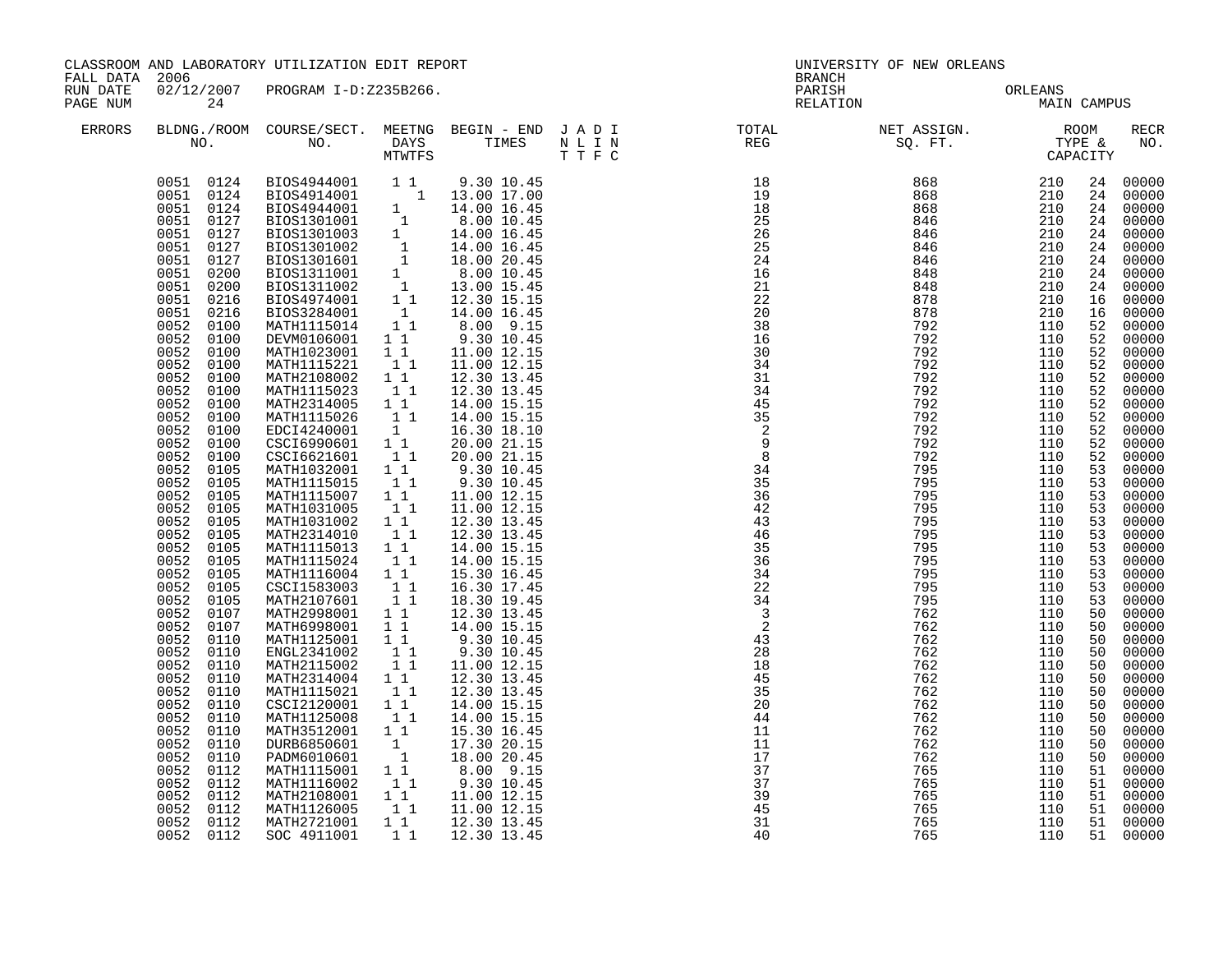| 02/12/2007 PROGRAM I-D:Z235B266.<br>RUN DATE<br>PARISH<br>ORLEANS<br>MAIN<br>RELATION<br>MAIN CAMPUS<br>PAGE NUM<br>24<br><b>ERRORS</b><br>$\begin{array}{cccccccc} \text{N} & \text{T} & \text{REC} & \text{ST} & \text{TT} & \text{TT} & \text{T} & \text{T} & \text{T} & \text{T} & \text{T} & \text{T} & \text{T} & \text{T} & \text{T} & \text{T} & \text{T} & \text{T} & \text{T} & \text{T} & \text{T} & \text{T} & \text{T} & \text{T} & \text{T} & \text{T} & \text{T} & \text{T} & \text{T} & \text{T} & \text{T} & \text{T} & \text{T} & \text{R} & \text{R} & \text$<br>24<br>24<br>24<br>24<br>24<br>24<br>24<br>24 00000<br>24<br>16<br>16<br>52<br>0052<br>0100<br>DEVM0106001 1 1<br>9.30 10.45<br>52<br>$\overline{1}$ $\overline{1}$<br>0052<br>52<br>0100<br>MATH1023001<br>11.00 12.15<br>$\begin{smallmatrix}1&1\\1&1\end{smallmatrix}$<br>0052<br>0100<br>MATH1115221<br>11.00 12.15<br>52<br>0052<br>0100<br>MATH2108002<br>52<br>12.30 13.45<br>$\begin{bmatrix} 1 \\ 1 \end{bmatrix}$<br>0052<br>MATH1115023<br>12.30 13.45<br>52<br>0100<br>0052<br>0100<br>MATH2314005 1 1<br>52<br>14.00 15.15<br>$\begin{bmatrix} 1 \\ 1 \end{bmatrix}$<br>0052<br>0100<br>MATH1115026<br>14.00 15.15<br>52<br>0052<br>EDCI4240001<br>0100<br>16.30 18.10<br>52<br>CSCI6990601 11<br>0052<br>20.00 21.15<br>0100<br>52<br>$33\frac{3}{4}$<br>$34\frac{3}{4}$<br>$42\frac{4}{3}$<br>$46\frac{4}{5}$<br>$36\frac{4}{3}$<br>$46\frac{4}{5}$<br>$36\frac{3}{4}$<br>$22\frac{4}{3}$<br>$22\frac{4}{3}$<br>$28\frac{3}{4}$<br>$28\frac{3}{4}$<br>$28\frac{3}{4}$<br>$28\frac{3}{4}$<br>$28\frac{3}{4}$<br>$28\frac{3}{4}$<br>$28\frac{3}{4}$<br>$28\frac{3}{4}$<br><br>0052<br>11<br>CSCI6621601<br>20.00 21.15<br>52<br>0100<br>MATH1032001 1 1<br>0052<br>0105<br>9.30 10.45<br>9.30 10.45<br>53<br>0052<br>MATH1115015<br>$1\quad1$<br>0105<br>53<br>11<br>0052<br>0105<br>MATH1115007<br>11.00 12.15<br>53<br>0052<br>MATH1031005<br>$\begin{bmatrix} 1\\1\\1\\1\\1 \end{bmatrix}$<br>11.00 12.15<br>0105<br>53<br>0052<br>0105<br>MATH1031002<br>12.30 13.45<br>53<br>0052<br>MATH2314010<br>0105<br>12.30 13.45<br>53<br>0052<br>MATH1115013<br>11<br>14.00 15.15<br>0105<br>53<br>0052<br>MATH1115024 1<br>MATH1116004 1 1<br>CSCI1583003 1 1<br>0105<br>14.00 15.15<br>53<br>0052<br>0105<br>15.30 16.45<br>53<br>0052<br>0105<br>16.30 17.45<br>53<br>11<br>0052<br>0105<br>MATH2107601<br>53<br>18.30 19.45<br>MATH2998001<br>0052<br>0107<br>$1\quad1$<br>12.30 13.45<br>50<br>$1\quad1$<br>0052<br>0107<br>MATH6998001<br>14.00 15.15<br>50<br>0052<br>0110<br>MATH1125001<br>ENGL2341002<br>$\begin{smallmatrix}1&1\\1&1\end{smallmatrix}$<br>9.30 10.45<br>9.30 10.45<br>50<br>0052<br>0110<br>50<br>11<br>0052<br>MATH2115002<br>0110<br>11.00 12.15<br>12.30 13.45<br>50<br>0052<br>MATH2314004 1 <sup>1</sup><br>0110<br>50<br>11<br>0052<br>0110<br>MATH1115021<br>12.30 13.45<br>50<br>14.00 15.15<br>0052<br>CSCI2120001<br>11<br>0110<br>50<br>$\begin{bmatrix} 1 \\ 1 \end{bmatrix}$<br>0052<br>14.00 15.15<br>0110<br>MATH1125008<br>50<br>0052<br>MATH3512001 1 1<br>0110<br>15.30 16.45<br>50<br>0052<br>0110<br>1<br>17.30 20.15<br>DURB6850601<br>50<br>$\overline{\mathbf{1}}$<br>0052<br>0110<br>PADM6010601<br>18.00 20.45<br>50<br>11<br>8.00 9.15<br>9.30 10.45<br>0052<br>0112<br>MATH1115001<br>51<br>0052<br>MATH1116002<br>$\begin{bmatrix} 1\\1\\1\\1\\1 \end{bmatrix}$<br>0112<br>51<br>0052<br>0112<br>MATH2108001<br>11.00 12.15<br>51<br>MATH1126005<br>0052<br>0112<br>11.00 12.15<br>51<br>$1\quad1$<br>0052<br>0112<br>MATH2721001<br>51<br>12.30 13.45 | FALL DATA 2006 |           | CLASSROOM AND LABORATORY UTILIZATION EDIT REPORT |  | UNIVERSITY OF NEW ORLEANS<br>BRANCH |     |  |    |                                                                                                                                                                                                                                                                                                                                                                                                 |
|------------------------------------------------------------------------------------------------------------------------------------------------------------------------------------------------------------------------------------------------------------------------------------------------------------------------------------------------------------------------------------------------------------------------------------------------------------------------------------------------------------------------------------------------------------------------------------------------------------------------------------------------------------------------------------------------------------------------------------------------------------------------------------------------------------------------------------------------------------------------------------------------------------------------------------------------------------------------------------------------------------------------------------------------------------------------------------------------------------------------------------------------------------------------------------------------------------------------------------------------------------------------------------------------------------------------------------------------------------------------------------------------------------------------------------------------------------------------------------------------------------------------------------------------------------------------------------------------------------------------------------------------------------------------------------------------------------------------------------------------------------------------------------------------------------------------------------------------------------------------------------------------------------------------------------------------------------------------------------------------------------------------------------------------------------------------------------------------------------------------------------------------------------------------------------------------------------------------------------------------------------------------------------------------------------------------------------------------------------------------------------------------------------------------------------------------------------------------------------------------------------------------------------------------------------------------------------------------------------------------------------------------------------------------------------------------------------------------------------------------------------------------------------------------------------------------------------------------------------------------------------------------------------------------------------------------------------------------------------------------------------------------------------------------------------------------------------------------------------------------------------------------------------------------------------------------------------------------------------------------------------------------------------------------------------------------------------------------------------------------------------------------------------------------------------------------------------------------------------------------------------------------------------------------------------------------------------------------------------|----------------|-----------|--------------------------------------------------|--|-------------------------------------|-----|--|----|-------------------------------------------------------------------------------------------------------------------------------------------------------------------------------------------------------------------------------------------------------------------------------------------------------------------------------------------------------------------------------------------------|
|                                                                                                                                                                                                                                                                                                                                                                                                                                                                                                                                                                                                                                                                                                                                                                                                                                                                                                                                                                                                                                                                                                                                                                                                                                                                                                                                                                                                                                                                                                                                                                                                                                                                                                                                                                                                                                                                                                                                                                                                                                                                                                                                                                                                                                                                                                                                                                                                                                                                                                                                                                                                                                                                                                                                                                                                                                                                                                                                                                                                                                                                                                                                                                                                                                                                                                                                                                                                                                                                                                                                                                                                            |                |           |                                                  |  |                                     |     |  |    |                                                                                                                                                                                                                                                                                                                                                                                                 |
|                                                                                                                                                                                                                                                                                                                                                                                                                                                                                                                                                                                                                                                                                                                                                                                                                                                                                                                                                                                                                                                                                                                                                                                                                                                                                                                                                                                                                                                                                                                                                                                                                                                                                                                                                                                                                                                                                                                                                                                                                                                                                                                                                                                                                                                                                                                                                                                                                                                                                                                                                                                                                                                                                                                                                                                                                                                                                                                                                                                                                                                                                                                                                                                                                                                                                                                                                                                                                                                                                                                                                                                                            |                |           |                                                  |  |                                     |     |  |    | RECR<br>NO.                                                                                                                                                                                                                                                                                                                                                                                     |
|                                                                                                                                                                                                                                                                                                                                                                                                                                                                                                                                                                                                                                                                                                                                                                                                                                                                                                                                                                                                                                                                                                                                                                                                                                                                                                                                                                                                                                                                                                                                                                                                                                                                                                                                                                                                                                                                                                                                                                                                                                                                                                                                                                                                                                                                                                                                                                                                                                                                                                                                                                                                                                                                                                                                                                                                                                                                                                                                                                                                                                                                                                                                                                                                                                                                                                                                                                                                                                                                                                                                                                                                            |                |           |                                                  |  |                                     |     |  |    | 00000<br>00000<br>00000<br>00000<br>00000<br>00000<br>00000<br>00000<br>00000<br>00000<br>00000<br>00000<br>00000<br>00000<br>00000<br>00000<br>00000<br>00000<br>00000<br>00000<br>00000<br>00000<br>00000<br>00000<br>00000<br>00000<br>00000<br>00000<br>00000<br>00000<br>00000<br>00000<br>00000<br>00000<br>00000<br>00000<br>00000<br>00000<br>00000<br>00000<br>00000<br>00000<br>00000 |
| SOC 4911001<br>11<br>110<br>12.30 13.45                                                                                                                                                                                                                                                                                                                                                                                                                                                                                                                                                                                                                                                                                                                                                                                                                                                                                                                                                                                                                                                                                                                                                                                                                                                                                                                                                                                                                                                                                                                                                                                                                                                                                                                                                                                                                                                                                                                                                                                                                                                                                                                                                                                                                                                                                                                                                                                                                                                                                                                                                                                                                                                                                                                                                                                                                                                                                                                                                                                                                                                                                                                                                                                                                                                                                                                                                                                                                                                                                                                                                                    |                | 0052 0112 |                                                  |  |                                     | 765 |  | 51 | 00000<br>00000<br>00000<br>00000<br>00000<br>00000<br>00000                                                                                                                                                                                                                                                                                                                                     |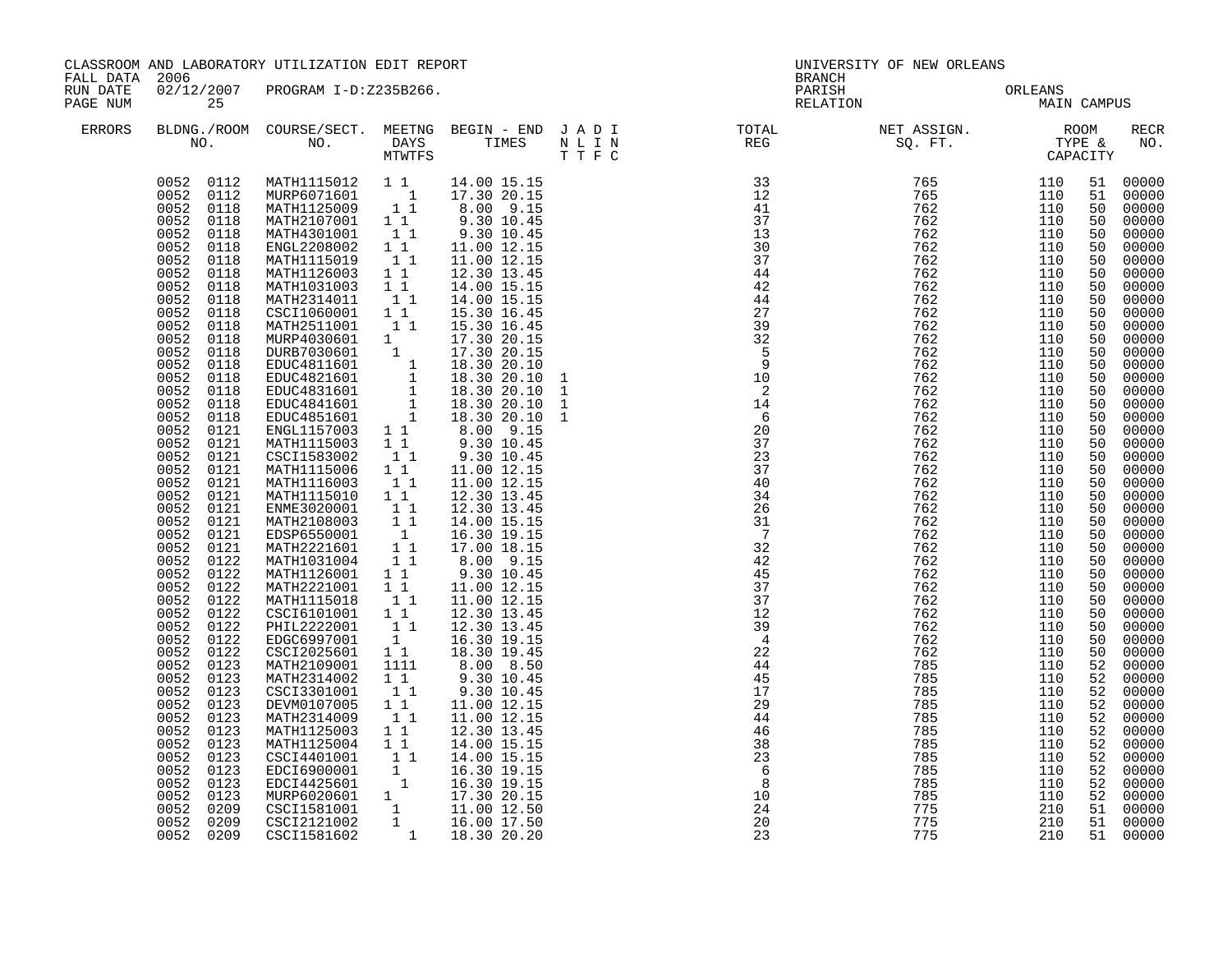|                      | CLASSROOM AND LABORATORY UTILIZATION EDIT REPORT<br>FALL DATA 2006                                                                                                                                                                                                                                                                                                                                                                                                                                                                                                                                                                        |                                                                                                                                                                                                                                                                                                                                                                                                                                                                                                                                                                                                                                                                                                                                                                                                                                                                                                                                                                                                                                                                                                            |                                                                                                                                       | <b>BRANCH</b>                                                                                                                                                                                                                                                                                                                                                                                                                                                        | UNIVERSITY OF NEW ORLEANS                                                                                                                                                                                                                                                                                                                                                                                                 |                                                     |                                                                                                                                                                                                                               |                   |                                                                                                                                                                                                                                                                                                           |                                                                                                                                                                                                                                                                                                                                                                                                                              |
|----------------------|-------------------------------------------------------------------------------------------------------------------------------------------------------------------------------------------------------------------------------------------------------------------------------------------------------------------------------------------------------------------------------------------------------------------------------------------------------------------------------------------------------------------------------------------------------------------------------------------------------------------------------------------|------------------------------------------------------------------------------------------------------------------------------------------------------------------------------------------------------------------------------------------------------------------------------------------------------------------------------------------------------------------------------------------------------------------------------------------------------------------------------------------------------------------------------------------------------------------------------------------------------------------------------------------------------------------------------------------------------------------------------------------------------------------------------------------------------------------------------------------------------------------------------------------------------------------------------------------------------------------------------------------------------------------------------------------------------------------------------------------------------------|---------------------------------------------------------------------------------------------------------------------------------------|----------------------------------------------------------------------------------------------------------------------------------------------------------------------------------------------------------------------------------------------------------------------------------------------------------------------------------------------------------------------------------------------------------------------------------------------------------------------|---------------------------------------------------------------------------------------------------------------------------------------------------------------------------------------------------------------------------------------------------------------------------------------------------------------------------------------------------------------------------------------------------------------------------|-----------------------------------------------------|-------------------------------------------------------------------------------------------------------------------------------------------------------------------------------------------------------------------------------|-------------------|-----------------------------------------------------------------------------------------------------------------------------------------------------------------------------------------------------------------------------------------------------------------------------------------------------------|------------------------------------------------------------------------------------------------------------------------------------------------------------------------------------------------------------------------------------------------------------------------------------------------------------------------------------------------------------------------------------------------------------------------------|
| RUN DATE<br>PAGE NUM | 25                                                                                                                                                                                                                                                                                                                                                                                                                                                                                                                                                                                                                                        | 02/12/2007 PROGRAM I-D:Z235B266.                                                                                                                                                                                                                                                                                                                                                                                                                                                                                                                                                                                                                                                                                                                                                                                                                                                                                                                                                                                                                                                                           |                                                                                                                                       |                                                                                                                                                                                                                                                                                                                                                                                                                                                                      |                                                                                                                                                                                                                                                                                                                                                                                                                           | PARISH<br>RELATION                                  | ORLEANS<br>MAIN                                                                                                                                                                                                               | MAIN CAMPUS       |                                                                                                                                                                                                                                                                                                           |                                                                                                                                                                                                                                                                                                                                                                                                                              |
| ERRORS               |                                                                                                                                                                                                                                                                                                                                                                                                                                                                                                                                                                                                                                           |                                                                                                                                                                                                                                                                                                                                                                                                                                                                                                                                                                                                                                                                                                                                                                                                                                                                                                                                                                                                                                                                                                            |                                                                                                                                       |                                                                                                                                                                                                                                                                                                                                                                                                                                                                      |                                                                                                                                                                                                                                                                                                                                                                                                                           |                                                     |                                                                                                                                                                                                                               |                   |                                                                                                                                                                                                                                                                                                           | <b>RECR</b><br>NO.                                                                                                                                                                                                                                                                                                                                                                                                           |
|                      | 0052 0118<br>0052<br>0118<br>0052<br>0118<br>0052<br>0118<br>0052<br>0118<br>0052<br>0118<br>0052<br>0118<br>0052<br>0118<br>0052<br>0118<br>0052<br>0118<br>0052<br>0118<br>0052<br>0118<br>0052<br>0118<br>0052 0118<br>0052<br>0118<br>0052 0121<br>0052 0121<br>0052 0121<br>0052 0121<br>0052 0121<br>0052<br>0121<br>0052 0121<br>$0052$ $0121$<br>0052 0121<br>0052<br>0121<br>0052<br>0122<br>0052<br>0122<br>0052<br>0122<br>0052<br>0122<br>0052<br>0122<br>0052<br>0122<br>0052 0122<br>0052 0122<br>0052<br>0123<br>0052 0123<br>0052<br>0123<br>0052<br>0123<br>0052<br>0123<br>0052<br>0123<br>0052<br>0123<br>0052<br>0123 | $\begin{array}{cccc} 0052 & 0112 & \text{MATH1115012} & 1 & 1 & 14.00 & 15.15 \\ 0052 & 0112 & \text{MURP6071601} & 1 & 17.30 & 20.15 \\ 0052 & 0118 & \text{MATH1125009} & 1 & 8.00 & 9.15 \\ 0052 & 0118 & \text{MATH2107001} & 1 & 9.30 & 10.45 \\ \end{array}$<br>MATH4301001 1<br>ENGL2208002 1 1<br>MATH1115019 1 1<br>MATH1126003 1 1<br>MATH1031003 1 1<br>MATH2314011 1 1<br>CSCI1060001 1 1<br>MATH2511001 1 1<br>MATH2511001 1 15.30 16.45<br>MURP4030601 1 17.30 20.15<br>DURP37030601 1 18.30 20.15<br>EDUC4811601 1 18.30 20.10<br>EDUC4821601 1 18.30 20.10<br>EDUC4831601 1 18.30 20.10<br>EDUC4841601 1 18.30 20.10<br>EDUC4851601 1 18.30 20.10<br>ENGL1<br>CSCI1583002<br>MATH1115006 1 1<br>MATH1116003 1 1<br>MATH1115010 1 1<br>ENME3020001 1 1<br>MATH2108003 1 1<br>EDSP6550001 1<br>MATH22221601 1 1<br>MATH1031004 11<br>MATH1126001 11<br>MATH2221001 1 1<br>MATH1115018 1 1<br>CSCI6101001 1 1<br>PHIL2222001<br>EDGC6997001<br>EDGC6997001 1<br>CSCI2025601 11<br>MATH2109001<br>MATH2314002<br>CSCI3301001<br>DEVM0107005<br>MATH2314009<br>MATH1125003 11<br>MATH1125004 11 | $1\quad1$<br>11<br>1111<br>$\begin{smallmatrix} 1\\1\\1\\1 \end{smallmatrix}$<br>$\begin{smallmatrix}1&&1\\&1\\1&&1\end{smallmatrix}$ | 9.30 10.45<br>11.00 12.15<br>11.00 12.15<br>12.30 13.45<br>14.00 15.15<br>14.00 15.15<br>15.30 16.45<br>15.30 16.45<br>9.30 10.45<br>11.00 12.15<br>11.00 12.15<br>12.30 13.45<br>12.30 13.45<br>14.00 15.15<br>16.30 19.15<br>17.00 18.15<br>8.00 9.15<br>9.30 10.45<br>11.00 12.15<br>11.00 12.15<br>12.30 13.45<br>12.30 13.45<br>16.30 19.15<br>18.30 19.45<br>8.00 8.50<br>9.30 10.45<br>9.30 10.45<br>11.00 12.15<br>11.00 12.15<br>12.30 13.45<br>14.00 15.15 | $\begin{array}{cccc} \texttt{1} & \texttt{1} & \texttt{F} & \texttt{C} & \texttt{33} \\ \texttt{31} & \texttt{32} & \texttt{41} & \texttt{37} \\ \texttt{33} & \texttt{33} & \texttt{38} \\ \texttt{34} & \texttt{44} & \texttt{44} \\ \texttt{44} & \texttt{44} & \texttt{44} \\ \texttt{27} & \texttt{39} & \texttt{32} \\ \texttt{31} & \texttt{10} & \texttt{24} \\ \texttt{1} & \texttt{14} & \texttt{6} \\ \texttt$ |                                                     | IF NC 2002 110 2002 110 2002 110 2002 110 2002 110 2002 110 2002 110 2002 110 2002 110 2002 110 2002 110 2002 110 2002 110 2002 110 2002 110 2002 110 2002 110 2002 110 2002 110 2002 110 2002 110 2002 110 2002 110 2002 110 |                   | 51<br>50<br>50<br>50<br>50<br>50<br>50<br>50<br>50<br>50<br>50<br>50<br>50<br>50<br>50<br>50<br>50<br>50<br>50<br>50<br>50<br>50<br>50<br>50<br>50<br>50<br>50<br>50<br>50<br>50<br>50<br>50<br>50<br>50<br>50<br>50<br>52<br>52<br>52<br>52<br>52<br>52<br>52<br>$\begin{array}{c} 52 \\ 52 \end{array}$ | 51 00000<br>00000<br>00000<br>00000<br>00000<br>00000<br>00000<br>00000<br>00000<br>00000<br>00000<br>00000<br>00000<br>00000<br>00000<br>00000<br>00000<br>00000<br>00000<br>00000<br>$00000$<br>00000<br>00000<br>00000<br>$00000$<br>00000<br>00000<br>00000<br>00000<br>00000<br>00000<br>00000<br>00000<br>00000<br>00000<br>00000<br>00000<br>$00000$<br>$00000$<br>00000<br>00000<br>00000<br>00000<br>00000<br>00000 |
|                      | 0052<br>0123<br>0052<br>0123<br>0052<br>0123<br>0052<br>0209<br>0052<br>0209<br>0052 0209                                                                                                                                                                                                                                                                                                                                                                                                                                                                                                                                                 | MAIRII23004 1 1 14.00 15.15<br>CSCI4401001 1 1 14.00 15.15<br>EDCI6900001 1 16.30 19.15<br>EDCI4425601 1 16.30 19.15<br>MURP6020601 1 17.30 20.15<br>CSCI1581001 1 11.00 12.50<br>CSCI2121002 1 16.00 17.50<br>CSCI1581602 1 18.30 20.20                                                                                                                                                                                                                                                                                                                                                                                                                                                                                                                                                                                                                                                                                                                                                                                                                                                                   |                                                                                                                                       |                                                                                                                                                                                                                                                                                                                                                                                                                                                                      |                                                                                                                                                                                                                                                                                                                                                                                                                           | $\begin{array}{c} 10 \\ 24 \\ 20 \\ 23 \end{array}$ | 775<br>775<br>775                                                                                                                                                                                                             | 210<br>210<br>210 | 51                                                                                                                                                                                                                                                                                                        | 00000<br>52 00000<br>52 00000<br>00000<br>51 00000<br>51 00000                                                                                                                                                                                                                                                                                                                                                               |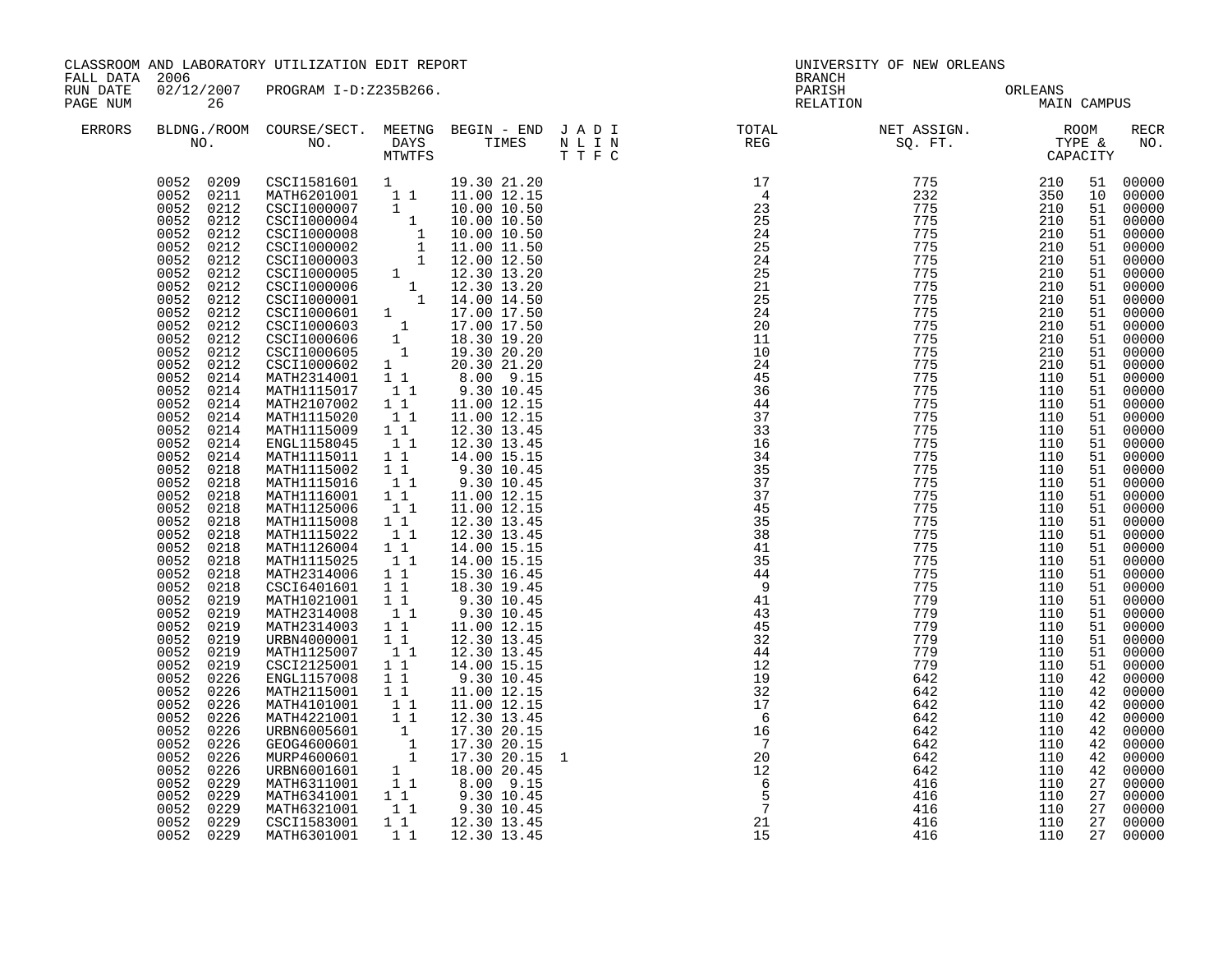| FALL DATA 2006       |                                                                                                                                                                                                                                                                                                                                                                                                                                                                                                                                              | CLASSROOM AND LABORATORY UTILIZATION EDIT REPORT                                                                                                                                                                                                                                                                                                                                                                                                                                                                                                                                                                                                                                                                                                                                                                                                                                                                                                                                                                          |                                                                                                                                                                                                                                                                                                                                    |                                                                                                                                                                                                                                                                                                                                                                                                               | BRANCH | UNIVERSITY OF NEW ORLEANS                                                                                                                                                                                                                                       |             |                                                                                                                                                                                                                                                                                  |                                                                                                                                                                                                                                                                                                                                                                                                                                        |
|----------------------|----------------------------------------------------------------------------------------------------------------------------------------------------------------------------------------------------------------------------------------------------------------------------------------------------------------------------------------------------------------------------------------------------------------------------------------------------------------------------------------------------------------------------------------------|---------------------------------------------------------------------------------------------------------------------------------------------------------------------------------------------------------------------------------------------------------------------------------------------------------------------------------------------------------------------------------------------------------------------------------------------------------------------------------------------------------------------------------------------------------------------------------------------------------------------------------------------------------------------------------------------------------------------------------------------------------------------------------------------------------------------------------------------------------------------------------------------------------------------------------------------------------------------------------------------------------------------------|------------------------------------------------------------------------------------------------------------------------------------------------------------------------------------------------------------------------------------------------------------------------------------------------------------------------------------|---------------------------------------------------------------------------------------------------------------------------------------------------------------------------------------------------------------------------------------------------------------------------------------------------------------------------------------------------------------------------------------------------------------|--------|-----------------------------------------------------------------------------------------------------------------------------------------------------------------------------------------------------------------------------------------------------------------|-------------|----------------------------------------------------------------------------------------------------------------------------------------------------------------------------------------------------------------------------------------------------------------------------------|----------------------------------------------------------------------------------------------------------------------------------------------------------------------------------------------------------------------------------------------------------------------------------------------------------------------------------------------------------------------------------------------------------------------------------------|
| RUN DATE<br>PAGE NUM | 26                                                                                                                                                                                                                                                                                                                                                                                                                                                                                                                                           | 02/12/2007 PROGRAM I-D:Z235B266.                                                                                                                                                                                                                                                                                                                                                                                                                                                                                                                                                                                                                                                                                                                                                                                                                                                                                                                                                                                          |                                                                                                                                                                                                                                                                                                                                    |                                                                                                                                                                                                                                                                                                                                                                                                               |        | PARISH ORLEANS<br>RELATION MAIN                                                                                                                                                                                                                                 | MAIN CAMPUS |                                                                                                                                                                                                                                                                                  |                                                                                                                                                                                                                                                                                                                                                                                                                                        |
| ERRORS               |                                                                                                                                                                                                                                                                                                                                                                                                                                                                                                                                              |                                                                                                                                                                                                                                                                                                                                                                                                                                                                                                                                                                                                                                                                                                                                                                                                                                                                                                                                                                                                                           |                                                                                                                                                                                                                                                                                                                                    |                                                                                                                                                                                                                                                                                                                                                                                                               |        |                                                                                                                                                                                                                                                                 |             |                                                                                                                                                                                                                                                                                  | RECR<br>NO.                                                                                                                                                                                                                                                                                                                                                                                                                            |
|                      | 0052<br>0212<br>0052<br>0214<br>0052<br>0214<br>0052<br>0214<br>0052<br>0214<br>0052<br>0214<br>0052<br>0214<br>0052<br>0214<br>0052<br>0218<br>0052<br>0218<br>0052<br>0218<br>0052<br>0218<br>0052<br>0218<br>0052<br>0218<br>0052<br>0218<br>0052<br>0218<br>0052<br>0218<br>0052<br>0218<br>0052<br>0219<br>0052<br>0219<br>0052<br>0219<br>0052<br>0219<br>0052<br>0219<br>0052<br>0219<br>0052<br>0226<br>0052<br>0226<br>0052<br>0226<br>0052<br>0226<br>0052<br>0226<br>0052<br>0226<br>0052<br>0226<br>0052<br>0226<br>0052<br>0229 | $\begin{array}{cccc} 0052 & 0209 & \textrm{CSC11581601} & 1 & 19.30 & 21.20 \\ 0052 & 0211 & \textrm{MATH6201001} & 1 & 11.00 & 12.15 \\ 0052 & 0212 & \textrm{CSC11000007} & 1 & 10.00 & 10.50 \\ 0052 & 0212 & \textrm{CSC11000004} & 1 & 10.00 & 10.50 \\ 0052 & 0212 & \textrm{CSC11000008} & $<br>CSCI1000602 1 20.30 21.20<br>MATH2314001 1 1 8.00 9.15<br>MATH1115017<br>MATH2107002<br>MATH1115020<br>MATH1115009<br>ENGL1158045<br>MATH1115011<br>MATH1115002 1 1<br>MATH1115016<br>MATH1116001<br>MATH1125006<br>MATH1115008<br>MATH1115022<br>MATH1126004<br>MATH1115025<br>MATH2314006<br>CSCI6401601<br>MATH1021001<br>MATH2314008<br>MATH2314003<br>URBN4000001<br>MATH1125007<br>CSCI2125001<br>ENGL1157008<br>MATH2115001<br>MATH4101001<br>MATH4221001<br>MATH4221001 1 12.30 13.45<br>URBN6005601 1 17.30 20.15<br>GEOG4600601 1 17.30 20.15<br>MURP4600601 1 17.30 20.15<br>URBN6001601 1 18.00 20.45<br>MATH6311001 1 8.00 9.15<br>MATH6341001 1 9.30 10.45<br>MATH6321001 1 9.30 10.45<br>MATH632100 | $\overline{1}$ 1<br>$1\quad1$<br>11<br>11<br>$1\quad1$<br>11<br>11<br>$1\quad1$<br>$1\quad1$<br>11<br>$1\quad1$<br>11<br>$1\quad1$<br>11<br>$1\quad1$<br>11<br>11<br>$1\quad1$<br>$1\quad1$<br>$\begin{smallmatrix}1&&1\\&1\\1&&1\end{smallmatrix}$<br>$1\quad1$<br>1 1<br>$\begin{array}{rr} & 1\\ & 1\\ & 1\\ & 1\\ \end{array}$ | 9.30 10.45<br>11.00 12.15<br>11.00 12.15<br>12.30 13.45<br>12.30 13.45<br>14.00 15.15<br>9.30 10.45<br>9.30 10.45<br>11.00 12.15<br>11.00 12.15<br>12.30 13.45<br>12.30 13.45<br>14.00 15.15<br>14.00 15.15<br>15.30 16.45<br>18.30 19.45<br>9.30 10.45<br>9.30 10.45<br>11.00 12.15<br>12.30 13.45<br>12.30 13.45<br>14.00 15.15<br>9.30 10.45<br>11.00 12.15<br>11.00 12.15<br>12.30 13.45<br>17.30 20.15 1 |        | N T R N<br>17 T P (1992) 2014<br>224 225 225 227775 2100<br>224 225 227775 2100<br>224 225 227775 2100<br>224 225 227775 2100<br>224 224 227775 2100<br>224 224 2277775 2100<br>224 228 2277775 1110<br>244 345 2277775 1110<br>244 345 2277775 1110<br>224 325 |             | 10<br>51<br>51<br>51<br>51<br>51<br>51<br>51<br>51<br>51<br>51<br>51<br>51<br>51<br>51<br>51<br>51<br>51<br>51<br>51<br>51<br>51<br>51<br>51<br>51<br>51<br>51<br>51<br>51<br>51<br>51<br>51<br>51<br>51<br>51<br>51<br>51<br>42<br>42<br>42<br>42<br>42<br>42<br>42<br>42<br>27 | 51 00000<br>00000<br>00000<br>00000<br>00000<br>00000<br>00000<br>00000<br>00000<br>00000<br>00000<br>00000<br>00000<br>00000<br>00000<br>00000<br>00000<br>00000<br>00000<br>00000<br>00000<br>00000<br>00000<br>00000<br>00000<br>00000<br>00000<br>00000<br>00000<br>00000<br>00000<br>00000<br>00000<br>00000<br>00000<br>00000<br>00000<br>00000<br>00000<br>00000<br>00000<br>00000<br>00000<br>00000<br>00000<br>00000<br>00000 |
|                      | 0052<br>0229<br>0052<br>0229<br>0052 0229<br>0052 0229                                                                                                                                                                                                                                                                                                                                                                                                                                                                                       | CSCI1583001<br>MATH6301001                                                                                                                                                                                                                                                                                                                                                                                                                                                                                                                                                                                                                                                                                                                                                                                                                                                                                                                                                                                                | $1\quad1$                                                                                                                                                                                                                                                                                                                          | 12.30 13.45<br>1 1 1 1 2 . 30 1 3 . 45                                                                                                                                                                                                                                                                                                                                                                        |        | 416<br>416                                                                                                                                                                                                                                                      | 110<br>110  | 27<br>27<br>27<br>27                                                                                                                                                                                                                                                             | 00000<br>00000<br>00000<br>00000                                                                                                                                                                                                                                                                                                                                                                                                       |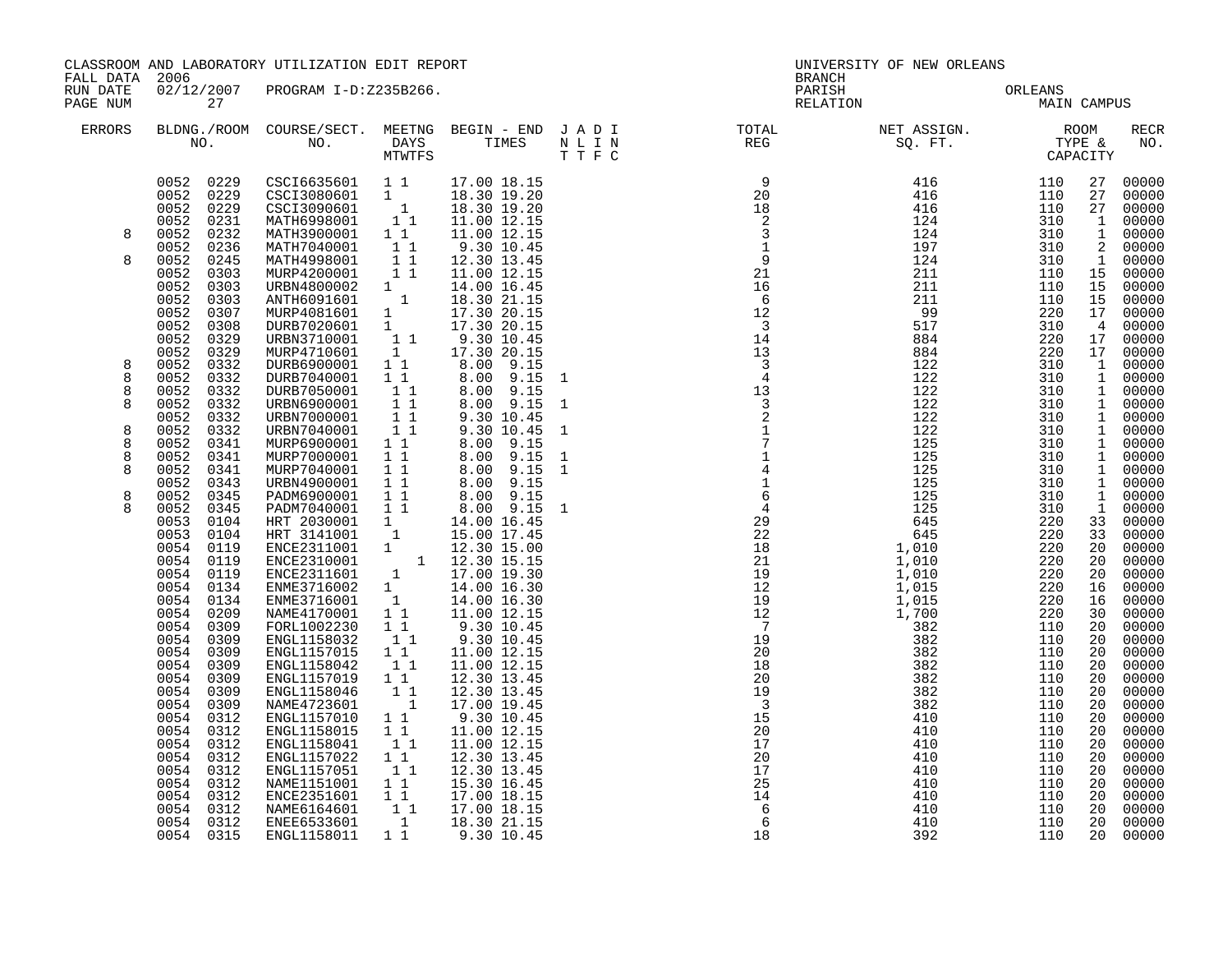|                                                                     | CLASSROOM AND LABORATORY UTILIZATION EDIT REPORT<br>FALL DATA 2006                                                                                                                                                                                                                                                                                                                                                                                                                               |                                                                                                                                                                                                                                                                                                                                                                                                                                                                                                                                                                                                                                                                                                      |                                                                                                                                                                                             | UNIVERSITY OF NEW ORLEANS<br>BRANCH                                                                                                                                                                                                                                 |  |                                                                                                                      |                                                      |                                                      |                                                                                                                |                                                                                                                                                                                                                                                                                                                                                  |
|---------------------------------------------------------------------|--------------------------------------------------------------------------------------------------------------------------------------------------------------------------------------------------------------------------------------------------------------------------------------------------------------------------------------------------------------------------------------------------------------------------------------------------------------------------------------------------|------------------------------------------------------------------------------------------------------------------------------------------------------------------------------------------------------------------------------------------------------------------------------------------------------------------------------------------------------------------------------------------------------------------------------------------------------------------------------------------------------------------------------------------------------------------------------------------------------------------------------------------------------------------------------------------------------|---------------------------------------------------------------------------------------------------------------------------------------------------------------------------------------------|---------------------------------------------------------------------------------------------------------------------------------------------------------------------------------------------------------------------------------------------------------------------|--|----------------------------------------------------------------------------------------------------------------------|------------------------------------------------------|------------------------------------------------------|----------------------------------------------------------------------------------------------------------------|--------------------------------------------------------------------------------------------------------------------------------------------------------------------------------------------------------------------------------------------------------------------------------------------------------------------------------------------------|
| RUN DATE<br>PAGE NUM                                                | 27                                                                                                                                                                                                                                                                                                                                                                                                                                                                                               | 02/12/2007 PROGRAM I-D:Z235B266.                                                                                                                                                                                                                                                                                                                                                                                                                                                                                                                                                                                                                                                                     |                                                                                                                                                                                             |                                                                                                                                                                                                                                                                     |  |                                                                                                                      | PARISH ORLEANS<br>RELATION MAIN                      | MAIN CAMPUS                                          |                                                                                                                |                                                                                                                                                                                                                                                                                                                                                  |
| ERRORS                                                              |                                                                                                                                                                                                                                                                                                                                                                                                                                                                                                  |                                                                                                                                                                                                                                                                                                                                                                                                                                                                                                                                                                                                                                                                                                      |                                                                                                                                                                                             |                                                                                                                                                                                                                                                                     |  |                                                                                                                      |                                                      |                                                      |                                                                                                                | RECR<br>NO.                                                                                                                                                                                                                                                                                                                                      |
| 8<br>8<br>8<br>8<br>8<br>8<br>8<br>8<br>8<br>8<br>8<br>$\mathsf{R}$ | 0052 0229<br>0052 0229<br>0052<br>0231<br>0052<br>0232<br>0052<br>0236<br>0245<br>0052<br>0052<br>0303<br>0052<br>0303<br>0052<br>0303<br>0052<br>0307<br>0052<br>0308<br>0052<br>0329<br>0052<br>0329<br>0052<br>0332<br>0052<br>0332<br>0052<br>0332<br>0052<br>0332<br>0052<br>0332<br>0052<br>0332<br>0052<br>0341<br>0052<br>0341<br>0052<br>0341<br>0052<br>0343<br>0052<br>0345<br>0052<br>0345<br>0053<br>0104<br>0053<br>0104<br>0054<br>0119<br>0054<br>0119<br>0054 0119<br>0054 0134 | CSCI3080601 1 18.30 19.20<br>CSCI3090601 1 18.30 19.20<br>MATH6998001 1 11.00 12.15<br>MATH3900001 1 1<br>MATH3900001 1 1<br>MATH7040001 1 1<br>MATH4998001 1 1<br>MURP4200001 1 1<br>URBN4800002 1<br>ANTH6091601 1<br>MURP4081601 1<br>DURB7020601 1<br>DURB7020601 1<br>URBN3710001<br>MURP4710601<br>DURB6900001 1 8.00 9.15<br>DURB7040001 1 1 8.00 9.15<br>DURB7050001<br>URBN6900001<br>URBN7000001 11<br>URBN7040001 11<br>MURP6900001 1 1<br>MURP6900001 11 8.00 9.15<br>MURP6900001 11 8.00 9.15<br>MURP7040001 11 8.00 9.15<br>MURP7040001 11 8.00 9.15<br>URBN4900001 11 8.00 9.15<br>PADM6900001 11 8.00 9.15<br>PADM690001 11 8.00 9.15<br>PADM7040001 11 8.00 9.15<br>PADM690001 1 14 | $1\quad1$<br>11                                                                                                                                                                             | 11.00 12.15<br>9.30 10.45<br>12.30 13.45<br>11.00 12.15<br>14.00 16.45<br>18.30 21.15<br>17.30 20.15<br>17.30 20.15<br>$\begin{bmatrix} 1 & 1 & 9.30 & 10.45 \\ 1 & 17.30 & 20.15 \end{bmatrix}$<br>8.00 9.15<br>8.00 9.15<br>9.30 10.45<br>9.30 10.45<br>8.00 9.15 |  |                                                                                                                      |                                                      |                                                      | 27<br>15<br>15<br>33<br>33<br>20<br>20<br>20<br>16                                                             | 27 00000<br>00000<br>27 00000<br>1 00000<br>1 00000<br>2 00000<br>1 00000<br>00000<br>15 00000<br>00000<br>17 00000<br>4 00000<br>17 00000<br>17 00000<br>1 00000<br>1 00000<br>1 00000<br>1 00000<br>1 00000<br>1 00000<br>1 00000<br>1 00000<br>1 00000<br>1 00000<br>1 00000<br>1 00000<br>00000<br>00000<br>00000<br>00000<br>00000<br>00000 |
|                                                                     | 0054<br>0134<br>0054<br>0209<br>0054<br>0309<br>0054<br>0309<br>0054<br>0309<br>0054<br>0309<br>0054<br>0309<br>0054<br>0309<br>0054<br>0309<br>0054<br>0312<br>0054<br>0312<br>0054<br>0312<br>0054<br>0312<br>0054<br>0312<br>0054<br>0312<br>0054<br>0312<br>0054<br>0312<br>0054 0312                                                                                                                                                                                                        | ENGL1158032<br>ENGL1157015<br>ENGL1158042<br>ENGL1157019 1 <sup>1</sup><br>ENGL1158046<br>NAME4723601<br>ENGL1157010 1 1<br>ENGL1158015 1 1<br>ENGL1158041<br>ENGL1157022 1 1<br>ENGL1157051<br>NAME1151001 1 1<br>ENCE2351601 1 1<br>NAME6164601<br>ENEE6533601<br>0054 0315 ENGL1158011 1 1 9.30 10.45                                                                                                                                                                                                                                                                                                                                                                                             | $\begin{bmatrix} 1 \\ 1 \end{bmatrix}$<br>11<br>$\begin{array}{cc} & 1 \\ & 1 \\ & 1 \end{array}$<br>$\begin{bmatrix} 1 \\ 1 \end{bmatrix}$<br>11<br>$\begin{bmatrix} 1 \\ 1 \end{bmatrix}$ | 9.30 10.45<br>11.00 12.15<br>11.00 12.15<br>12.30 13.45<br>12.30 13.45<br>17.00 19.45<br>9.30 10.45<br>11.00 12.15<br>11.00 12.15<br>12.30 13.45<br>12.30 13.45<br>15.30 16.45<br>17.00 18.15<br>17.00 18.15<br>18.30 21.15                                         |  | 17<br>$\begin{array}{c} 20 \\ 17 \\ 25 \end{array}$<br>25<br>$\begin{array}{r} 23 \\ 14 \\ 6 \\ 6 \\ 18 \end{array}$ | 410<br>410<br>410<br>410<br>410<br>410<br>410<br>392 | 110<br>110<br>110<br>110<br>110<br>110<br>110<br>110 | 16<br>30<br>20<br>20<br>20<br>20<br>20<br>20<br>20<br>20<br>20<br>20<br>20<br>20<br>20<br>20<br>20<br>20<br>20 | 00000<br>00000<br>00000<br>00000<br>00000<br>00000<br>00000<br>00000<br>00000<br>00000<br>00000<br>00000<br>00000<br>00000<br>00000<br>00000<br>00000<br>00000<br>00000                                                                                                                                                                          |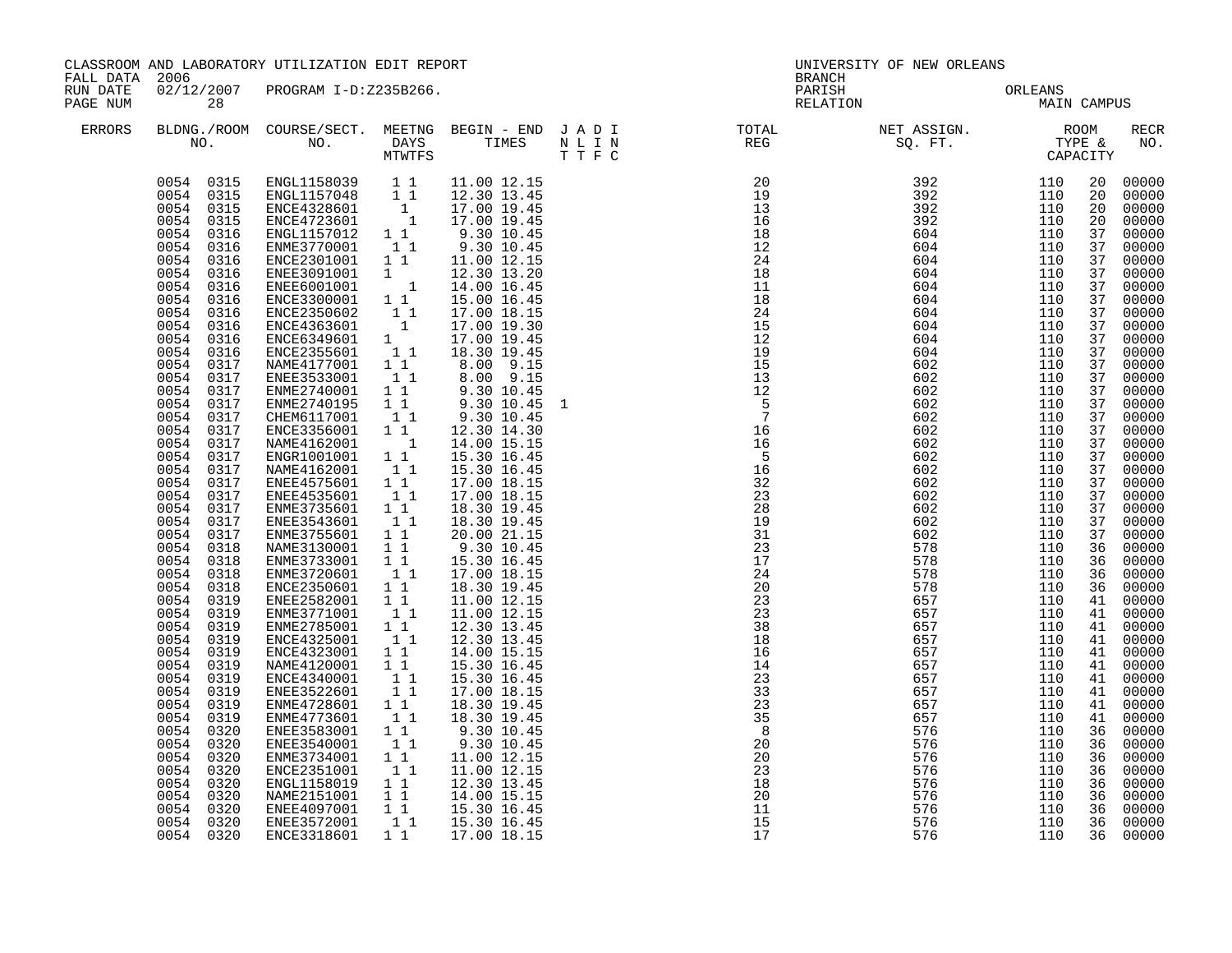|                      | CLASSROOM AND LABORATORY UTILIZATION EDIT REPORT<br>FALL DATA 2006                                                                                                                                                                                                                                                                                                                                                                                                                                                                                                                                            |                                                                                                                                                                                                                                                                                                                                                                                                                                                                                                                                                                                                                                                                                                                                                                                                                                                                                                                          |                                                                                                                                                                                                                            |                                                                                                                                                                                                                                                                                                                                                                                                                                                                                                                                                                                                                                                                                                                                                                        | UNIVERSITY OF NEW ORLEANS<br>BRANCH |                            |                                                      |                                 |                                                                                                                                                                                                                                                                            |                                                                                                                                                                                                                                                                                                                                                                                                                   |  |
|----------------------|---------------------------------------------------------------------------------------------------------------------------------------------------------------------------------------------------------------------------------------------------------------------------------------------------------------------------------------------------------------------------------------------------------------------------------------------------------------------------------------------------------------------------------------------------------------------------------------------------------------|--------------------------------------------------------------------------------------------------------------------------------------------------------------------------------------------------------------------------------------------------------------------------------------------------------------------------------------------------------------------------------------------------------------------------------------------------------------------------------------------------------------------------------------------------------------------------------------------------------------------------------------------------------------------------------------------------------------------------------------------------------------------------------------------------------------------------------------------------------------------------------------------------------------------------|----------------------------------------------------------------------------------------------------------------------------------------------------------------------------------------------------------------------------|------------------------------------------------------------------------------------------------------------------------------------------------------------------------------------------------------------------------------------------------------------------------------------------------------------------------------------------------------------------------------------------------------------------------------------------------------------------------------------------------------------------------------------------------------------------------------------------------------------------------------------------------------------------------------------------------------------------------------------------------------------------------|-------------------------------------|----------------------------|------------------------------------------------------|---------------------------------|----------------------------------------------------------------------------------------------------------------------------------------------------------------------------------------------------------------------------------------------------------------------------|-------------------------------------------------------------------------------------------------------------------------------------------------------------------------------------------------------------------------------------------------------------------------------------------------------------------------------------------------------------------------------------------------------------------|--|
| RUN DATE<br>PAGE NUM | 28                                                                                                                                                                                                                                                                                                                                                                                                                                                                                                                                                                                                            | 02/12/2007 PROGRAM I-D:Z235B266.                                                                                                                                                                                                                                                                                                                                                                                                                                                                                                                                                                                                                                                                                                                                                                                                                                                                                         |                                                                                                                                                                                                                            |                                                                                                                                                                                                                                                                                                                                                                                                                                                                                                                                                                                                                                                                                                                                                                        |                                     | PARISH<br>RELATION         | ORLEANS<br>MAIN                                      | MAIN CAMPUS                     |                                                                                                                                                                                                                                                                            |                                                                                                                                                                                                                                                                                                                                                                                                                   |  |
| ERRORS               |                                                                                                                                                                                                                                                                                                                                                                                                                                                                                                                                                                                                               |                                                                                                                                                                                                                                                                                                                                                                                                                                                                                                                                                                                                                                                                                                                                                                                                                                                                                                                          |                                                                                                                                                                                                                            |                                                                                                                                                                                                                                                                                                                                                                                                                                                                                                                                                                                                                                                                                                                                                                        |                                     |                            |                                                      |                                 |                                                                                                                                                                                                                                                                            | RECR<br>NO.                                                                                                                                                                                                                                                                                                                                                                                                       |  |
|                      | 0054<br>0316<br>0054<br>0316<br>0054 0316<br>0054<br>0316<br>0054 0316<br>0054 0316<br>0054 0316<br>0054 0316<br>0054 0316<br>0054 0316<br>0054 0317<br>0054<br>0317<br>0054 0317<br>0054 0317<br>0054 0317<br>0054<br>0317<br>0054<br>0317<br>0054<br>0317<br>0054<br>0317<br>0054<br>0317<br>0054<br>0317<br>0054<br>0317<br>0054 0317<br>0054<br>0317<br>0054<br>0318<br>0054<br>0318<br>0054 0318<br>0054 0318<br>0054 0319<br>0054 0319<br>0054 0319<br>0054 0319<br>0054<br>0319<br>0054 0319<br>0054 0319<br>0054 0319<br>0054<br>0319<br>0054<br>0319<br>0054<br>0320<br>0054<br>0320<br>0054<br>0320 | $\begin{array}{cccc} 0054 & 0315 & \text{ENGL1158039} & 1 & 1 \\ 0054 & 0315 & \text{ENGL1157048} & 1 & 1 \\ 0054 & 0315 & \text{ENCE4328601} & 1 \\ 0054 & 0315 & \text{ENCE4723601} & 1 \end{array}$<br>ENGL1157012 1 1<br>ENME3770001 1 1<br>ENCE2301001 1 1<br>ENEE3091001 1<br>ENEE6001001 1<br>ENCE3300001 1 1<br>ENCE2350602<br>ENCE4363601<br>ENCE6349601 1<br>ENCE6349601 1 1<br>NAME4177001 1 1<br>ENEE3533001<br>ENME2740001<br>ENME2740195<br>CHEM6117001<br>ENCE3356001<br>NAME4162001 1<br>ENGR1001001 11<br>NAME4162001 1 1<br>ENEE4575601 1 1<br>ENEE4535601<br>ENME3735601 11<br>ENEE3543601 11<br>ENME3755601 1 1<br>NAME3130001<br>ENME3733001 11<br>ENME3720601 11<br>ENCE2350601 1 1<br>ENEE2582001<br>ENME3771001<br>ENME2785001 1 1<br>ENCE4325001<br>ENCE4323001<br>NAME4120001<br>ENCE4340001<br>ENEE3522601<br>ENME4728601<br>ENME4773601<br>ENEE3583001 1 1<br>ENEE3540001<br>ENME3734001 1 1 | $\begin{bmatrix} 1 \\ 1 \\ 1 \end{bmatrix}$<br>$1\quad1$<br>$1\overline{1}$<br>$1\quad1$<br>11<br>$1\quad1$<br>11<br>11<br>11<br>$1\quad1$<br>$\begin{smallmatrix}1&&1\\&1\\1&&1\end{smallmatrix}$<br>11<br>11<br>11<br>11 | 11.00 12.15<br>12.30 13.45<br>17.00 19.45<br>17.00 19.45<br>9.30 10.45<br>9.30 10.45<br>11.00 12.15<br>12.30 13.20<br>14.00 16.45<br>15.00 16.45<br>17.00 18.15<br>17.00 19.30<br>17.00 19.45<br>18.30 19.45<br>8.00 9.15<br>8.00 9.15<br>$\begin{bmatrix} 1 & 1 \\ 1 & 1 \end{bmatrix}$ $\begin{bmatrix} 9.30 & 10.45 \\ 9.30 & 10.45 \end{bmatrix}$<br>9.30 10.45<br>12.30 14.30<br>14.00 15.15<br>15.30 16.45<br>15.30 16.45<br>17.00 18.15<br>17.00 18.15<br>18.30 19.45<br>18.30 19.45<br>20.00 21.15<br>9.30 10.45<br>15.30 16.45<br>17.00 18.15<br>18.30 19.45<br>11.00 12.15<br>11.00 12.15<br>12.30 13.45<br>12.30 13.45<br>14.00 15.15<br>15.30 16.45<br>15.30 16.45<br>17.00 18.15<br>18.30 19.45<br>18.30 19.45<br>9.30 10.45<br>9.30 10.45<br>11.00 12.15 | 1                                   |                            |                                                      |                                 | 20<br>20<br>20<br>20<br>37<br>37<br>37<br>37<br>37<br>37<br>37<br>37<br>37<br>37<br>37<br>37<br>37<br>37<br>37<br>37<br>37<br>37<br>37<br>37<br>37<br>37<br>37<br>37<br>36<br>36<br>36<br>36<br>41<br>41<br>41<br>41<br>41<br>41<br>41<br>41<br>41<br>41<br>36<br>36<br>36 | 00000<br>00000<br>00000<br>00000<br>00000<br>00000<br>00000<br>00000<br>00000<br>00000<br>00000<br>00000<br>00000<br>00000<br>00000<br>00000<br>00000<br>00000<br>00000<br>00000<br>00000<br>00000<br>00000<br>00000<br>00000<br>00000<br>00000<br>00000<br>00000<br>00000<br>00000<br>00000<br>00000<br>00000<br>00000<br>00000<br>00000<br>00000<br>00000<br>00000<br>00000<br>00000<br>00000<br>00000<br>00000 |  |
|                      | 0054<br>0320<br>0054<br>0320<br>0054<br>0320<br>0054<br>0320<br>0054 0320<br>0054 0320                                                                                                                                                                                                                                                                                                                                                                                                                                                                                                                        | ENCE2351001<br>ENGL1158019<br>NAME2151001<br>ENEE4097001<br>ENEE3572001<br>ENCE3318601                                                                                                                                                                                                                                                                                                                                                                                                                                                                                                                                                                                                                                                                                                                                                                                                                                   | 11<br>$1\quad1$<br>11<br>11<br>11                                                                                                                                                                                          | 11.00 12.15<br>12.30 13.45<br>14.00 15.15<br>15.30 16.45<br>15.30 16.45<br>1 1 1 17.00 18.15                                                                                                                                                                                                                                                                                                                                                                                                                                                                                                                                                                                                                                                                           |                                     | 18<br>20<br>11<br>15<br>17 | 5 76<br>5 76<br>5 76<br>5 76<br>5 77 6<br>576<br>576 | 110<br>110<br>110<br>110<br>110 | 36<br>36<br>36<br>36<br>36<br>36                                                                                                                                                                                                                                           | 00000<br>00000<br>00000<br>00000<br>00000<br>00000                                                                                                                                                                                                                                                                                                                                                                |  |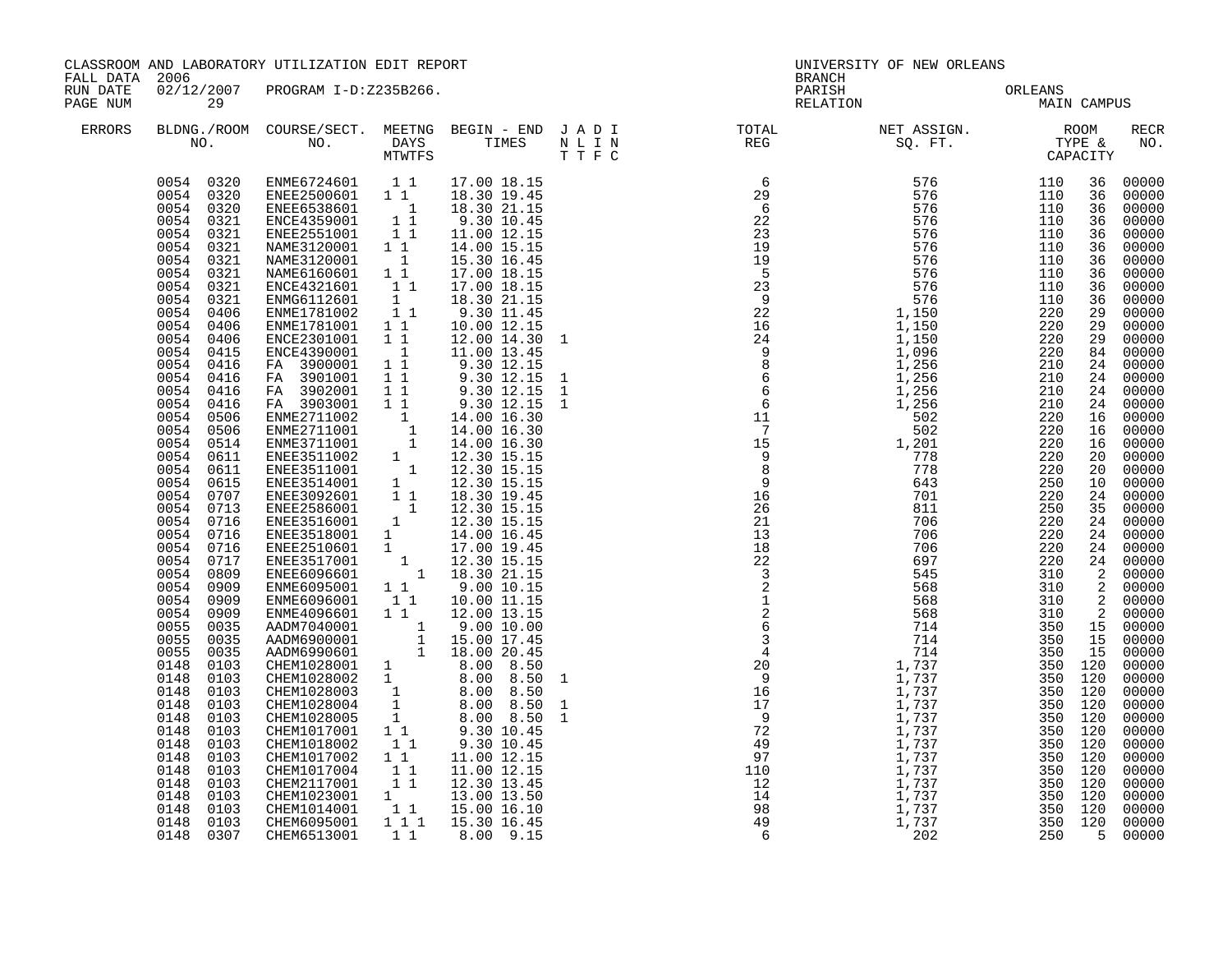| FALL DATA 2006       |                                                                                                                                                                                                                                                                                                                                                                                                                                                                                                                                                                                                                                                                                                                                       | CLASSROOM AND LABORATORY UTILIZATION EDIT REPORT                                                                                                                                                                                                                                                                                                                                                                                                                                                                                                                                                                                                                                                                                                                                                                                                                                                                                                                                                                                                                                                                                                                                                                                                                                                                                                                                                                                                                      |                                                                                                                                                     |                                                                                                                                                                                                                                                                                                                                                                                                                                                | UNIVERSITY OF NEW ORLEANS<br><b>BRANCH</b> |                                                                                                                                                                                                                                                                                                                                                                                                                            |  |             |                                                                                                                                                                                                                                                                                                                                                                                                                                                                                                    |  |  |
|----------------------|---------------------------------------------------------------------------------------------------------------------------------------------------------------------------------------------------------------------------------------------------------------------------------------------------------------------------------------------------------------------------------------------------------------------------------------------------------------------------------------------------------------------------------------------------------------------------------------------------------------------------------------------------------------------------------------------------------------------------------------|-----------------------------------------------------------------------------------------------------------------------------------------------------------------------------------------------------------------------------------------------------------------------------------------------------------------------------------------------------------------------------------------------------------------------------------------------------------------------------------------------------------------------------------------------------------------------------------------------------------------------------------------------------------------------------------------------------------------------------------------------------------------------------------------------------------------------------------------------------------------------------------------------------------------------------------------------------------------------------------------------------------------------------------------------------------------------------------------------------------------------------------------------------------------------------------------------------------------------------------------------------------------------------------------------------------------------------------------------------------------------------------------------------------------------------------------------------------------------|-----------------------------------------------------------------------------------------------------------------------------------------------------|------------------------------------------------------------------------------------------------------------------------------------------------------------------------------------------------------------------------------------------------------------------------------------------------------------------------------------------------------------------------------------------------------------------------------------------------|--------------------------------------------|----------------------------------------------------------------------------------------------------------------------------------------------------------------------------------------------------------------------------------------------------------------------------------------------------------------------------------------------------------------------------------------------------------------------------|--|-------------|----------------------------------------------------------------------------------------------------------------------------------------------------------------------------------------------------------------------------------------------------------------------------------------------------------------------------------------------------------------------------------------------------------------------------------------------------------------------------------------------------|--|--|
| RUN DATE<br>PAGE NUM | 29                                                                                                                                                                                                                                                                                                                                                                                                                                                                                                                                                                                                                                                                                                                                    | 02/12/2007 PROGRAM I-D:Z235B266.                                                                                                                                                                                                                                                                                                                                                                                                                                                                                                                                                                                                                                                                                                                                                                                                                                                                                                                                                                                                                                                                                                                                                                                                                                                                                                                                                                                                                                      |                                                                                                                                                     |                                                                                                                                                                                                                                                                                                                                                                                                                                                |                                            | PARISH ORLEANS<br>RELATION MAIN                                                                                                                                                                                                                                                                                                                                                                                            |  | MAIN CAMPUS |                                                                                                                                                                                                                                                                                                                                                                                                                                                                                                    |  |  |
| ERRORS               |                                                                                                                                                                                                                                                                                                                                                                                                                                                                                                                                                                                                                                                                                                                                       |                                                                                                                                                                                                                                                                                                                                                                                                                                                                                                                                                                                                                                                                                                                                                                                                                                                                                                                                                                                                                                                                                                                                                                                                                                                                                                                                                                                                                                                                       |                                                                                                                                                     |                                                                                                                                                                                                                                                                                                                                                                                                                                                |                                            |                                                                                                                                                                                                                                                                                                                                                                                                                            |  |             | <b>RECR</b><br>NO.                                                                                                                                                                                                                                                                                                                                                                                                                                                                                 |  |  |
|                      | 0054 0321<br>0054 0321<br>0054 0321<br>0054 0321<br>0054 0321<br>0054<br>0321<br>0054<br>0406<br>0054<br>0406<br>0054<br>0406<br>0054<br>0415<br>0054<br>0416<br>0054<br>0416<br>0054<br>0416<br>0054<br>0416<br>0054<br>0506<br>0054 0506<br>0054<br>0514<br>0054 0611<br>0054 0611<br>0054 0615<br>0054<br>0707<br>0054 0713<br>0054 0716<br>0054 0716<br>0054<br>0716<br>0054<br>0717<br>0054<br>0809<br>0054<br>0909<br>0054<br>0909<br>0054<br>0909<br>0055<br>0035<br>0055<br>0035<br>0055<br>0035<br>0148<br>0103<br>0148<br>0103<br>0148<br>0103<br>0148<br>0103<br>0148<br>0103<br>0148<br>0103<br>0148<br>0103<br>0148<br>0103<br>0148<br>0103<br>0148<br>0103<br>0148<br>0103<br>0148<br>0103<br>0148<br>0103<br>0148 0307 | $\begin{array}{cccc} 0054 & 0320 & \text{EMME6724601} & 1 & 1 & 17.00 & 18.15 \\ 0054 & 0320 & \text{EMEE2500601} & 1 & 1 & 18.30 & 19.45 \\ 0054 & 0320 & \text{EMEE6538601} & 1 & 18.30 & 21.15 \\ 0054 & 0321 & \text{EMCE4359001} & 1 & 9.30 & 10.45 \\ \end{array}$<br>ENEE2551001 11<br>NAME3120001 11<br>NAME3120001 1<br>NAME6160601 1<br>NAME6160601 11<br>ENCE4321601 11<br>ENME1781002 11<br>ENME1781002 11<br>ENME1781001 11<br>ENCE2301001<br>ENCE4390001<br>FA 3900001 1 1<br>FA 3901001<br>FA 3902001<br>FA 3902001 11 9.30 12.15<br>FA 3903001 11 9.30 12.15<br>ENME2711001 1 14.00 16.30<br>ENME2711001 1 14.00 16.30<br>ENME3711001 1 14.00 16.30<br>ENEE3511002 1 12.30 15.15<br>ENEE3514001 1 12.30 15.15<br>ENEE3514001 1 12.30 15.15<br>ENEE3092<br>ENEE3518001 1 14.00 16.45<br>ENEE2510601 1 17.00 19.45<br>ENEE3517001 1 12.30 15.15<br>ENEE6096601 1 18.30 21.15<br>ENME6095001 1 1 9.00 10.15<br>ENME6096001 11 10.00 11.15<br>ENME4096601 1 1 12.00 13.15<br>AADM7040001 1 9.00 10.00<br>AADM6900001 1 15.00 17.45<br>AADM6990601 1 18.00 20.45<br>AADM6900001<br>CHEM1028001 1 8.00 20.45<br>CHEM1028002 1 8.00 8.50<br>CHEM1028002 1 8.00 8.50<br>CHEM1028003 1 8.00 8.50<br>CHEM1028004 1 8.00 8.50<br>CHEM1028005 1 8.00 8.50<br>CHEM1028005 1 8.00 8.50<br>CHEM1028005 1 9.30 10.45<br>CHEM101<br>CHEM1018002<br>CHEM1017002<br>CHEM1017004 1 1<br>CHEM1017004 1 1<br>CHEM1023001 1<br>CHEM1014001 1 1<br>CHEM6095001<br>CHEM6513001 | $1\quad1$<br>11<br>11<br>$\begin{bmatrix} 1 \\ 1 \end{bmatrix}$<br>$1\quad1$<br>$\begin{bmatrix} 1 \\ 1 \\ 1 \end{bmatrix}$<br>$1 1 1$<br>$1\quad1$ | 11.00 12.15<br>14.00 15.15<br>15.30 16.45<br>17.00 18.15<br>17.00 18.15<br>18.30 21.15<br>$9.30$ $11.45$<br>$10.00$ $12.15$<br>12.00 14.30 1<br>$\overline{1}$ $\overline{11.00}$ $\overline{13.45}$<br>$\begin{array}{rrrr} 4.100 & 12.15 \\ 9.30 & 12.15 \\ 9.30 & 12.15 \\ 9.30 & 12.15 \\ 9.30 & 12.15 \end{array}$<br>$9.30$ 10.45<br>11.00 12.15<br>11.00 12.15<br>12.30 13.45<br>13.00 13.50<br>15.00 16.10<br>15.30 16.45<br>8.00 9.15 |                                            | $\begin{array}{cccccccc} \textbf{N} & \textbf{REC} & \textbf{SOS} & \textbf{PTT} & \textbf{C} \textbf{VPRR} \textbf{R} & \textbf{C} \textbf{VPRR} \textbf{R} & \textbf{C} \textbf{VPRR} \textbf{R} & \textbf{C} \textbf{VPRR} \textbf{R} & \textbf{VPRR} \textbf{R} & \textbf{VPRR} \textbf{R} & \textbf{VPRR} \textbf{R} & \textbf{VPRR} \textbf{R} & \textbf{VPRR} \textbf{R} & \textbf{VPRR} \textbf{R} & \textbf{VPRR$ |  |             | 00000<br>00000<br>00000<br>00000<br>00000<br>00000<br>00000<br>00000<br>00000<br>00000<br>00000<br>00000<br>29 00000<br>84 00000<br>00000<br>24 00000<br>24 00000<br>24 00000<br>00000<br>16 00000<br>$00000$<br>00000<br>00000<br>00000<br>24 00000<br>35 00000<br>00000<br>00000<br>24 00000<br>24 00000<br>2 00000<br>2 00000<br>2 00000<br>00000<br>15 00000<br>00000<br>00000<br>00000<br>$00000$<br>00000<br>00000<br>00000<br>00000<br>00000<br>00000<br>00000<br>00000<br>00000<br>5 00000 |  |  |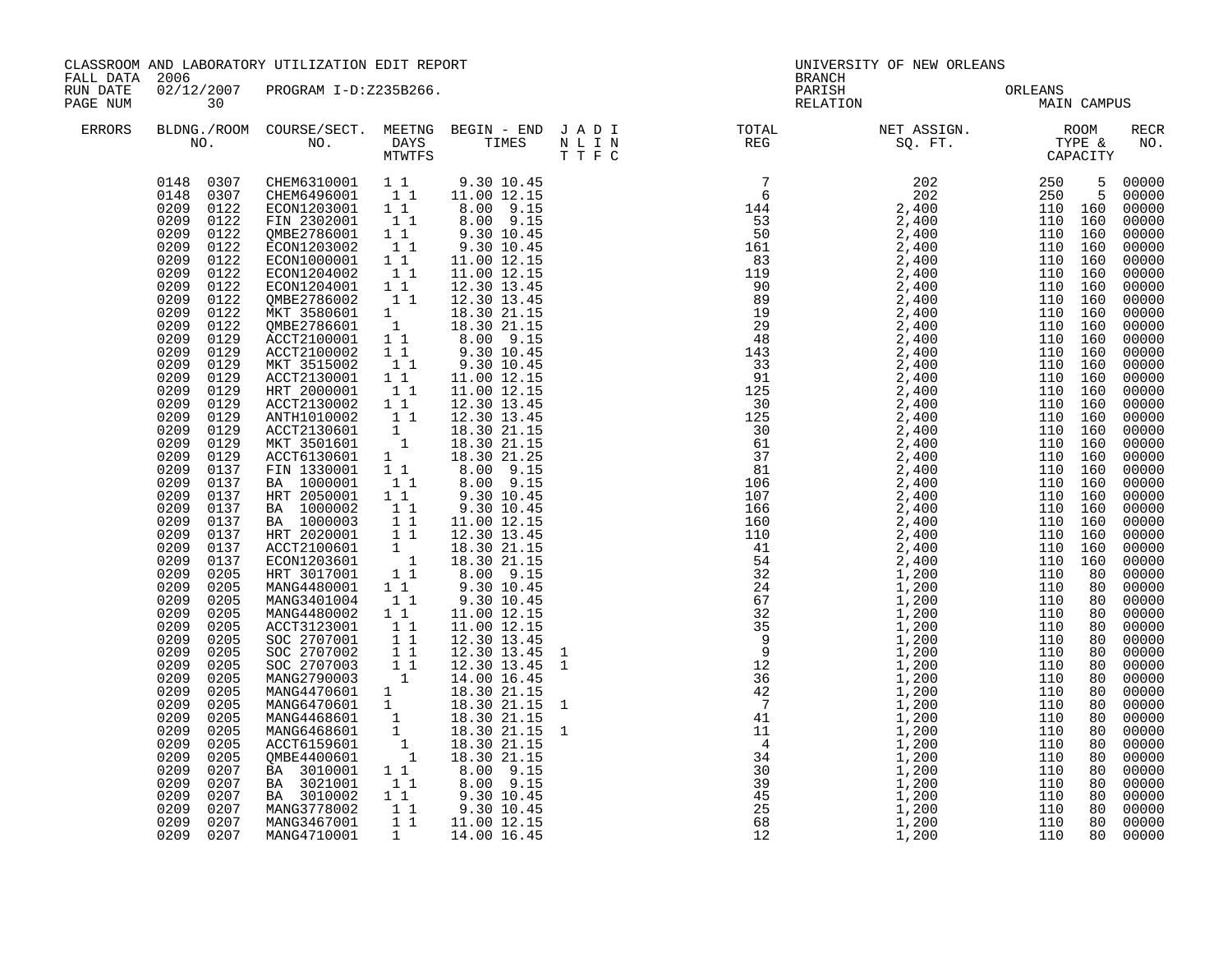|                      | CLASSROOM AND LABORATORY UTILIZATION EDIT REPORT<br>FALL DATA 2006                                                                                                                                                                                                                                                                                                                                                                                                                                                                                                                                                                                                                                                                                                           |                                                                                                                                                                                                                                                                                                                                                                                                                                                                                                                                                                                                                                                                                                                                                                                                                                                                                                                                                                                                                                                                                                                                                                                                                                                                                                                                                                                                                                                             |                                             | <b>BRANCH</b>                                                                                                                                                                                                                                                                      | UNIVERSITY OF NEW ORLEANS |                                                                                                                                                                                                                                                                                                                                                                                                                                                |                                 |             |                                                                                                                                                                                                                                                                                                                                                                                                                                            |
|----------------------|------------------------------------------------------------------------------------------------------------------------------------------------------------------------------------------------------------------------------------------------------------------------------------------------------------------------------------------------------------------------------------------------------------------------------------------------------------------------------------------------------------------------------------------------------------------------------------------------------------------------------------------------------------------------------------------------------------------------------------------------------------------------------|-------------------------------------------------------------------------------------------------------------------------------------------------------------------------------------------------------------------------------------------------------------------------------------------------------------------------------------------------------------------------------------------------------------------------------------------------------------------------------------------------------------------------------------------------------------------------------------------------------------------------------------------------------------------------------------------------------------------------------------------------------------------------------------------------------------------------------------------------------------------------------------------------------------------------------------------------------------------------------------------------------------------------------------------------------------------------------------------------------------------------------------------------------------------------------------------------------------------------------------------------------------------------------------------------------------------------------------------------------------------------------------------------------------------------------------------------------------|---------------------------------------------|------------------------------------------------------------------------------------------------------------------------------------------------------------------------------------------------------------------------------------------------------------------------------------|---------------------------|------------------------------------------------------------------------------------------------------------------------------------------------------------------------------------------------------------------------------------------------------------------------------------------------------------------------------------------------------------------------------------------------------------------------------------------------|---------------------------------|-------------|--------------------------------------------------------------------------------------------------------------------------------------------------------------------------------------------------------------------------------------------------------------------------------------------------------------------------------------------------------------------------------------------------------------------------------------------|
| RUN DATE<br>PAGE NUM | 30                                                                                                                                                                                                                                                                                                                                                                                                                                                                                                                                                                                                                                                                                                                                                                           | 02/12/2007 PROGRAM I-D:Z235B266.                                                                                                                                                                                                                                                                                                                                                                                                                                                                                                                                                                                                                                                                                                                                                                                                                                                                                                                                                                                                                                                                                                                                                                                                                                                                                                                                                                                                                            |                                             |                                                                                                                                                                                                                                                                                    |                           |                                                                                                                                                                                                                                                                                                                                                                                                                                                | PARISH ORLEANS<br>RELATION MAIN | MAIN CAMPUS |                                                                                                                                                                                                                                                                                                                                                                                                                                            |
| <b>ERRORS</b>        |                                                                                                                                                                                                                                                                                                                                                                                                                                                                                                                                                                                                                                                                                                                                                                              |                                                                                                                                                                                                                                                                                                                                                                                                                                                                                                                                                                                                                                                                                                                                                                                                                                                                                                                                                                                                                                                                                                                                                                                                                                                                                                                                                                                                                                                             |                                             |                                                                                                                                                                                                                                                                                    |                           | $\begin{tabular}{lllllllllllllllllllll} \textsc{BLONG.} \textsc{F100M.} & \textsc{COURSE/SECT.} & \textsc{METNG.} & \textsc{BEGIN - END} & \textsc{J A D I} & \textsc{DTAT} & \textsc{NTGTL} & \textsc{NET ASSIGN.} & \textsc{ROOM} \\ \textsc{NO.} & \textsc{NO.} & \textsc{DAYS} & \textsc{TIMES} & \textsc{N L I N} & \textsc{REG} & \textsc{SEG.} & \textsc{ST.} & \textsc{CTPE & \& \\ \textsc{MO.} & \textsc{NO.} & \textsc{MTWTFS} & \$ |                                 |             | RECR<br>NO.                                                                                                                                                                                                                                                                                                                                                                                                                                |
|                      | 0209<br>0122<br>0209<br>0122<br>0209<br>0122<br>0209<br>0122<br>0209<br>0122<br>0209<br>0122<br>0209<br>0122<br>0209<br>0122<br>0209<br>0122<br>0209<br>0209<br>0129<br>0129<br>0209<br>0129<br>0209<br>0129<br>0209<br>0129<br>0209<br>0129<br>0209<br>0129<br>0209<br>0129<br>0209<br>0129<br>0209<br>0129<br>0209<br>0137<br>0209<br>0137<br>0209<br>0137<br>0209<br>0137<br>0209<br>0137<br>0209<br>0137<br>0209<br>0137<br>0209<br>0137<br>0209<br>0205<br>0209<br>0205<br>0209<br>0205<br>0209<br>0205<br>0209<br>0205<br>0209<br>0205<br>0209<br>0205<br>0209<br>0205<br>0209<br>0205<br>0209<br>0205<br>0209<br>0205<br>0209<br>0205<br>0209<br>0205<br>0209<br>0205<br>0209<br>0205<br>0209<br>0207<br>0209<br>0207<br>0209<br>0207<br>0209<br>0207<br>0209<br>0207 | $\begin{array}{cccccccc} 0148 & 0307 & \text{CHEM6310001} & 1 & 1 & 9.30 & 10.45 \\ 0148 & 0307 & \text{CHEM6496001} & 1 & 1 & 11.00 & 12.15 \\ 0209 & 0122 & \text{ECON1203001} & 1 & 1 & 8.00 & 9.15 \end{array}$<br>FIN 2302001 11<br>QMBE2786001 11<br>ECON1203002 11<br>ECON1000001 1 1<br>ECON1204002 1 1<br>ECON1204002<br>ECON1204001 11<br>QMBE2786002 11<br>MKT 3580601 1<br>QMBE2786601 1<br>ACCT2100001 1 8.00 9.15<br>ACCT2100002 1 1 9.30 10.45<br>MKT 3515002 1<br>ACCT2130001 11<br>HRT 2000001 11<br>ACC12-1<br>HRT 2000001<br>ACCT2130002 11<br>ANTH1010002 11 12.30 1<br>ACCT2130601 1 18.30 21.15<br>MKT 3501601 1 18.30 21.15<br>ACCT6130601 1 18.30 21.25<br>FIN 1330001 1 1 8.00 9.15<br>1000001 1 1 8.00 9.15<br>1000001 1 1 8.00 9.15<br>9.30 1<br>BA 1000003<br>HRT 2020001 1 1<br>ACCT2100601 1<br>ECON1203601 1<br>HRT 3017001 1 1<br>MANG4480001 11<br>MANG3401004 11<br>3.10.45<br>2.100002 1 1 11.00 12.15<br>5 ACCT3123001 1 1 11.00 12.15<br>5 SOC 2707001 1 1 12.30 13.45<br>5 SOC 2707002 1 1 12.30 13.45<br>5 SOC 2707002 1 1 12.30 13.45<br>MANG2790003 1 1 14.00 16.45<br>MANG4470601 1 18.30 21.15 1<br>MANG4<br>NETRISION 1 18.30 21.15<br>2008<br>2008<br>2009<br>2010<br>2010<br>2010<br>2010<br>2010<br>2010<br>2010<br>2010<br>2010<br>2010<br>2010<br>2010<br>2010<br>2010<br>2010<br>2010<br>2010<br>2010<br>2010<br>2010<br>2010<br>2010<br>2010<br>2010<br>2010<br>2010<br>2010<br>2010<br>2010<br>2010<br> | $\begin{bmatrix} 1 \\ 1 \\ 1 \end{bmatrix}$ | 8.00 9.15<br>9.30 10.45<br>9.30 10.45<br>11.00 12.15<br>11.00 12.15<br>12.30 13.45<br>12.30 13.45<br>18.30 21.15<br>18.30 21.15<br>9.30 10.45<br>11.00 12.15<br>11.00 12.15<br>12.30 13.45<br>18.30 21.15<br>18.30 21.15<br>8.00 9.15<br>9.30 10.45<br>$9.30$ 10.45<br>11.00 12.15 |                           |                                                                                                                                                                                                                                                                                                                                                                                                                                                |                                 |             | 00000<br>00000<br>00000<br>00000<br>00000<br>00000<br>00000<br>00000<br>00000<br>00000<br>00000<br>00000<br>00000<br>00000<br>00000<br>00000<br>$00000$<br>00000<br>00000<br>00000<br>$00000$<br>$00000$<br>00000<br>00000<br>00000<br>$00000$<br>00000<br>00000<br>00000<br>00000<br>00000<br>00000<br>00000<br>00000<br>00000<br>00000<br>00000<br>$00000$<br>00000<br>00000<br>$00000$<br>$00000$<br>$00000$<br>00000<br>00000<br>00000 |
|                      | 0209 0207                                                                                                                                                                                                                                                                                                                                                                                                                                                                                                                                                                                                                                                                                                                                                                    | MANG4710001                                                                                                                                                                                                                                                                                                                                                                                                                                                                                                                                                                                                                                                                                                                                                                                                                                                                                                                                                                                                                                                                                                                                                                                                                                                                                                                                                                                                                                                 |                                             | $\overline{1}$ 14.00 16.45                                                                                                                                                                                                                                                         |                           |                                                                                                                                                                                                                                                                                                                                                                                                                                                |                                 |             | 80 00000                                                                                                                                                                                                                                                                                                                                                                                                                                   |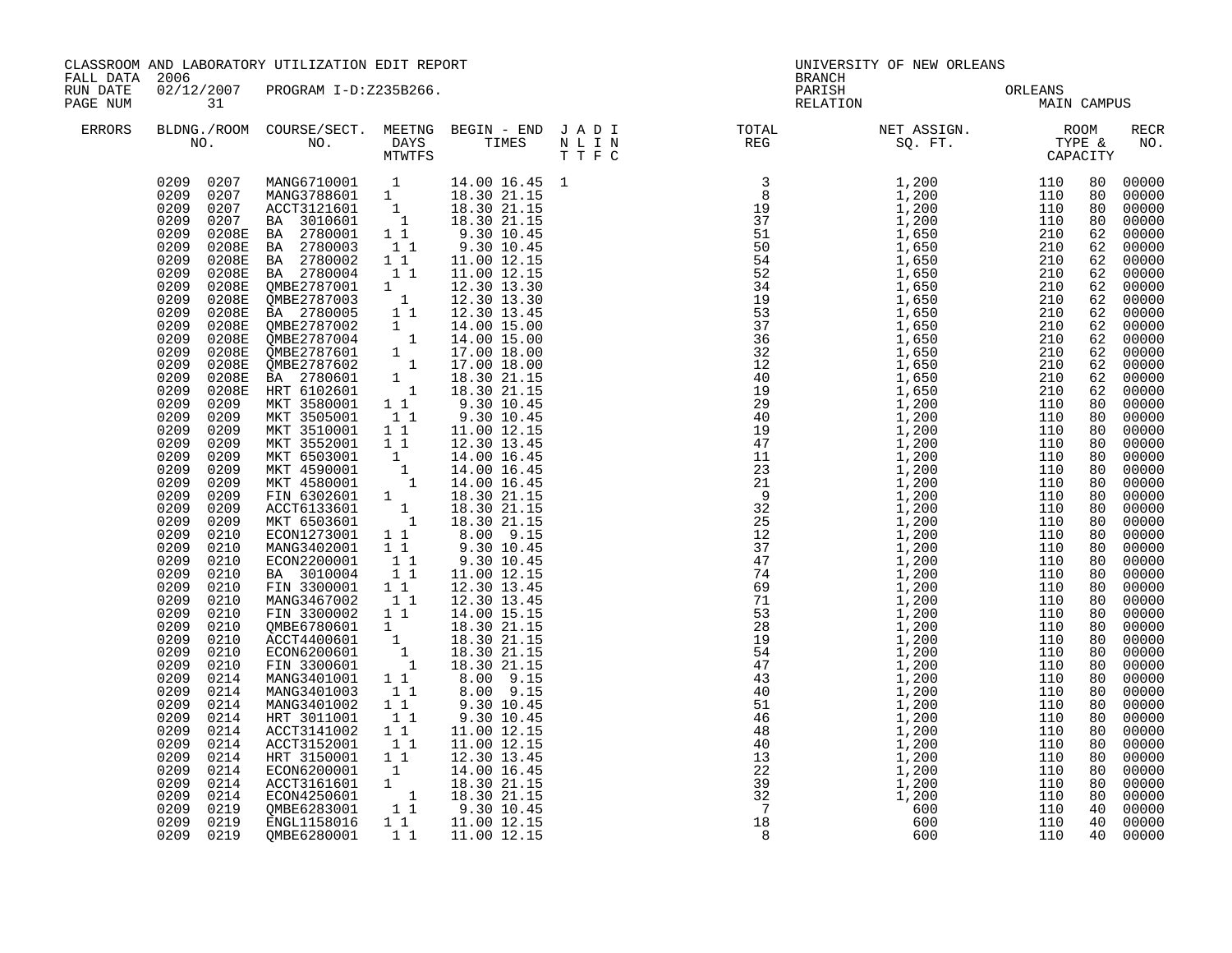|                      | CLASSROOM AND LABORATORY UTILIZATION EDIT REPORT<br>FALL DATA 2006                                                                                                                                                                                                                                                                                                                                                                                                        |                                                                                                                                                                                                                                                                                                                                                                                                                                                                                                                                                                                                                                                                                                                                                                                                                                                             |                                                          | UNIVERSITY OF NEW ORLEANS<br><b>BRANCH</b>                                                                                                                                  |  |                                                                                                                                                                                                                                                                                           |                                 |             |  |                                                                                                                                                                                                                                                                                                                                                                                                                                                                                                          |
|----------------------|---------------------------------------------------------------------------------------------------------------------------------------------------------------------------------------------------------------------------------------------------------------------------------------------------------------------------------------------------------------------------------------------------------------------------------------------------------------------------|-------------------------------------------------------------------------------------------------------------------------------------------------------------------------------------------------------------------------------------------------------------------------------------------------------------------------------------------------------------------------------------------------------------------------------------------------------------------------------------------------------------------------------------------------------------------------------------------------------------------------------------------------------------------------------------------------------------------------------------------------------------------------------------------------------------------------------------------------------------|----------------------------------------------------------|-----------------------------------------------------------------------------------------------------------------------------------------------------------------------------|--|-------------------------------------------------------------------------------------------------------------------------------------------------------------------------------------------------------------------------------------------------------------------------------------------|---------------------------------|-------------|--|----------------------------------------------------------------------------------------------------------------------------------------------------------------------------------------------------------------------------------------------------------------------------------------------------------------------------------------------------------------------------------------------------------------------------------------------------------------------------------------------------------|
| RUN DATE<br>PAGE NUM | 31                                                                                                                                                                                                                                                                                                                                                                                                                                                                        | 02/12/2007 PROGRAM I-D:Z235B266.                                                                                                                                                                                                                                                                                                                                                                                                                                                                                                                                                                                                                                                                                                                                                                                                                            |                                                          |                                                                                                                                                                             |  |                                                                                                                                                                                                                                                                                           | PARISH ORLEANS<br>RELATION MAIN | MAIN CAMPUS |  |                                                                                                                                                                                                                                                                                                                                                                                                                                                                                                          |
| ERRORS               |                                                                                                                                                                                                                                                                                                                                                                                                                                                                           |                                                                                                                                                                                                                                                                                                                                                                                                                                                                                                                                                                                                                                                                                                                                                                                                                                                             |                                                          |                                                                                                                                                                             |  |                                                                                                                                                                                                                                                                                           |                                 |             |  | RECR<br>NO.                                                                                                                                                                                                                                                                                                                                                                                                                                                                                              |
|                      | 0209<br>0209<br>0209<br>0209<br>0209<br>0209<br>0209<br>0209<br>0209<br>0209<br>0209<br>0209<br>0209<br>0210<br>0209<br>0210<br>0209<br>0210<br>0209<br>0210<br>0209<br>0210<br>0209<br>0210<br>0209<br>0210<br>0209<br>0210<br>0209<br>0210<br>0209<br>0210<br>0209<br>0210<br>0209<br>0214<br>0209<br>0214<br>0209<br>0214<br>0209<br>0214<br>0209<br>0214<br>0209<br>0214<br>0209<br>0214<br>0209<br>0214<br>0209<br>0214<br>0209<br>0214<br>0209<br>0219<br>0209 0219 | 9209 0207 MANG6710001 1 14.00 16.45<br>0209 0207 MANG6710001 1 18.30 21.15<br>0209 0207 ACCT3121601 1 18.30 21.15<br>0209 0207 ACCT3121601 1 18.30 21.15<br>0209 0207 BA 3010601 1 18.30 21.15<br>0209 0208E BA 2780003 11 9.30 10.45<br>0<br>MKT 3510001 1 1 11.00 12.15<br>MKT 3552001 1 1 2.30 13.45<br>MKT 6503001 1 14.00 16.45<br>MKT 4580001 1 14.00 16.45<br>MKT 4580001 1 14.00 16.45<br>FIN 6302601 1 18.30 21.15<br>ACCT6133601 1 18.30 21.15<br>MKT 6503601 1 18.30 21.15<br>MCA<br>ECON220001 1<br>BA 3010004 1 1<br>FIN 3300001 1 1<br>MANG3467002 1 1<br>FIN 3300002 1 1<br>FIN 3300002 1<br>MANG3401003<br>MANG3401002<br>HRT 3011001<br>ACCT3141002 1 1<br>ACCT3152001 1 <sup>1</sup><br>HRT 3150001 1 1<br>ECON6200001 1 14.00 16.45<br>ACCT3161601 1 18.30 21.15<br>ECON4250601 1 18.30 21.15<br>QMBE6283001 1 9.30 10.45<br>ENGL1158016 | $1\quad1$<br>$1^{\degree}1^{\degree}$<br>11<br>$1\quad1$ | 9.30 10.45<br>11.00 12.15<br>12.30 13.45<br>12.30 13.45<br>14.00 15.15<br>8.00 9.15<br>9.30 10.45<br>9.30 10.45<br>11.00 12.15<br>11.00 12.15<br>12.30 13.45<br>11.00 12.15 |  | $\begin{smallmatrix} 11 & 188 \\ 1882 & 1000 \\ 1991 & 1,2000 \\ 1000 & 1100 & 800 \\ 1,2000 & 1110 & 800 \\ 1,2000 & 1110 & 800 \\ 1,2000 & 1110 & 800 \\ 1,2000 & 1110 & 800 \\ 1,2000 & 1110 & 800 \\ 1,2000 & 1100 & 800 \\ 1,2000 & 1100 & 800 \\ 1,2000 & 1100 & 800 \\ 1,2000 & 1$ |                                 |             |  | 00000<br>00000<br>80 00000<br>00000<br>62 00000<br>00000<br>62 00000<br>$62$ 00000<br>$62$ 00000<br>00000<br>62 00000<br>62 00000<br>62 00000<br>00000<br>62 00000<br>62 00000<br>62 00000<br>00000<br>00000<br>80 00000<br>00000<br>00000<br>00000<br>00000<br>00000<br>00000<br>00000<br>00000<br>00000<br>00000<br>00000<br>00000<br>00000<br>00000<br>00000<br>00000<br>00000<br>00000<br>00000<br>00000<br>00000<br>00000<br>00000<br>00000<br>00000<br>$00000$<br>00000<br>00000<br>00000<br>00000 |
|                      | 0209 0219                                                                                                                                                                                                                                                                                                                                                                                                                                                                 | OMBE6280001                                                                                                                                                                                                                                                                                                                                                                                                                                                                                                                                                                                                                                                                                                                                                                                                                                                 |                                                          | 1 1 11.00 12.15                                                                                                                                                             |  |                                                                                                                                                                                                                                                                                           |                                 |             |  | 00000                                                                                                                                                                                                                                                                                                                                                                                                                                                                                                    |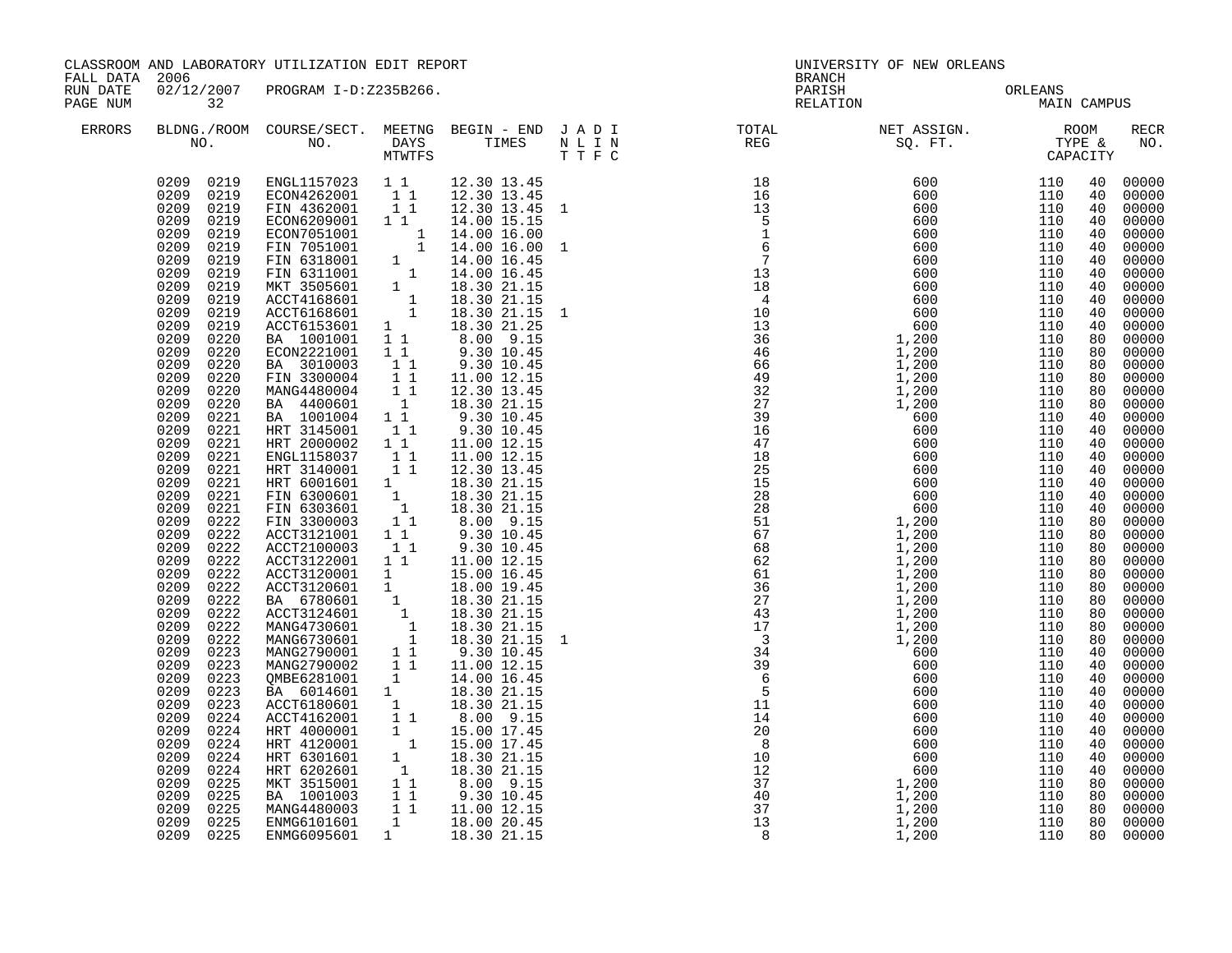|                      | CLASSROOM AND LABORATORY UTILIZATION EDIT REPORT<br>FALL DATA 2006                                                                                                                                                                                                                                                                                                                                                                                                                                                                                                                                                                                                                                                           |                                                                                                                                                                                                                                                                                                                                                                                                                                                                                                                                                                                                                                                                                                                                                                                                                                                                                                                                                                                                                                                                                                                                                                                                   |              | BRANCH                                                                                                                                                    | UNIVERSITY OF NEW ORLEANS |  |                                                                                                                                                                                                                                                                                                                                                                                                                                                |             |                                                                                                                                                                                                                                                                                              |                                                                                                                                                                                                                                                                                                                                                                                                                                                |
|----------------------|------------------------------------------------------------------------------------------------------------------------------------------------------------------------------------------------------------------------------------------------------------------------------------------------------------------------------------------------------------------------------------------------------------------------------------------------------------------------------------------------------------------------------------------------------------------------------------------------------------------------------------------------------------------------------------------------------------------------------|---------------------------------------------------------------------------------------------------------------------------------------------------------------------------------------------------------------------------------------------------------------------------------------------------------------------------------------------------------------------------------------------------------------------------------------------------------------------------------------------------------------------------------------------------------------------------------------------------------------------------------------------------------------------------------------------------------------------------------------------------------------------------------------------------------------------------------------------------------------------------------------------------------------------------------------------------------------------------------------------------------------------------------------------------------------------------------------------------------------------------------------------------------------------------------------------------|--------------|-----------------------------------------------------------------------------------------------------------------------------------------------------------|---------------------------|--|------------------------------------------------------------------------------------------------------------------------------------------------------------------------------------------------------------------------------------------------------------------------------------------------------------------------------------------------------------------------------------------------------------------------------------------------|-------------|----------------------------------------------------------------------------------------------------------------------------------------------------------------------------------------------------------------------------------------------------------------------------------------------|------------------------------------------------------------------------------------------------------------------------------------------------------------------------------------------------------------------------------------------------------------------------------------------------------------------------------------------------------------------------------------------------------------------------------------------------|
| RUN DATE<br>PAGE NUM | 32                                                                                                                                                                                                                                                                                                                                                                                                                                                                                                                                                                                                                                                                                                                           | 02/12/2007 PROGRAM I-D:Z235B266.                                                                                                                                                                                                                                                                                                                                                                                                                                                                                                                                                                                                                                                                                                                                                                                                                                                                                                                                                                                                                                                                                                                                                                  |              |                                                                                                                                                           |                           |  | PARISH ORLEANS<br>RELATION MAIN                                                                                                                                                                                                                                                                                                                                                                                                                | MAIN CAMPUS |                                                                                                                                                                                                                                                                                              |                                                                                                                                                                                                                                                                                                                                                                                                                                                |
| ERRORS               |                                                                                                                                                                                                                                                                                                                                                                                                                                                                                                                                                                                                                                                                                                                              |                                                                                                                                                                                                                                                                                                                                                                                                                                                                                                                                                                                                                                                                                                                                                                                                                                                                                                                                                                                                                                                                                                                                                                                                   |              |                                                                                                                                                           |                           |  | $\begin{tabular}{lllllllllllllllllllll} \textsc{BLONG.} \textsc{F100M.} & \textsc{COURSE/SECT.} & \textsc{METNG.} & \textsc{BEGIN - END} & \textsc{J A D I} & \textsc{DTAT} & \textsc{NTGTL} & \textsc{NET ASSIGN.} & \textsc{ROOM} \\ \textsc{NO.} & \textsc{NO.} & \textsc{DAYS} & \textsc{TIMES} & \textsc{N L I N} & \textsc{REG} & \textsc{SEG.} & \textsc{ST.} & \textsc{CTPE & \& \\ \textsc{MO.} & \textsc{NO.} & \textsc{MTWTFS} & \$ |             |                                                                                                                                                                                                                                                                                              | RECR<br>NO.                                                                                                                                                                                                                                                                                                                                                                                                                                    |
|                      | 0219<br>0209<br>0209<br>0219<br>0209<br>0219<br>0209<br>0219<br>0209<br>0219<br>0209<br>0219<br>0209<br>0219<br>0209<br>0219<br>0209<br>0220<br>0209<br>0220<br>0209<br>0220<br>0209<br>0220<br>0209<br>0220<br>0209<br>0220<br>0209<br>0221<br>0209<br>0221<br>0209<br>0221<br>0209<br>0221<br>0209<br>0221<br>0209<br>0221<br>0209<br>0221<br>0209<br>0221<br>0209<br>0222<br>0209<br>0222<br>0209<br>0222<br>0209<br>0222<br>0209<br>0222<br>0209<br>0222<br>0209<br>0222<br>0209<br>0222<br>0209<br>0222<br>0209<br>0222<br>0209<br>0223<br>0209<br>0223<br>0209<br>0223<br>0209<br>0223<br>0209<br>0223<br>0209<br>0224<br>0209<br>0224<br>0209<br>0224<br>0209<br>0224<br>0209<br>0224<br>0209<br>0225<br>0209<br>0225 | $\begin{array}{cccccc} 0209 & 0219 & \text{ENGL1157023} & 1 & 1 & 12.30 & 13.45 \\ 0209 & 0219 & \text{ECON4262001} & 1 & 1 & 12.30 & 13.45 \\ 0209 & 0219 & \text{FIN 4362001} & 1 & 1 & 12.30 & 13.45 \\ 0209 & 0219 & \text{ECON6209001} & 1 & 1 & 14.00 & 15.15 \\ \end{array}$<br>ECON6209001 1 1 14.00 15.15<br>ECON7051001 1 14.00 16.00<br>FIN 6318001 1 14.00 16.45<br>FIN 6318001 1 14.00 16.45<br>FIN 6318001 1 14.00 16.45<br>MKT 3505601 1 18.30 21.15<br>ACCT4168601 1 18.30 21.15<br>ACCT6153601 1 18.30 21.15 1<br>AC<br>BA 3010003<br>FIN 3300004 11<br>MANG4480004 11<br>BA 4400601 1<br>BA 1001004 1 1<br>HRT 3145001 1 1<br>HRT 2000002 11<br>ENGL1158037 11<br>HRT 3140001 1 1 12.30 13.45<br>HRT 3140001 1 1 12.30 13.45<br>HRT 6001601 1 18.30 21.15<br>FIN 6303601 1 18.30 21.15<br>FIN 6303601 1 18.30 21.15<br>FIN 3300003 1 1 8.00 9.15<br>ACCT3121001 1 9.30 10.45<br>ACCT2100003 1 1 9.30 10.45<br>ACCT3122001 1 1<br>ACCT3122001 1 1 11.00 12.15<br>ACCT3120601 1 15.00 16.45<br>BA 6780601 1 18.30 21.15<br>BA 6780601 1 18.30 21.15<br>MANG4730601 1 18.30 21.15<br>MANG4730601 1 18.30 21.15<br>MANG6730601 1 18.30 21.15<br>MANG2790002 1 1 11.00 12.15<br>MANG |              | 12.30 13.45 1<br>9.30 10.45<br>11.00 12.15<br>12.30 13.45<br>18.30 21.15<br>$9.30$ $10.45$<br>$9.30$ $10.45$<br>11.00 12.15<br>11.00 12.15<br>11.00 12.15 |                           |  |                                                                                                                                                                                                                                                                                                                                                                                                                                                |             | 40<br>40<br>40<br>40<br>40<br>40<br>40<br>40<br>40<br>40<br>40<br>40<br>80<br>80<br>80<br>80<br>80<br>80<br>40<br>40<br>40<br>40<br>40<br>40<br>40<br>40<br>80<br>80<br>80<br>80<br>80<br>80<br>80<br>80<br>80<br>80<br>40<br>40<br>40<br>40<br>40<br>40<br>40<br>40<br>40<br>40<br>80<br>80 | 00000<br>00000<br>00000<br>00000<br>00000<br>00000<br>00000<br>00000<br>00000<br>00000<br>00000<br>00000<br>00000<br>00000<br>00000<br>00000<br>00000<br>00000<br>00000<br>00000<br>00000<br>00000<br>00000<br>00000<br>00000<br>00000<br>00000<br>00000<br>00000<br>00000<br>00000<br>00000<br>00000<br>00000<br>00000<br>00000<br>00000<br>00000<br>00000<br>00000<br>00000<br>00000<br>00000<br>00000<br>00000<br>$00000$<br>00000<br>00000 |
|                      | 0209<br>0225<br>0209 0225<br>0209 0225                                                                                                                                                                                                                                                                                                                                                                                                                                                                                                                                                                                                                                                                                       | ENMG6101601<br>ENMG6095601                                                                                                                                                                                                                                                                                                                                                                                                                                                                                                                                                                                                                                                                                                                                                                                                                                                                                                                                                                                                                                                                                                                                                                        | $\mathbf{1}$ | 18.00 20.45<br>1 18.30 21.15                                                                                                                              |                           |  |                                                                                                                                                                                                                                                                                                                                                                                                                                                |             | 80<br>80<br>80                                                                                                                                                                                                                                                                               | 00000<br>00000<br>00000                                                                                                                                                                                                                                                                                                                                                                                                                        |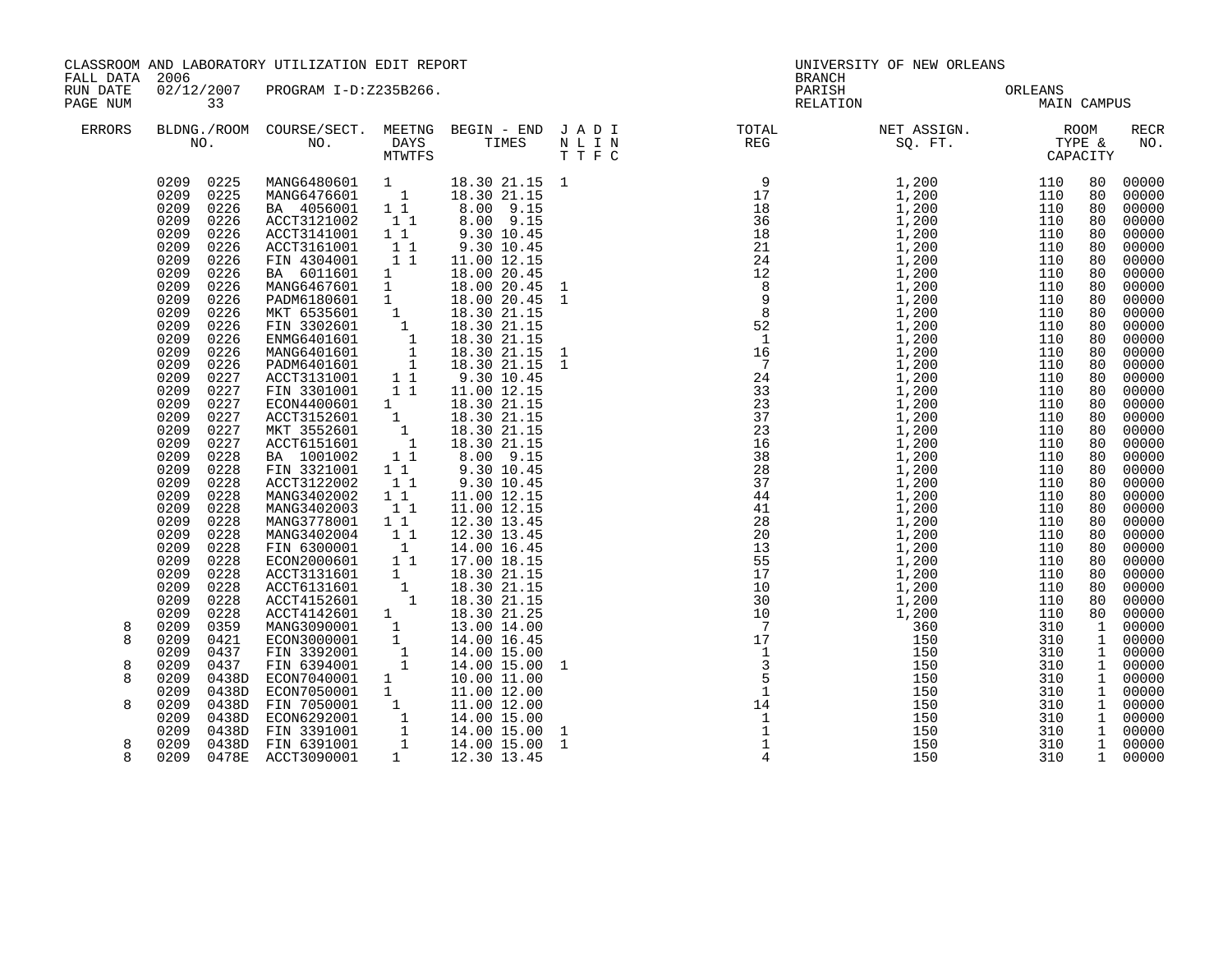|                      | CLASSROOM AND LABORATORY UTILIZATION EDIT REPORT<br>FALL DATA 2006                                                                                                                                                                                                                                                                                                                                                                                                                                                                                        |                                                                                                                                                                                                                                                                                                                                                                                                                                                                                                                                                                                              |                                                                                                                                                                                                                                     |                                                                                                                                                                                                                                                                                                                                                                                                                                                                                                                           | <b>BRANCH</b> | UNIVERSITY OF NEW ORLEANS                                                                                                                                                                                                                                                                                                                                                                                                                   |                       |         |                                                                                                                                                                                                          |                                                                                                                                                                                                                                                                                                                |  |
|----------------------|-----------------------------------------------------------------------------------------------------------------------------------------------------------------------------------------------------------------------------------------------------------------------------------------------------------------------------------------------------------------------------------------------------------------------------------------------------------------------------------------------------------------------------------------------------------|----------------------------------------------------------------------------------------------------------------------------------------------------------------------------------------------------------------------------------------------------------------------------------------------------------------------------------------------------------------------------------------------------------------------------------------------------------------------------------------------------------------------------------------------------------------------------------------------|-------------------------------------------------------------------------------------------------------------------------------------------------------------------------------------------------------------------------------------|---------------------------------------------------------------------------------------------------------------------------------------------------------------------------------------------------------------------------------------------------------------------------------------------------------------------------------------------------------------------------------------------------------------------------------------------------------------------------------------------------------------------------|---------------|---------------------------------------------------------------------------------------------------------------------------------------------------------------------------------------------------------------------------------------------------------------------------------------------------------------------------------------------------------------------------------------------------------------------------------------------|-----------------------|---------|----------------------------------------------------------------------------------------------------------------------------------------------------------------------------------------------------------|----------------------------------------------------------------------------------------------------------------------------------------------------------------------------------------------------------------------------------------------------------------------------------------------------------------|--|
| RUN DATE<br>PAGE NUM | 33                                                                                                                                                                                                                                                                                                                                                                                                                                                                                                                                                        | 02/12/2007 PROGRAM I-D:Z235B266.                                                                                                                                                                                                                                                                                                                                                                                                                                                                                                                                                             |                                                                                                                                                                                                                                     |                                                                                                                                                                                                                                                                                                                                                                                                                                                                                                                           |               | PARISH                                                                                                                                                                                                                                                                                                                                                                                                                                      | PARISH OF<br>RELATION | ORLEANS | MAIN CAMPUS                                                                                                                                                                                              |                                                                                                                                                                                                                                                                                                                |  |
| ERRORS               |                                                                                                                                                                                                                                                                                                                                                                                                                                                                                                                                                           |                                                                                                                                                                                                                                                                                                                                                                                                                                                                                                                                                                                              |                                                                                                                                                                                                                                     |                                                                                                                                                                                                                                                                                                                                                                                                                                                                                                                           |               | BLDNG./ROOM COURSE/SECT. MEETNG BEGIN – END JADI TOTAL NET ASSIGN. NET ASSIGN. ROOM NO. DAYS TIMES NLIN REG SQ.FT. TYPE &                                                                                                                                                                                                                                                                                                                   |                       |         |                                                                                                                                                                                                          | <b>RECR</b><br>NO.                                                                                                                                                                                                                                                                                             |  |
|                      | 0209 0225<br>0209<br>0225<br>0209<br>0226<br>0209<br>0226<br>0226<br>0209<br>0209<br>0226<br>0209<br>0226<br>0209<br>0226<br>0209<br>0226<br>0209<br>0226<br>0209<br>0226<br>0209<br>0226<br>0209<br>0226<br>0209<br>0226<br>0209<br>0226<br>0209<br>0227<br>0209<br>0227<br>0209<br>0227<br>0209<br>0227<br>0209<br>0227<br>0209<br>0227<br>0209<br>0228<br>0209<br>0228<br>0209<br>0228<br>0228<br>0209<br>0228<br>0209<br>0209<br>0228<br>0209<br>0228<br>0209<br>0228<br>0209<br>0228<br>0209<br>0228<br>0209<br>0228<br>0209<br>0228<br>0209<br>0228 | MANG6480601 1<br>MANG6476601 1<br>BA 4056001 11<br>ACCT3121002<br>ACCT3141001<br>ACCT3161001<br>FIN 4304001<br>BA 6011601 1<br>MANG6467601 1<br>MANG6467601 1<br>PADM6180601 1<br>MKT 6535601 1<br>FIN 3302601 1<br>ENMG6401601 1<br>MANG6401601 1<br>PADM6401601 1<br>ACCT3131001 1 1<br>TN 3301001 1 1<br>FIN 3301001 11<br>ECON4400601 1<br>ACCT3152601<br>MKT 3552601<br>ACCT6151601<br>BA 1001002<br>FIN 3321001<br>ACCT3122002<br>MANG3402002<br>MANG3402003<br>MANG3778001<br>MANG3402004<br>FIN 6300001<br>ECON2000601<br>ACCT3131601<br>ACCT6131601<br>ACCT4152601<br>ACCT4142601 1 | 11<br>11<br>$1\quad1$<br>11<br>$\mathbf{1}$<br>$\begin{bmatrix} 1\\ 1\\ 1 \end{bmatrix}$<br>11<br>11<br>$1\quad1$<br>11<br>$1\quad1$<br>11<br>$\overline{1}$<br>11<br>1<br>$\begin{bmatrix} 1 \\ 1 \end{bmatrix}$<br>$\overline{1}$ | 18.30 21.15 1<br>18.30 21.15<br>8.00 9.15<br>8.00 9.15<br>9.30 10.45<br>9.30 10.45<br>11.00 12.15<br>18.00 20.45<br>18.00 20.45 1<br>18.00 20.45 1<br>18.30 21.15<br>18.30 21.15<br>18.30 21.15<br>18.30 21.15<br>18.30 21.15 1<br>9.30 10.45<br>11.00 12.15<br>18.30 21.15<br>18.30 21.15<br>18.30 21.15<br>$18.30$ 21.15<br>8.00 9.15<br>9.30 10.45<br>9.30 10.45<br>11.00 12.15<br>11.00 12.15<br>12.30 13.45<br>12.30 13.45<br>14.00 16.45<br>17.00 18.15<br>18.30 21.15<br>18.30 21.15<br>18.30 21.15<br>18.30 21.25 |               | $\begin{array}{cccc} \texttt{N}=\texttt{N} & \texttt{REC} & \texttt{SQ}, & \texttt{P} \texttt{T}, & \texttt{TXM} \\ \texttt{N}=\texttt{N} & \texttt{SQ}, & \texttt{N} = \texttt{N} \\ \texttt{N}=\texttt{N} & \texttt{SQ}, & \texttt{N} = \texttt{N} \\ \texttt{N} & \texttt{N} & \texttt{N} & \texttt{N} & \texttt{N} \\ \texttt{N} & \texttt{N} & \texttt{N} & \texttt{N} & \texttt{N} \\ \texttt{N} & \texttt{N} & \texttt{N} & \texttt$ |                       |         | 80<br>80<br>80<br>80<br>80<br>80<br>80<br>80<br>80<br>80<br>80<br>80<br>80<br>80<br>80<br>80<br>80<br>80<br>80<br>80<br>80<br>80<br>80<br>80<br>80<br>80<br>80<br>80<br>80<br>80<br>80<br>80<br>80<br>80 | 00000<br>00000<br>00000<br>00000<br>00000<br>00000<br>00000<br>00000<br>00000<br>00000<br>00000<br>00000<br>00000<br>00000<br>00000<br>00000<br>00000<br>00000<br>00000<br>00000<br>00000<br>00000<br>00000<br>00000<br>00000<br>00000<br>00000<br>00000<br>00000<br>00000<br>00000<br>00000<br>00000<br>00000 |  |
| 8<br>8               | 0209<br>0359<br>0209<br>0421<br>0209<br>0437                                                                                                                                                                                                                                                                                                                                                                                                                                                                                                              | MANG3090001<br>ECON3000001 1<br>FIN 3392001 1<br>FIN 6394001 1<br>ECON7040001 1                                                                                                                                                                                                                                                                                                                                                                                                                                                                                                              |                                                                                                                                                                                                                                     | 13.00 14.00<br>14.00 16.45<br>14.00 15.00                                                                                                                                                                                                                                                                                                                                                                                                                                                                                 |               |                                                                                                                                                                                                                                                                                                                                                                                                                                             |                       |         | $\mathbf{1}$<br>$\mathbf{1}$<br>$\mathbf{1}$                                                                                                                                                             | 00000<br>00000<br>00000                                                                                                                                                                                                                                                                                        |  |
| 8<br>8               | 0437<br>0209<br>0209<br>0438D                                                                                                                                                                                                                                                                                                                                                                                                                                                                                                                             |                                                                                                                                                                                                                                                                                                                                                                                                                                                                                                                                                                                              |                                                                                                                                                                                                                                     | 14.00 15.00<br>10.00 11.00                                                                                                                                                                                                                                                                                                                                                                                                                                                                                                |               |                                                                                                                                                                                                                                                                                                                                                                                                                                             |                       |         | $\mathbf{1}$<br>1                                                                                                                                                                                        | 00000<br>00000                                                                                                                                                                                                                                                                                                 |  |
|                      | 0209<br>0438D                                                                                                                                                                                                                                                                                                                                                                                                                                                                                                                                             | ECON7050001 1                                                                                                                                                                                                                                                                                                                                                                                                                                                                                                                                                                                |                                                                                                                                                                                                                                     | 11.00 12.00                                                                                                                                                                                                                                                                                                                                                                                                                                                                                                               |               |                                                                                                                                                                                                                                                                                                                                                                                                                                             |                       |         | $\mathbf{1}$                                                                                                                                                                                             | 00000                                                                                                                                                                                                                                                                                                          |  |
| 8                    | 0209<br>0438D                                                                                                                                                                                                                                                                                                                                                                                                                                                                                                                                             | FIN 7050001 1 11.00 12.00<br>ECON6292001 1 14.00 15.00<br>FIN 3391001 1 14.00 15.00<br>FIN 6391001 1 14.00 15.00                                                                                                                                                                                                                                                                                                                                                                                                                                                                             |                                                                                                                                                                                                                                     |                                                                                                                                                                                                                                                                                                                                                                                                                                                                                                                           |               |                                                                                                                                                                                                                                                                                                                                                                                                                                             |                       |         | $\mathbf{1}$                                                                                                                                                                                             | 00000                                                                                                                                                                                                                                                                                                          |  |
|                      | 0209<br>0438D                                                                                                                                                                                                                                                                                                                                                                                                                                                                                                                                             |                                                                                                                                                                                                                                                                                                                                                                                                                                                                                                                                                                                              |                                                                                                                                                                                                                                     |                                                                                                                                                                                                                                                                                                                                                                                                                                                                                                                           |               |                                                                                                                                                                                                                                                                                                                                                                                                                                             |                       |         | $\mathbf{1}$                                                                                                                                                                                             | 00000                                                                                                                                                                                                                                                                                                          |  |
|                      | 0209<br>0438D                                                                                                                                                                                                                                                                                                                                                                                                                                                                                                                                             |                                                                                                                                                                                                                                                                                                                                                                                                                                                                                                                                                                                              |                                                                                                                                                                                                                                     |                                                                                                                                                                                                                                                                                                                                                                                                                                                                                                                           |               |                                                                                                                                                                                                                                                                                                                                                                                                                                             |                       |         | $\mathbf{1}$                                                                                                                                                                                             | 00000                                                                                                                                                                                                                                                                                                          |  |
| 8                    | 0209                                                                                                                                                                                                                                                                                                                                                                                                                                                                                                                                                      | 0438D FIN 6391001                                                                                                                                                                                                                                                                                                                                                                                                                                                                                                                                                                            |                                                                                                                                                                                                                                     |                                                                                                                                                                                                                                                                                                                                                                                                                                                                                                                           |               |                                                                                                                                                                                                                                                                                                                                                                                                                                             |                       |         | $\mathbf{1}$                                                                                                                                                                                             | 00000                                                                                                                                                                                                                                                                                                          |  |
| 8                    |                                                                                                                                                                                                                                                                                                                                                                                                                                                                                                                                                           | 0209 0478E ACCT3090001                                                                                                                                                                                                                                                                                                                                                                                                                                                                                                                                                                       |                                                                                                                                                                                                                                     | 1 12.30 13.45                                                                                                                                                                                                                                                                                                                                                                                                                                                                                                             |               |                                                                                                                                                                                                                                                                                                                                                                                                                                             |                       |         | 1                                                                                                                                                                                                        | 00000                                                                                                                                                                                                                                                                                                          |  |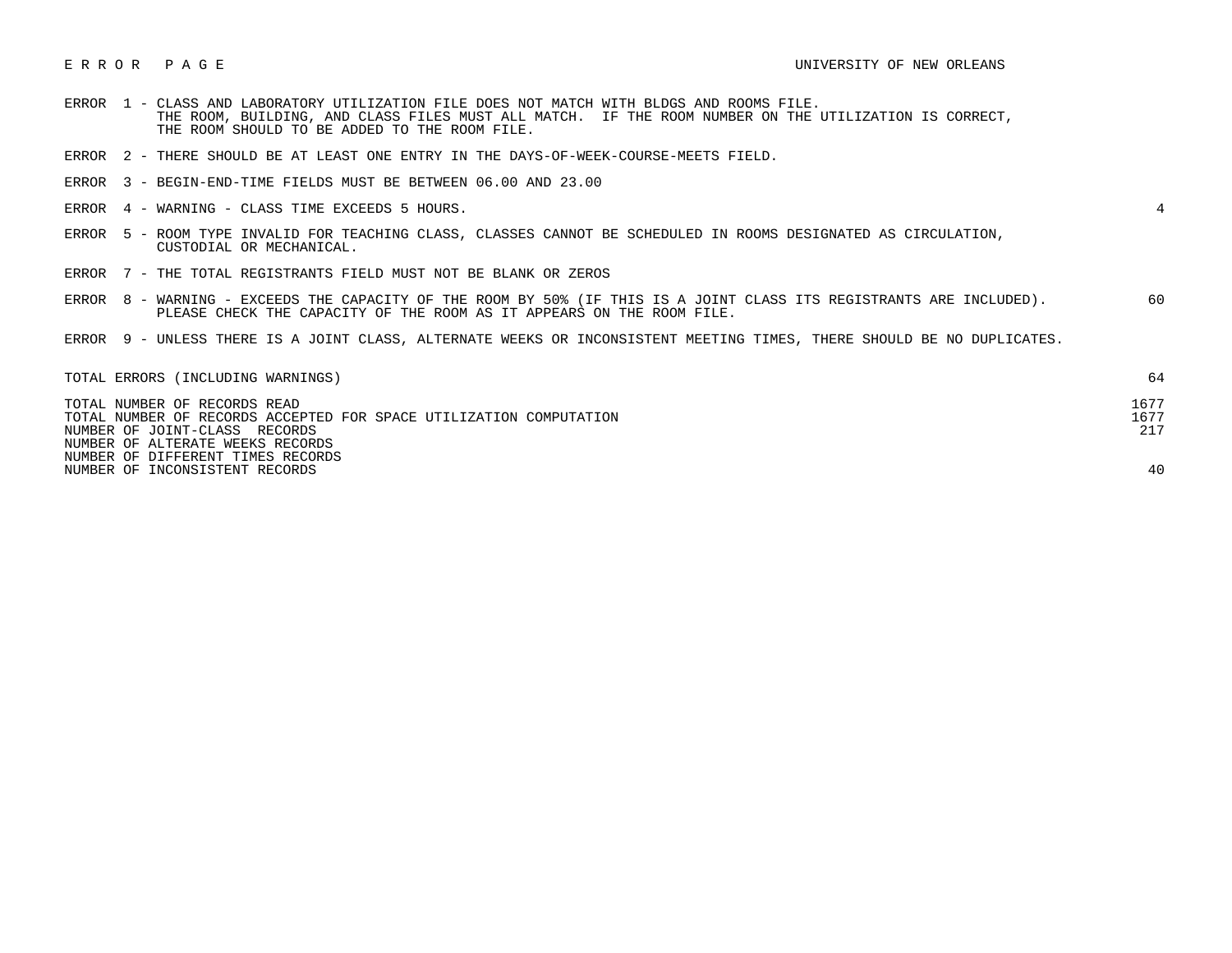- ERROR 1 CLASS AND LABORATORY UTILIZATION FILE DOES NOT MATCH WITH BLDGS AND ROOMS FILE. THE ROOM, BUILDING, AND CLASS FILES MUST ALL MATCH. IF THE ROOM NUMBER ON THE UTILIZATION IS CORRECT, THE ROOM SHOULD TO BE ADDED TO THE ROOM FILE.
- ERROR 2 THERE SHOULD BE AT LEAST ONE ENTRY IN THE DAYS-OF-WEEK-COURSE-MEETS FIELD.
- ERROR 3 BEGIN-END-TIME FIELDS MUST BE BETWEEN 06.00 AND 23.00
- ERROR 4 WARNING CLASS TIME EXCEEDS 5 HOURS. 4

- ERROR 5 ROOM TYPE INVALID FOR TEACHING CLASS, CLASSES CANNOT BE SCHEDULED IN ROOMS DESIGNATED AS CIRCULATION, CUSTODIAL OR MECHANICAL.
- ERROR 7 THE TOTAL REGISTRANTS FIELD MUST NOT BE BLANK OR ZEROS
- ERROR 8 WARNING EXCEEDS THE CAPACITY OF THE ROOM BY 50% (IF THIS IS A JOINT CLASS ITS REGISTRANTS ARE INCLUDED). 60 PLEASE CHECK THE CAPACITY OF THE ROOM AS IT APPEARS ON THE ROOM FILE.
- ERROR 9 UNLESS THERE IS A JOINT CLASS, ALTERNATE WEEKS OR INCONSISTENT MEETING TIMES, THERE SHOULD BE NO DUPLICATES.

| TOTAL ERRORS (INCLUDING WARNINGS)                                  | 64   |
|--------------------------------------------------------------------|------|
| TOTAL NUMBER OF RECORDS READ                                       | 1677 |
| TOTAL NUMBER OF RECORDS ACCEPTED FOR SPACE UTILIZATION COMPUTATION | 1677 |
| NUMBER OF JOINT-CLASS RECORDS                                      | 217  |
| NUMBER OF ALTERATE WEEKS RECORDS                                   |      |
| NUMBER OF DIFFERENT TIMES RECORDS                                  |      |
| NUMBER OF INCONSISTENT RECORDS                                     | 40   |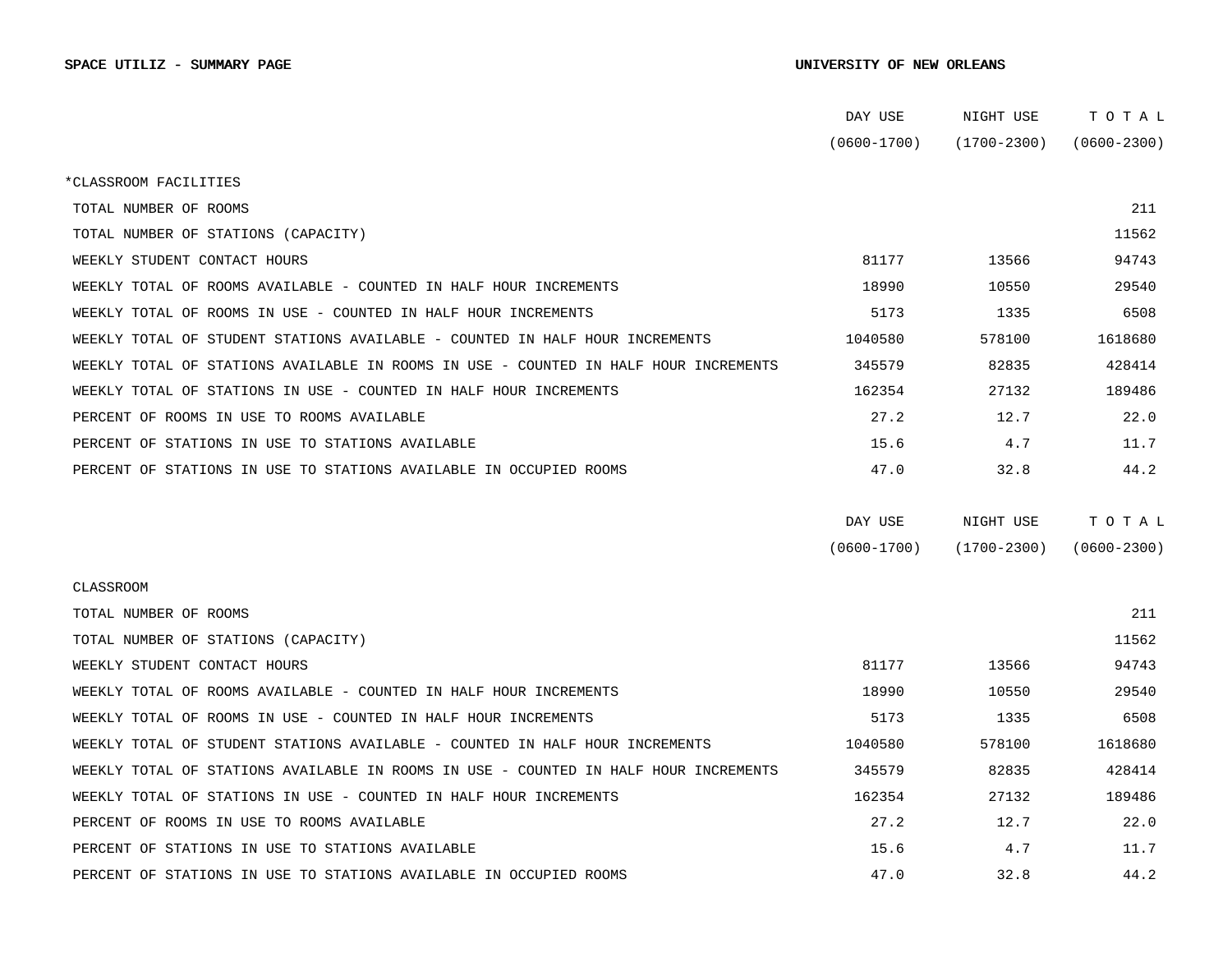|                                                                                      | DAY USE         | NIGHT USE       | тотаь           |  |
|--------------------------------------------------------------------------------------|-----------------|-----------------|-----------------|--|
|                                                                                      | $(0600 - 1700)$ | $(1700 - 2300)$ | $(0600 - 2300)$ |  |
| *CLASSROOM FACILITIES                                                                |                 |                 |                 |  |
| TOTAL NUMBER OF ROOMS                                                                |                 |                 | 211             |  |
| TOTAL NUMBER OF STATIONS (CAPACITY)                                                  |                 |                 | 11562           |  |
| WEEKLY STUDENT CONTACT HOURS                                                         | 81177           | 13566           | 94743           |  |
| WEEKLY TOTAL OF ROOMS AVAILABLE - COUNTED IN HALF HOUR INCREMENTS                    | 18990           | 10550           | 29540           |  |
| WEEKLY TOTAL OF ROOMS IN USE - COUNTED IN HALF HOUR INCREMENTS                       | 5173            | 1335            | 6508            |  |
| WEEKLY TOTAL OF STUDENT STATIONS AVAILABLE - COUNTED IN HALF HOUR INCREMENTS         | 1040580         | 578100          | 1618680         |  |
| WEEKLY TOTAL OF STATIONS AVAILABLE IN ROOMS IN USE - COUNTED IN HALF HOUR INCREMENTS | 345579          | 82835           | 428414          |  |
| WEEKLY TOTAL OF STATIONS IN USE - COUNTED IN HALF HOUR INCREMENTS                    | 162354          | 27132           | 189486          |  |
| PERCENT OF ROOMS IN USE TO ROOMS AVAILABLE                                           | 27.2            | 12.7            | 22.0            |  |
| PERCENT OF STATIONS IN USE TO STATIONS AVAILABLE                                     | 15.6            | 4.7             | 11.7            |  |
| PERCENT OF STATIONS IN USE TO STATIONS AVAILABLE IN OCCUPIED ROOMS                   | 47.0            | 32.8            | 44.2            |  |
|                                                                                      |                 |                 |                 |  |
|                                                                                      | DAY USE         | NIGHT USE       | TOTAL           |  |
|                                                                                      | $(0600 - 1700)$ | $(1700 - 2300)$ | $(0600 - 2300)$ |  |
| CLASSROOM                                                                            |                 |                 |                 |  |
| TOTAL NUMBER OF ROOMS                                                                |                 |                 | 211             |  |
| TOTAL NUMBER OF STATIONS (CAPACITY)                                                  |                 |                 | 11562           |  |
| WEEKLY STUDENT CONTACT HOURS                                                         | 81177           | 13566           | 94743           |  |
| WEEKLY TOTAL OF ROOMS AVAILABLE - COUNTED IN HALF HOUR INCREMENTS                    | 18990           | 10550           | 29540           |  |
| WEEKLY TOTAL OF ROOMS IN USE - COUNTED IN HALF HOUR INCREMENTS                       | 5173            | 1335            | 6508            |  |
| WEEKLY TOTAL OF STUDENT STATIONS AVAILABLE - COUNTED IN HALF HOUR INCREMENTS         | 1040580         | 578100          | 1618680         |  |
| WEEKLY TOTAL OF STATIONS AVAILABLE IN ROOMS IN USE - COUNTED IN HALF HOUR INCREMENTS | 345579          | 82835           | 428414          |  |
| WEEKLY TOTAL OF STATIONS IN USE - COUNTED IN HALF HOUR INCREMENTS                    | 162354          | 27132           | 189486          |  |
| PERCENT OF ROOMS IN USE TO ROOMS AVAILABLE                                           | 27.2            | 12.7            | 22.0            |  |
| PERCENT OF STATIONS IN USE TO STATIONS AVAILABLE                                     | 15.6            | 4.7             | 11.7            |  |
| PERCENT OF STATIONS IN USE TO STATIONS AVAILABLE IN OCCUPIED ROOMS                   | 47.0            | 32.8            | 44.2            |  |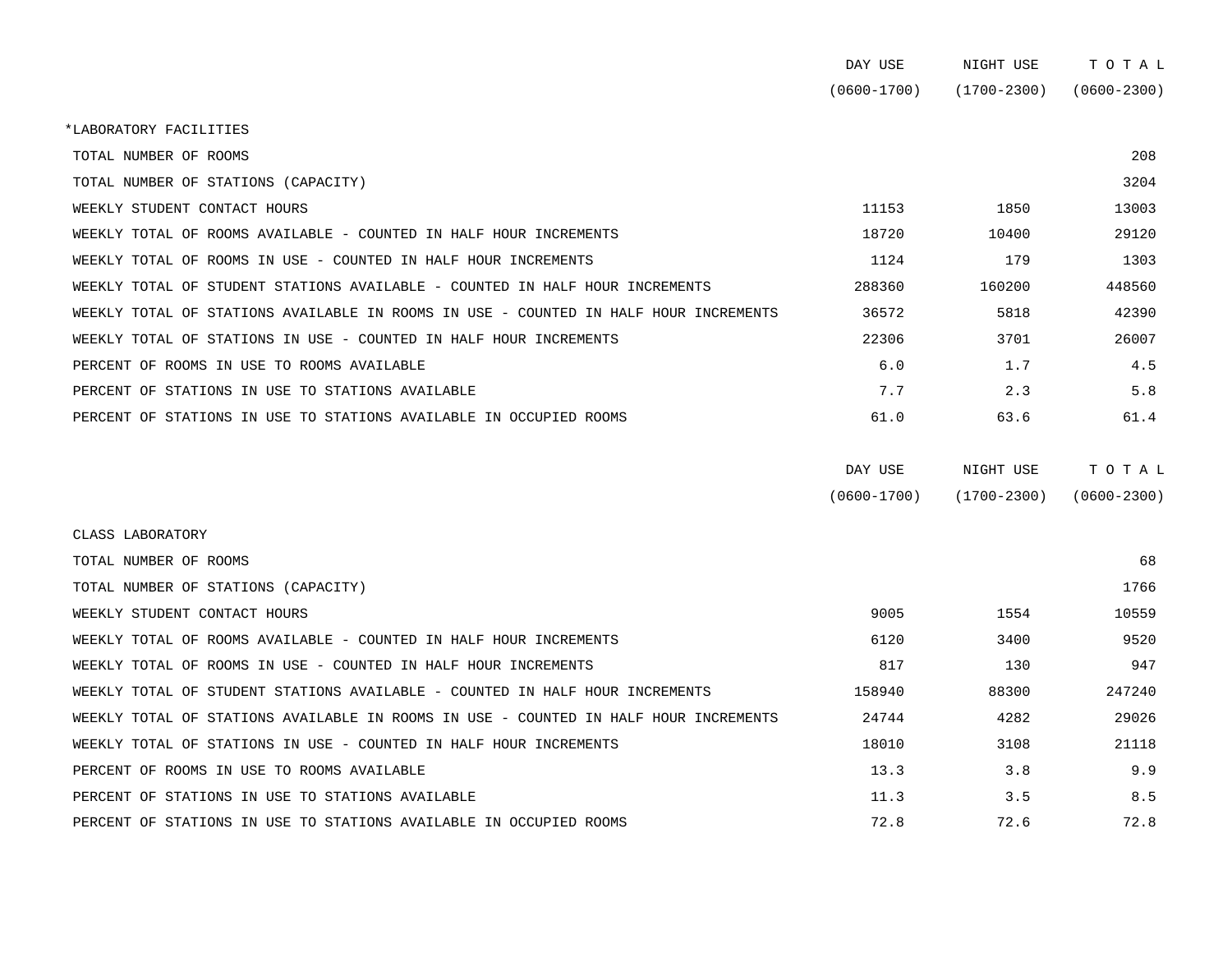|                                                                                      | DAY USE         | NIGHT USE   | TOTAL           |
|--------------------------------------------------------------------------------------|-----------------|-------------|-----------------|
|                                                                                      | $(0600 - 1700)$ | (1700-2300) | $(0600 - 2300)$ |
| *LABORATORY FACILITIES                                                               |                 |             |                 |
| TOTAL NUMBER OF ROOMS                                                                |                 |             | 208             |
| TOTAL NUMBER OF STATIONS (CAPACITY)                                                  |                 |             | 3204            |
| WEEKLY STUDENT CONTACT HOURS                                                         | 11153           | 1850        | 13003           |
| WEEKLY TOTAL OF ROOMS AVAILABLE - COUNTED IN HALF HOUR INCREMENTS                    | 18720           | 10400       | 29120           |
| WEEKLY TOTAL OF ROOMS IN USE - COUNTED IN HALF HOUR INCREMENTS                       | 1124            | 179         | 1303            |
| WEEKLY TOTAL OF STUDENT STATIONS AVAILABLE - COUNTED IN HALF HOUR INCREMENTS         | 288360          | 160200      | 448560          |
| WEEKLY TOTAL OF STATIONS AVAILABLE IN ROOMS IN USE - COUNTED IN HALF HOUR INCREMENTS | 36572           | 5818        | 42390           |
| WEEKLY TOTAL OF STATIONS IN USE - COUNTED IN HALF HOUR INCREMENTS                    | 22306           | 3701        | 26007           |
| PERCENT OF ROOMS IN USE TO ROOMS AVAILABLE                                           | 6.0             | 1.7         | 4.5             |
| PERCENT OF STATIONS IN USE TO STATIONS AVAILABLE                                     | 7.7             | 2.3         | 5.8             |

| DAY USE         | NIGHT USE       | тотац           |
|-----------------|-----------------|-----------------|
| $(0600 - 1700)$ | $(1700 - 2300)$ | $(0600 - 2300)$ |

| CLASS LABORATORY                                                                     |        |       |        |
|--------------------------------------------------------------------------------------|--------|-------|--------|
| TOTAL NUMBER OF ROOMS                                                                |        |       | 68     |
| TOTAL NUMBER OF STATIONS (CAPACITY)                                                  |        |       | 1766   |
| WEEKLY STUDENT CONTACT HOURS                                                         | 9005   | 1554  | 10559  |
| WEEKLY TOTAL OF ROOMS AVAILABLE - COUNTED IN HALF HOUR INCREMENTS                    | 6120   | 3400  | 9520   |
| WEEKLY TOTAL OF ROOMS IN USE - COUNTED IN HALF HOUR INCREMENTS                       | 817    | 130   | 947    |
| WEEKLY TOTAL OF STUDENT STATIONS AVAILABLE - COUNTED IN HALF HOUR INCREMENTS         | 158940 | 88300 | 247240 |
| WEEKLY TOTAL OF STATIONS AVAILABLE IN ROOMS IN USE - COUNTED IN HALF HOUR INCREMENTS | 24744  | 4282  | 29026  |
| WEEKLY TOTAL OF STATIONS IN USE - COUNTED IN HALF HOUR INCREMENTS                    | 18010  | 3108  | 21118  |
| PERCENT OF ROOMS IN USE TO ROOMS AVAILABLE                                           | 13.3   | 3.8   | 9.9    |
| PERCENT OF STATIONS IN USE TO STATIONS AVAILABLE                                     | 11.3   | 3.5   | 8.5    |
| PERCENT OF STATIONS IN USE TO STATIONS AVAILABLE IN OCCUPIED ROOMS                   | 72.8   | 72.6  | 72.8   |

PERCENT OF STATIONS IN USE TO STATIONS AVAILABLE IN OCCUPIED ROOMS 61.0 63.6 61.4 61.4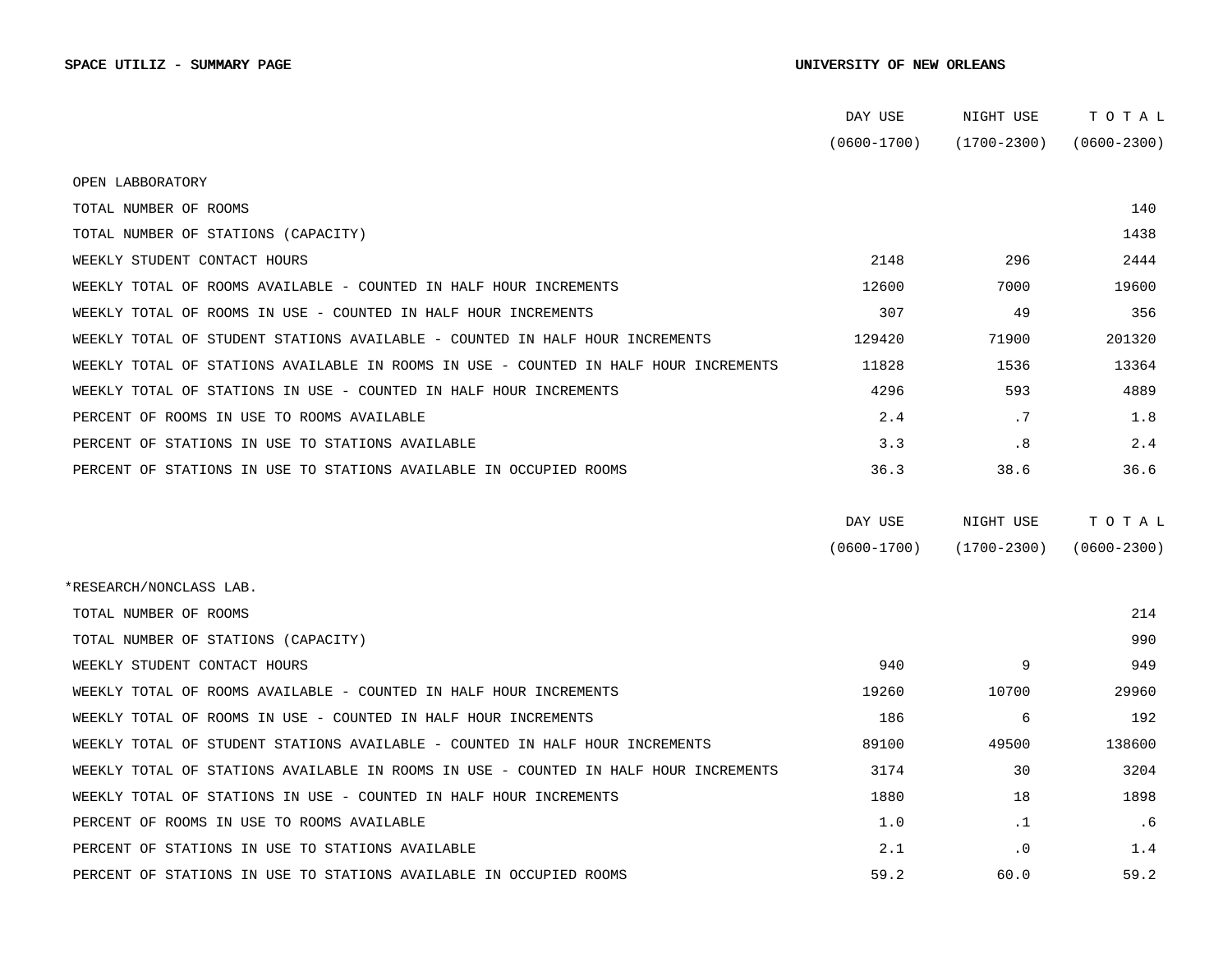|                                                                                      | DAY USE         | NIGHT USE       | TOTAL           |
|--------------------------------------------------------------------------------------|-----------------|-----------------|-----------------|
|                                                                                      | $(0600 - 1700)$ | $(1700 - 2300)$ | $(0600 - 2300)$ |
| OPEN LABBORATORY                                                                     |                 |                 |                 |
| TOTAL NUMBER OF ROOMS                                                                |                 |                 | 140             |
| TOTAL NUMBER OF STATIONS (CAPACITY)                                                  |                 |                 | 1438            |
| WEEKLY STUDENT CONTACT HOURS                                                         | 2148            | 296             | 2444            |
| WEEKLY TOTAL OF ROOMS AVAILABLE - COUNTED IN HALF HOUR INCREMENTS                    | 12600           | 7000            | 19600           |
| WEEKLY TOTAL OF ROOMS IN USE - COUNTED IN HALF HOUR INCREMENTS                       | 307             | 49              | 356             |
| WEEKLY TOTAL OF STUDENT STATIONS AVAILABLE - COUNTED IN HALF HOUR INCREMENTS         | 129420          | 71900           | 201320          |
| WEEKLY TOTAL OF STATIONS AVAILABLE IN ROOMS IN USE - COUNTED IN HALF HOUR INCREMENTS | 11828           | 1536            | 13364           |
| WEEKLY TOTAL OF STATIONS IN USE - COUNTED IN HALF HOUR INCREMENTS                    | 4296            | 593             | 4889            |
| PERCENT OF ROOMS IN USE TO ROOMS AVAILABLE                                           | 2.4             | .7              | 1.8             |
| PERCENT OF STATIONS IN USE TO STATIONS AVAILABLE                                     | 3.3             | .8              | 2.4             |
| PERCENT OF STATIONS IN USE TO STATIONS AVAILABLE IN OCCUPIED ROOMS                   | 36.3            | 38.6            | 36.6            |
|                                                                                      | DAY USE         | NIGHT USE       | TOTAL           |
|                                                                                      | $(0600 - 1700)$ | $(1700 - 2300)$ | $(0600 - 2300)$ |
| *RESEARCH/NONCLASS LAB.                                                              |                 |                 |                 |
| TOTAL NUMBER OF ROOMS                                                                |                 |                 | 214             |
| TOTAL NUMBER OF STATIONS (CAPACITY)                                                  |                 |                 | 990             |
| WEEKLY STUDENT CONTACT HOURS                                                         | 940             | 9               | 949             |
| WEEKLY TOTAL OF ROOMS AVAILABLE - COUNTED IN HALF HOUR INCREMENTS                    | 19260           | 10700           | 29960           |
| WEEKLY TOTAL OF ROOMS IN USE - COUNTED IN HALF HOUR INCREMENTS                       | 186             | 6               | 192             |
| WEEKLY TOTAL OF STUDENT STATIONS AVAILABLE - COUNTED IN HALF HOUR INCREMENTS         | 89100           | 49500           | 138600          |
| WEEKLY TOTAL OF STATIONS AVAILABLE IN ROOMS IN USE - COUNTED IN HALF HOUR INCREMENTS | 3174            | 30              | 3204            |
| WEEKLY TOTAL OF STATIONS IN USE - COUNTED IN HALF HOUR INCREMENTS                    | 1880            | 18              | 1898            |
| PERCENT OF ROOMS IN USE TO ROOMS AVAILABLE                                           | 1.0             | $\cdot$ 1       | . 6             |
| PERCENT OF STATIONS IN USE TO STATIONS AVAILABLE                                     | 2.1             | $\cdot$ 0       | 1.4             |
| PERCENT OF STATIONS IN USE TO STATIONS AVAILABLE IN OCCUPIED ROOMS                   | 59.2            | 60.0            | 59.2            |